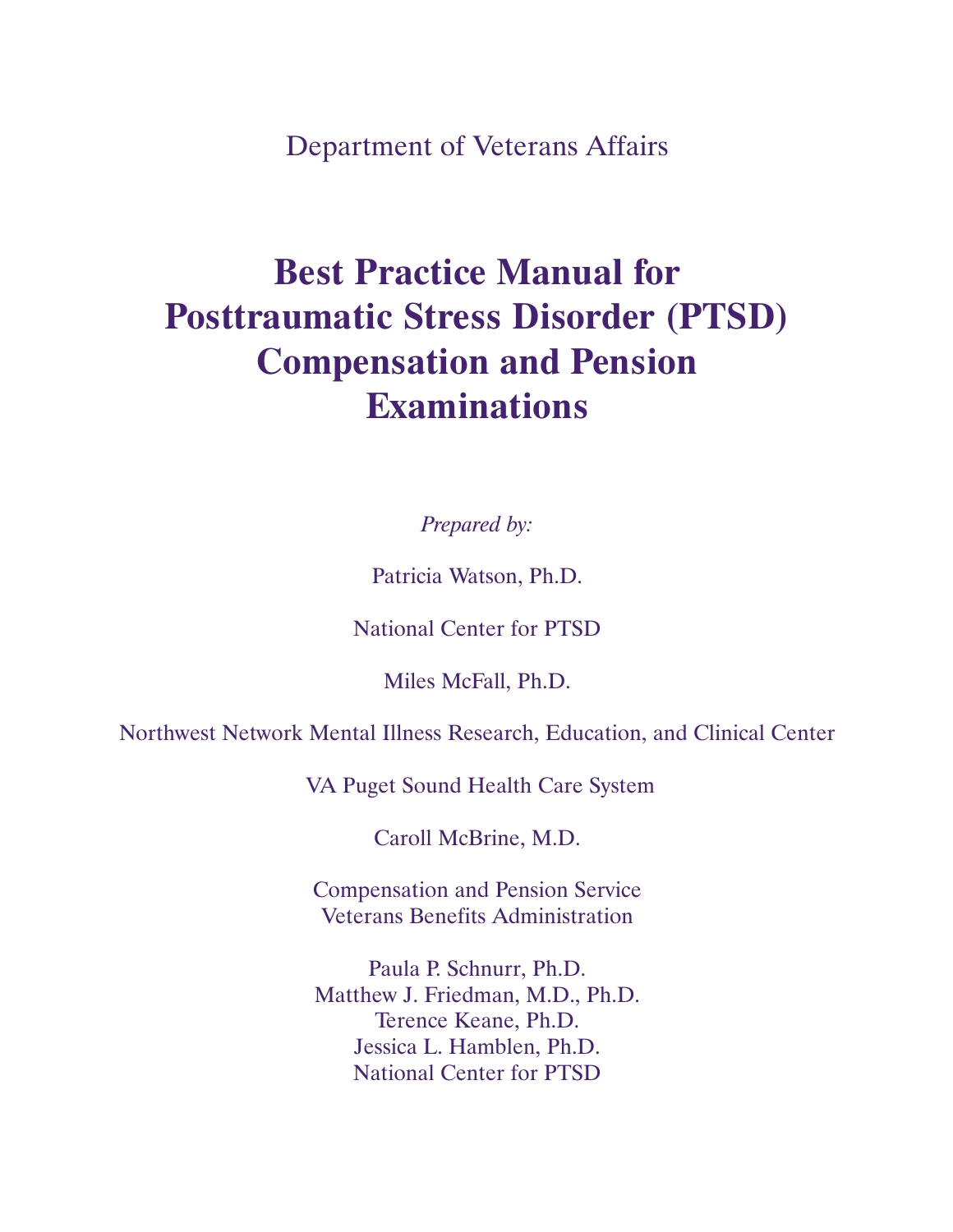Department of Veterans Affairs

# **Best Practice Manual for Posttraumatic Stress Disorder (PTSD) Compensation and Pension Examinations**

*Prepared by:*

Patricia Watson, Ph.D.

National Center for PTSD

Miles McFall, Ph.D.

Northwest Network Mental Illness Research, Education, and Clinical Center

VA Puget Sound Health Care System

Caroll McBrine, M.D.

Compensation and Pension Service Veterans Benefits Administration

Paula P. Schnurr, Ph.D. Matthew J. Friedman, M.D., Ph.D. Terence Keane, Ph.D. Jessica L. Hamblen, Ph.D. National Center for PTSD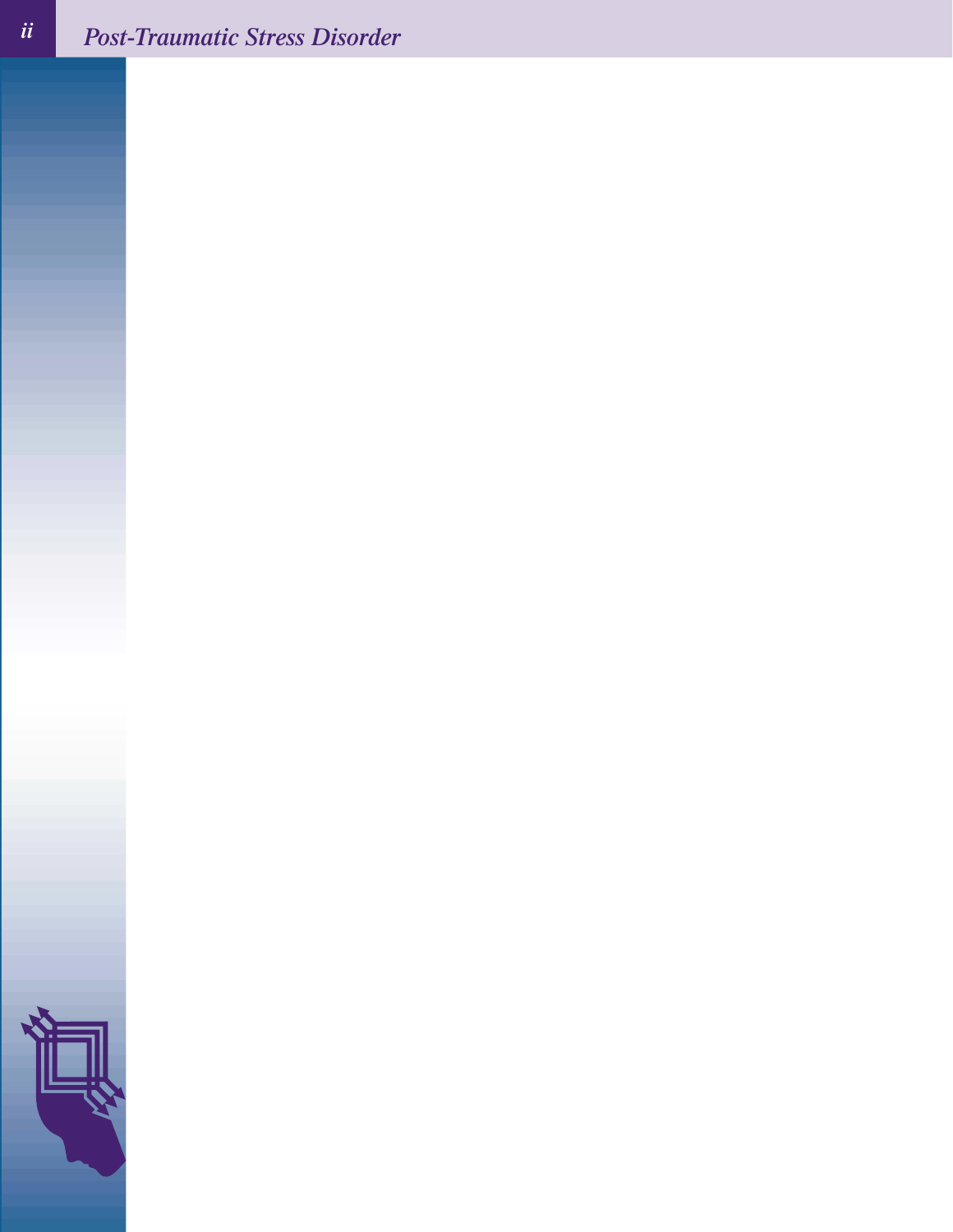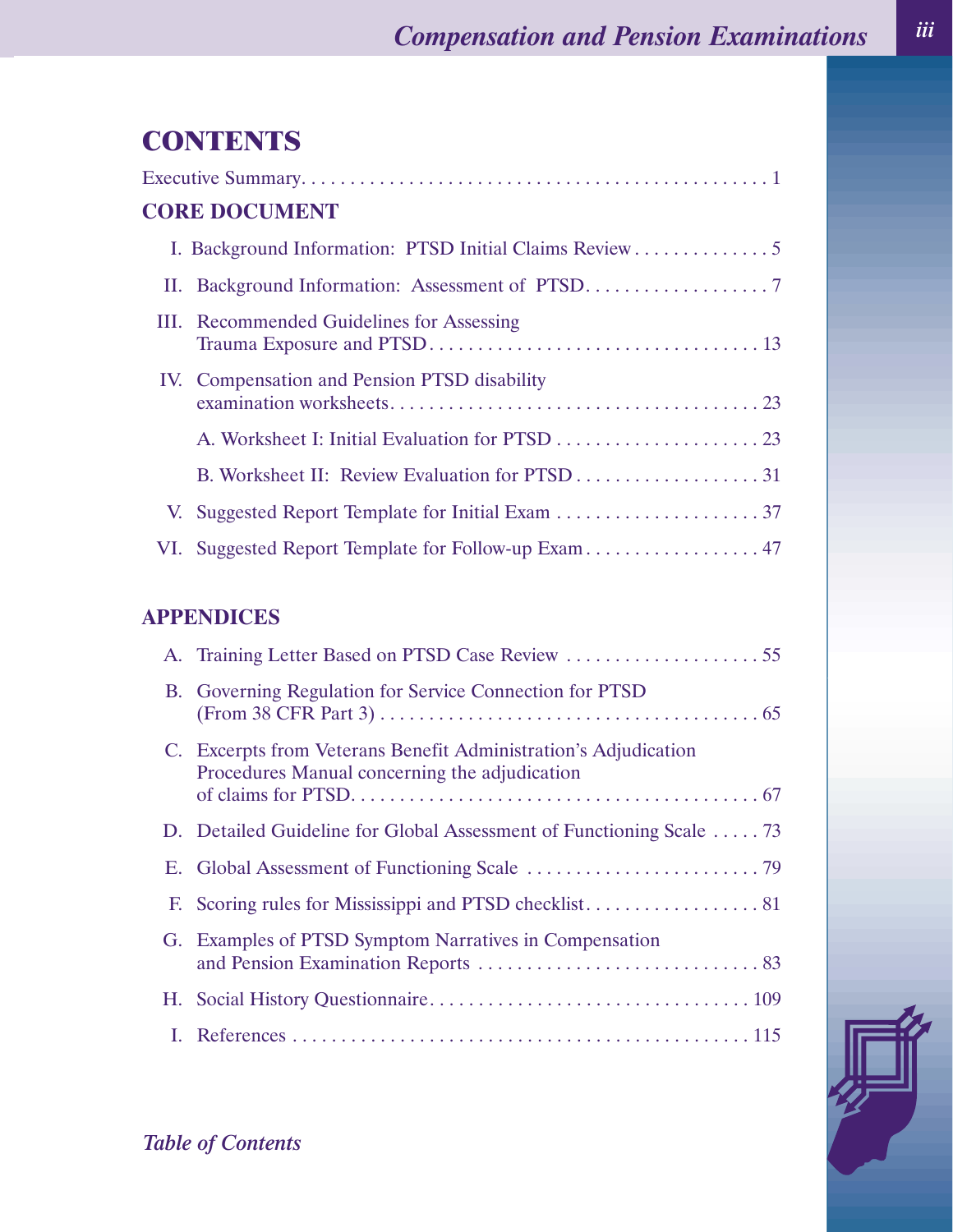# **CONTENTS**

| <b>CORE DOCUMENT</b> |                                                         |  |
|----------------------|---------------------------------------------------------|--|
|                      | I. Background Information: PTSD Initial Claims Review 5 |  |
|                      |                                                         |  |
|                      | III. Recommended Guidelines for Assessing               |  |
|                      | IV. Compensation and Pension PTSD disability            |  |
|                      |                                                         |  |
|                      | B. Worksheet II: Review Evaluation for PTSD 31          |  |
|                      |                                                         |  |
|                      | VI. Suggested Report Template for Follow-up Exam 47     |  |

# **APPENDICES**

| <b>B.</b> | Governing Regulation for Service Connection for PTSD                                                             |
|-----------|------------------------------------------------------------------------------------------------------------------|
|           | C. Excerpts from Veterans Benefit Administration's Adjudication<br>Procedures Manual concerning the adjudication |
|           | D. Detailed Guideline for Global Assessment of Functioning Scale  73                                             |
|           |                                                                                                                  |
|           |                                                                                                                  |
|           | G. Examples of PTSD Symptom Narratives in Compensation                                                           |
|           |                                                                                                                  |
|           |                                                                                                                  |



*Table of Contents*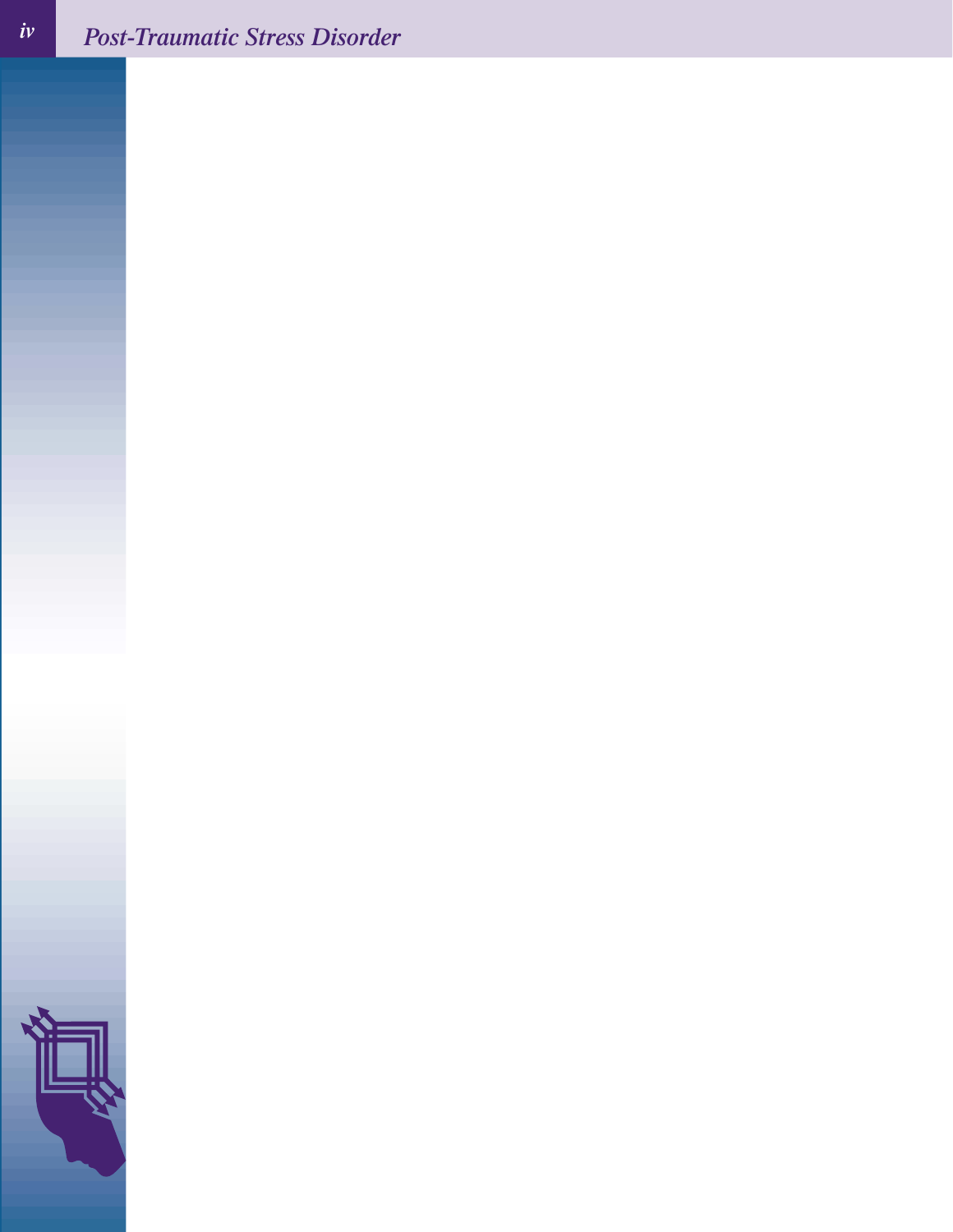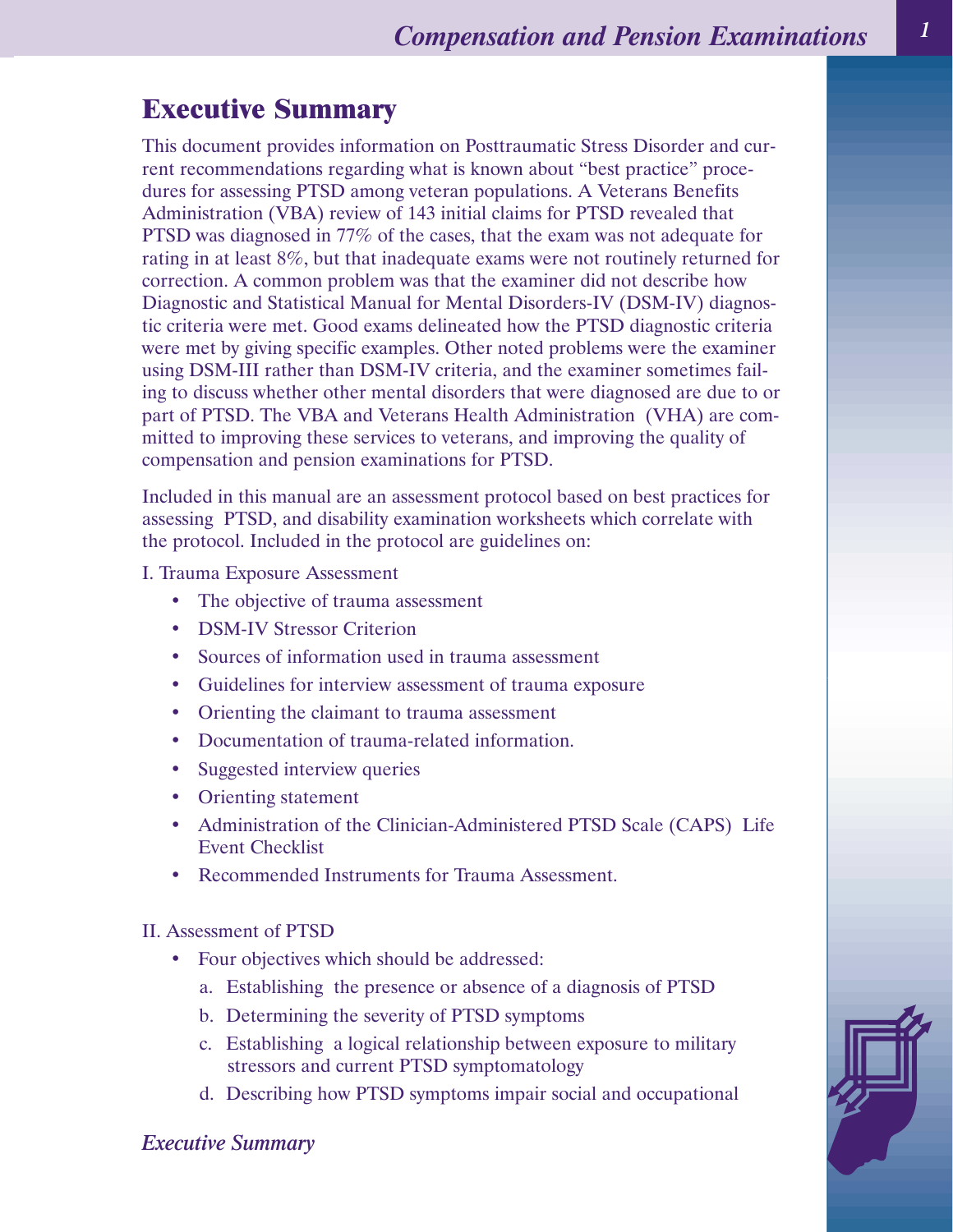# **Executive Summary**

This document provides information on Posttraumatic Stress Disorder and current recommendations regarding what is known about "best practice" procedures for assessing PTSD among veteran populations. A Veterans Benefits Administration (VBA) review of 143 initial claims for PTSD revealed that PTSD was diagnosed in 77% of the cases, that the exam was not adequate for rating in at least 8%, but that inadequate exams were not routinely returned for correction. A common problem was that the examiner did not describe how Diagnostic and Statistical Manual for Mental Disorders-IV (DSM-IV) diagnostic criteria were met. Good exams delineated how the PTSD diagnostic criteria were met by giving specific examples. Other noted problems were the examiner using DSM-III rather than DSM-IV criteria, and the examiner sometimes failing to discuss whether other mental disorders that were diagnosed are due to or part of PTSD. The VBA and Veterans Health Administration (VHA) are committed to improving these services to veterans, and improving the quality of compensation and pension examinations for PTSD.

Included in this manual are an assessment protocol based on best practices for assessing PTSD, and disability examination worksheets which correlate with the protocol. Included in the protocol are guidelines on:

I. Trauma Exposure Assessment

- The objective of trauma assessment
- **DSM-IV Stressor Criterion**
- Sources of information used in trauma assessment
- Guidelines for interview assessment of trauma exposure
- Orienting the claimant to trauma assessment
- Documentation of trauma-related information.
- Suggested interview queries
- Orienting statement
- Administration of the Clinician-Administered PTSD Scale (CAPS) Life Event Checklist
- Recommended Instruments for Trauma Assessment.

#### II. Assessment of PTSD

- Four objectives which should be addressed:
	- a. Establishing the presence or absence of a diagnosis of PTSD
	- b. Determining the severity of PTSD symptoms
	- c. Establishing a logical relationship between exposure to military stressors and current PTSD symptomatology
	- d. Describing how PTSD symptoms impair social and occupational



### *Executive Summary*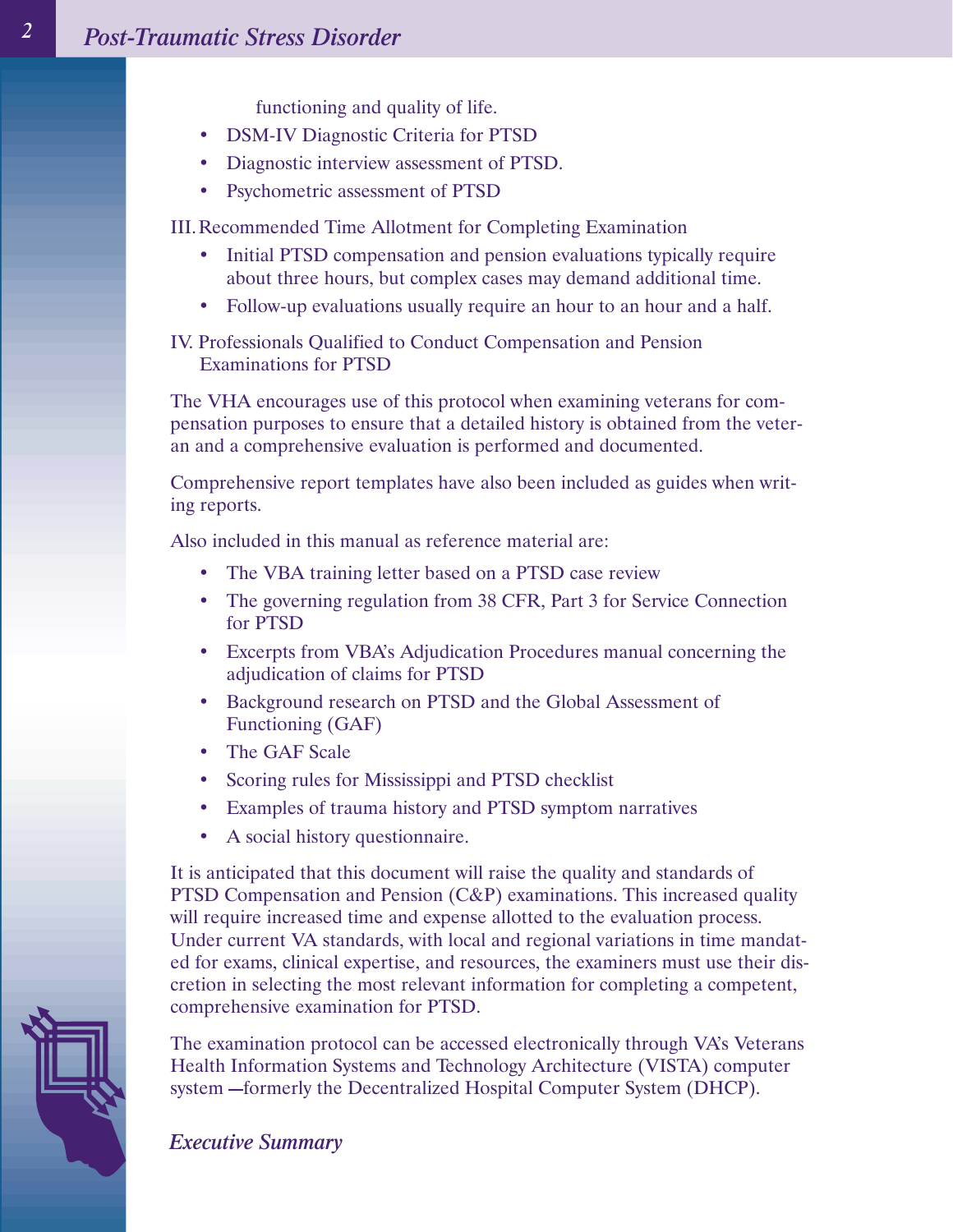functioning and quality of life.

- DSM-IV Diagnostic Criteria for PTSD
- Diagnostic interview assessment of PTSD.
- Psychometric assessment of PTSD

III.Recommended Time Allotment for Completing Examination

- Initial PTSD compensation and pension evaluations typically require about three hours, but complex cases may demand additional time.
- Follow-up evaluations usually require an hour to an hour and a half.

IV. Professionals Qualified to Conduct Compensation and Pension Examinations for PTSD

The VHA encourages use of this protocol when examining veterans for compensation purposes to ensure that a detailed history is obtained from the veteran and a comprehensive evaluation is performed and documented.

Comprehensive report templates have also been included as guides when writing reports.

Also included in this manual as reference material are:

- The VBA training letter based on a PTSD case review
- The governing regulation from 38 CFR, Part 3 for Service Connection for PTSD
- Excerpts from VBA's Adjudication Procedures manual concerning the adjudication of claims for PTSD
- Background research on PTSD and the Global Assessment of Functioning (GAF)
- The GAF Scale
- Scoring rules for Mississippi and PTSD checklist
- Examples of trauma history and PTSD symptom narratives
- A social history questionnaire.

It is anticipated that this document will raise the quality and standards of PTSD Compensation and Pension (C&P) examinations. This increased quality will require increased time and expense allotted to the evaluation process. Under current VA standards, with local and regional variations in time mandated for exams, clinical expertise, and resources, the examiners must use their discretion in selecting the most relevant information for completing a competent, comprehensive examination for PTSD.

The examination protocol can be accessed electronically through VA's Veterans Health Information Systems and Technology Architecture (VISTA) computer system – formerly the Decentralized Hospital Computer System (DHCP).



*Executive Summary*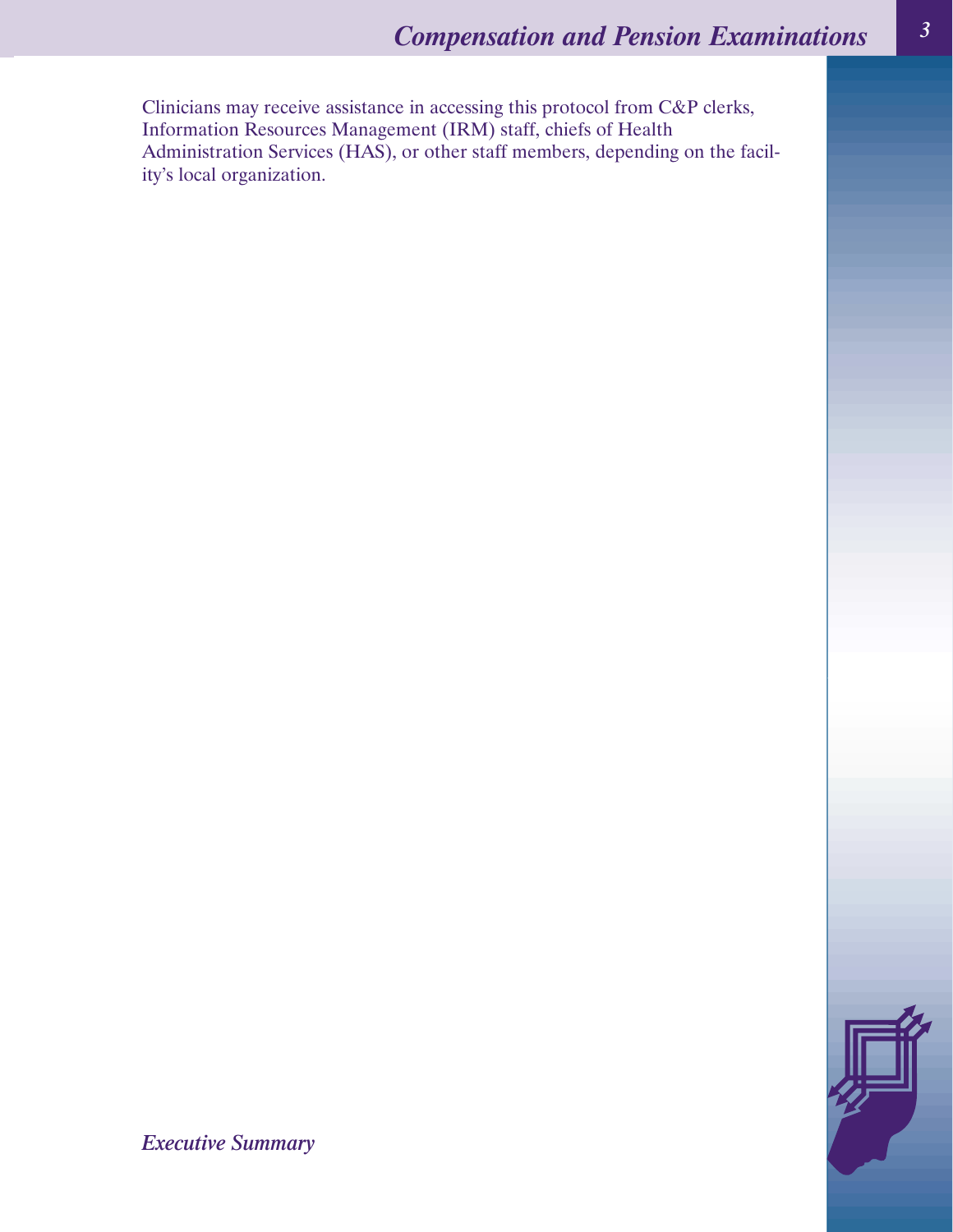Clinicians may receive assistance in accessing this protocol from C&P clerks, Information Resources Management (IRM) staff, chiefs of Health Administration Services (HAS), or other staff members, depending on the facility's local organization.



*Executive Summary*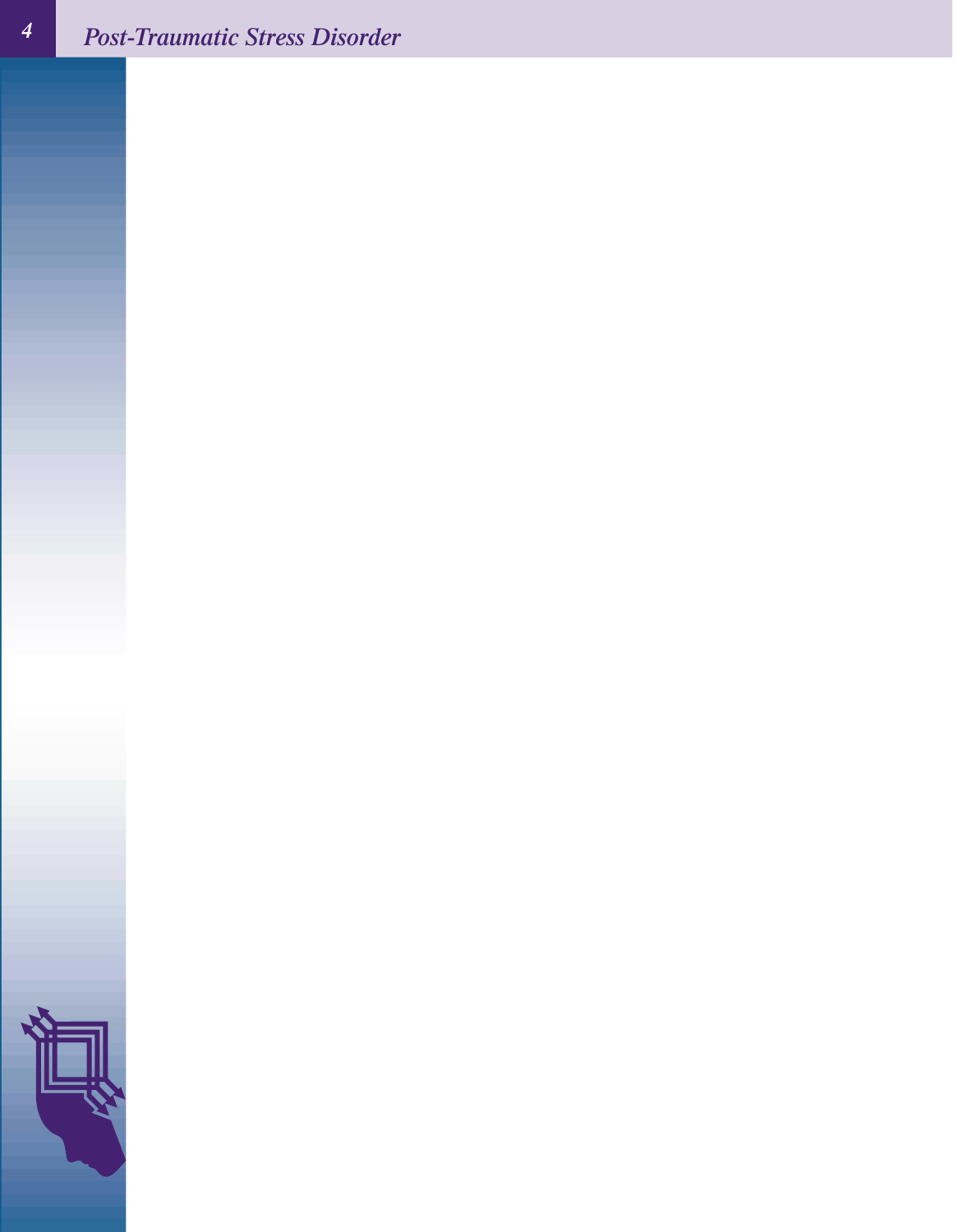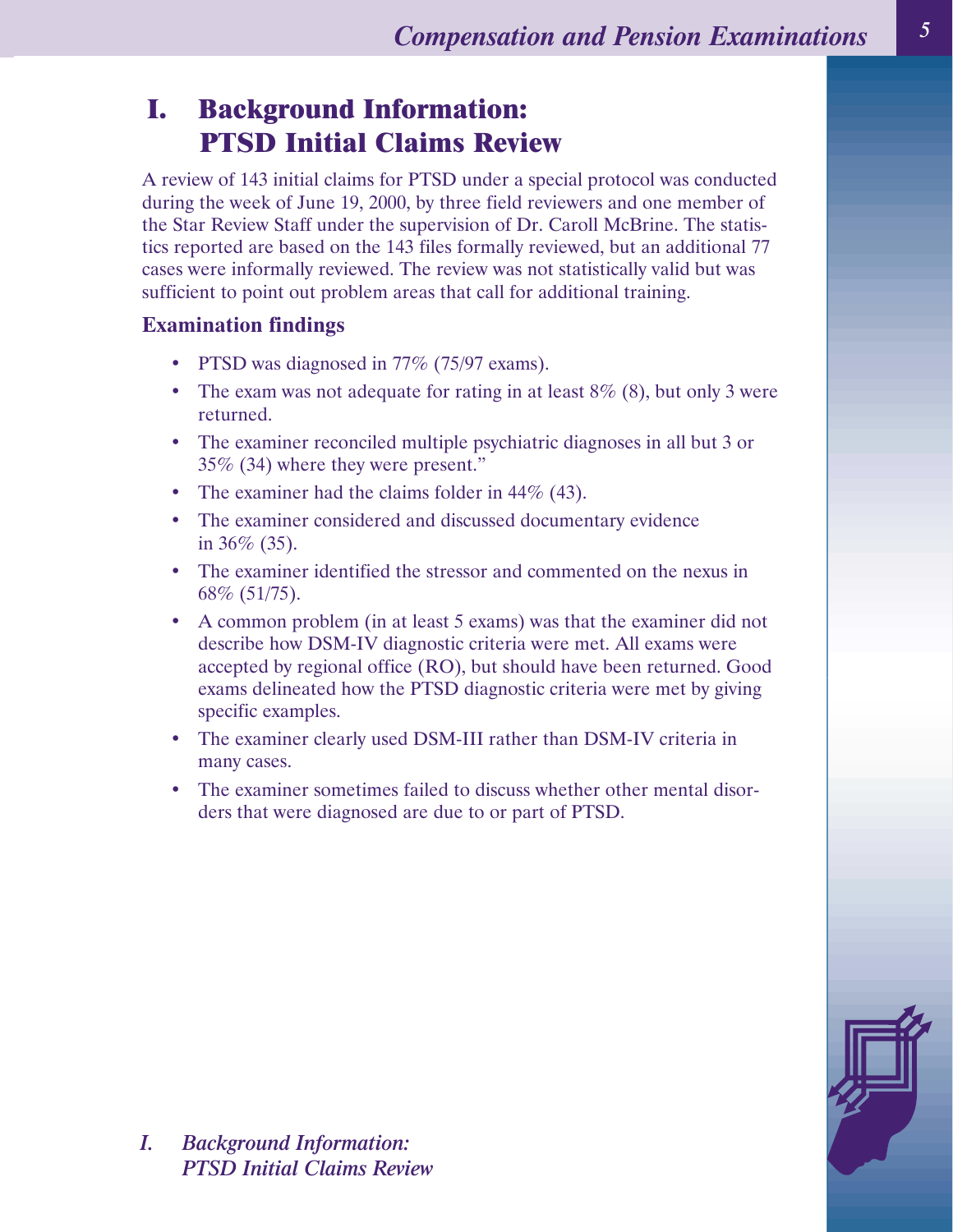# **I. Background Information: PTSD Initial Claims Review**

A review of 143 initial claims for PTSD under a special protocol was conducted during the week of June 19, 2000, by three field reviewers and one member of the Star Review Staff under the supervision of Dr. Caroll McBrine. The statistics reported are based on the 143 files formally reviewed, but an additional 77 cases were informally reviewed. The review was not statistically valid but was sufficient to point out problem areas that call for additional training.

### **Examination findings**

- PTSD was diagnosed in 77% (75/97 exams).
- The exam was not adequate for rating in at least  $8\%$  (8), but only 3 were returned.
- The examiner reconciled multiple psychiatric diagnoses in all but 3 or 35% (34) where they were present."
- The examiner had the claims folder in 44\% (43).
- The examiner considered and discussed documentary evidence in 36% (35).
- The examiner identified the stressor and commented on the nexus in 68% (51/75).
- A common problem (in at least 5 exams) was that the examiner did not describe how DSM-IV diagnostic criteria were met. All exams were accepted by regional office (RO), but should have been returned. Good exams delineated how the PTSD diagnostic criteria were met by giving specific examples.
- The examiner clearly used DSM-III rather than DSM-IV criteria in many cases.
- The examiner sometimes failed to discuss whether other mental disorders that were diagnosed are due to or part of PTSD.



*I. Background Information: PTSD Initial Claims Review*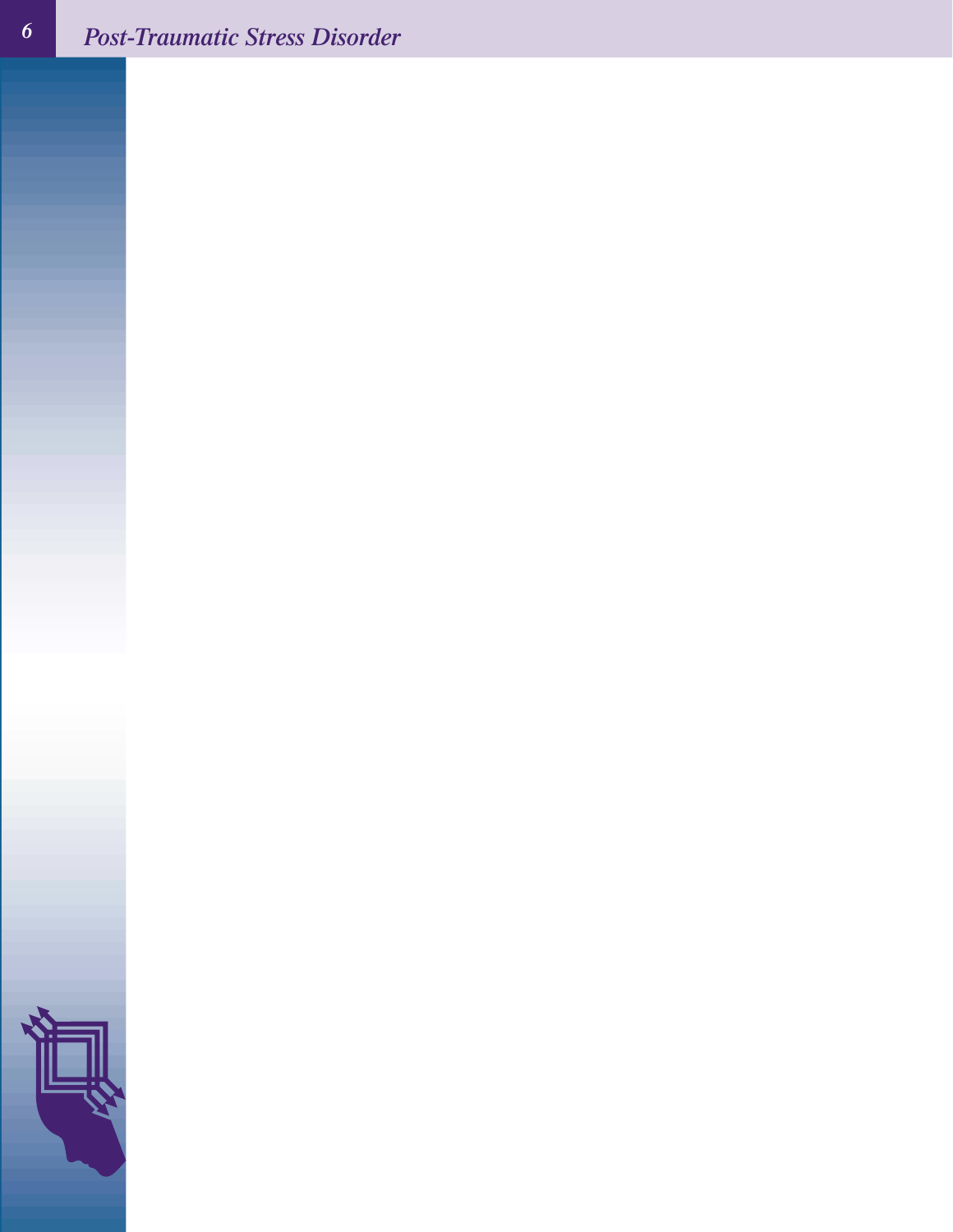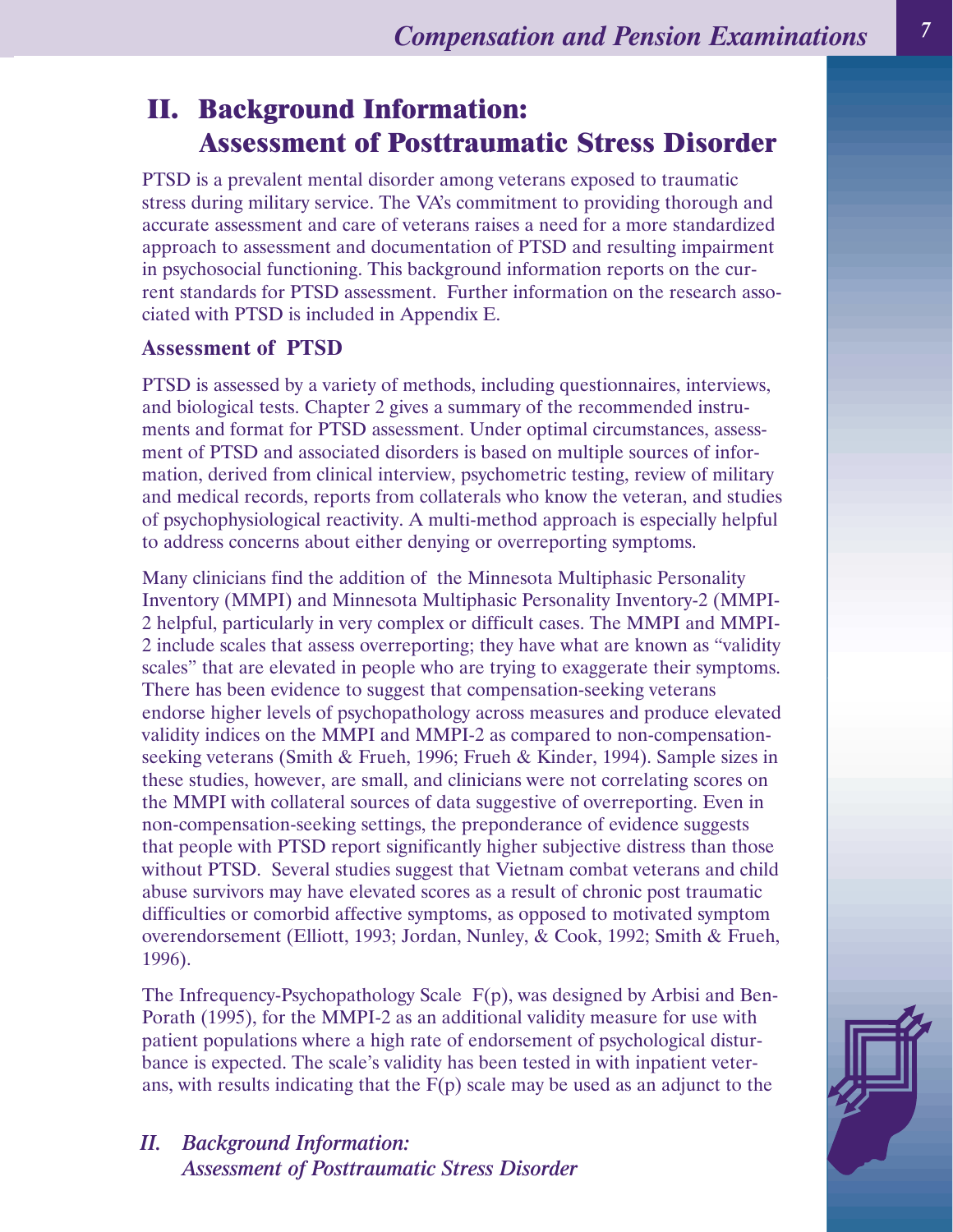# **II. Background Information: Assessment of Posttraumatic Stress Disorder**

PTSD is a prevalent mental disorder among veterans exposed to traumatic stress during military service. The VA's commitment to providing thorough and accurate assessment and care of veterans raises a need for a more standardized approach to assessment and documentation of PTSD and resulting impairment in psychosocial functioning. This background information reports on the current standards for PTSD assessment. Further information on the research associated with PTSD is included in Appendix E.

### **Assessment of PTSD**

PTSD is assessed by a variety of methods, including questionnaires, interviews, and biological tests. Chapter 2 gives a summary of the recommended instruments and format for PTSD assessment. Under optimal circumstances, assessment of PTSD and associated disorders is based on multiple sources of information, derived from clinical interview, psychometric testing, review of military and medical records, reports from collaterals who know the veteran, and studies of psychophysiological reactivity. A multi-method approach is especially helpful to address concerns about either denying or overreporting symptoms.

Many clinicians find the addition of the Minnesota Multiphasic Personality Inventory (MMPI) and Minnesota Multiphasic Personality Inventory-2 (MMPI-2 helpful, particularly in very complex or difficult cases. The MMPI and MMPI-2 include scales that assess overreporting; they have what are known as "validity scales" that are elevated in people who are trying to exaggerate their symptoms. There has been evidence to suggest that compensation-seeking veterans endorse higher levels of psychopathology across measures and produce elevated validity indices on the MMPI and MMPI-2 as compared to non-compensationseeking veterans (Smith & Frueh, 1996; Frueh & Kinder, 1994). Sample sizes in these studies, however, are small, and clinicians were not correlating scores on the MMPI with collateral sources of data suggestive of overreporting. Even in non-compensation-seeking settings, the preponderance of evidence suggests that people with PTSD report significantly higher subjective distress than those without PTSD. Several studies suggest that Vietnam combat veterans and child abuse survivors may have elevated scores as a result of chronic post traumatic difficulties or comorbid affective symptoms, as opposed to motivated symptom overendorsement (Elliott, 1993; Jordan, Nunley, & Cook, 1992; Smith & Frueh, 1996).

The Infrequency-Psychopathology Scale F(p), was designed by Arbisi and Ben-Porath (1995), for the MMPI-2 as an additional validity measure for use with patient populations where a high rate of endorsement of psychological disturbance is expected. The scale's validity has been tested in with inpatient veterans, with results indicating that the  $F(p)$  scale may be used as an adjunct to the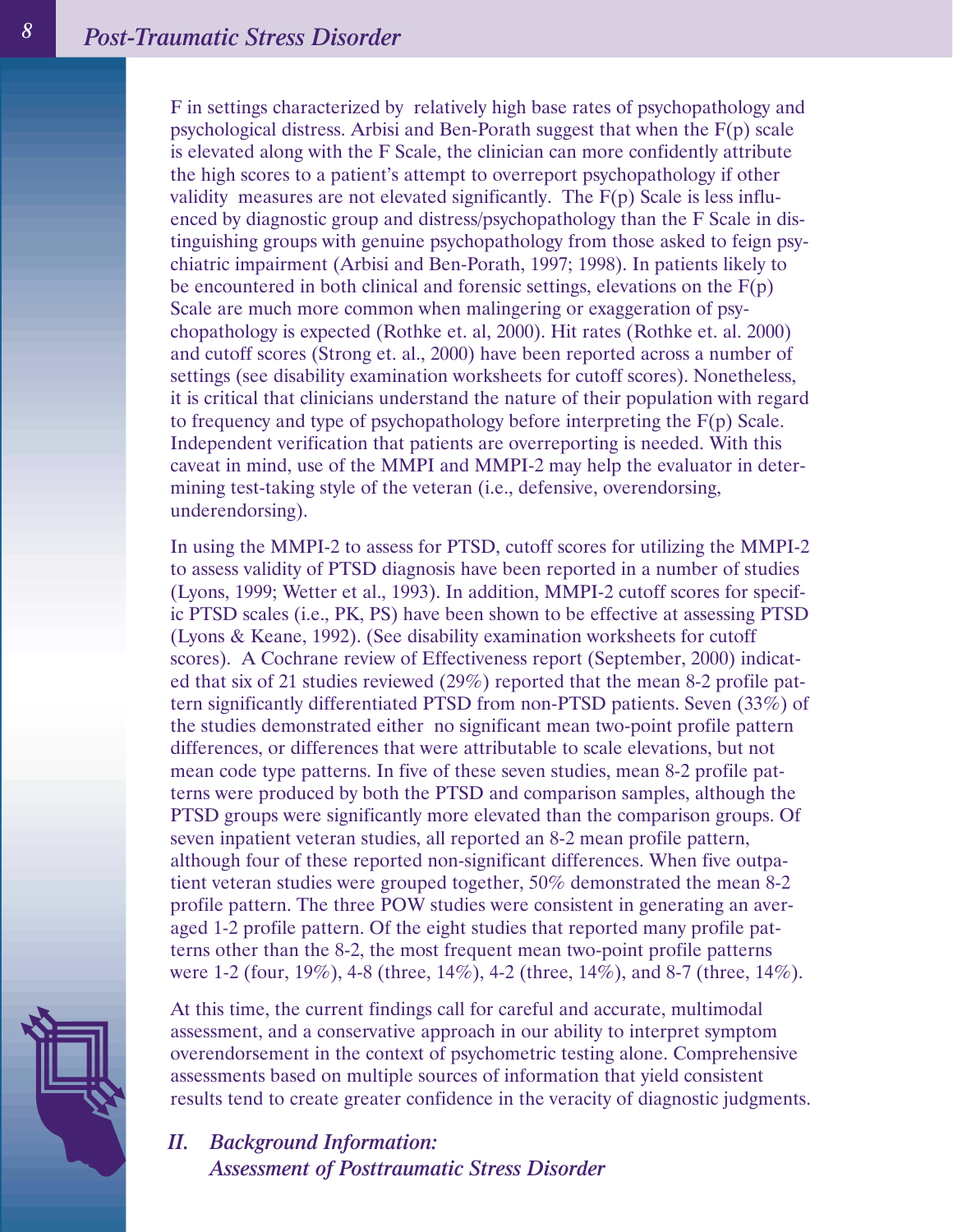F in settings characterized by relatively high base rates of psychopathology and psychological distress. Arbisi and Ben-Porath suggest that when the  $F(p)$  scale is elevated along with the F Scale, the clinician can more confidently attribute the high scores to a patient's attempt to overreport psychopathology if other validity measures are not elevated significantly. The  $F(p)$  Scale is less influenced by diagnostic group and distress/psychopathology than the F Scale in distinguishing groups with genuine psychopathology from those asked to feign psychiatric impairment (Arbisi and Ben-Porath, 1997; 1998). In patients likely to be encountered in both clinical and forensic settings, elevations on the  $F(p)$ Scale are much more common when malingering or exaggeration of psychopathology is expected (Rothke et. al, 2000). Hit rates (Rothke et. al. 2000) and cutoff scores (Strong et. al., 2000) have been reported across a number of settings (see disability examination worksheets for cutoff scores). Nonetheless, it is critical that clinicians understand the nature of their population with regard to frequency and type of psychopathology before interpreting the F(p) Scale. Independent verification that patients are overreporting is needed. With this caveat in mind, use of the MMPI and MMPI-2 may help the evaluator in determining test-taking style of the veteran (i.e., defensive, overendorsing, underendorsing).

In using the MMPI-2 to assess for PTSD, cutoff scores for utilizing the MMPI-2 to assess validity of PTSD diagnosis have been reported in a number of studies (Lyons, 1999; Wetter et al., 1993). In addition, MMPI-2 cutoff scores for specific PTSD scales (i.e., PK, PS) have been shown to be effective at assessing PTSD (Lyons & Keane, 1992). (See disability examination worksheets for cutoff scores). A Cochrane review of Effectiveness report (September, 2000) indicated that six of 21 studies reviewed (29%) reported that the mean 8-2 profile pattern significantly differentiated PTSD from non-PTSD patients. Seven (33%) of the studies demonstrated either no significant mean two-point profile pattern differences, or differences that were attributable to scale elevations, but not mean code type patterns. In five of these seven studies, mean 8-2 profile patterns were produced by both the PTSD and comparison samples, although the PTSD groups were significantly more elevated than the comparison groups. Of seven inpatient veteran studies, all reported an 8-2 mean profile pattern, although four of these reported non-significant differences. When five outpatient veteran studies were grouped together, 50% demonstrated the mean 8-2 profile pattern. The three POW studies were consistent in generating an averaged 1-2 profile pattern. Of the eight studies that reported many profile patterns other than the 8-2, the most frequent mean two-point profile patterns were 1-2 (four, 19%), 4-8 (three, 14%), 4-2 (three, 14%), and 8-7 (three, 14%).

At this time, the current findings call for careful and accurate, multimodal assessment, and a conservative approach in our ability to interpret symptom overendorsement in the context of psychometric testing alone. Comprehensive assessments based on multiple sources of information that yield consistent results tend to create greater confidence in the veracity of diagnostic judgments.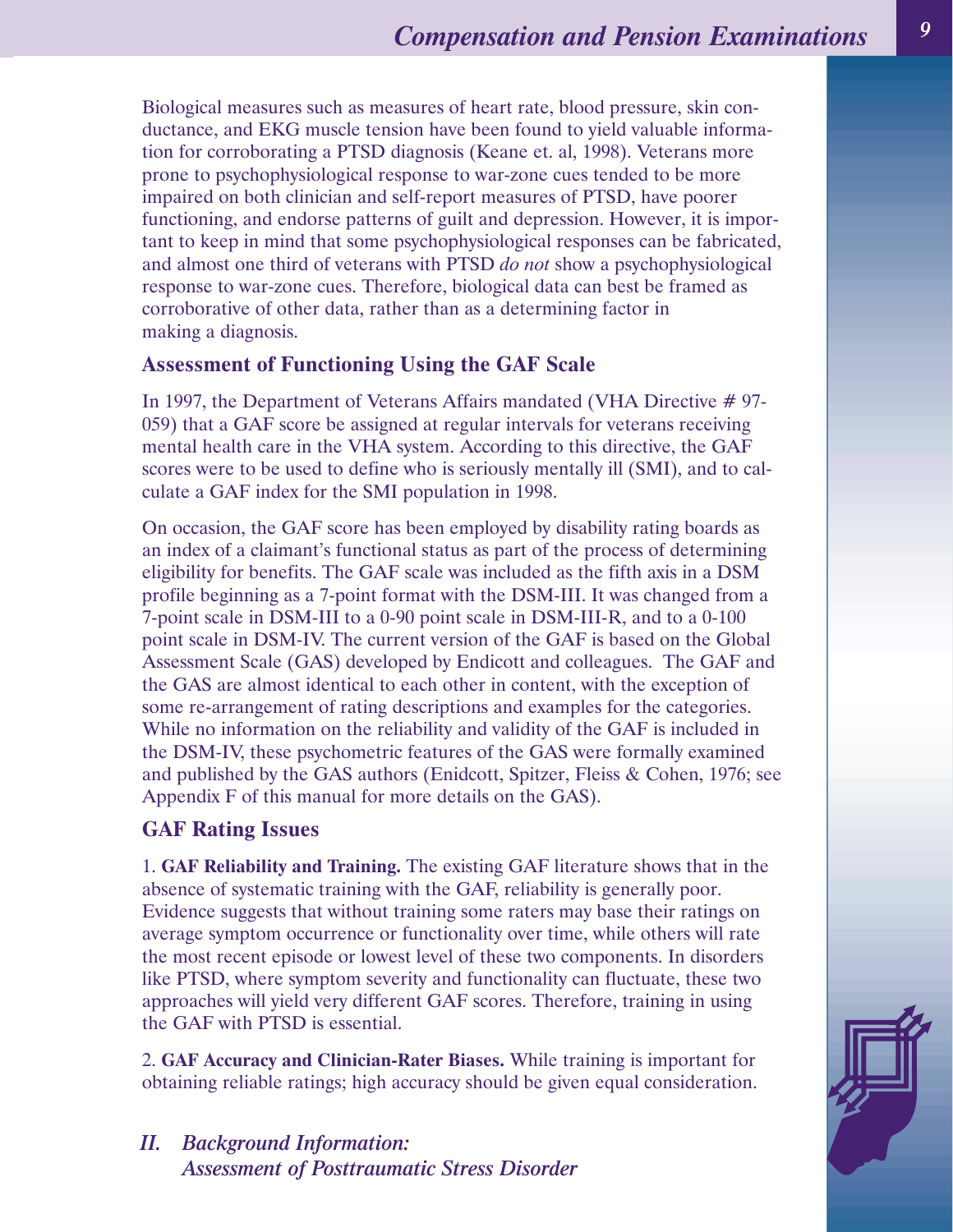Biological measures such as measures of heart rate, blood pressure, skin conductance, and EKG muscle tension have been found to yield valuable information for corroborating a PTSD diagnosis (Keane et. al, 1998). Veterans more prone to psychophysiological response to war-zone cues tended to be more impaired on both clinician and self-report measures of PTSD, have poorer functioning, and endorse patterns of guilt and depression. However, it is important to keep in mind that some psychophysiological responses can be fabricated, and almost one third of veterans with PTSD *do not* show a psychophysiological response to war-zone cues. Therefore, biological data can best be framed as corroborative of other data, rather than as a determining factor in making a diagnosis.

### **Assessment of Functioning Using the GAF Scale**

In 1997, the Department of Veterans Affairs mandated (VHA Directive # 97- 059) that a GAF score be assigned at regular intervals for veterans receiving mental health care in the VHA system. According to this directive, the GAF scores were to be used to define who is seriously mentally ill (SMI), and to calculate a GAF index for the SMI population in 1998.

On occasion, the GAF score has been employed by disability rating boards as an index of a claimant's functional status as part of the process of determining eligibility for benefits. The GAF scale was included as the fifth axis in a DSM profile beginning as a 7-point format with the DSM-III. It was changed from a 7-point scale in DSM-III to a 0-90 point scale in DSM-III-R, and to a 0-100 point scale in DSM-IV. The current version of the GAF is based on the Global Assessment Scale (GAS) developed by Endicott and colleagues. The GAF and the GAS are almost identical to each other in content, with the exception of some re-arrangement of rating descriptions and examples for the categories. While no information on the reliability and validity of the GAF is included in the DSM-IV, these psychometric features of the GAS were formally examined and published by the GAS authors (Enidcott, Spitzer, Fleiss & Cohen, 1976; see Appendix F of this manual for more details on the GAS).

### **GAF Rating Issues**

1. **GAF Reliability and Training.** The existing GAF literature shows that in the absence of systematic training with the GAF, reliability is generally poor. Evidence suggests that without training some raters may base their ratings on average symptom occurrence or functionality over time, while others will rate the most recent episode or lowest level of these two components. In disorders like PTSD, where symptom severity and functionality can fluctuate, these two approaches will yield very different GAF scores. Therefore, training in using the GAF with PTSD is essential.

2. **GAF Accuracy and Clinician-Rater Biases.** While training is important for obtaining reliable ratings; high accuracy should be given equal consideration.

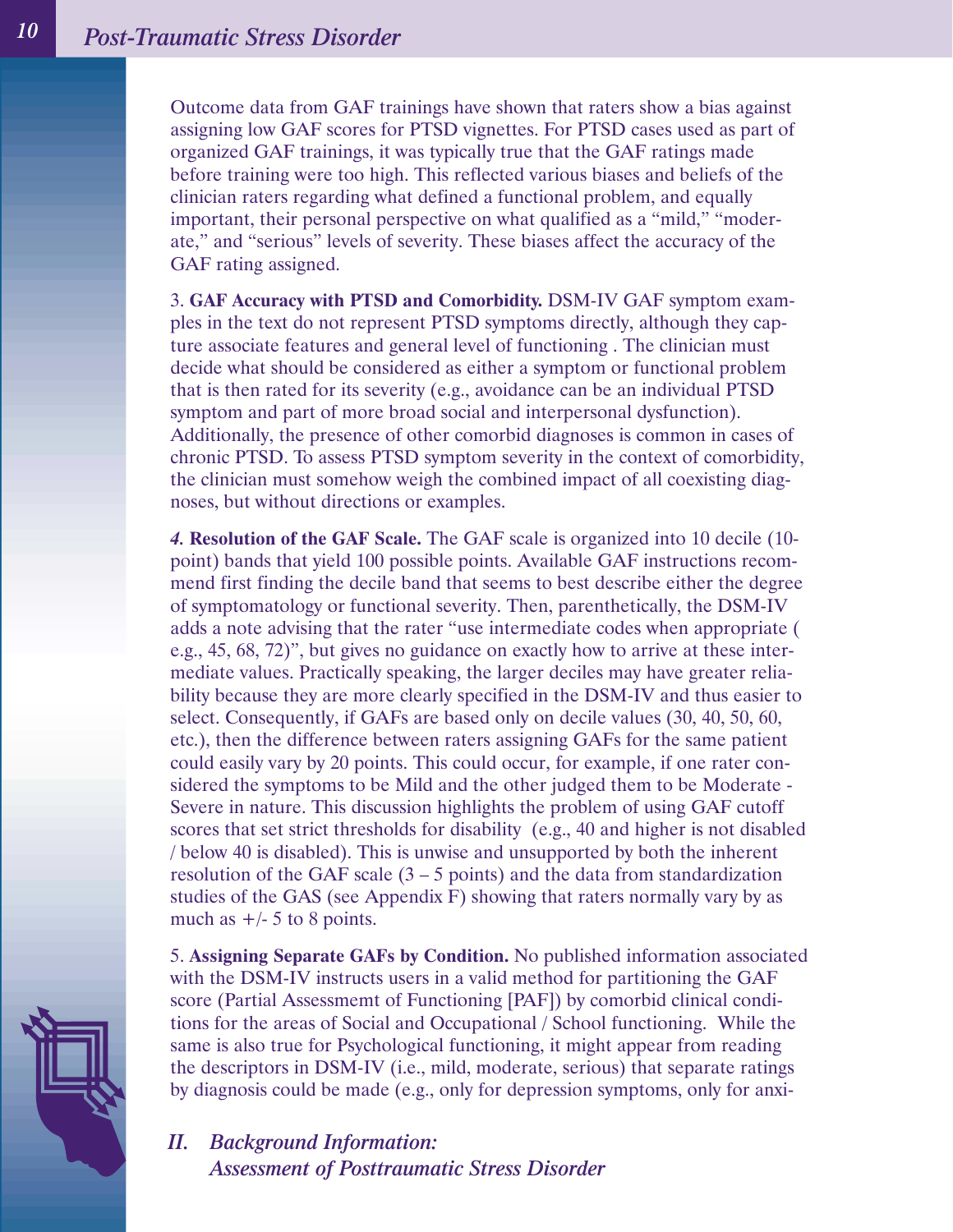Outcome data from GAF trainings have shown that raters show a bias against assigning low GAF scores for PTSD vignettes. For PTSD cases used as part of organized GAF trainings, it was typically true that the GAF ratings made before training were too high. This reflected various biases and beliefs of the clinician raters regarding what defined a functional problem, and equally important, their personal perspective on what qualified as a "mild," "moderate," and "serious" levels of severity. These biases affect the accuracy of the GAF rating assigned.

3. **GAF Accuracy with PTSD and Comorbidity.** DSM-IV GAF symptom examples in the text do not represent PTSD symptoms directly, although they capture associate features and general level of functioning . The clinician must decide what should be considered as either a symptom or functional problem that is then rated for its severity (e.g., avoidance can be an individual PTSD symptom and part of more broad social and interpersonal dysfunction). Additionally, the presence of other comorbid diagnoses is common in cases of chronic PTSD. To assess PTSD symptom severity in the context of comorbidity, the clinician must somehow weigh the combined impact of all coexisting diagnoses, but without directions or examples.

*4.* **Resolution of the GAF Scale.** The GAF scale is organized into 10 decile (10 point) bands that yield 100 possible points. Available GAF instructions recommend first finding the decile band that seems to best describe either the degree of symptomatology or functional severity. Then, parenthetically, the DSM-IV adds a note advising that the rater "use intermediate codes when appropriate ( e.g., 45, 68, 72)", but gives no guidance on exactly how to arrive at these intermediate values. Practically speaking, the larger deciles may have greater reliability because they are more clearly specified in the DSM-IV and thus easier to select. Consequently, if GAFs are based only on decile values (30, 40, 50, 60, etc.), then the difference between raters assigning GAFs for the same patient could easily vary by 20 points. This could occur, for example, if one rater considered the symptoms to be Mild and the other judged them to be Moderate - Severe in nature. This discussion highlights the problem of using GAF cutoff scores that set strict thresholds for disability (e.g., 40 and higher is not disabled / below 40 is disabled). This is unwise and unsupported by both the inherent resolution of the GAF scale  $(3 - 5 \text{ points})$  and the data from standardization studies of the GAS (see Appendix F) showing that raters normally vary by as much as  $+/- 5$  to 8 points.

5. **Assigning Separate GAFs by Condition.** No published information associated with the DSM-IV instructs users in a valid method for partitioning the GAF score (Partial Assessmemt of Functioning [PAF]) by comorbid clinical conditions for the areas of Social and Occupational / School functioning. While the same is also true for Psychological functioning, it might appear from reading the descriptors in DSM-IV (i.e., mild, moderate, serious) that separate ratings by diagnosis could be made (e.g., only for depression symptoms, only for anxi-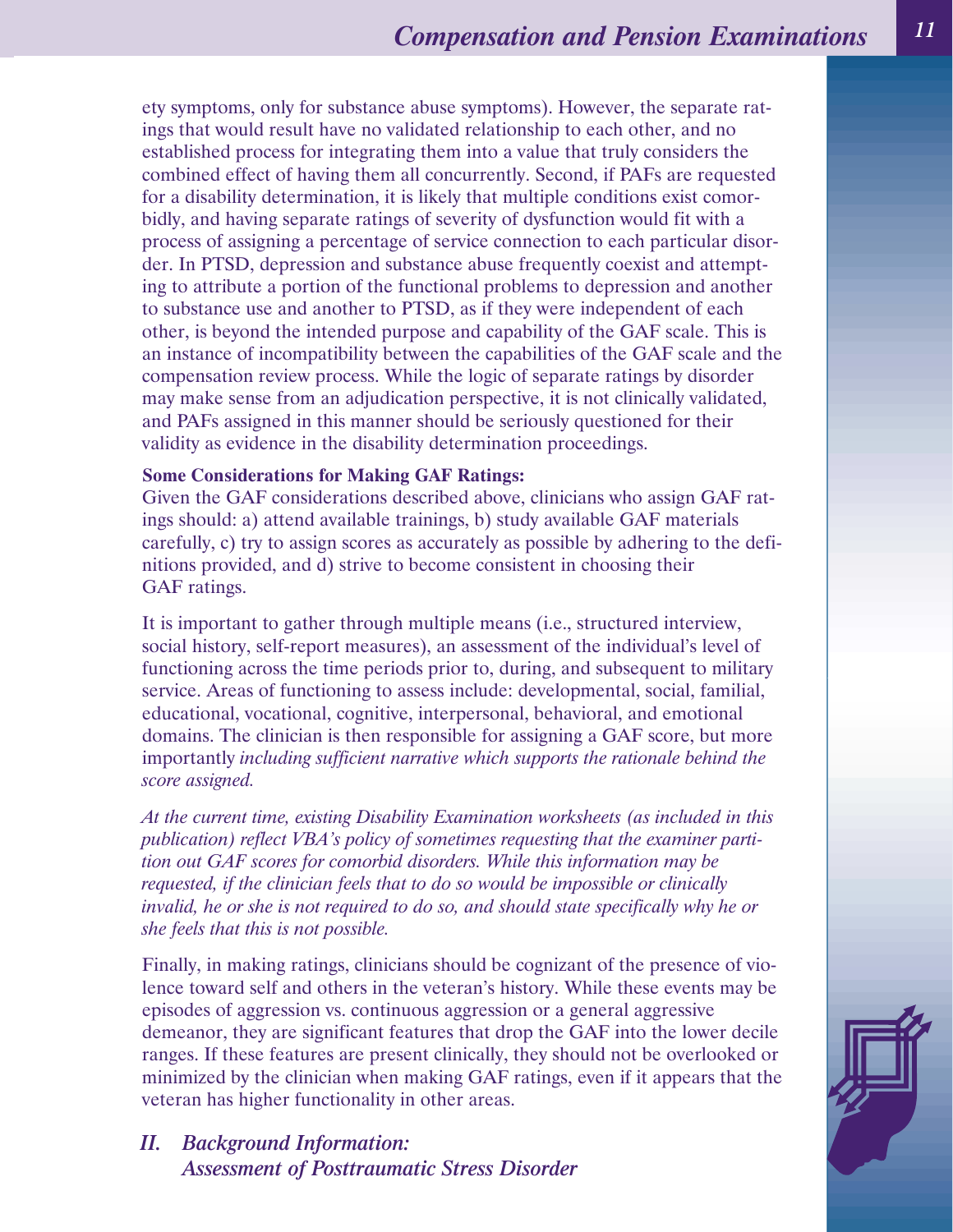ety symptoms, only for substance abuse symptoms). However, the separate ratings that would result have no validated relationship to each other, and no established process for integrating them into a value that truly considers the combined effect of having them all concurrently. Second, if PAFs are requested for a disability determination, it is likely that multiple conditions exist comorbidly, and having separate ratings of severity of dysfunction would fit with a process of assigning a percentage of service connection to each particular disorder. In PTSD, depression and substance abuse frequently coexist and attempting to attribute a portion of the functional problems to depression and another to substance use and another to PTSD, as if they were independent of each other, is beyond the intended purpose and capability of the GAF scale. This is an instance of incompatibility between the capabilities of the GAF scale and the compensation review process. While the logic of separate ratings by disorder may make sense from an adjudication perspective, it is not clinically validated, and PAFs assigned in this manner should be seriously questioned for their validity as evidence in the disability determination proceedings.

#### **Some Considerations for Making GAF Ratings:**

Given the GAF considerations described above, clinicians who assign GAF ratings should: a) attend available trainings, b) study available GAF materials carefully, c) try to assign scores as accurately as possible by adhering to the definitions provided, and d) strive to become consistent in choosing their GAF ratings.

It is important to gather through multiple means (i.e., structured interview, social history, self-report measures), an assessment of the individual's level of functioning across the time periods prior to, during, and subsequent to military service. Areas of functioning to assess include: developmental, social, familial, educational, vocational, cognitive, interpersonal, behavioral, and emotional domains. The clinician is then responsible for assigning a GAF score, but more importantly *including sufficient narrative which supports the rationale behind the score assigned.* 

*At the current time, existing Disability Examination worksheets (as included in this publication) reflect VBA's policy of sometimes requesting that the examiner partition out GAF scores for comorbid disorders. While this information may be requested, if the clinician feels that to do so would be impossible or clinically invalid, he or she is not required to do so, and should state specifically why he or she feels that this is not possible.* 

Finally, in making ratings, clinicians should be cognizant of the presence of violence toward self and others in the veteran's history. While these events may be episodes of aggression vs. continuous aggression or a general aggressive demeanor, they are significant features that drop the GAF into the lower decile ranges. If these features are present clinically, they should not be overlooked or minimized by the clinician when making GAF ratings, even if it appears that the veteran has higher functionality in other areas.

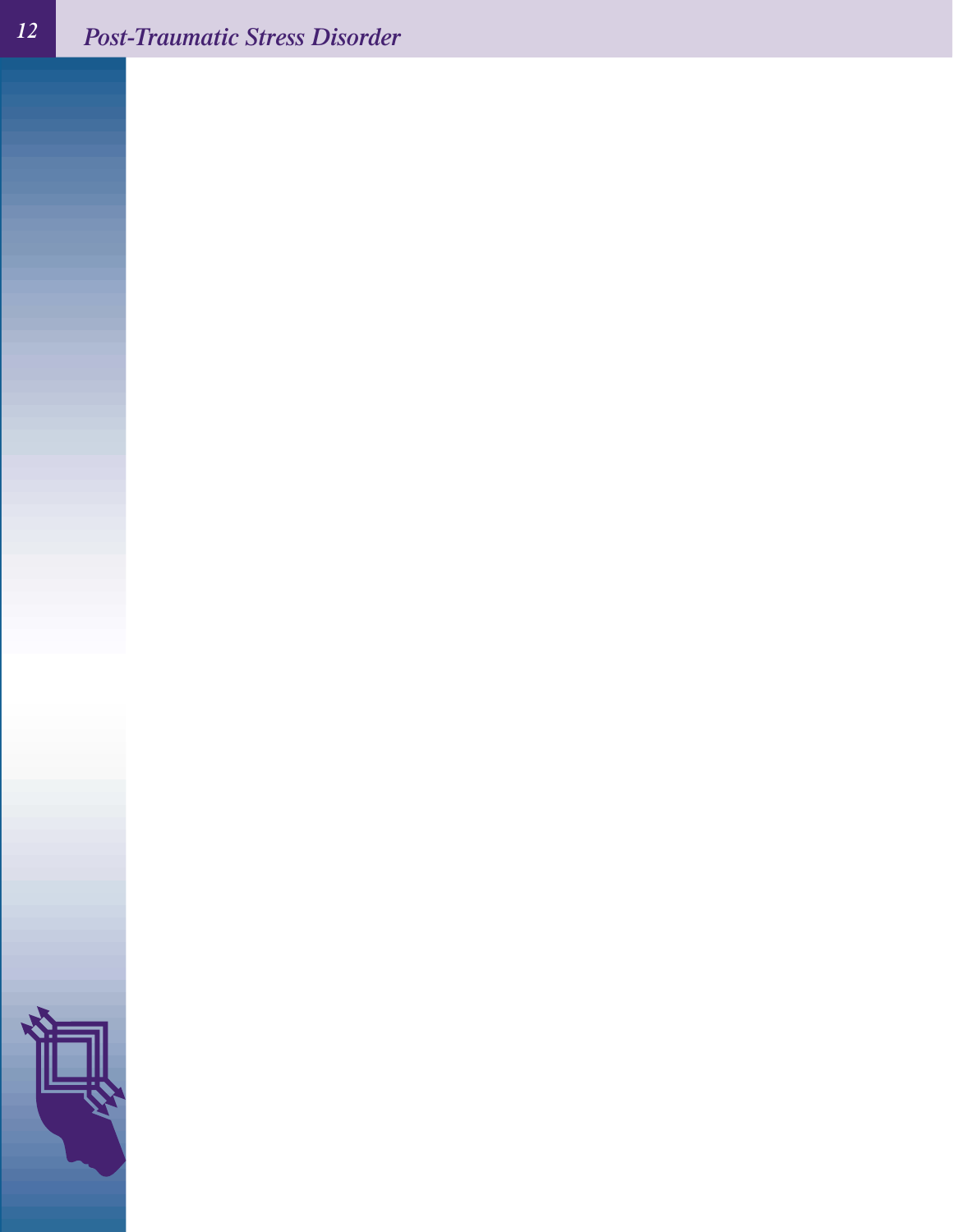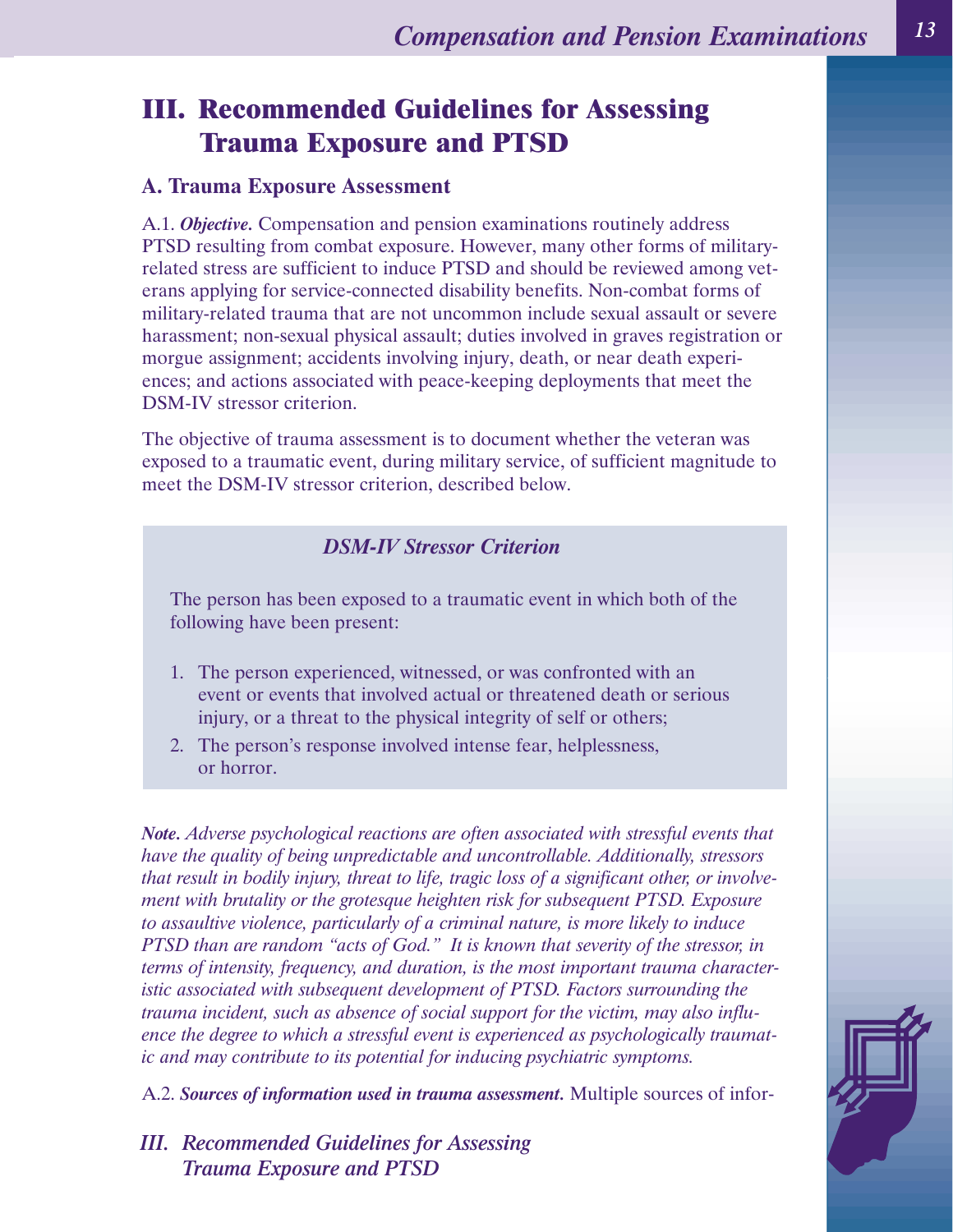# **III. Recommended Guidelines for Assessing Trauma Exposure and PTSD**

### **A. Trauma Exposure Assessment**

A.1. *Objective.* Compensation and pension examinations routinely address PTSD resulting from combat exposure. However, many other forms of militaryrelated stress are sufficient to induce PTSD and should be reviewed among veterans applying for service-connected disability benefits. Non-combat forms of military-related trauma that are not uncommon include sexual assault or severe harassment; non-sexual physical assault; duties involved in graves registration or morgue assignment; accidents involving injury, death, or near death experiences; and actions associated with peace-keeping deployments that meet the DSM-IV stressor criterion.

The objective of trauma assessment is to document whether the veteran was exposed to a traumatic event, during military service, of sufficient magnitude to meet the DSM-IV stressor criterion, described below.

### *DSM-IV Stressor Criterion*

The person has been exposed to a traumatic event in which both of the following have been present:

- 1. The person experienced, witnessed, or was confronted with an event or events that involved actual or threatened death or serious injury, or a threat to the physical integrity of self or others;
- 2. The person's response involved intense fear, helplessness, or horror.

*Note. Adverse psychological reactions are often associated with stressful events that have the quality of being unpredictable and uncontrollable. Additionally, stressors that result in bodily injury, threat to life, tragic loss of a significant other, or involvement with brutality or the grotesque heighten risk for subsequent PTSD. Exposure to assaultive violence, particularly of a criminal nature, is more likely to induce PTSD than are random "acts of God." It is known that severity of the stressor, in terms of intensity, frequency, and duration, is the most important trauma characteristic associated with subsequent development of PTSD. Factors surrounding the trauma incident, such as absence of social support for the victim, may also influence the degree to which a stressful event is experienced as psychologically traumatic and may contribute to its potential for inducing psychiatric symptoms.*

A.2. *Sources of information used in trauma assessment.* Multiple sources of infor-

### *III. Recommended Guidelines for Assessing Trauma Exposure and PTSD*

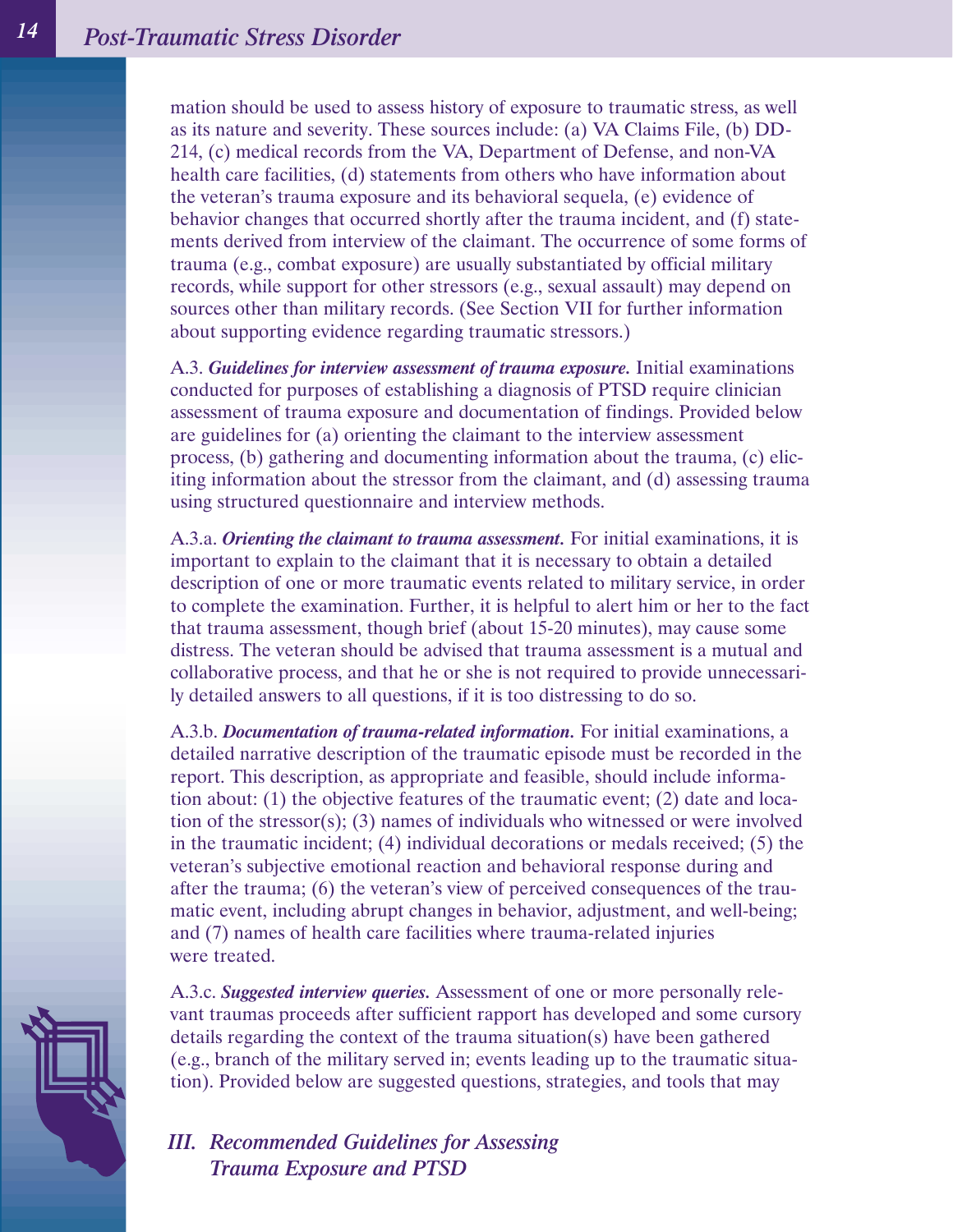mation should be used to assess history of exposure to traumatic stress, as well as its nature and severity. These sources include: (a) VA Claims File, (b) DD-214, (c) medical records from the VA, Department of Defense, and non-VA health care facilities, (d) statements from others who have information about the veteran's trauma exposure and its behavioral sequela, (e) evidence of behavior changes that occurred shortly after the trauma incident, and (f) statements derived from interview of the claimant. The occurrence of some forms of trauma (e.g., combat exposure) are usually substantiated by official military records, while support for other stressors (e.g., sexual assault) may depend on sources other than military records. (See Section VII for further information about supporting evidence regarding traumatic stressors.)

A.3. *Guidelines for interview assessment of trauma exposure.* Initial examinations conducted for purposes of establishing a diagnosis of PTSD require clinician assessment of trauma exposure and documentation of findings. Provided below are guidelines for (a) orienting the claimant to the interview assessment process, (b) gathering and documenting information about the trauma, (c) eliciting information about the stressor from the claimant, and (d) assessing trauma using structured questionnaire and interview methods.

A.3.a. *Orienting the claimant to trauma assessment.* For initial examinations, it is important to explain to the claimant that it is necessary to obtain a detailed description of one or more traumatic events related to military service, in order to complete the examination. Further, it is helpful to alert him or her to the fact that trauma assessment, though brief (about 15-20 minutes), may cause some distress. The veteran should be advised that trauma assessment is a mutual and collaborative process, and that he or she is not required to provide unnecessarily detailed answers to all questions, if it is too distressing to do so.

A.3.b. *Documentation of trauma-related information.* For initial examinations, a detailed narrative description of the traumatic episode must be recorded in the report. This description, as appropriate and feasible, should include information about: (1) the objective features of the traumatic event; (2) date and location of the stressor(s); (3) names of individuals who witnessed or were involved in the traumatic incident; (4) individual decorations or medals received; (5) the veteran's subjective emotional reaction and behavioral response during and after the trauma; (6) the veteran's view of perceived consequences of the traumatic event, including abrupt changes in behavior, adjustment, and well-being; and (7) names of health care facilities where trauma-related injuries were treated.

A.3.c. *Suggested interview queries.* Assessment of one or more personally relevant traumas proceeds after sufficient rapport has developed and some cursory details regarding the context of the trauma situation(s) have been gathered (e.g., branch of the military served in; events leading up to the traumatic situation). Provided below are suggested questions, strategies, and tools that may

# *III. Recommended Guidelines for Assessing Trauma Exposure and PTSD*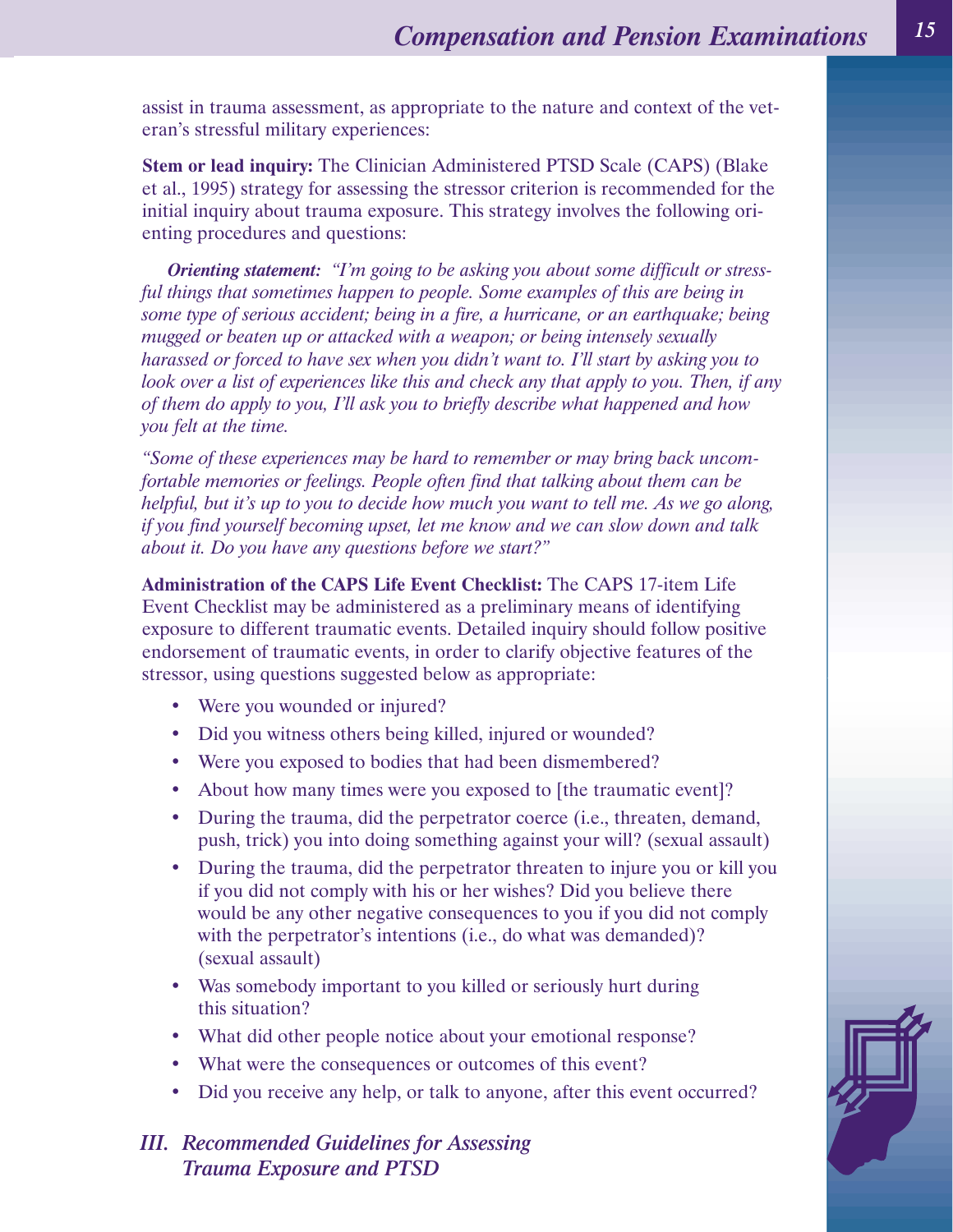assist in trauma assessment, as appropriate to the nature and context of the veteran's stressful military experiences:

**Stem or lead inquiry:** The Clinician Administered PTSD Scale (CAPS) (Blake et al., 1995) strategy for assessing the stressor criterion is recommended for the initial inquiry about trauma exposure. This strategy involves the following orienting procedures and questions:

*Orienting statement: "I'm going to be asking you about some difficult or stressful things that sometimes happen to people. Some examples of this are being in some type of serious accident; being in a fire, a hurricane, or an earthquake; being mugged or beaten up or attacked with a weapon; or being intensely sexually harassed or forced to have sex when you didn't want to. I'll start by asking you to look over a list of experiences like this and check any that apply to you. Then, if any of them do apply to you, I'll ask you to briefly describe what happened and how you felt at the time.*

*"Some of these experiences may be hard to remember or may bring back uncomfortable memories or feelings. People often find that talking about them can be helpful, but it's up to you to decide how much you want to tell me. As we go along, if you find yourself becoming upset, let me know and we can slow down and talk about it. Do you have any questions before we start?"*

**Administration of the CAPS Life Event Checklist:** The CAPS 17-item Life Event Checklist may be administered as a preliminary means of identifying exposure to different traumatic events. Detailed inquiry should follow positive endorsement of traumatic events, in order to clarify objective features of the stressor, using questions suggested below as appropriate:

- Were you wounded or injured?
- Did you witness others being killed, injured or wounded?
- Were you exposed to bodies that had been dismembered?
- About how many times were you exposed to [the traumatic event]?
- During the trauma, did the perpetrator coerce (i.e., threaten, demand, push, trick) you into doing something against your will? (sexual assault)
- During the trauma, did the perpetrator threaten to injure you or kill you if you did not comply with his or her wishes? Did you believe there would be any other negative consequences to you if you did not comply with the perpetrator's intentions (i.e., do what was demanded)? (sexual assault)
- Was somebody important to you killed or seriously hurt during this situation?
- What did other people notice about your emotional response?
- What were the consequences or outcomes of this event?
- Did you receive any help, or talk to anyone, after this event occurred?
- *III. Recommended Guidelines for Assessing Trauma Exposure and PTSD*

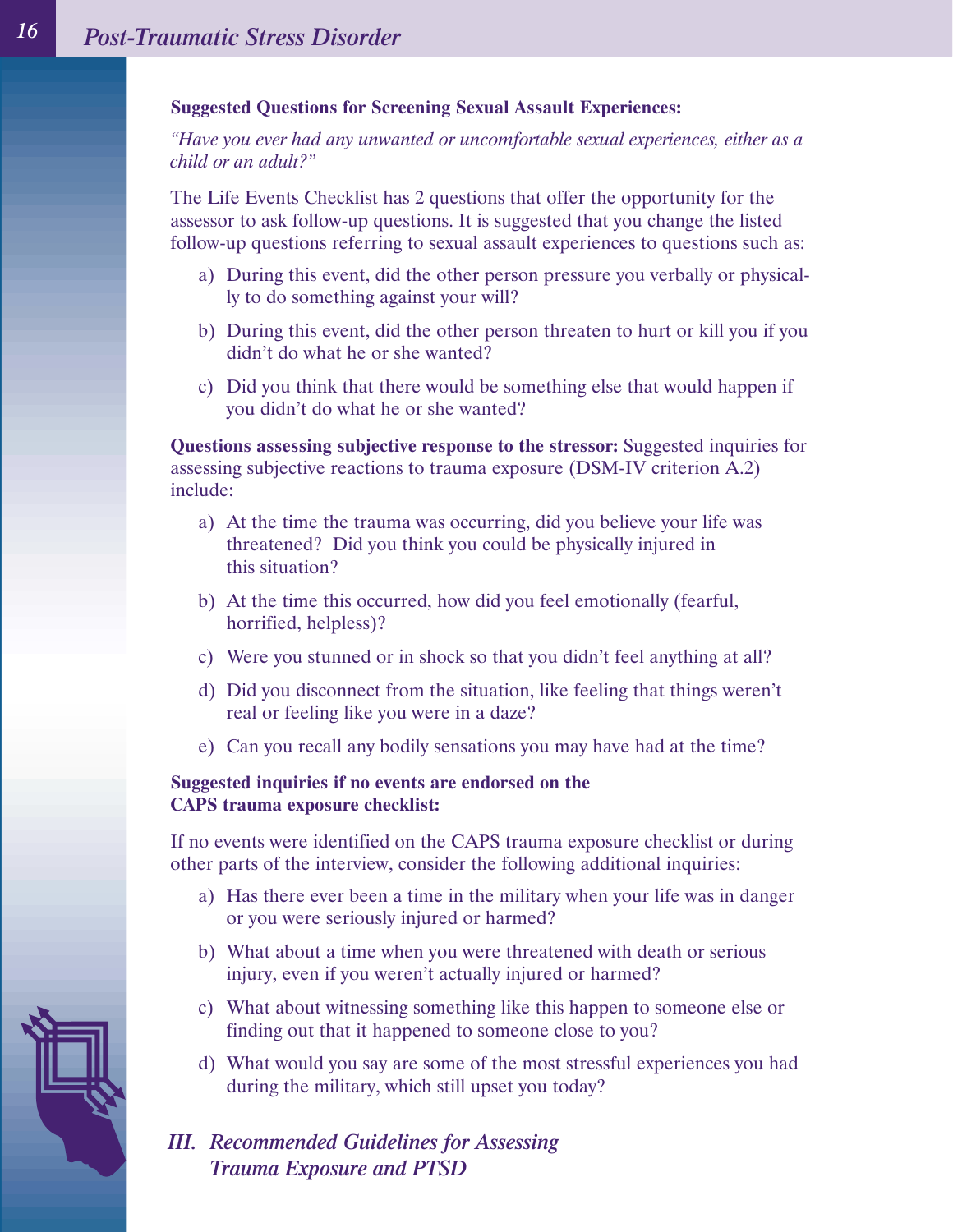#### **Suggested Questions for Screening Sexual Assault Experiences:**

*"Have you ever had any unwanted or uncomfortable sexual experiences, either as a child or an adult?"*

The Life Events Checklist has 2 questions that offer the opportunity for the assessor to ask follow-up questions. It is suggested that you change the listed follow-up questions referring to sexual assault experiences to questions such as:

- a) During this event, did the other person pressure you verbally or physically to do something against your will?
- b) During this event, did the other person threaten to hurt or kill you if you didn't do what he or she wanted?
- c) Did you think that there would be something else that would happen if you didn't do what he or she wanted?

**Questions assessing subjective response to the stressor:** Suggested inquiries for assessing subjective reactions to trauma exposure (DSM-IV criterion A.2) include:

- a) At the time the trauma was occurring, did you believe your life was threatened? Did you think you could be physically injured in this situation?
- b) At the time this occurred, how did you feel emotionally (fearful, horrified, helpless)?
- c) Were you stunned or in shock so that you didn't feel anything at all?
- d) Did you disconnect from the situation, like feeling that things weren't real or feeling like you were in a daze?
- e) Can you recall any bodily sensations you may have had at the time?

### **Suggested inquiries if no events are endorsed on the CAPS trauma exposure checklist:**

If no events were identified on the CAPS trauma exposure checklist or during other parts of the interview, consider the following additional inquiries:

- a) Has there ever been a time in the military when your life was in danger or you were seriously injured or harmed?
- b) What about a time when you were threatened with death or serious injury, even if you weren't actually injured or harmed?
- c) What about witnessing something like this happen to someone else or finding out that it happened to someone close to you?
- d) What would you say are some of the most stressful experiences you had during the military, which still upset you today?
- *III. Recommended Guidelines for Assessing Trauma Exposure and PTSD*

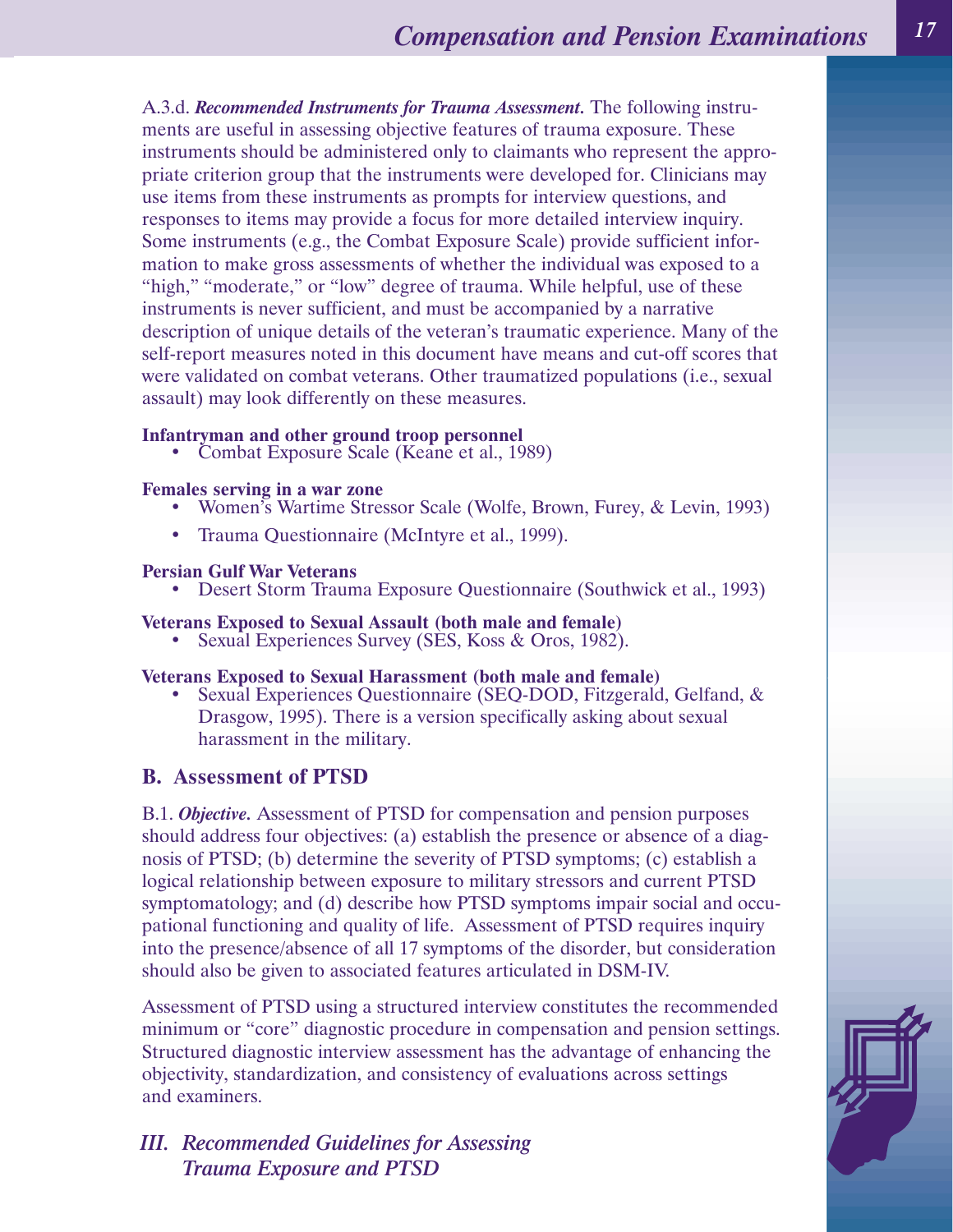A.3.d. *Recommended Instruments for Trauma Assessment.* The following instruments are useful in assessing objective features of trauma exposure. These instruments should be administered only to claimants who represent the appropriate criterion group that the instruments were developed for. Clinicians may use items from these instruments as prompts for interview questions, and responses to items may provide a focus for more detailed interview inquiry. Some instruments (e.g., the Combat Exposure Scale) provide sufficient information to make gross assessments of whether the individual was exposed to a "high," "moderate," or "low" degree of trauma. While helpful, use of these instruments is never sufficient, and must be accompanied by a narrative description of unique details of the veteran's traumatic experience. Many of the self-report measures noted in this document have means and cut-off scores that were validated on combat veterans. Other traumatized populations (i.e., sexual assault) may look differently on these measures.

# **Infantryman and other ground troop personnel** • Combat Exposure Scale (Keane et al., 1989)

- **Females serving in a war zone**<br>
 Women's Wartime Stressor Scale (Wolfe, Brown, Furey, & Levin, 1993)
	- Trauma Questionnaire (McIntyre et al., 1999).

**Persian Gulf War Veterans**<br>
• Desert Storm Trauma Exposure Questionnaire (Southwick et al., 1993)

# **Veterans Exposed to Sexual Assault (both male and female)** • Sexual Experiences Survey (SES, Koss & Oros, 1982).

# **Veterans Exposed to Sexual Harassment (both male and female)** • Sexual Experiences Questionnaire (SEQ-DOD, Fitzgerald, Gelfand, &

Drasgow, 1995). There is a version specifically asking about sexual harassment in the military.

#### **B. Assessment of PTSD**

B.1. *Objective.* Assessment of PTSD for compensation and pension purposes should address four objectives: (a) establish the presence or absence of a diagnosis of PTSD; (b) determine the severity of PTSD symptoms; (c) establish a logical relationship between exposure to military stressors and current PTSD symptomatology; and (d) describe how PTSD symptoms impair social and occupational functioning and quality of life. Assessment of PTSD requires inquiry into the presence/absence of all 17 symptoms of the disorder, but consideration should also be given to associated features articulated in DSM-IV.

Assessment of PTSD using a structured interview constitutes the recommended minimum or "core" diagnostic procedure in compensation and pension settings. Structured diagnostic interview assessment has the advantage of enhancing the objectivity, standardization, and consistency of evaluations across settings and examiners.

### *III. Recommended Guidelines for Assessing Trauma Exposure and PTSD*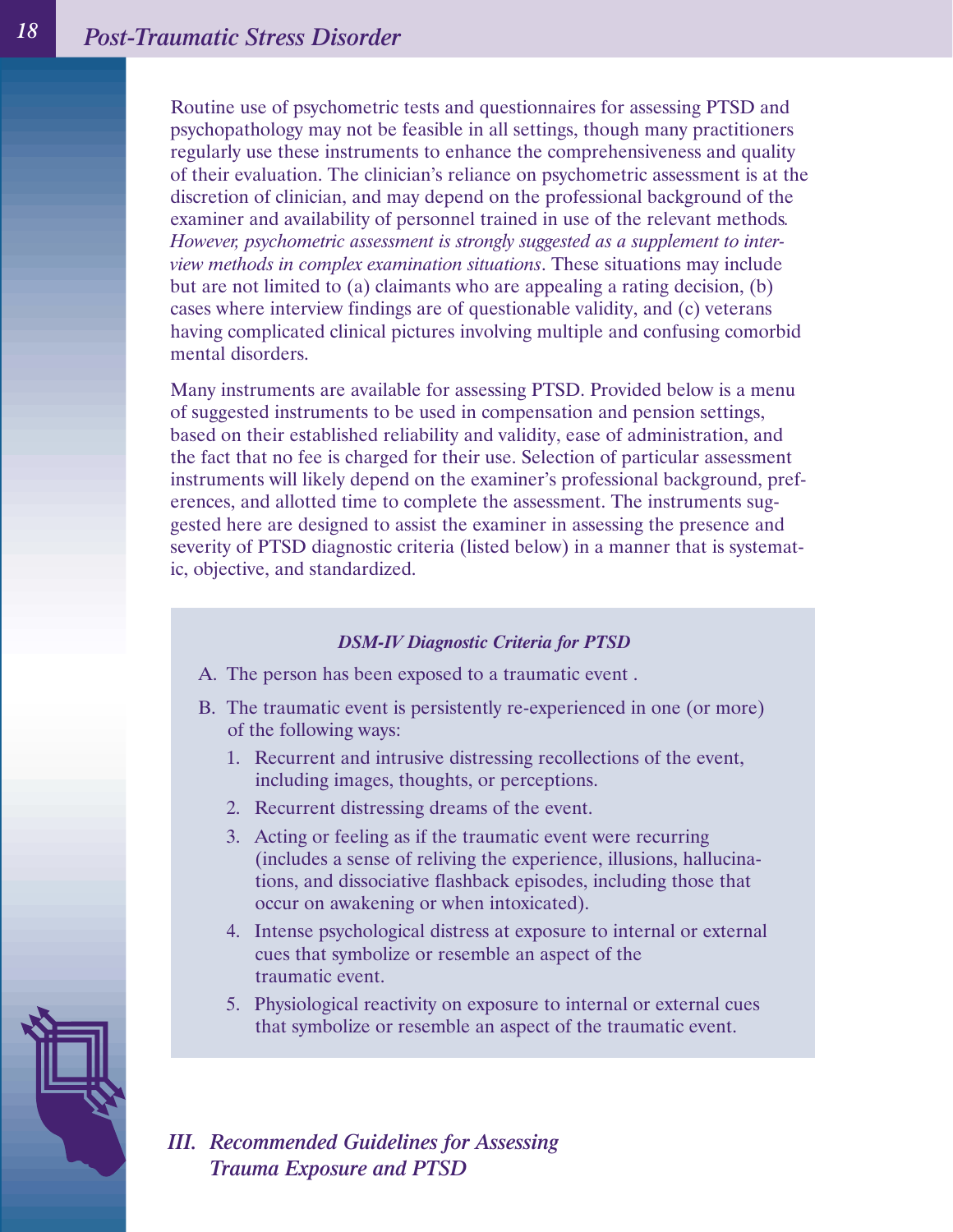Routine use of psychometric tests and questionnaires for assessing PTSD and psychopathology may not be feasible in all settings, though many practitioners regularly use these instruments to enhance the comprehensiveness and quality of their evaluation. The clinician's reliance on psychometric assessment is at the discretion of clinician, and may depend on the professional background of the examiner and availability of personnel trained in use of the relevant methods*. However, psychometric assessment is strongly suggested as a supplement to interview methods in complex examination situations*. These situations may include but are not limited to (a) claimants who are appealing a rating decision, (b) cases where interview findings are of questionable validity, and (c) veterans having complicated clinical pictures involving multiple and confusing comorbid mental disorders.

Many instruments are available for assessing PTSD. Provided below is a menu of suggested instruments to be used in compensation and pension settings, based on their established reliability and validity, ease of administration, and the fact that no fee is charged for their use. Selection of particular assessment instruments will likely depend on the examiner's professional background, preferences, and allotted time to complete the assessment. The instruments suggested here are designed to assist the examiner in assessing the presence and severity of PTSD diagnostic criteria (listed below) in a manner that is systematic, objective, and standardized.

#### *DSM-IV Diagnostic Criteria for PTSD*

A. The person has been exposed to a traumatic event .

- B. The traumatic event is persistently re-experienced in one (or more) of the following ways:
	- 1. Recurrent and intrusive distressing recollections of the event, including images, thoughts, or perceptions.
	- 2. Recurrent distressing dreams of the event.
	- 3. Acting or feeling as if the traumatic event were recurring (includes a sense of reliving the experience, illusions, hallucinations, and dissociative flashback episodes, including those that occur on awakening or when intoxicated).
	- 4. Intense psychological distress at exposure to internal or external cues that symbolize or resemble an aspect of the traumatic event.
	- 5. Physiological reactivity on exposure to internal or external cues that symbolize or resemble an aspect of the traumatic event.

*III. Recommended Guidelines for Assessing Trauma Exposure and PTSD*

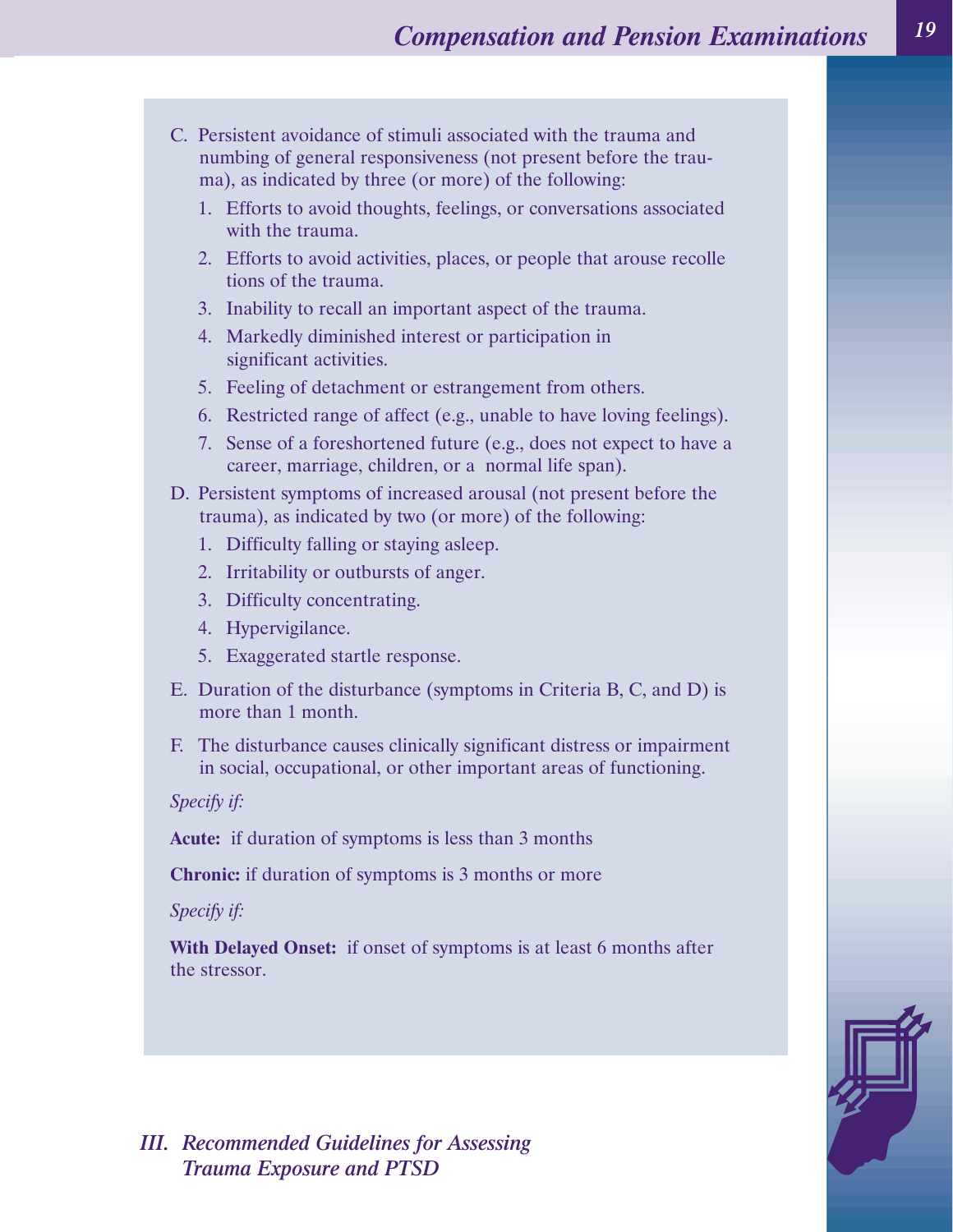- C. Persistent avoidance of stimuli associated with the trauma and numbing of general responsiveness (not present before the trauma), as indicated by three (or more) of the following:
	- 1. Efforts to avoid thoughts, feelings, or conversations associated with the trauma.
	- 2. Efforts to avoid activities, places, or people that arouse recolle tions of the trauma.
	- 3. Inability to recall an important aspect of the trauma.
	- 4. Markedly diminished interest or participation in significant activities.
	- 5. Feeling of detachment or estrangement from others.
	- 6. Restricted range of affect (e.g., unable to have loving feelings).
	- 7. Sense of a foreshortened future (e.g., does not expect to have a career, marriage, children, or a normal life span).
- D. Persistent symptoms of increased arousal (not present before the trauma), as indicated by two (or more) of the following:
	- 1. Difficulty falling or staying asleep.
	- 2. Irritability or outbursts of anger.
	- 3. Difficulty concentrating.
	- 4. Hypervigilance.
	- 5. Exaggerated startle response.
- E. Duration of the disturbance (symptoms in Criteria B, C, and D) is more than 1 month.
- F. The disturbance causes clinically significant distress or impairment in social, occupational, or other important areas of functioning.

*Specify if:* 

**Acute:** if duration of symptoms is less than 3 months

**Chronic:** if duration of symptoms is 3 months or more

*Specify if:* 

**With Delayed Onset:** if onset of symptoms is at least 6 months after the stressor.



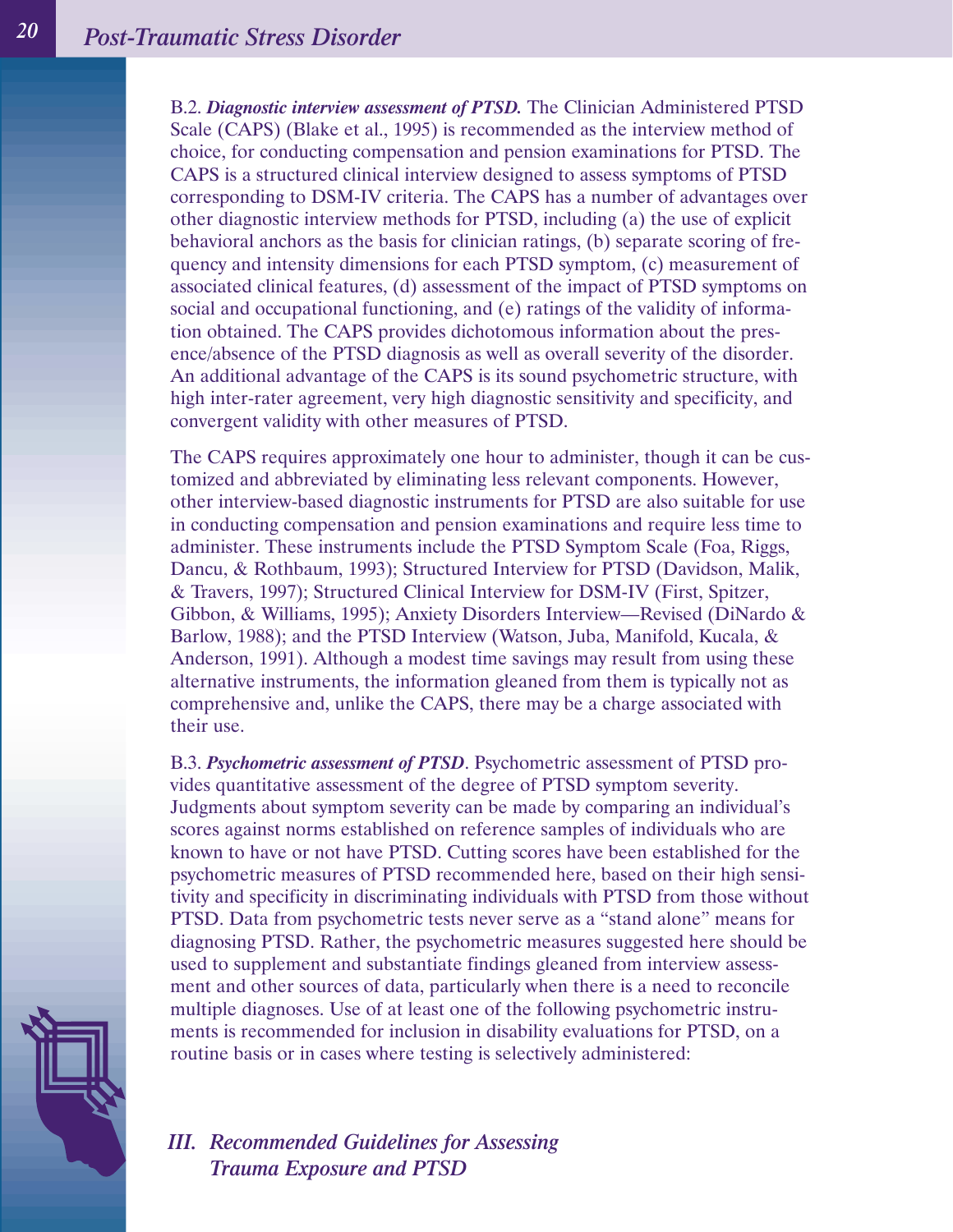B.2. *Diagnostic interview assessment of PTSD.* The Clinician Administered PTSD Scale (CAPS) (Blake et al., 1995) is recommended as the interview method of choice, for conducting compensation and pension examinations for PTSD. The CAPS is a structured clinical interview designed to assess symptoms of PTSD corresponding to DSM-IV criteria. The CAPS has a number of advantages over other diagnostic interview methods for PTSD, including (a) the use of explicit behavioral anchors as the basis for clinician ratings, (b) separate scoring of frequency and intensity dimensions for each PTSD symptom, (c) measurement of associated clinical features, (d) assessment of the impact of PTSD symptoms on social and occupational functioning, and (e) ratings of the validity of information obtained. The CAPS provides dichotomous information about the presence/absence of the PTSD diagnosis as well as overall severity of the disorder. An additional advantage of the CAPS is its sound psychometric structure, with high inter-rater agreement, very high diagnostic sensitivity and specificity, and convergent validity with other measures of PTSD.

The CAPS requires approximately one hour to administer, though it can be customized and abbreviated by eliminating less relevant components. However, other interview-based diagnostic instruments for PTSD are also suitable for use in conducting compensation and pension examinations and require less time to administer. These instruments include the PTSD Symptom Scale (Foa, Riggs, Dancu, & Rothbaum, 1993); Structured Interview for PTSD (Davidson, Malik, & Travers, 1997); Structured Clinical Interview for DSM-IV (First, Spitzer, Gibbon, & Williams, 1995); Anxiety Disorders Interview—Revised (DiNardo & Barlow, 1988); and the PTSD Interview (Watson, Juba, Manifold, Kucala, & Anderson, 1991). Although a modest time savings may result from using these alternative instruments, the information gleaned from them is typically not as comprehensive and, unlike the CAPS, there may be a charge associated with their use.

B.3. *Psychometric assessment of PTSD*. Psychometric assessment of PTSD provides quantitative assessment of the degree of PTSD symptom severity. Judgments about symptom severity can be made by comparing an individual's scores against norms established on reference samples of individuals who are known to have or not have PTSD. Cutting scores have been established for the psychometric measures of PTSD recommended here, based on their high sensitivity and specificity in discriminating individuals with PTSD from those without PTSD. Data from psychometric tests never serve as a "stand alone" means for diagnosing PTSD. Rather, the psychometric measures suggested here should be used to supplement and substantiate findings gleaned from interview assessment and other sources of data, particularly when there is a need to reconcile multiple diagnoses. Use of at least one of the following psychometric instruments is recommended for inclusion in disability evaluations for PTSD, on a routine basis or in cases where testing is selectively administered:

# *III. Recommended Guidelines for Assessing Trauma Exposure and PTSD*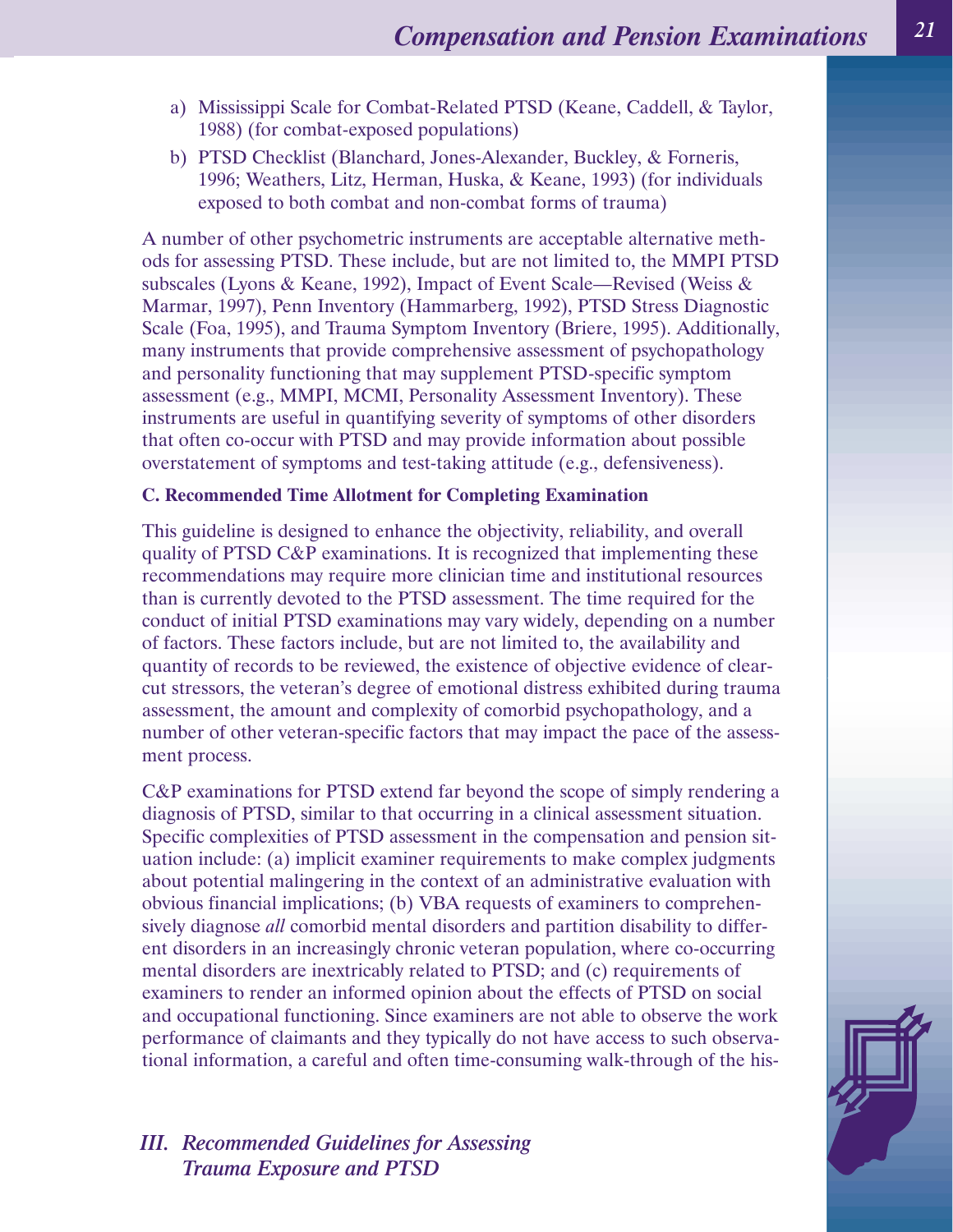- a) Mississippi Scale for Combat-Related PTSD (Keane, Caddell, & Taylor, 1988) (for combat-exposed populations)
- b) PTSD Checklist (Blanchard, Jones-Alexander, Buckley, & Forneris, 1996; Weathers, Litz, Herman, Huska, & Keane, 1993) (for individuals exposed to both combat and non-combat forms of trauma)

A number of other psychometric instruments are acceptable alternative methods for assessing PTSD. These include, but are not limited to, the MMPI PTSD subscales (Lyons & Keane, 1992), Impact of Event Scale—Revised (Weiss & Marmar, 1997), Penn Inventory (Hammarberg, 1992), PTSD Stress Diagnostic Scale (Foa, 1995), and Trauma Symptom Inventory (Briere, 1995). Additionally, many instruments that provide comprehensive assessment of psychopathology and personality functioning that may supplement PTSD-specific symptom assessment (e.g., MMPI, MCMI, Personality Assessment Inventory). These instruments are useful in quantifying severity of symptoms of other disorders that often co-occur with PTSD and may provide information about possible overstatement of symptoms and test-taking attitude (e.g., defensiveness).

#### **C. Recommended Time Allotment for Completing Examination**

This guideline is designed to enhance the objectivity, reliability, and overall quality of PTSD C&P examinations. It is recognized that implementing these recommendations may require more clinician time and institutional resources than is currently devoted to the PTSD assessment. The time required for the conduct of initial PTSD examinations may vary widely, depending on a number of factors. These factors include, but are not limited to, the availability and quantity of records to be reviewed, the existence of objective evidence of clearcut stressors, the veteran's degree of emotional distress exhibited during trauma assessment, the amount and complexity of comorbid psychopathology, and a number of other veteran-specific factors that may impact the pace of the assessment process.

C&P examinations for PTSD extend far beyond the scope of simply rendering a diagnosis of PTSD, similar to that occurring in a clinical assessment situation. Specific complexities of PTSD assessment in the compensation and pension situation include: (a) implicit examiner requirements to make complex judgments about potential malingering in the context of an administrative evaluation with obvious financial implications; (b) VBA requests of examiners to comprehensively diagnose *all* comorbid mental disorders and partition disability to different disorders in an increasingly chronic veteran population, where co-occurring mental disorders are inextricably related to PTSD; and (c) requirements of examiners to render an informed opinion about the effects of PTSD on social and occupational functioning. Since examiners are not able to observe the work performance of claimants and they typically do not have access to such observational information, a careful and often time-consuming walk-through of the his-

### *III. Recommended Guidelines for Assessing Trauma Exposure and PTSD*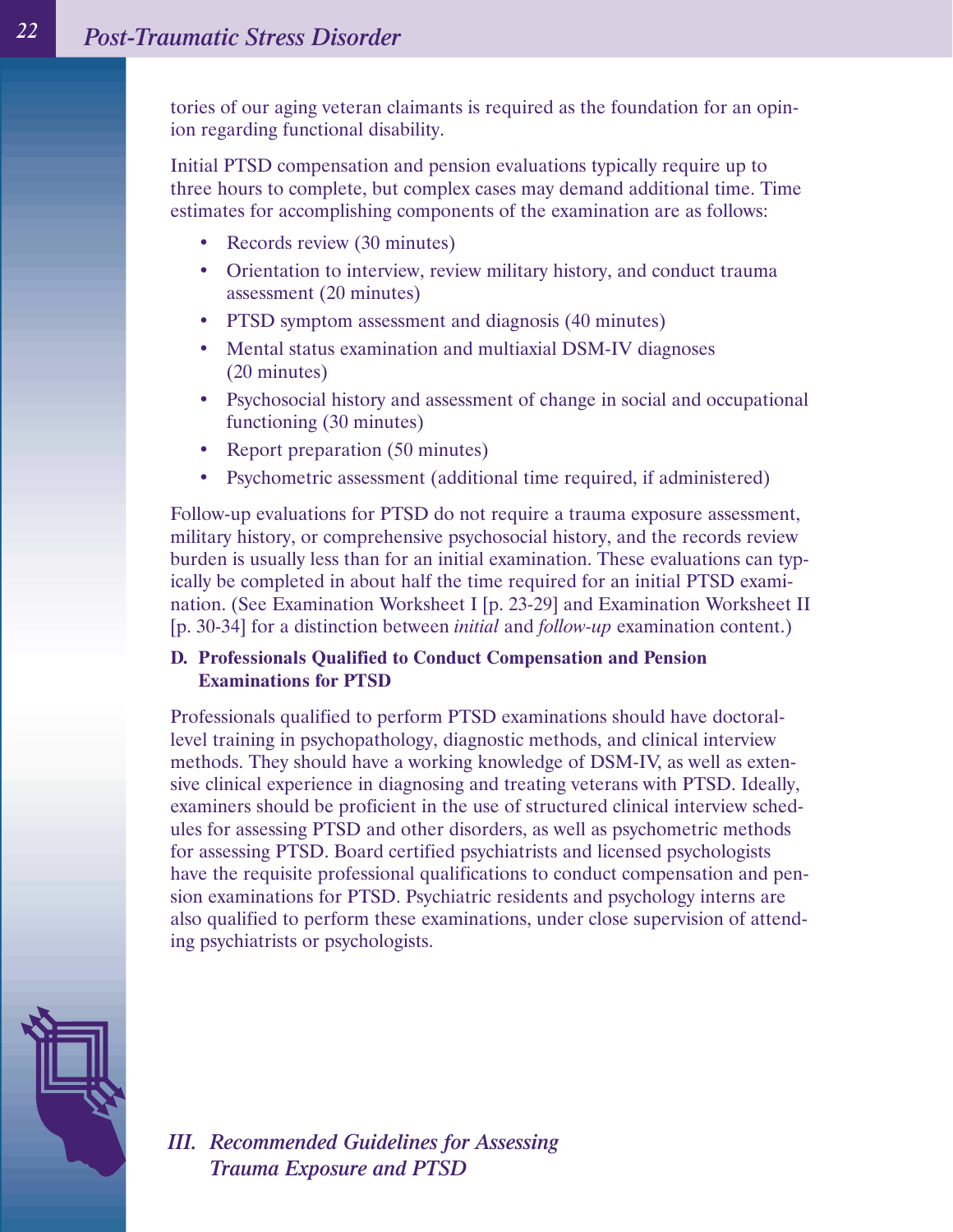tories of our aging veteran claimants is required as the foundation for an opinion regarding functional disability.

Initial PTSD compensation and pension evaluations typically require up to three hours to complete, but complex cases may demand additional time. Time estimates for accomplishing components of the examination are as follows:

- Records review (30 minutes)
- Orientation to interview, review military history, and conduct trauma assessment (20 minutes)
- PTSD symptom assessment and diagnosis (40 minutes)
- Mental status examination and multiaxial DSM-IV diagnoses (20 minutes)
- Psychosocial history and assessment of change in social and occupational functioning (30 minutes)
- Report preparation (50 minutes)
- Psychometric assessment (additional time required, if administered)

Follow-up evaluations for PTSD do not require a trauma exposure assessment, military history, or comprehensive psychosocial history, and the records review burden is usually less than for an initial examination. These evaluations can typically be completed in about half the time required for an initial PTSD examination. (See Examination Worksheet I [p. 23-29] and Examination Worksheet II [p. 30-34] for a distinction between *initial* and *follow-up* examination content.)

### **D. Professionals Qualified to Conduct Compensation and Pension Examinations for PTSD**

Professionals qualified to perform PTSD examinations should have doctorallevel training in psychopathology, diagnostic methods, and clinical interview methods. They should have a working knowledge of DSM-IV, as well as extensive clinical experience in diagnosing and treating veterans with PTSD. Ideally, examiners should be proficient in the use of structured clinical interview schedules for assessing PTSD and other disorders, as well as psychometric methods for assessing PTSD. Board certified psychiatrists and licensed psychologists have the requisite professional qualifications to conduct compensation and pension examinations for PTSD. Psychiatric residents and psychology interns are also qualified to perform these examinations, under close supervision of attending psychiatrists or psychologists.

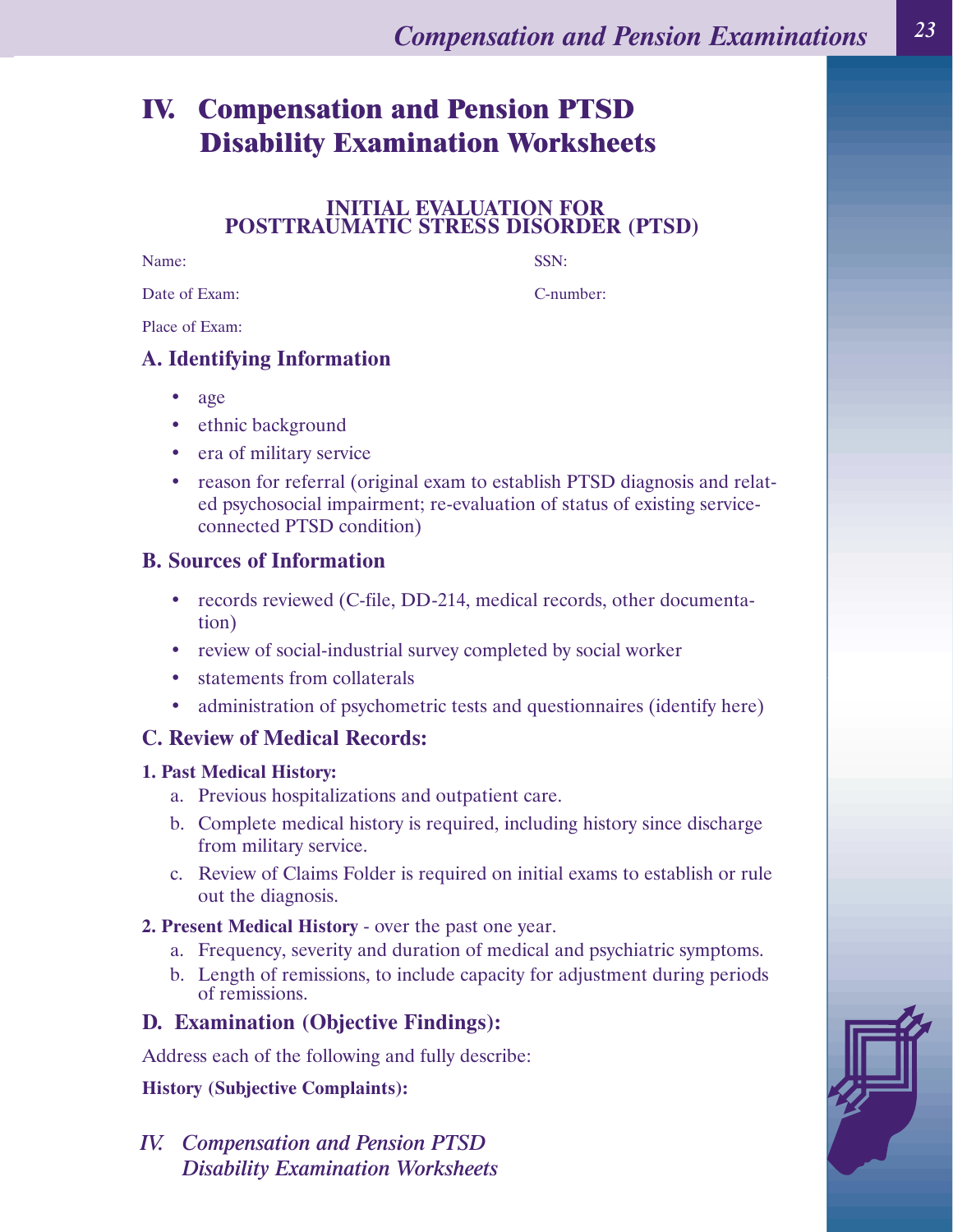# **IV. Compensation and Pension PTSD Disability Examination Worksheets**

### **INITIAL EVALUATION FOR POSTTRAUMATIC STRESS DISORDER (PTSD)**

Name: SSN:

Date of Exam: C-number:

Place of Exam:

# **A. Identifying Information**

- age
- ethnic background
- era of military service
- reason for referral (original exam to establish PTSD diagnosis and related psychosocial impairment; re-evaluation of status of existing serviceconnected PTSD condition)

### **B. Sources of Information**

- records reviewed (C-file, DD-214, medical records, other documentation)
- review of social-industrial survey completed by social worker
- statements from collaterals
- administration of psychometric tests and questionnaires (identify here)

# **C. Review of Medical Records:**

### **1. Past Medical History:**

- a. Previous hospitalizations and outpatient care.
- b. Complete medical history is required, including history since discharge from military service.
- c. Review of Claims Folder is required on initial exams to establish or rule out the diagnosis.
- **2. Present Medical History** over the past one year.
	- a. Frequency, severity and duration of medical and psychiatric symptoms.
	- b. Length of remissions, to include capacity for adjustment during periods of remissions.

# **D. Examination (Objective Findings):**

Address each of the following and fully describe:

**History (Subjective Complaints):**

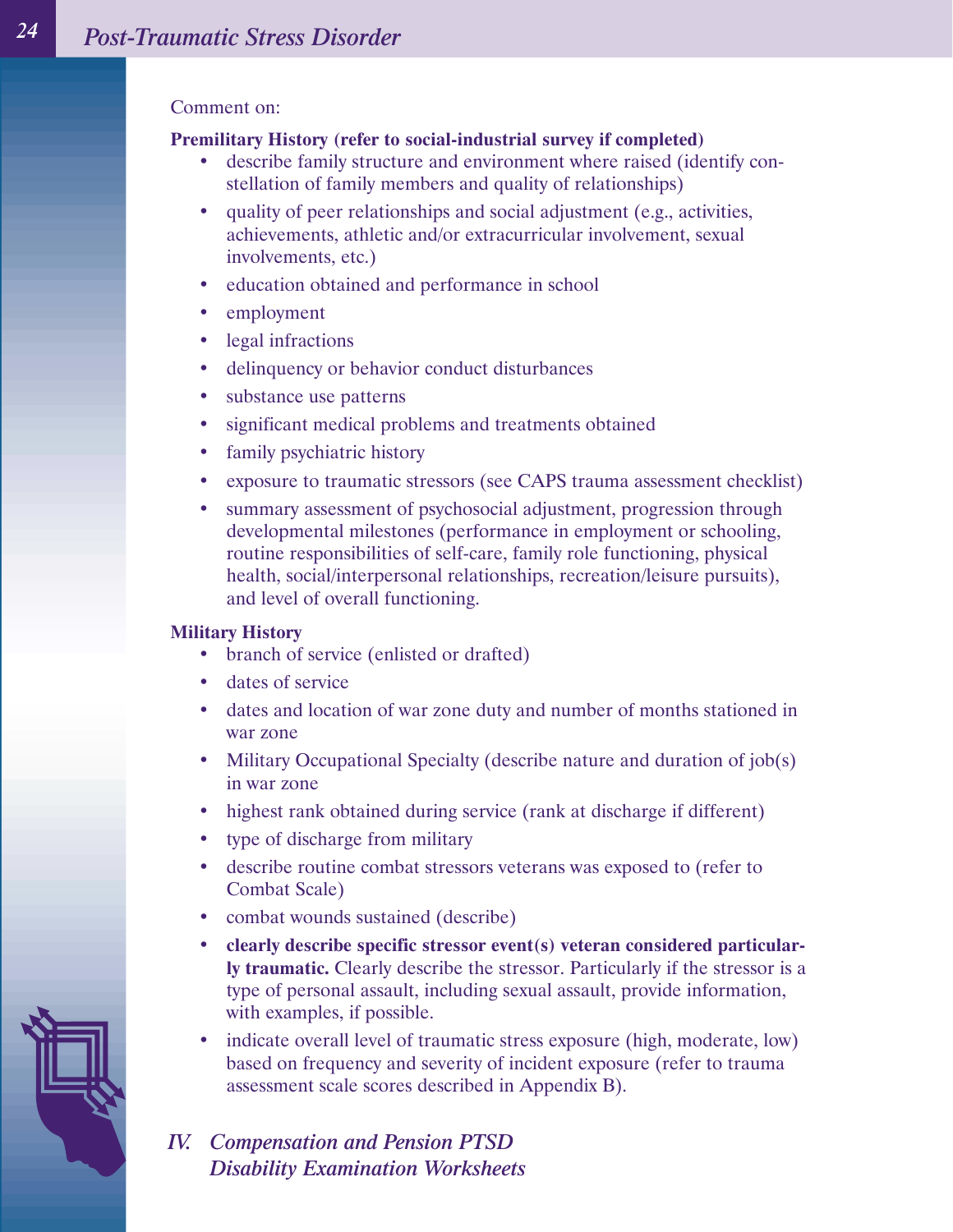### Comment on:

### **Premilitary History (refer to social-industrial survey if completed)**

- describe family structure and environment where raised (identify constellation of family members and quality of relationships)
- quality of peer relationships and social adjustment (e.g., activities, achievements, athletic and/or extracurricular involvement, sexual involvements, etc.)
- education obtained and performance in school
- employment
- legal infractions
- delinquency or behavior conduct disturbances
- substance use patterns
- significant medical problems and treatments obtained
- family psychiatric history
- exposure to traumatic stressors (see CAPS trauma assessment checklist)
- summary assessment of psychosocial adjustment, progression through developmental milestones (performance in employment or schooling, routine responsibilities of self-care, family role functioning, physical health, social/interpersonal relationships, recreation/leisure pursuits), and level of overall functioning.

### **Military History**

- branch of service (enlisted or drafted)
- dates of service
- dates and location of war zone duty and number of months stationed in war zone
- Military Occupational Specialty (describe nature and duration of job(s) in war zone
- highest rank obtained during service (rank at discharge if different)
- type of discharge from military
- describe routine combat stressors veterans was exposed to (refer to Combat Scale)
- combat wounds sustained (describe)
- **• clearly describe specific stressor event(s) veteran considered particularly traumatic.** Clearly describe the stressor. Particularly if the stressor is a type of personal assault, including sexual assault, provide information, with examples, if possible.
- indicate overall level of traumatic stress exposure (high, moderate, low) based on frequency and severity of incident exposure (refer to trauma assessment scale scores described in Appendix B).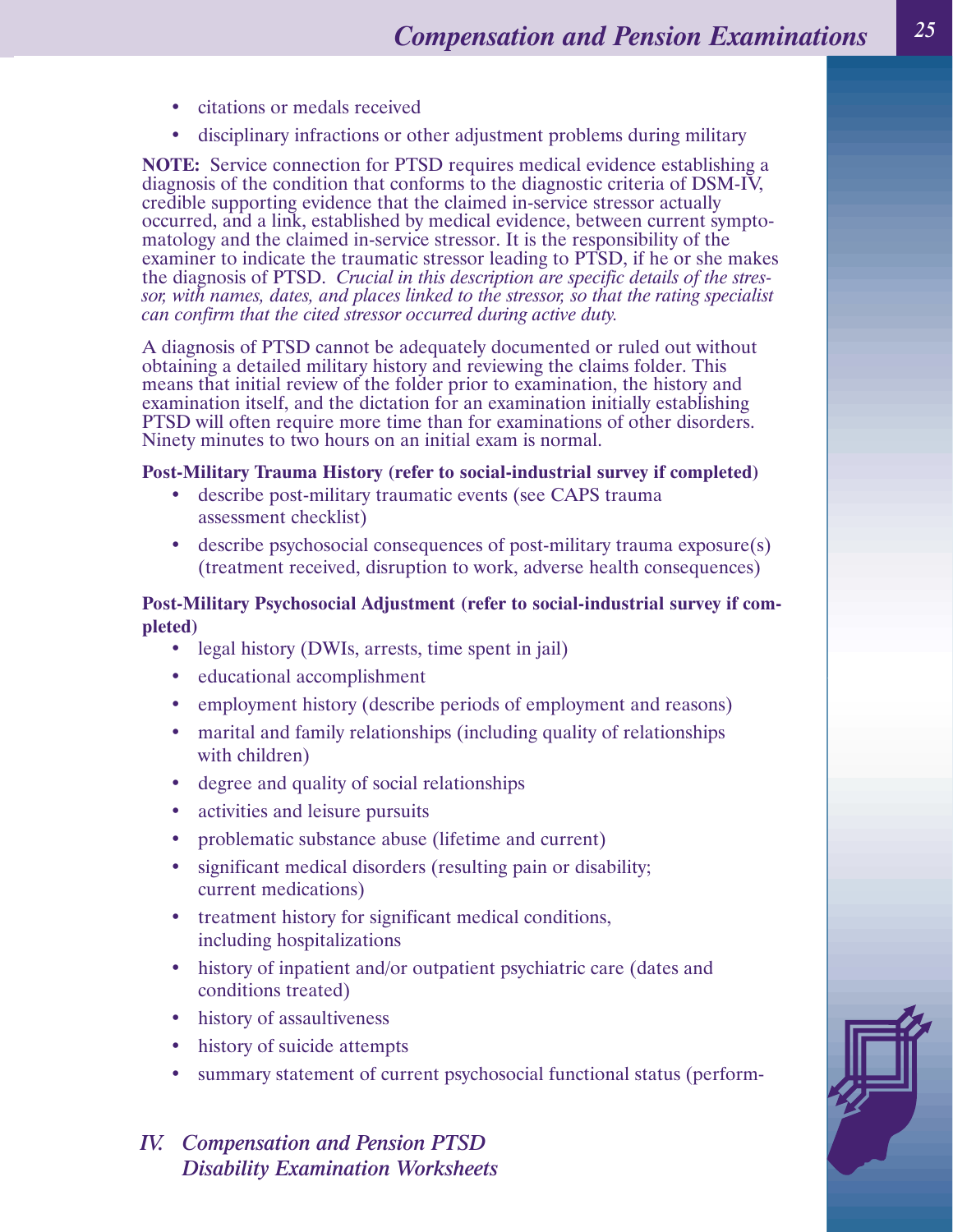- citations or medals received
- disciplinary infractions or other adjustment problems during military

**NOTE:** Service connection for PTSD requires medical evidence establishing a diagnosis of the condition that conforms to the diagnostic criteria of DSM-IV, credible supporting evidence that the claimed in-service stressor actually occurred, and a link, established by medical evidence, between current symptomatology and the claimed in-service stressor. It is the responsibility of the examiner to indicate the traumatic stressor leading to PTSD, if he or she makes the diagnosis of PTSD. *Crucial in this description are specific details of the stressor, with names, dates, and places linked to the stressor, so that the rating specialist can confirm that the cited stressor occurred during active duty.*

A diagnosis of PTSD cannot be adequately documented or ruled out without obtaining a detailed military history and reviewing the claims folder. This means that initial review of the folder prior to examination, the history and examination itself, and the dictation for an examination initially establishing PTSD will often require more time than for examinations of other disorders. Ninety minutes to two hours on an initial exam is normal.

#### **Post-Military Trauma History (refer to social-industrial survey if completed)**

- describe post-military traumatic events (see CAPS trauma assessment checklist)
- describe psychosocial consequences of post-military trauma exposure(s) (treatment received, disruption to work, adverse health consequences)

#### **Post-Military Psychosocial Adjustment (refer to social-industrial survey if completed)**

- legal history (DWIs, arrests, time spent in jail)
- educational accomplishment
- employment history (describe periods of employment and reasons)
- marital and family relationships (including quality of relationships with children)
- degree and quality of social relationships
- activities and leisure pursuits
- problematic substance abuse (lifetime and current)
- significant medical disorders (resulting pain or disability; current medications)
- treatment history for significant medical conditions, including hospitalizations
- history of inpatient and/or outpatient psychiatric care (dates and conditions treated)
- history of assaultiveness
- history of suicide attempts
- summary statement of current psychosocial functional status (perform-
- *IV. Compensation and Pension PTSD Disability Examination Worksheets*

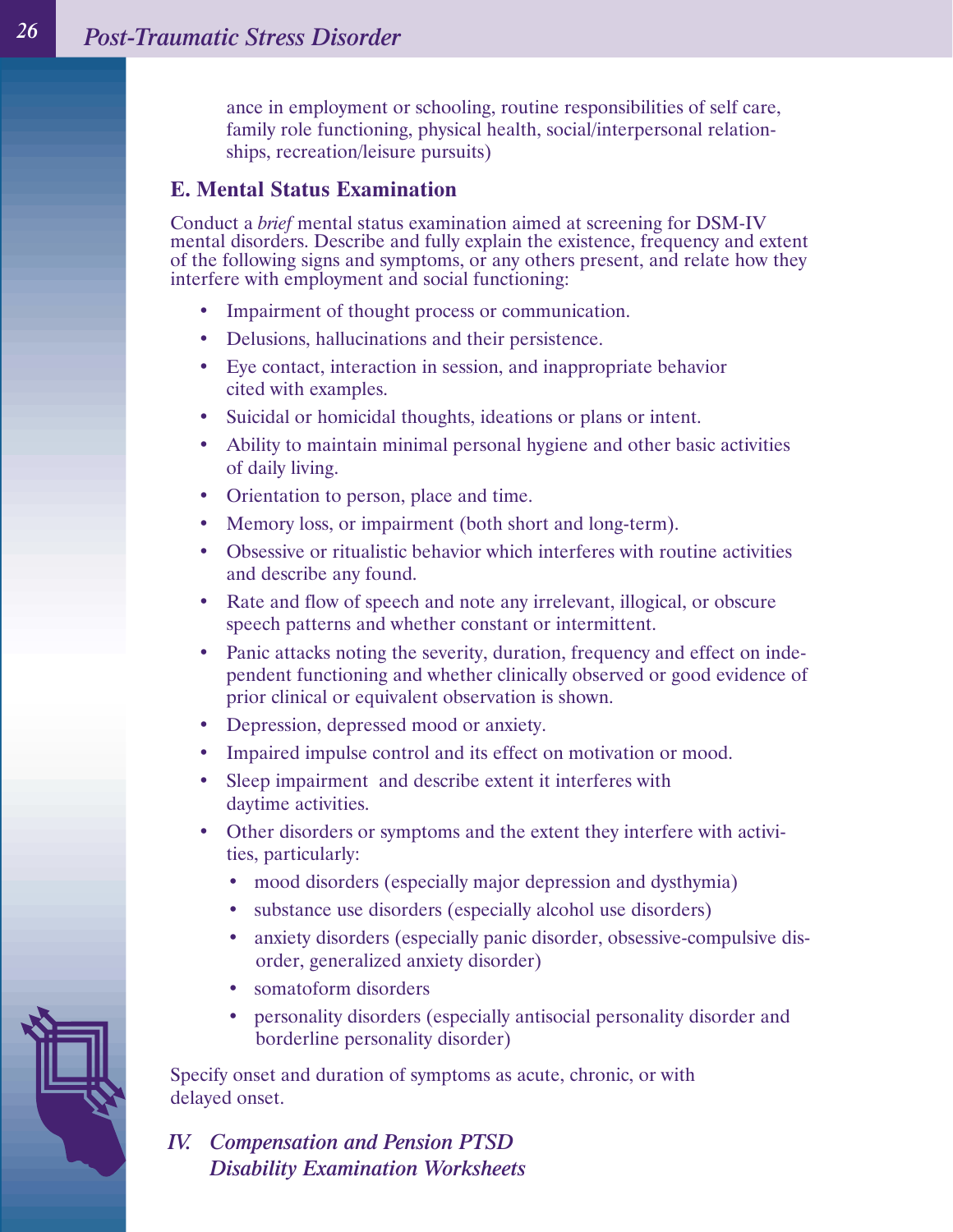ance in employment or schooling, routine responsibilities of self care, family role functioning, physical health, social/interpersonal relationships, recreation/leisure pursuits)

### **E. Mental Status Examination**

Conduct a *brief* mental status examination aimed at screening for DSM-IV mental disorders. Describe and fully explain the existence, frequency and extent of the following signs and symptoms, or any others present, and relate how they interfere with employment and social functioning:

- Impairment of thought process or communication.
- Delusions, hallucinations and their persistence.
- Eye contact, interaction in session, and inappropriate behavior cited with examples.
- Suicidal or homicidal thoughts, ideations or plans or intent.
- Ability to maintain minimal personal hygiene and other basic activities of daily living.
- Orientation to person, place and time.
- Memory loss, or impairment (both short and long-term).
- Obsessive or ritualistic behavior which interferes with routine activities and describe any found.
- Rate and flow of speech and note any irrelevant, illogical, or obscure speech patterns and whether constant or intermittent.
- Panic attacks noting the severity, duration, frequency and effect on independent functioning and whether clinically observed or good evidence of prior clinical or equivalent observation is shown.
- Depression, depressed mood or anxiety.
- Impaired impulse control and its effect on motivation or mood.
- Sleep impairment and describe extent it interferes with daytime activities.
- Other disorders or symptoms and the extent they interfere with activities, particularly:
	- mood disorders (especially major depression and dysthymia)
	- substance use disorders (especially alcohol use disorders)
	- anxiety disorders (especially panic disorder, obsessive-compulsive disorder, generalized anxiety disorder)
	- somatoform disorders
	- personality disorders (especially antisocial personality disorder and borderline personality disorder)

Specify onset and duration of symptoms as acute, chronic, or with delayed onset.

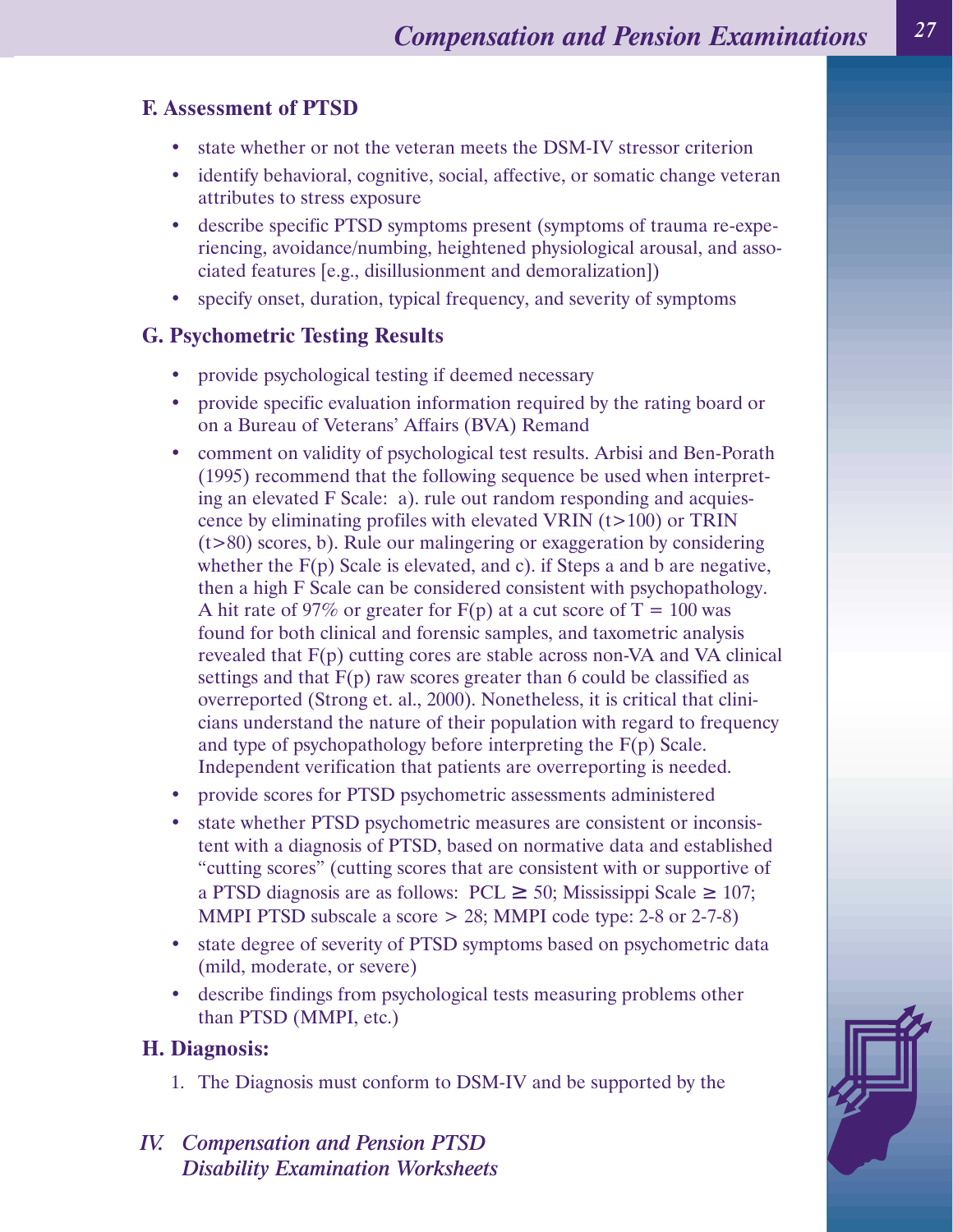# **F. Assessment of PTSD**

- state whether or not the veteran meets the DSM-IV stressor criterion
- identify behavioral, cognitive, social, affective, or somatic change veteran attributes to stress exposure
- describe specific PTSD symptoms present (symptoms of trauma re-experiencing, avoidance/numbing, heightened physiological arousal, and associated features [e.g., disillusionment and demoralization])
- specify onset, duration, typical frequency, and severity of symptoms

# **G. Psychometric Testing Results**

- provide psychological testing if deemed necessary
- provide specific evaluation information required by the rating board or on a Bureau of Veterans' Affairs (BVA) Remand
- comment on validity of psychological test results. Arbisi and Ben-Porath (1995) recommend that the following sequence be used when interpreting an elevated F Scale: a). rule out random responding and acquiescence by eliminating profiles with elevated VRIN (t>100) or TRIN  $(t>80)$  scores, b). Rule our malingering or exaggeration by considering whether the  $F(p)$  Scale is elevated, and c). if Steps a and b are negative, then a high F Scale can be considered consistent with psychopathology. A hit rate of 97% or greater for  $F(p)$  at a cut score of T = 100 was found for both clinical and forensic samples, and taxometric analysis revealed that F(p) cutting cores are stable across non-VA and VA clinical settings and that  $F(p)$  raw scores greater than 6 could be classified as overreported (Strong et. al., 2000). Nonetheless, it is critical that clinicians understand the nature of their population with regard to frequency and type of psychopathology before interpreting the F(p) Scale. Independent verification that patients are overreporting is needed.
- provide scores for PTSD psychometric assessments administered
- state whether PTSD psychometric measures are consistent or inconsistent with a diagnosis of PTSD, based on normative data and established "cutting scores" (cutting scores that are consistent with or supportive of a PTSD diagnosis are as follows: PCL  $\geq 50$ ; Mississippi Scale  $\geq 107$ ; MMPI PTSD subscale a score  $> 28$ ; MMPI code type: 2-8 or 2-7-8)
- state degree of severity of PTSD symptoms based on psychometric data (mild, moderate, or severe)
- describe findings from psychological tests measuring problems other than PTSD (MMPI, etc.)

# **H. Diagnosis:**

- 1. The Diagnosis must conform to DSM-IV and be supported by the
- *IV. Compensation and Pension PTSD Disability Examination Worksheets*

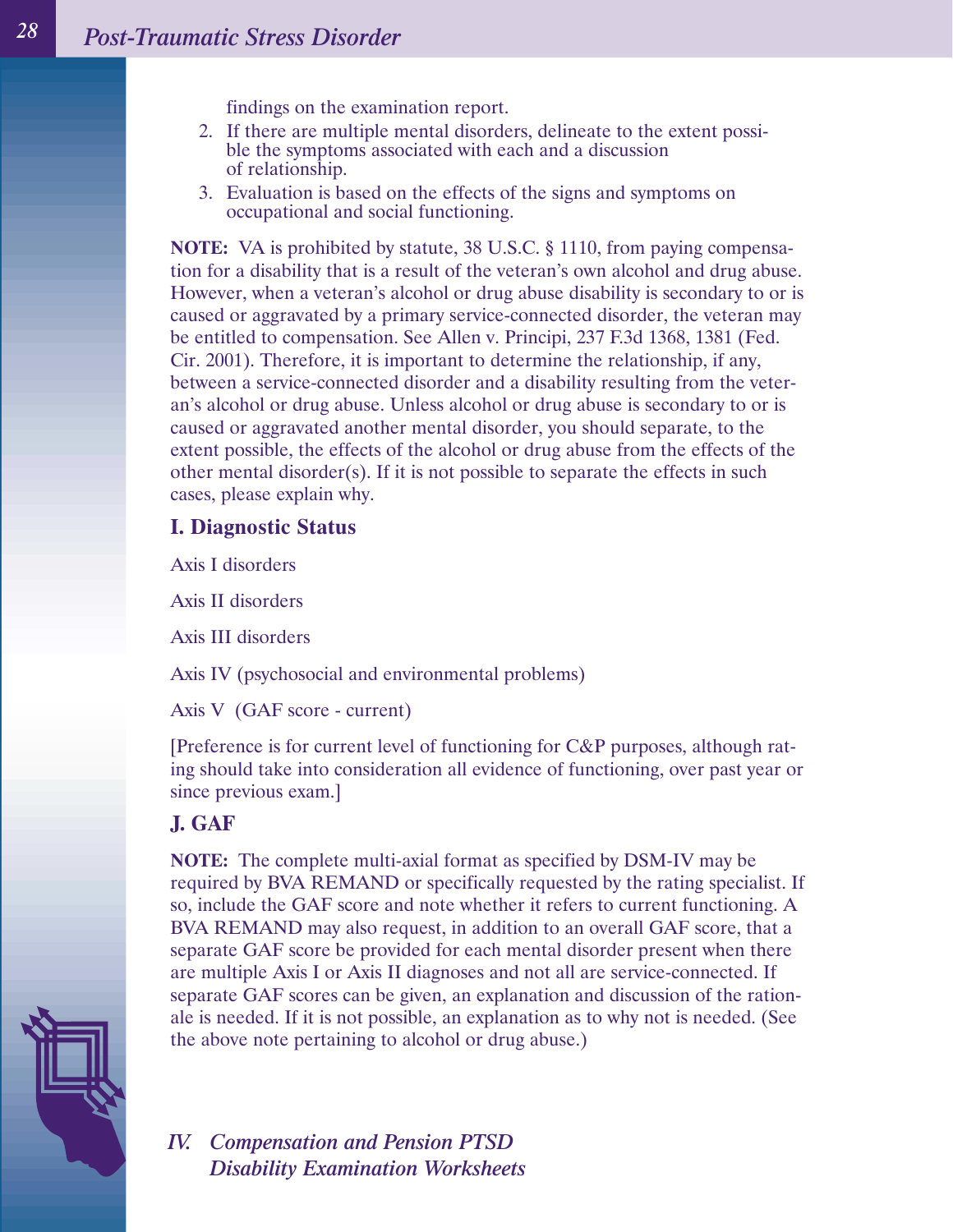findings on the examination report.

- 2. If there are multiple mental disorders, delineate to the extent possible the symptoms associated with each and a discussion of relationship.
- 3. Evaluation is based on the effects of the signs and symptoms on occupational and social functioning.

**NOTE:** VA is prohibited by statute, 38 U.S.C. § 1110, from paying compensation for a disability that is a result of the veteran's own alcohol and drug abuse. However, when a veteran's alcohol or drug abuse disability is secondary to or is caused or aggravated by a primary service-connected disorder, the veteran may be entitled to compensation. See Allen v. Principi, 237 F.3d 1368, 1381 (Fed. Cir. 2001). Therefore, it is important to determine the relationship, if any, between a service-connected disorder and a disability resulting from the veteran's alcohol or drug abuse. Unless alcohol or drug abuse is secondary to or is caused or aggravated another mental disorder, you should separate, to the extent possible, the effects of the alcohol or drug abuse from the effects of the other mental disorder(s). If it is not possible to separate the effects in such cases, please explain why.

### **I. Diagnostic Status**

Axis I disorders

Axis II disorders

Axis III disorders

Axis IV (psychosocial and environmental problems)

Axis V (GAF score - current)

[Preference is for current level of functioning for C&P purposes, although rating should take into consideration all evidence of functioning, over past year or since previous exam.]

# **J. GAF**

**NOTE:** The complete multi-axial format as specified by DSM-IV may be required by BVA REMAND or specifically requested by the rating specialist. If so, include the GAF score and note whether it refers to current functioning. A BVA REMAND may also request, in addition to an overall GAF score, that a separate GAF score be provided for each mental disorder present when there are multiple Axis I or Axis II diagnoses and not all are service-connected. If separate GAF scores can be given, an explanation and discussion of the rationale is needed. If it is not possible, an explanation as to why not is needed. (See the above note pertaining to alcohol or drug abuse.)

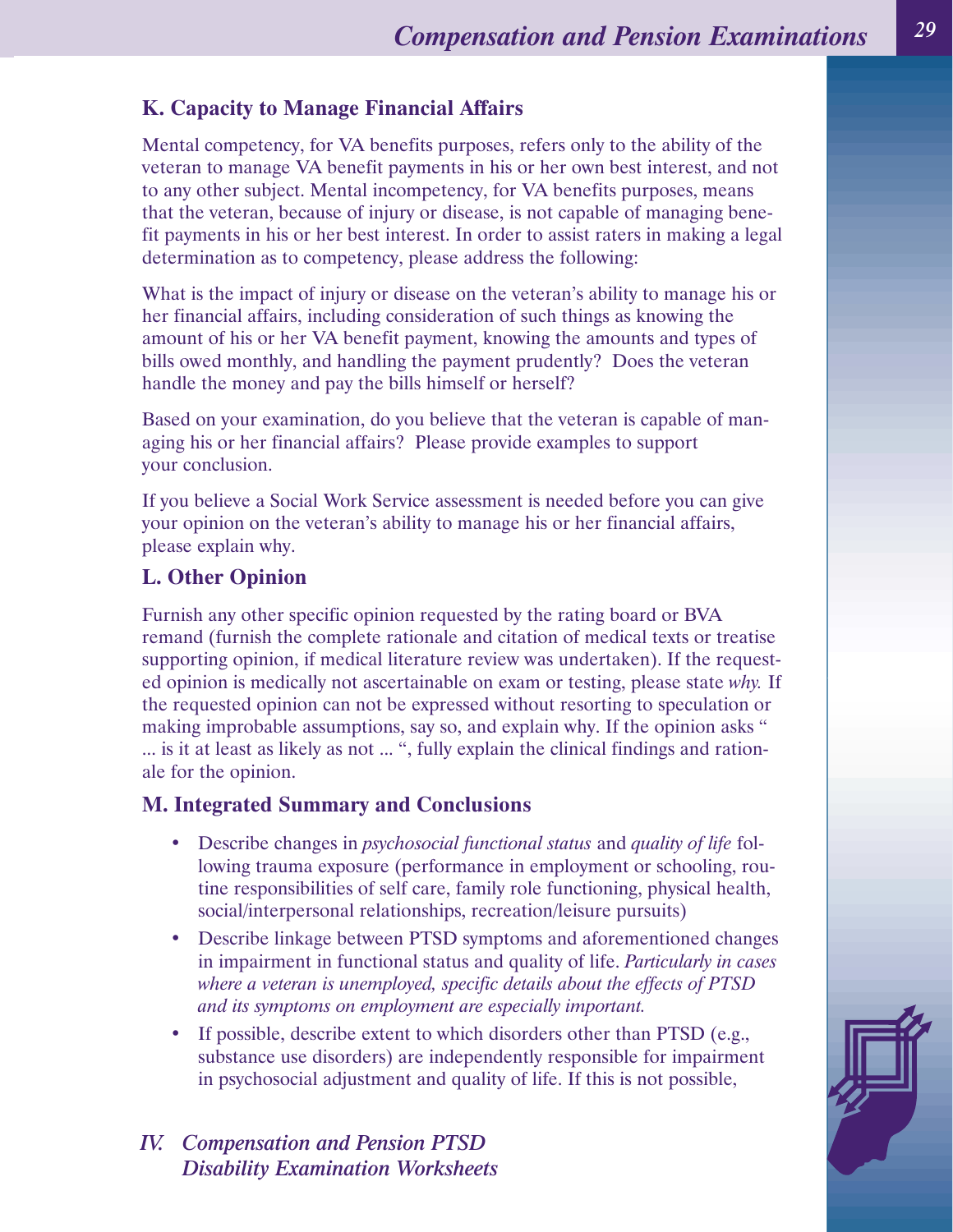### **K. Capacity to Manage Financial Affairs**

Mental competency, for VA benefits purposes, refers only to the ability of the veteran to manage VA benefit payments in his or her own best interest, and not to any other subject. Mental incompetency, for VA benefits purposes, means that the veteran, because of injury or disease, is not capable of managing benefit payments in his or her best interest. In order to assist raters in making a legal determination as to competency, please address the following:

What is the impact of injury or disease on the veteran's ability to manage his or her financial affairs, including consideration of such things as knowing the amount of his or her VA benefit payment, knowing the amounts and types of bills owed monthly, and handling the payment prudently? Does the veteran handle the money and pay the bills himself or herself?

Based on your examination, do you believe that the veteran is capable of managing his or her financial affairs? Please provide examples to support your conclusion.

If you believe a Social Work Service assessment is needed before you can give your opinion on the veteran's ability to manage his or her financial affairs, please explain why.

# **L. Other Opinion**

Furnish any other specific opinion requested by the rating board or BVA remand (furnish the complete rationale and citation of medical texts or treatise supporting opinion, if medical literature review was undertaken). If the requested opinion is medically not ascertainable on exam or testing, please state *why.* If the requested opinion can not be expressed without resorting to speculation or making improbable assumptions, say so, and explain why. If the opinion asks " ... is it at least as likely as not ... ", fully explain the clinical findings and rationale for the opinion.

### **M. Integrated Summary and Conclusions**

- Describe changes in *psychosocial functional status* and *quality of life* following trauma exposure (performance in employment or schooling, routine responsibilities of self care, family role functioning, physical health, social/interpersonal relationships, recreation/leisure pursuits)
- Describe linkage between PTSD symptoms and aforementioned changes in impairment in functional status and quality of life. *Particularly in cases where a veteran is unemployed, specific details about the effects of PTSD and its symptoms on employment are especially important.*
- If possible, describe extent to which disorders other than PTSD (e.g., substance use disorders) are independently responsible for impairment in psychosocial adjustment and quality of life. If this is not possible,

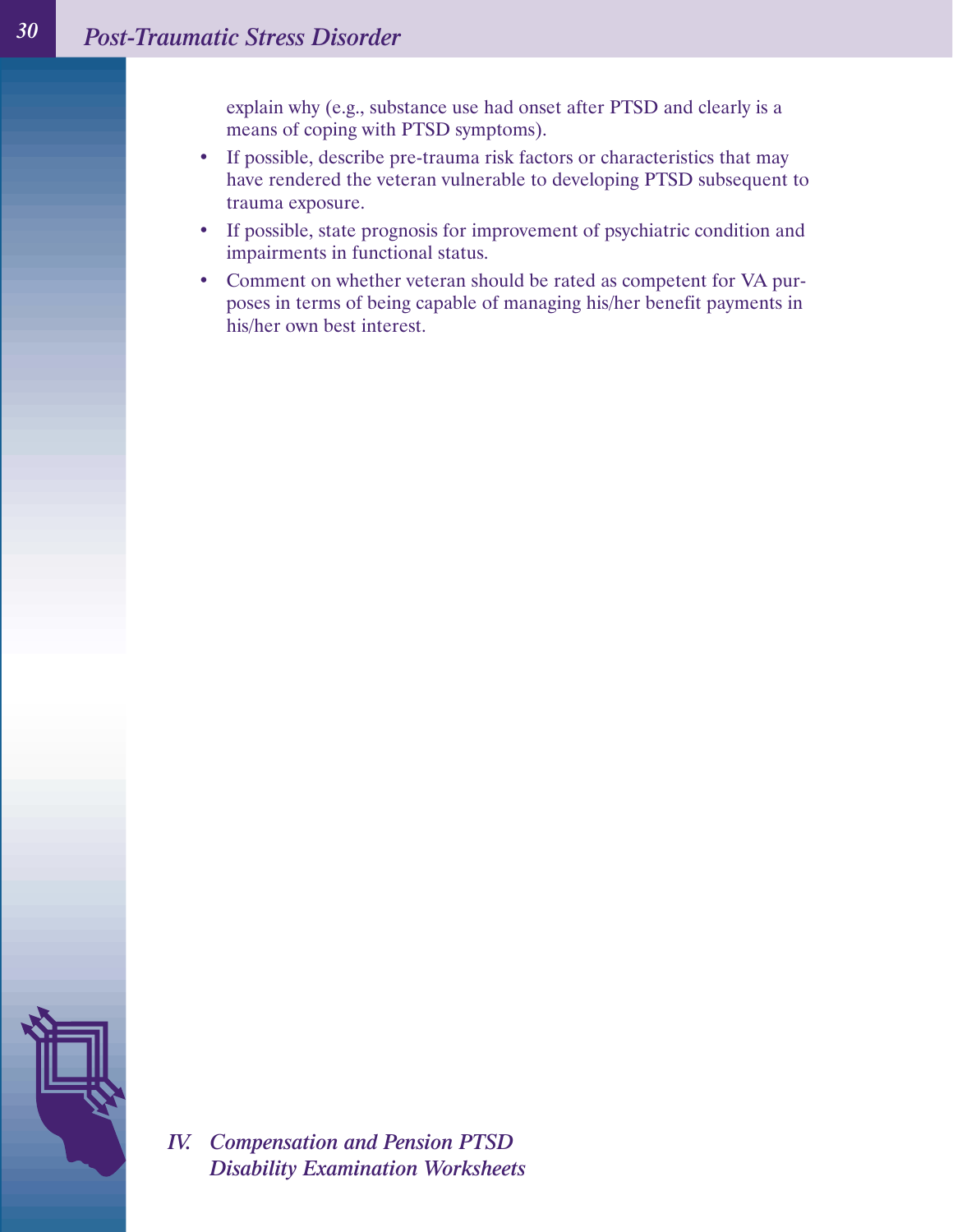explain why (e.g., substance use had onset after PTSD and clearly is a means of coping with PTSD symptoms).

- If possible, describe pre-trauma risk factors or characteristics that may have rendered the veteran vulnerable to developing PTSD subsequent to trauma exposure.
- If possible, state prognosis for improvement of psychiatric condition and impairments in functional status.
- Comment on whether veteran should be rated as competent for VA purposes in terms of being capable of managing his/her benefit payments in his/her own best interest.

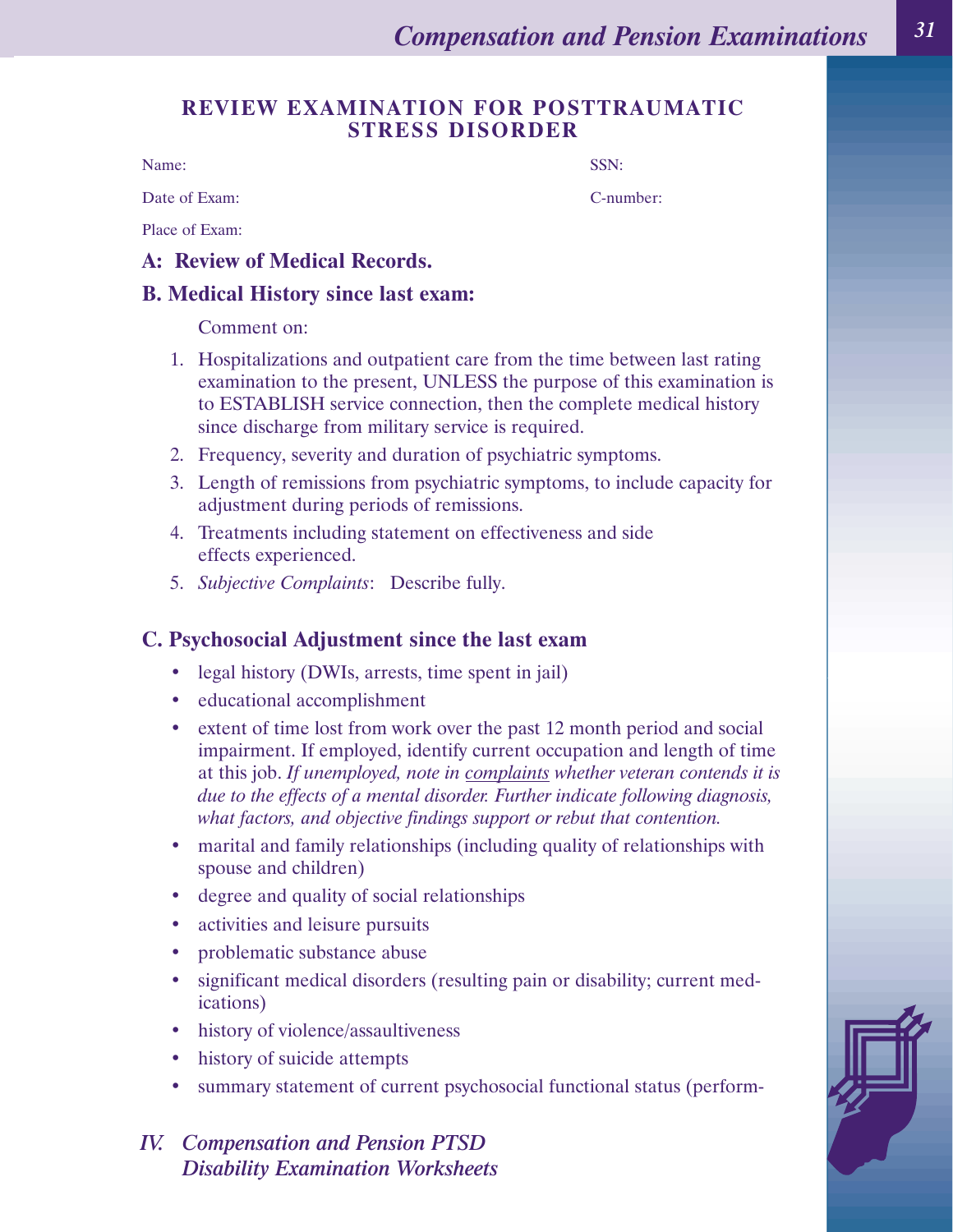### **REVIEW EXAMINATION FOR POSTTRAUMATIC STRESS DISORDER**

Name: SSN:

Date of Exam: C-number:

Place of Exam:

### **A: Review of Medical Records.**

### **B. Medical History since last exam:**

Comment on:

- 1. Hospitalizations and outpatient care from the time between last rating examination to the present, UNLESS the purpose of this examination is to ESTABLISH service connection, then the complete medical history since discharge from military service is required.
- 2. Frequency, severity and duration of psychiatric symptoms.
- 3. Length of remissions from psychiatric symptoms, to include capacity for adjustment during periods of remissions.
- 4. Treatments including statement on effectiveness and side effects experienced.
- 5. *Subjective Complaints*: Describe fully.

### **C. Psychosocial Adjustment since the last exam**

- legal history (DWIs, arrests, time spent in jail)
- educational accomplishment
- extent of time lost from work over the past 12 month period and social impairment. If employed, identify current occupation and length of time at this job. *If unemployed, note in complaints whether veteran contends it is due to the effects of a mental disorder. Further indicate following diagnosis, what factors, and objective findings support or rebut that contention.*
- marital and family relationships (including quality of relationships with spouse and children)
- degree and quality of social relationships
- activities and leisure pursuits
- problematic substance abuse
- significant medical disorders (resulting pain or disability; current medications)
- history of violence/assaultiveness
- history of suicide attempts
- summary statement of current psychosocial functional status (perform-
- *IV. Compensation and Pension PTSD Disability Examination Worksheets*

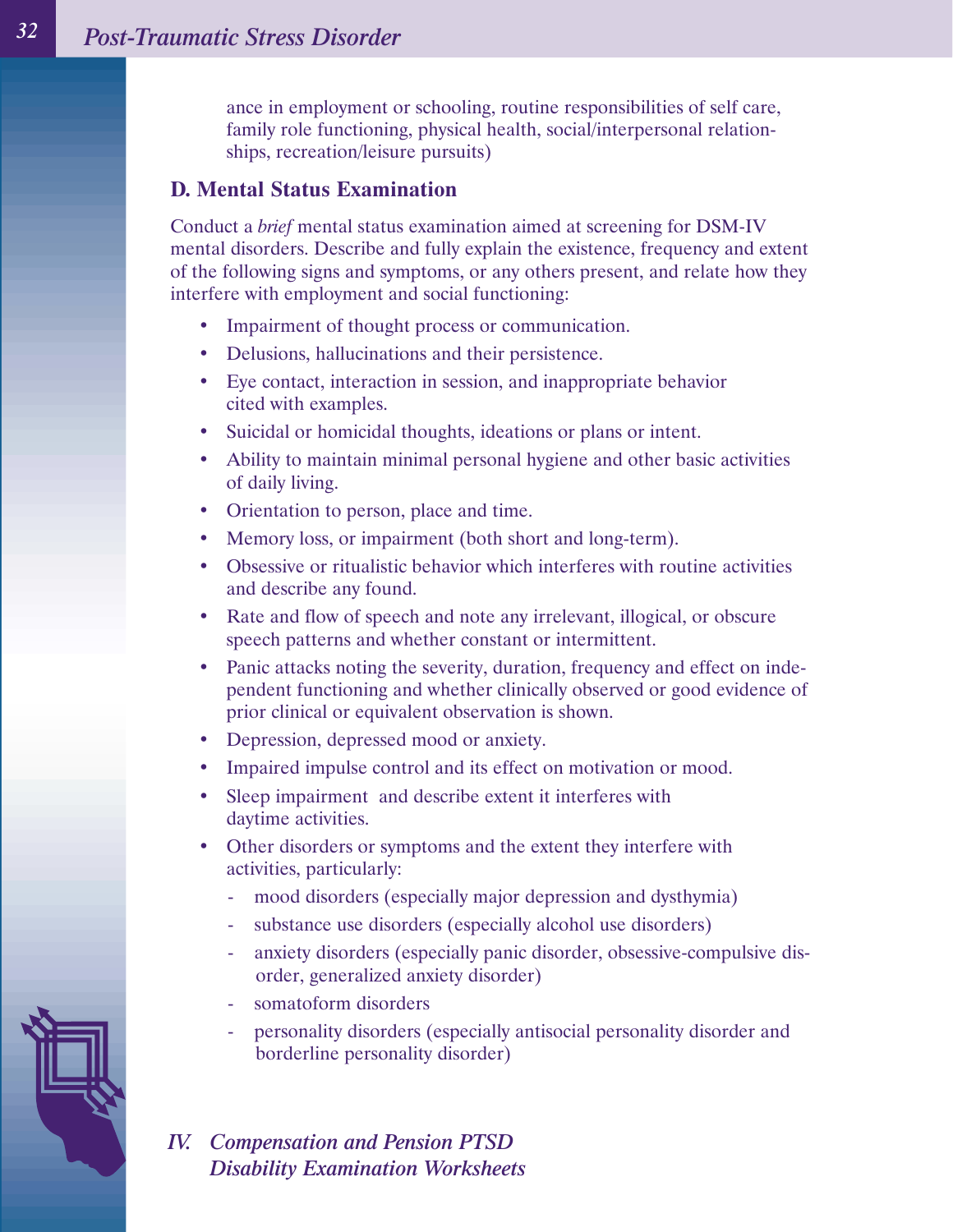ance in employment or schooling, routine responsibilities of self care, family role functioning, physical health, social/interpersonal relationships, recreation/leisure pursuits)

### **D. Mental Status Examination**

Conduct a *brief* mental status examination aimed at screening for DSM-IV mental disorders. Describe and fully explain the existence, frequency and extent of the following signs and symptoms, or any others present, and relate how they interfere with employment and social functioning:

- Impairment of thought process or communication.
- Delusions, hallucinations and their persistence.
- Eye contact, interaction in session, and inappropriate behavior cited with examples.
- Suicidal or homicidal thoughts, ideations or plans or intent.
- Ability to maintain minimal personal hygiene and other basic activities of daily living.
- Orientation to person, place and time.
- Memory loss, or impairment (both short and long-term).
- Obsessive or ritualistic behavior which interferes with routine activities and describe any found.
- Rate and flow of speech and note any irrelevant, illogical, or obscure speech patterns and whether constant or intermittent.
- Panic attacks noting the severity, duration, frequency and effect on independent functioning and whether clinically observed or good evidence of prior clinical or equivalent observation is shown.
- Depression, depressed mood or anxiety.
- Impaired impulse control and its effect on motivation or mood.
- Sleep impairment and describe extent it interferes with daytime activities.
- Other disorders or symptoms and the extent they interfere with activities, particularly:
	- mood disorders (especially major depression and dysthymia)
	- substance use disorders (especially alcohol use disorders)
	- anxiety disorders (especially panic disorder, obsessive-compulsive disorder, generalized anxiety disorder)
	- somatoform disorders
	- personality disorders (especially antisocial personality disorder and borderline personality disorder)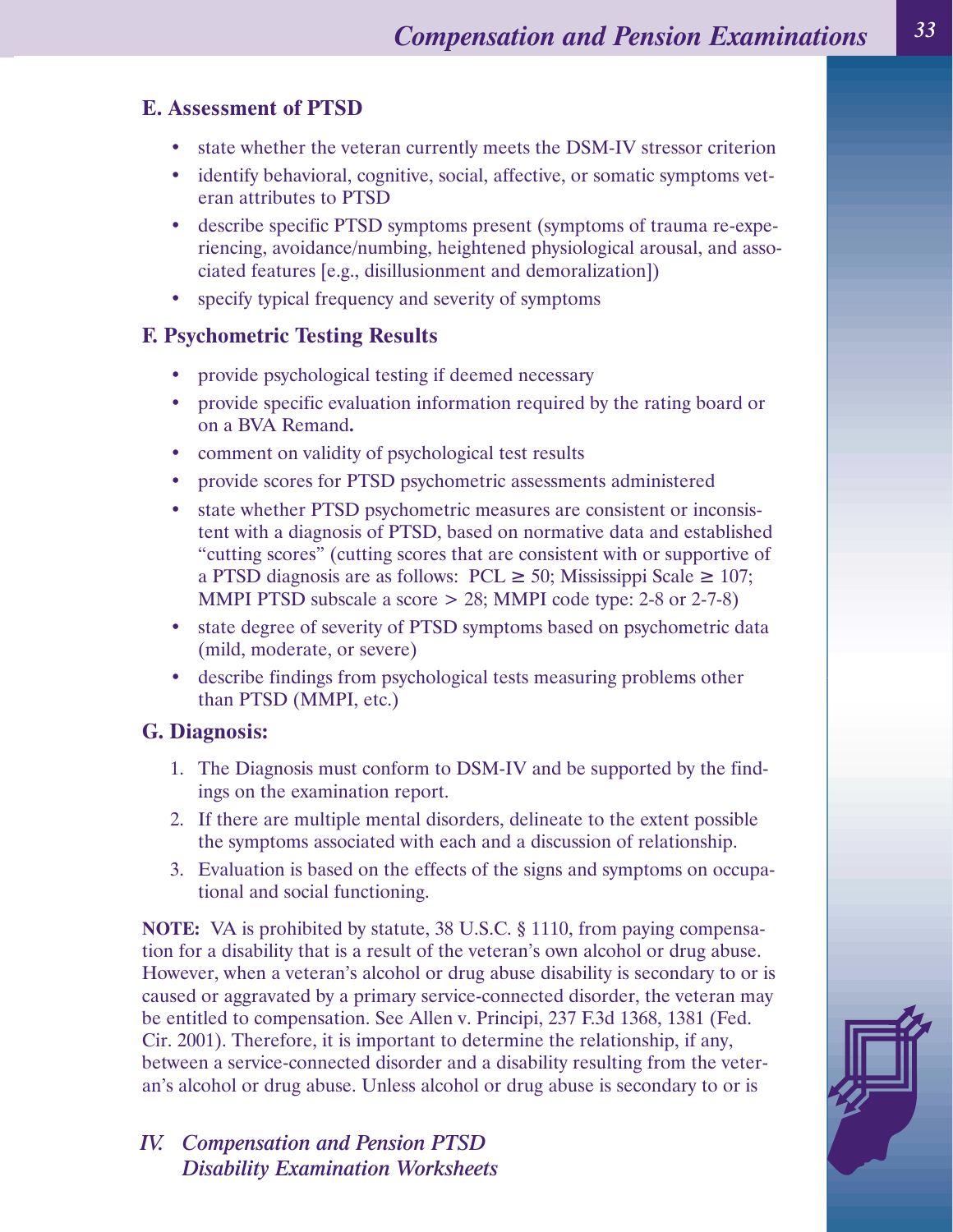### **E. Assessment of PTSD**

- state whether the veteran currently meets the DSM-IV stressor criterion
- identify behavioral, cognitive, social, affective, or somatic symptoms veteran attributes to PTSD
- describe specific PTSD symptoms present (symptoms of trauma re-experiencing, avoidance/numbing, heightened physiological arousal, and associated features [e.g., disillusionment and demoralization])
- specify typical frequency and severity of symptoms

### **F. Psychometric Testing Results**

- provide psychological testing if deemed necessary
- provide specific evaluation information required by the rating board or on a BVA Remand**.**
- comment on validity of psychological test results
- provide scores for PTSD psychometric assessments administered
- state whether PTSD psychometric measures are consistent or inconsistent with a diagnosis of PTSD, based on normative data and established "cutting scores" (cutting scores that are consistent with or supportive of a PTSD diagnosis are as follows: PCL  $\geq$  50; Mississippi Scale  $\geq$  107; MMPI PTSD subscale a score > 28; MMPI code type: 2-8 or 2-7-8)
- state degree of severity of PTSD symptoms based on psychometric data (mild, moderate, or severe)
- describe findings from psychological tests measuring problems other than PTSD (MMPI, etc.)

#### **G. Diagnosis:**

- 1. The Diagnosis must conform to DSM-IV and be supported by the findings on the examination report.
- 2. If there are multiple mental disorders, delineate to the extent possible the symptoms associated with each and a discussion of relationship.
- 3. Evaluation is based on the effects of the signs and symptoms on occupational and social functioning.

**NOTE:** VA is prohibited by statute, 38 U.S.C. § 1110, from paying compensation for a disability that is a result of the veteran's own alcohol or drug abuse. However, when a veteran's alcohol or drug abuse disability is secondary to or is caused or aggravated by a primary service-connected disorder, the veteran may be entitled to compensation. See Allen v. Principi, 237 F.3d 1368, 1381 (Fed. Cir. 2001). Therefore, it is important to determine the relationship, if any, between a service-connected disorder and a disability resulting from the veteran's alcohol or drug abuse. Unless alcohol or drug abuse is secondary to or is

### *IV. Compensation and Pension PTSD Disability Examination Worksheets*

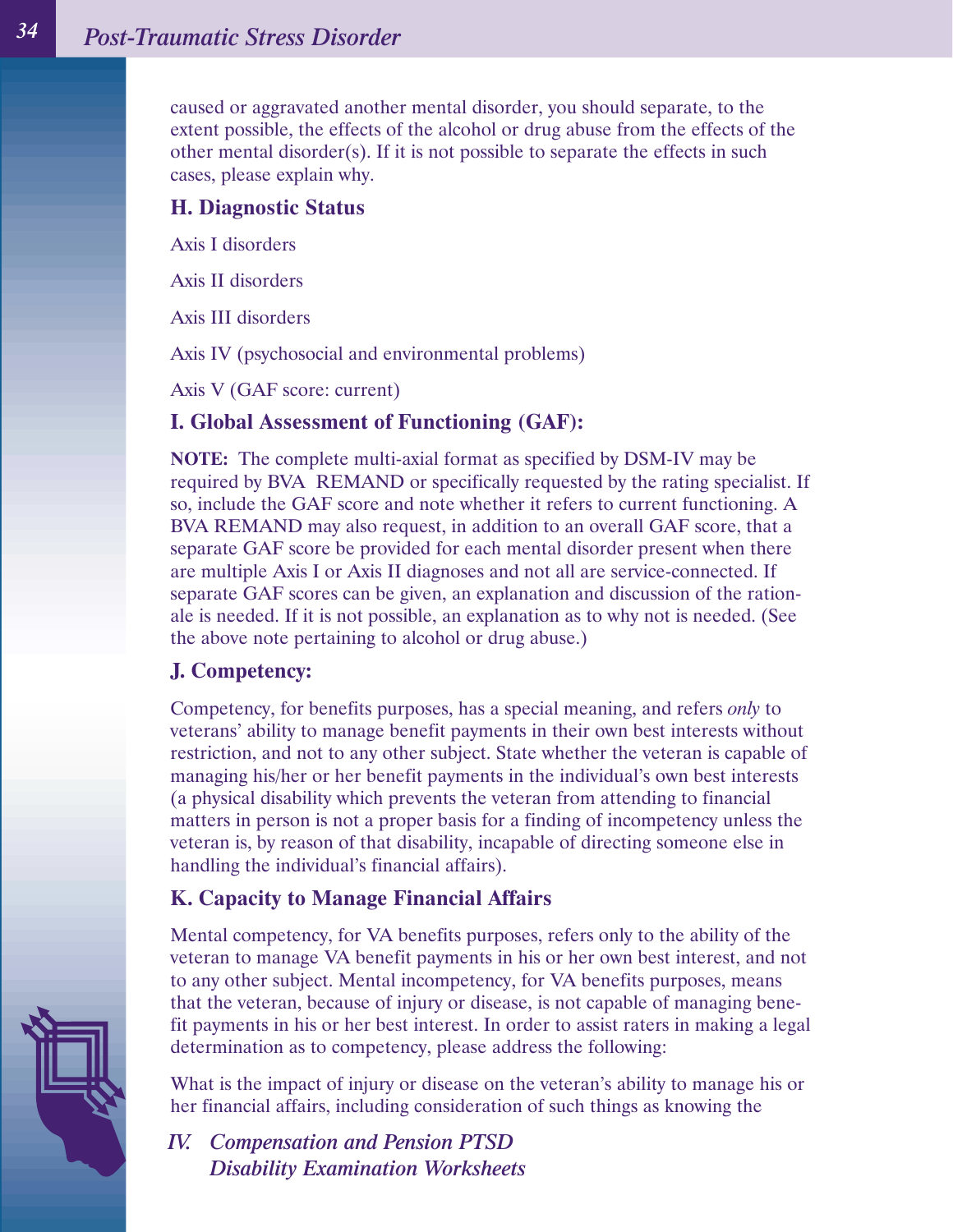caused or aggravated another mental disorder, you should separate, to the extent possible, the effects of the alcohol or drug abuse from the effects of the other mental disorder(s). If it is not possible to separate the effects in such cases, please explain why.

### **H. Diagnostic Status**

Axis I disorders

Axis II disorders

Axis III disorders

Axis IV (psychosocial and environmental problems)

Axis V (GAF score: current)

### **I. Global Assessment of Functioning (GAF):**

**NOTE:** The complete multi-axial format as specified by DSM-IV may be required by BVA REMAND or specifically requested by the rating specialist. If so, include the GAF score and note whether it refers to current functioning. A BVA REMAND may also request, in addition to an overall GAF score, that a separate GAF score be provided for each mental disorder present when there are multiple Axis I or Axis II diagnoses and not all are service-connected. If separate GAF scores can be given, an explanation and discussion of the rationale is needed. If it is not possible, an explanation as to why not is needed. (See the above note pertaining to alcohol or drug abuse.)

### **J. Competency:**

Competency, for benefits purposes, has a special meaning, and refers *only* to veterans' ability to manage benefit payments in their own best interests without restriction, and not to any other subject. State whether the veteran is capable of managing his/her or her benefit payments in the individual's own best interests (a physical disability which prevents the veteran from attending to financial matters in person is not a proper basis for a finding of incompetency unless the veteran is, by reason of that disability, incapable of directing someone else in handling the individual's financial affairs).

### **K. Capacity to Manage Financial Affairs**

Mental competency, for VA benefits purposes, refers only to the ability of the veteran to manage VA benefit payments in his or her own best interest, and not to any other subject. Mental incompetency, for VA benefits purposes, means that the veteran, because of injury or disease, is not capable of managing benefit payments in his or her best interest. In order to assist raters in making a legal determination as to competency, please address the following:

What is the impact of injury or disease on the veteran's ability to manage his or her financial affairs, including consideration of such things as knowing the

*IV. Compensation and Pension PTSD Disability Examination Worksheets*

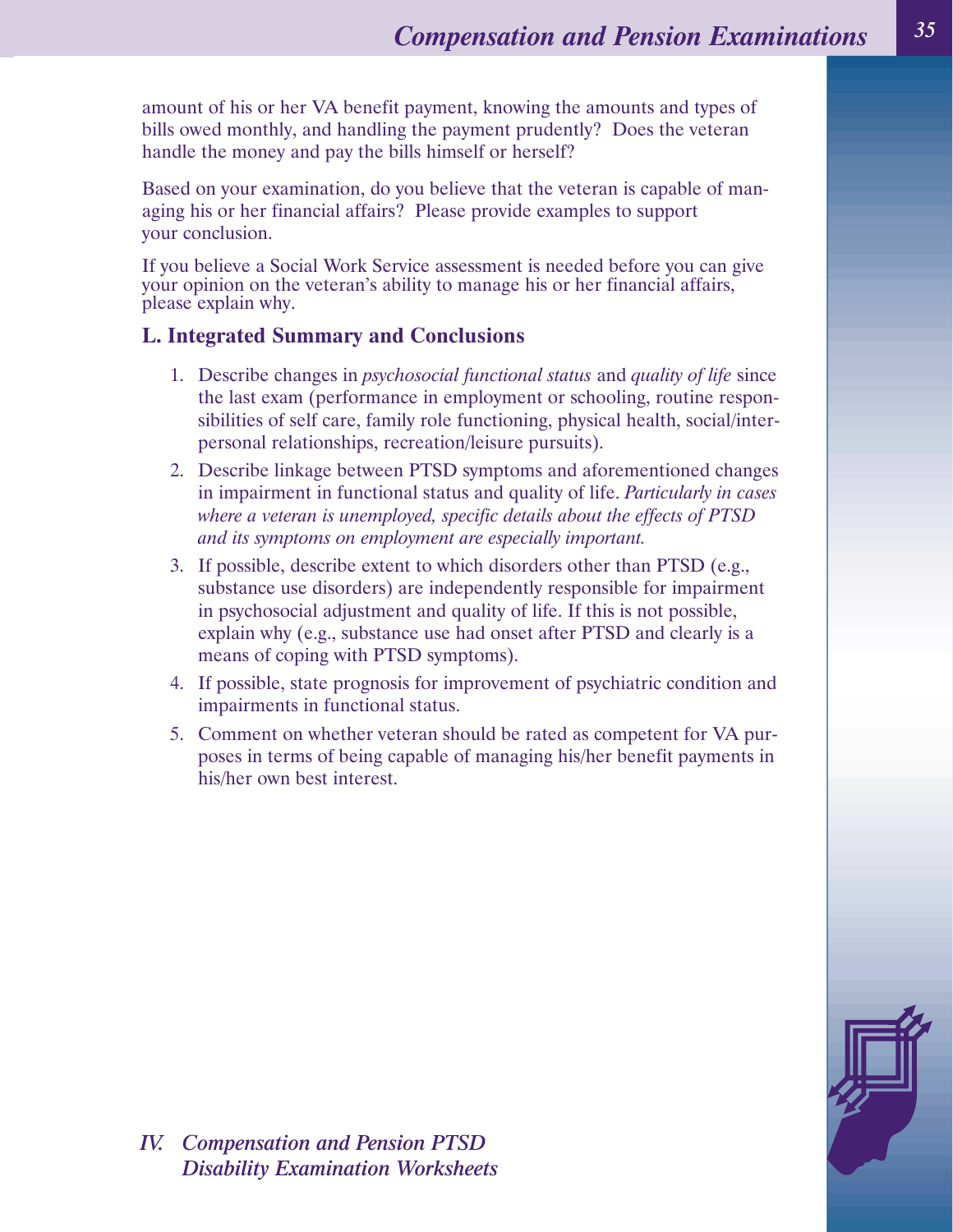amount of his or her VA benefit payment, knowing the amounts and types of bills owed monthly, and handling the payment prudently? Does the veteran handle the money and pay the bills himself or herself?

Based on your examination, do you believe that the veteran is capable of managing his or her financial affairs? Please provide examples to support your conclusion.

If you believe a Social Work Service assessment is needed before you can give your opinion on the veteran's ability to manage his or her financial affairs, please explain why.

### **L. Integrated Summary and Conclusions**

- 1. Describe changes in *psychosocial functional status* and *quality of life* since the last exam (performance in employment or schooling, routine responsibilities of self care, family role functioning, physical health, social/interpersonal relationships, recreation/leisure pursuits).
- 2. Describe linkage between PTSD symptoms and aforementioned changes in impairment in functional status and quality of life. *Particularly in cases where a veteran is unemployed, specific details about the effects of PTSD and its symptoms on employment are especially important.*
- 3. If possible, describe extent to which disorders other than PTSD (e.g., substance use disorders) are independently responsible for impairment in psychosocial adjustment and quality of life. If this is not possible, explain why (e.g., substance use had onset after PTSD and clearly is a means of coping with PTSD symptoms).
- 4. If possible, state prognosis for improvement of psychiatric condition and impairments in functional status.
- 5. Comment on whether veteran should be rated as competent for VA purposes in terms of being capable of managing his/her benefit payments in his/her own best interest.

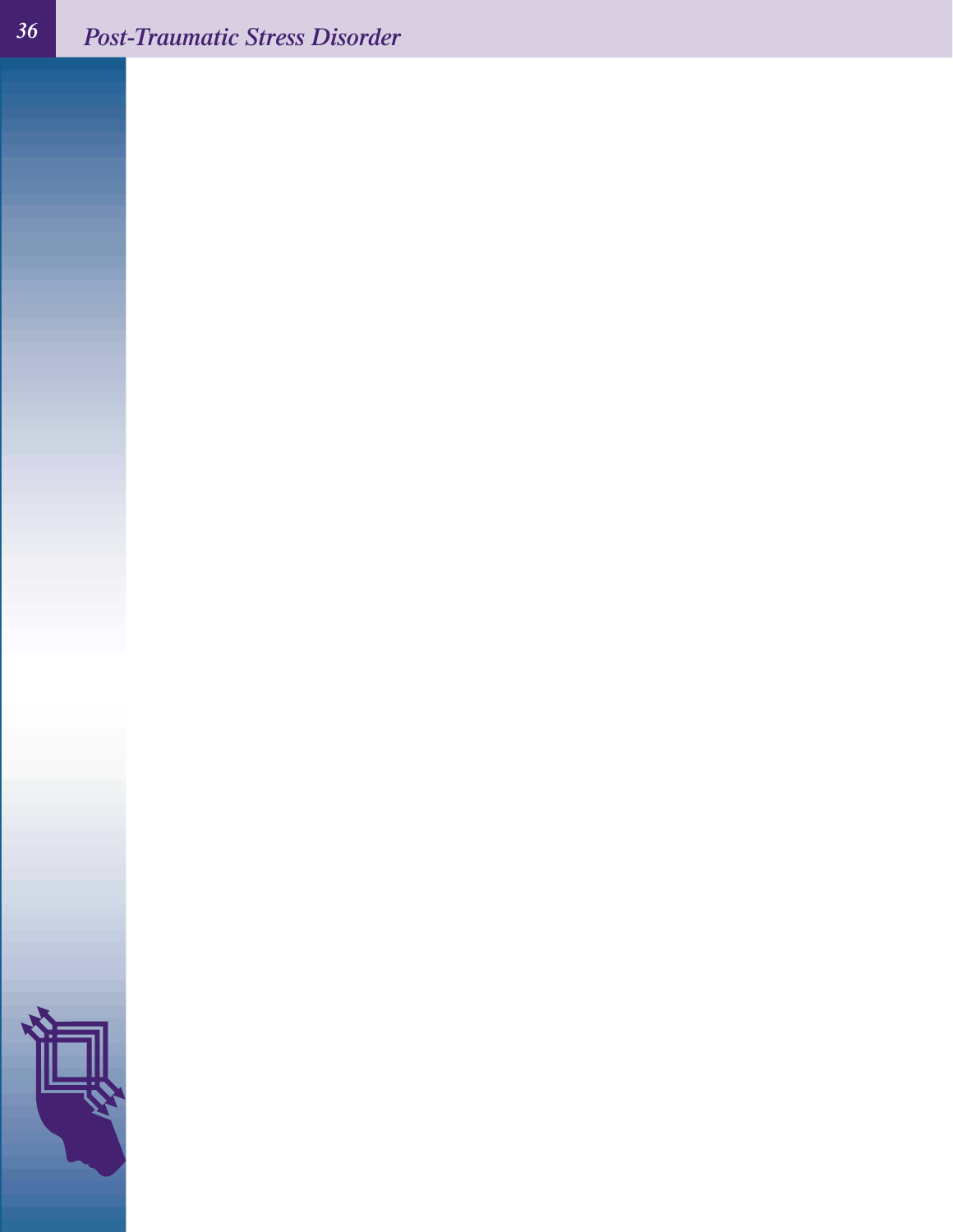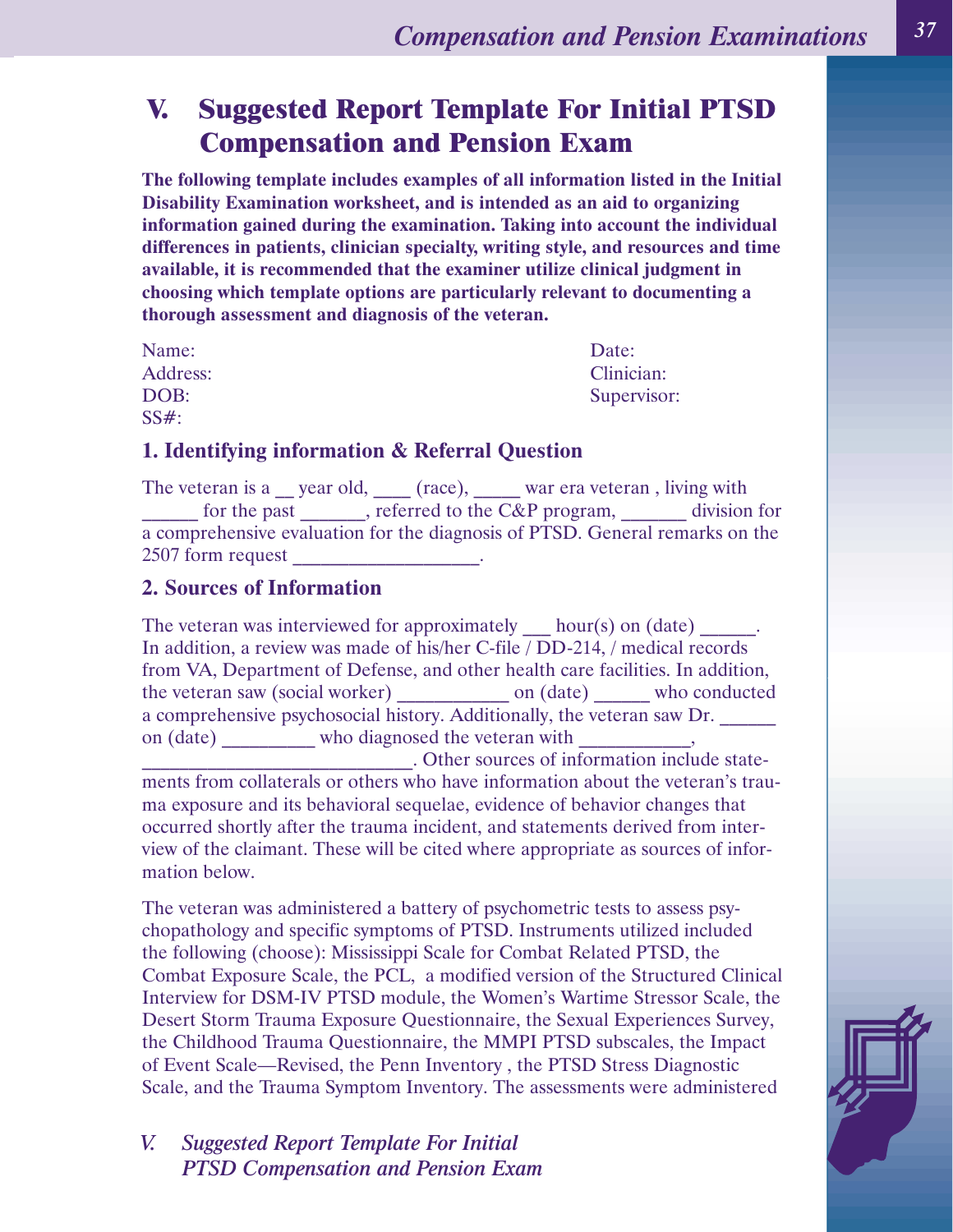# **V. Suggested Report Template For Initial PTSD Compensation and Pension Exam**

**The following template includes examples of all information listed in the Initial Disability Examination worksheet, and is intended as an aid to organizing information gained during the examination. Taking into account the individual differences in patients, clinician specialty, writing style, and resources and time available, it is recommended that the examiner utilize clinical judgment in choosing which template options are particularly relevant to documenting a thorough assessment and diagnosis of the veteran.**

| Name:    | Date:       |
|----------|-------------|
| Address: | Clinician:  |
| DOB:     | Supervisor: |
| $SS#$ :  |             |

### **1. Identifying information & Referral Question**

The veteran is a <u>\_\_</u> year old, \_\_\_\_ (race), \_\_\_\_\_ war era veteran, living with \_\_\_\_\_\_ for the past \_\_\_\_\_\_\_, referred to the C&P program, \_\_\_\_\_\_\_ division for a comprehensive evaluation for the diagnosis of PTSD. General remarks on the 2507 form request

### **2. Sources of Information**

The veteran was interviewed for approximately  $\qquad$  hour(s) on (date)  $\qquad$ . In addition, a review was made of his/her C-file / DD-214, / medical records from VA, Department of Defense, and other health care facilities. In addition, the veteran saw (social worker) \_\_\_\_\_\_\_\_\_\_\_\_ on (date) \_\_\_\_\_\_ who conducted a comprehensive psychosocial history. Additionally, the veteran saw Dr. on (date) who diagnosed the veteran with  $\frac{d}{dx}$ 

\_\_\_\_\_\_\_\_\_\_\_\_\_\_\_\_\_\_\_\_\_\_\_\_\_\_\_\_\_. Other sources of information include statements from collaterals or others who have information about the veteran's trauma exposure and its behavioral sequelae, evidence of behavior changes that occurred shortly after the trauma incident, and statements derived from interview of the claimant. These will be cited where appropriate as sources of information below.

The veteran was administered a battery of psychometric tests to assess psychopathology and specific symptoms of PTSD. Instruments utilized included the following (choose): Mississippi Scale for Combat Related PTSD, the Combat Exposure Scale, the PCL, a modified version of the Structured Clinical Interview for DSM-IV PTSD module, the Women's Wartime Stressor Scale, the Desert Storm Trauma Exposure Questionnaire, the Sexual Experiences Survey, the Childhood Trauma Questionnaire, the MMPI PTSD subscales, the Impact of Event Scale—Revised, the Penn Inventory , the PTSD Stress Diagnostic Scale, and the Trauma Symptom Inventory. The assessments were administered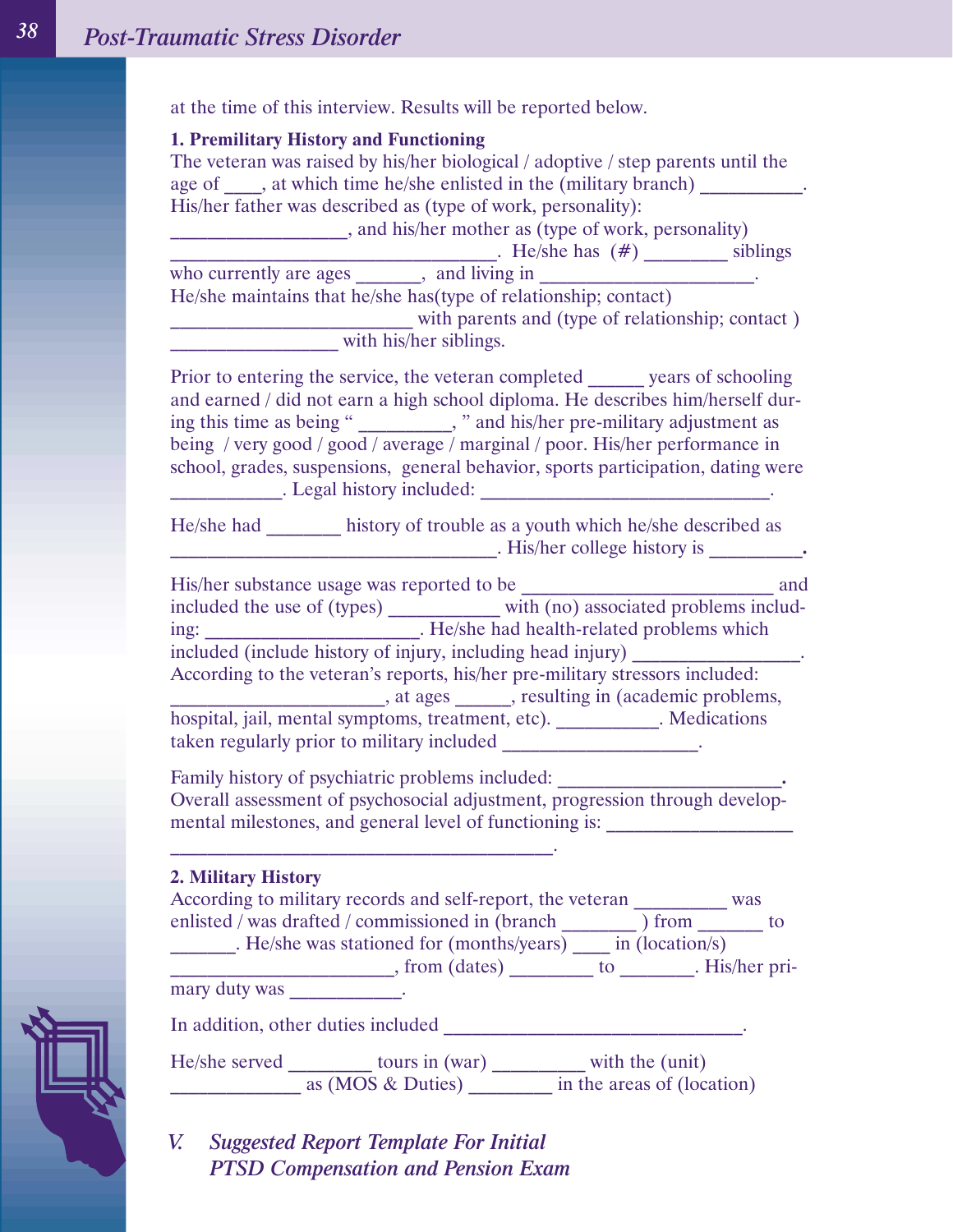at the time of this interview. Results will be reported below.

**1. Premilitary History and Functioning**

The veteran was raised by his/her biological / adoptive / step parents until the age of \_\_\_\_, at which time he/she enlisted in the (military branch) \_\_\_\_\_\_\_\_\_\_\_. His/her father was described as (type of work, personality): \_\_\_\_\_\_\_\_\_\_\_\_\_\_\_\_\_\_\_, and his/her mother as (type of work, personality)  $\qquad \qquad \text{He/she has} \quad (\#) \qquad \qquad \text{siblings}$ 

who currently are ages \_\_\_\_\_\_\_, and living in He/she maintains that he/she has(type of relationship; contact) \_\_\_\_\_\_\_\_\_\_\_\_\_\_\_\_\_\_\_\_\_\_\_\_\_\_ with parents and (type of relationship; contact ) with his/her siblings.

Prior to entering the service, the veteran completed years of schooling and earned / did not earn a high school diploma. He describes him/herself during this time as being " \_\_\_\_\_\_\_\_\_\_, " and his/her pre-military adjustment as being / very good / good / average / marginal / poor. His/her performance in school, grades, suspensions, general behavior, sports participation, dating were . Legal history included:

He/she had history of trouble as a youth which he/she described as . His/her college history is  $\blacksquare$ 

His/her substance usage was reported to be  $\Box$ included the use of (types) with (no) associated problems including: \_\_\_\_\_\_\_\_\_\_\_\_\_\_\_\_\_\_\_\_\_\_\_\_\_\_. He/she had health-related problems which included (include history of injury, including head injury) According to the veteran's reports, his/her pre-military stressors included: example 2 at ages \_\_\_\_\_, resulting in (academic problems, hospital, jail, mental symptoms, treatment, etc). \_\_\_\_\_\_\_\_\_\_\_. Medications taken regularly prior to military included \_\_\_\_\_\_\_\_\_\_\_\_\_\_\_\_\_\_.

Family history of psychiatric problems included: Overall assessment of psychosocial adjustment, progression through developmental milestones, and general level of functioning is:

|  |  |  | 2. Military History |  |
|--|--|--|---------------------|--|
|--|--|--|---------------------|--|

| According to military records and self-report, the veteran                                   | was   |
|----------------------------------------------------------------------------------------------|-------|
| enlisted / was drafted / commissioned in (branch<br>$\gamma$ from                            | to to |
| . He/she was stationed for (months/years) in $(location/s)$                                  |       |
| $\frac{1}{2}$ , from (dates) $\frac{1}{2}$ to $\frac{1}{2}$ . His/her pri-                   |       |
| mary duty was                                                                                |       |
| In addition, other duties included                                                           |       |
| He/she served tours in (war) with the (unit)<br>as (MOS & Duties) in the areas of (location) |       |

*V. Suggested Report Template For Initial PTSD Compensation and Pension Exam*

 $\mathcal{L}_\mathcal{L}$  , and the set of the set of the set of the set of the set of the set of the set of the set of the set of the set of the set of the set of the set of the set of the set of the set of the set of the set of th

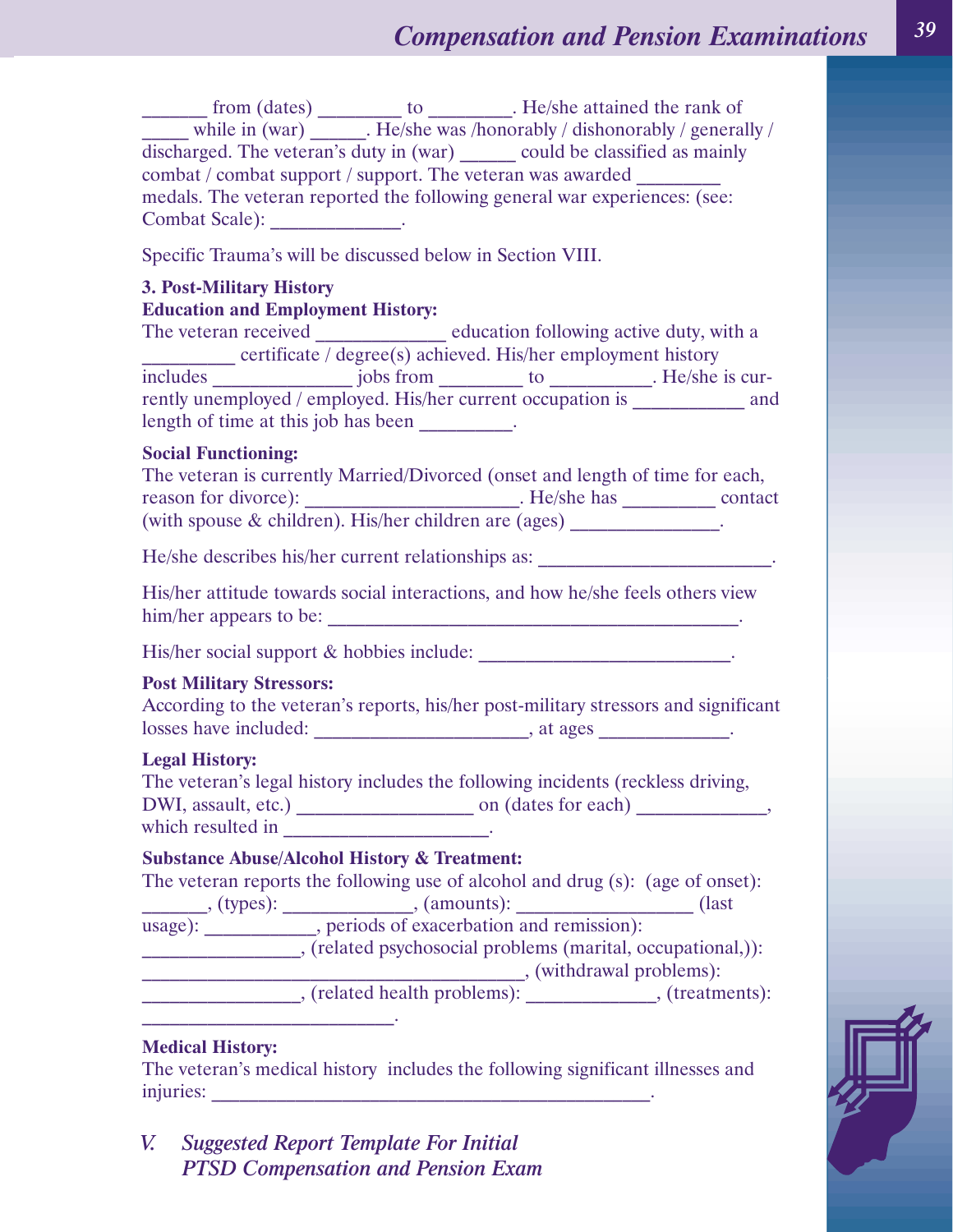\_\_\_\_\_\_\_ from (dates) \_\_\_\_\_\_\_\_\_ to \_\_\_\_\_\_\_\_\_. He/she attained the rank of \_\_\_ while in (war) \_\_\_\_\_\_. He/she was /honorably / dishonorably / generally / discharged. The veteran's duty in (war) could be classified as mainly combat / combat support / support. The veteran was awarded \_\_\_\_\_\_\_\_\_ medals. The veteran reported the following general war experiences: (see: Combat Scale): \_\_\_\_\_\_\_\_\_\_\_\_\_\_.

Specific Trauma's will be discussed below in Section VIII.

### **3. Post-Military History**

### **Education and Employment History:**

The veteran received \_\_\_\_\_\_\_\_\_\_\_\_\_\_\_\_ education following active duty, with a  $\frac{1}{2}$  certificate / degree(s) achieved. His/her employment history includes \_\_\_\_\_\_\_\_\_\_\_\_\_\_\_ jobs from \_\_\_\_\_\_\_\_\_ to \_\_\_\_\_\_\_\_\_\_\_. He/she is currently unemployed / employed. His/her current occupation is \_\_\_\_\_\_\_\_\_\_\_\_ and length of time at this job has been \_\_\_\_\_\_\_\_\_.

#### **Social Functioning:**

|                      | The veteran is currently Married/Divorced (onset and length of time for each, |         |
|----------------------|-------------------------------------------------------------------------------|---------|
| reason for divorce): | . He/she has                                                                  | contact |
|                      | (with spouse $& children)$ . His/her children are (ages)                      |         |

He/she describes his/her current relationships as:

His/her attitude towards social interactions, and how he/she feels others view him/her appears to be:

His/her social support  $\&$  hobbies include:

### **Post Military Stressors:**

According to the veteran's reports, his/her post-military stressors and significant losses have included: \_\_\_\_\_\_\_\_\_\_\_\_\_\_\_\_\_\_\_\_\_, at ages \_\_\_\_\_\_\_\_\_\_\_\_.

### **Legal History:**

The veteran's legal history includes the following incidents (reckless driving, DWI, assault, etc.) \_\_\_\_\_\_\_\_\_\_\_\_\_\_\_\_\_\_\_\_\_\_\_ on (dates for each) \_\_\_\_\_\_\_\_\_\_\_\_\_\_\_, which resulted in

### **Substance Abuse/Alcohol History & Treatment:**

The veteran reports the following use of alcohol and drug (s): (age of onset): \_\_\_\_\_\_\_, (types): \_\_\_\_\_\_\_\_\_\_\_\_\_\_, (amounts): \_\_\_\_\_\_\_\_\_\_\_\_\_\_\_\_\_\_\_ (last usage): \_\_\_\_\_\_\_\_\_\_\_\_, periods of exacerbation and remission): \_\_\_\_\_\_\_\_\_\_\_\_\_\_\_\_\_, (related psychosocial problems (marital, occupational,)): \_\_\_\_\_\_\_\_\_\_\_\_\_\_\_\_\_\_\_\_\_\_\_\_\_\_\_\_\_\_\_\_\_\_\_\_\_\_\_\_\_, (withdrawal problems): \_\_\_\_\_\_\_\_\_\_\_\_\_\_\_\_\_, (related health problems): \_\_\_\_\_\_\_\_\_\_\_\_\_\_, (treatments):

### **Medical History:**

 $\overline{\phantom{a}}$  , and the set of the set of the set of the set of the set of the set of the set of the set of the set of the set of the set of the set of the set of the set of the set of the set of the set of the set of the s

The veteran's medical history includes the following significant illnesses and injuries:

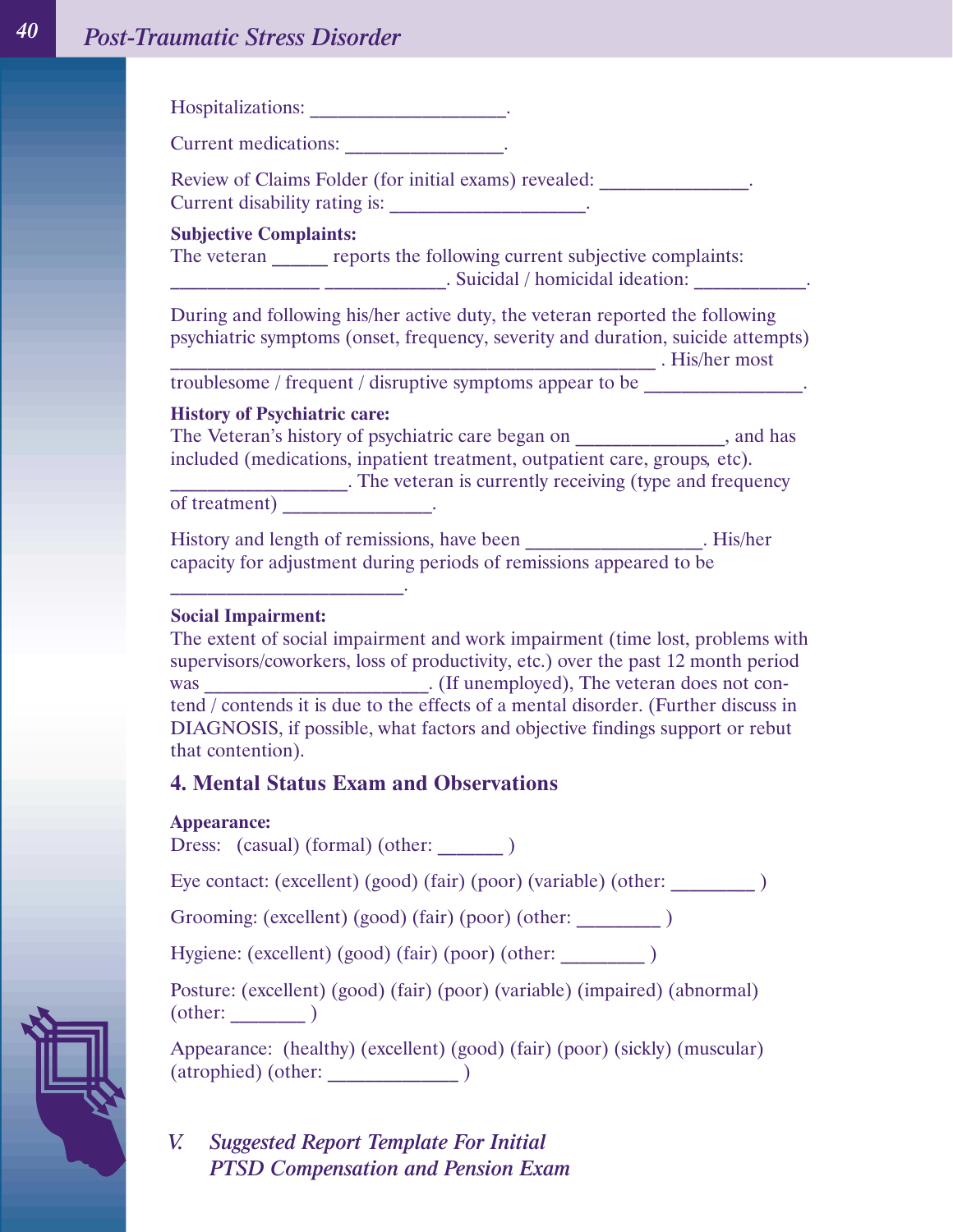| Hospitalizations: |
|-------------------|
|-------------------|

Current medications: \_\_\_\_\_\_\_\_\_\_\_\_\_\_\_\_\_.

Review of Claims Folder (for initial exams) revealed:  $\qquad \qquad$ Current disability rating is: \_\_\_\_\_\_\_\_\_\_\_\_\_\_\_\_\_\_\_.

### **Subjective Complaints:**

The veteran reports the following current subjective complaints: . Suicidal / homicidal ideation:

During and following his/her active duty, the veteran reported the following psychiatric symptoms (onset, frequency, severity and duration, suicide attempts)

\_\_\_\_\_\_\_\_\_\_\_\_\_\_\_\_\_\_\_\_\_\_\_\_\_\_\_\_\_\_\_\_\_\_\_\_\_\_\_\_\_\_\_\_\_\_\_\_\_\_\_\_ . His/her most troublesome / frequent / disruptive symptoms appear to be \_\_\_\_\_\_\_\_\_\_\_\_\_\_\_\_.

### **History of Psychiatric care:**

 $\overline{\phantom{a}}$  , and the set of the set of the set of the set of the set of the set of the set of the set of the set of the set of the set of the set of the set of the set of the set of the set of the set of the set of the s

The Veteran's history of psychiatric care began on  $\qquad \qquad$ , and has included (medications, inpatient treatment, outpatient care, groups*,* etc). The veteran is currently receiving (type and frequency of treatment) \_\_\_\_\_\_\_\_\_\_\_\_\_\_\_\_.

History and length of remissions, have been \_\_\_\_\_\_\_\_\_\_\_\_\_\_\_\_\_\_\_. His/her capacity for adjustment during periods of remissions appeared to be

### **Social Impairment:**

The extent of social impairment and work impairment (time lost, problems with supervisors/coworkers, loss of productivity, etc.) over the past 12 month period was \_\_\_\_\_\_\_\_\_\_\_\_\_\_\_\_\_\_\_\_\_\_\_\_\_\_. (If unemployed), The veteran does not contend / contends it is due to the effects of a mental disorder. (Further discuss in DIAGNOSIS, if possible, what factors and objective findings support or rebut that contention).

### **4. Mental Status Exam and Observations**

### **Appearance:**

Dress: (casual) (formal) (other:  $\qquad$ )

Eye contact: (excellent) (good) (fair) (poor) (variable) (other:  $\qquad \qquad$  )

Grooming: (excellent) (good) (fair) (poor) (other:  $\qquad \qquad$  )

Hygiene: (excellent) (good) (fair) (poor) (other: \_\_\_\_\_\_\_\_\_\_\_\_\_\_\_\_\_\_\_\_\_\_\_\_\_\_\_\_\_\_

Posture: (excellent) (good) (fair) (poor) (variable) (impaired) (abnormal)  $(other: )$ 

Appearance: (healthy) (excellent) (good) (fair) (poor) (sickly) (muscular) (atrophied) (other: \_\_\_\_\_\_\_\_\_\_\_\_\_\_ )

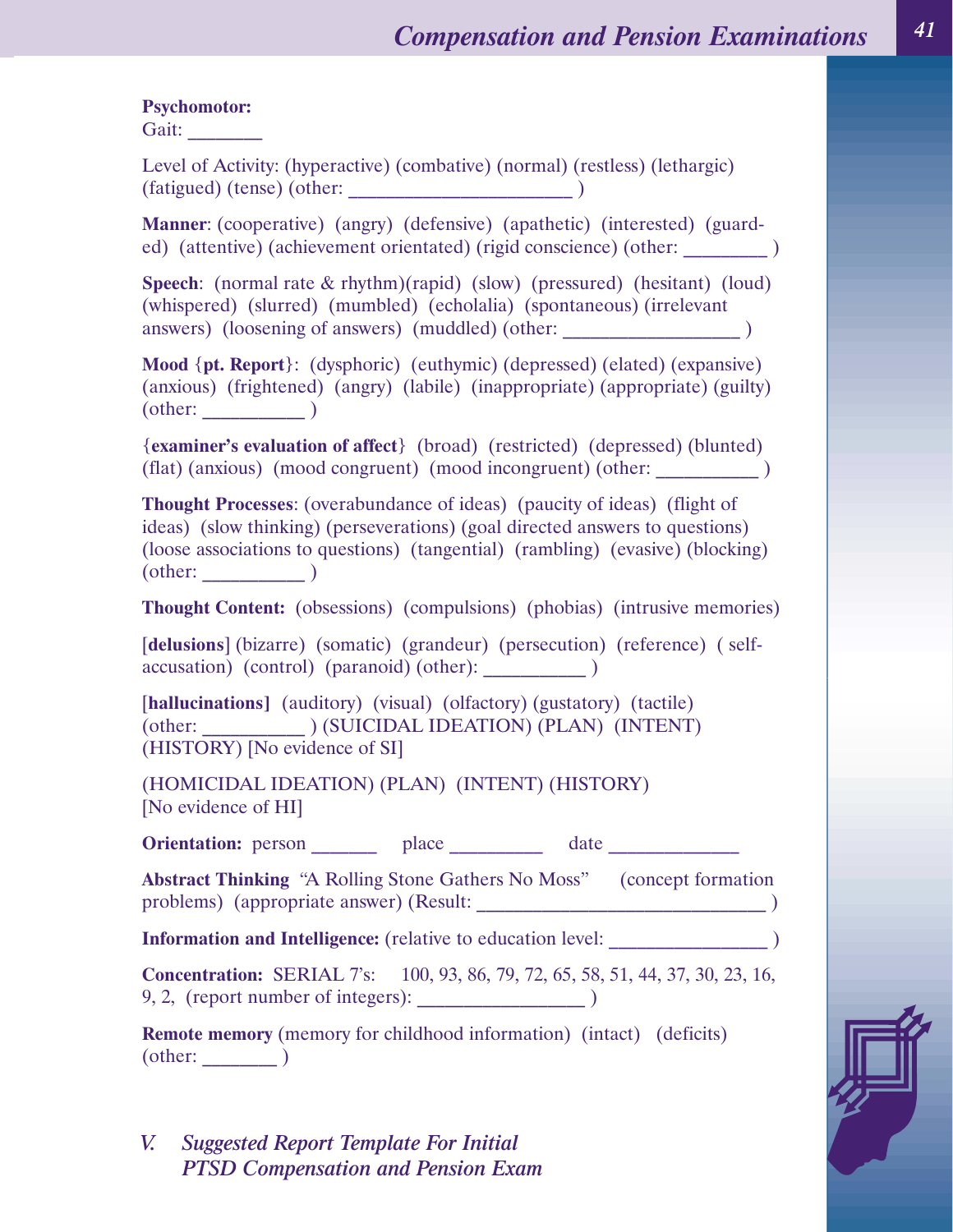### **Psychomotor:**

Gait:

Level of Activity: (hyperactive) (combative) (normal) (restless) (lethargic)  $(fatigued)$  (tense) (other:  $\qquad \qquad$ )

**Manner**: (cooperative) (angry) (defensive) (apathetic) (interested) (guarded) (attentive) (achievement orientated) (rigid conscience) (other:

**Speech:** (normal rate & rhythm)(rapid) (slow) (pressured) (hesitant) (loud) (whispered) (slurred) (mumbled) (echolalia) (spontaneous) (irrelevant answers) (loosening of answers) (muddled) (other:  $\qquad \qquad$  )

**Mood** {**pt. Report**}: (dysphoric) (euthymic) (depressed) (elated) (expansive) (anxious) (frightened) (angry) (labile) (inappropriate) (appropriate) (guilty)  $\text{(other:}\_$ 

{**examiner's evaluation of affect**} (broad) (restricted) (depressed) (blunted) (flat) (anxious) (mood congruent) (mood incongruent) (other: \_\_\_\_\_\_\_\_\_\_\_ )

**Thought Processes**: (overabundance of ideas) (paucity of ideas) (flight of ideas) (slow thinking) (perseverations) (goal directed answers to questions) (loose associations to questions) (tangential) (rambling) (evasive) (blocking)  $(other: )$ 

**Thought Content:** (obsessions) (compulsions) (phobias) (intrusive memories)

[**delusions**] (bizarre) (somatic) (grandeur) (persecution) (reference) ( selfaccusation) (control) (paranoid) (other):

[**hallucinations]** (auditory) (visual) (olfactory) (gustatory) (tactile) (other: \_\_\_\_\_\_\_\_\_\_\_ ) (SUICIDAL IDEATION) (PLAN) (INTENT) (HISTORY) [No evidence of SI]

(HOMICIDAL IDEATION) (PLAN) (INTENT) (HISTORY) [No evidence of HI]

**Orientation:** person \_\_\_\_\_\_\_ place \_\_\_\_\_\_\_ date \_\_\_\_\_\_\_\_\_\_\_\_\_\_\_\_\_\_\_\_\_\_\_\_\_\_\_\_\_\_\_\_

**Abstract Thinking** "A Rolling Stone Gathers No Moss" (concept formation problems) (appropriate answer) (Result: \_\_\_\_\_\_\_\_\_\_\_\_\_\_\_\_\_\_\_\_\_\_\_\_\_\_\_\_\_\_\_ )

**Information and Intelligence:** (relative to education level:  $\qquad \qquad$  )

**Concentration:** SERIAL 7's: 100, 93, 86, 79, 72, 65, 58, 51, 44, 37, 30, 23, 16, 9, 2, (report number of integers):  $\qquad \qquad$  )

**Remote memory** (memory for childhood information) (intact) (deficits)  $\text{(other:}\_\_ \text{max})$ 

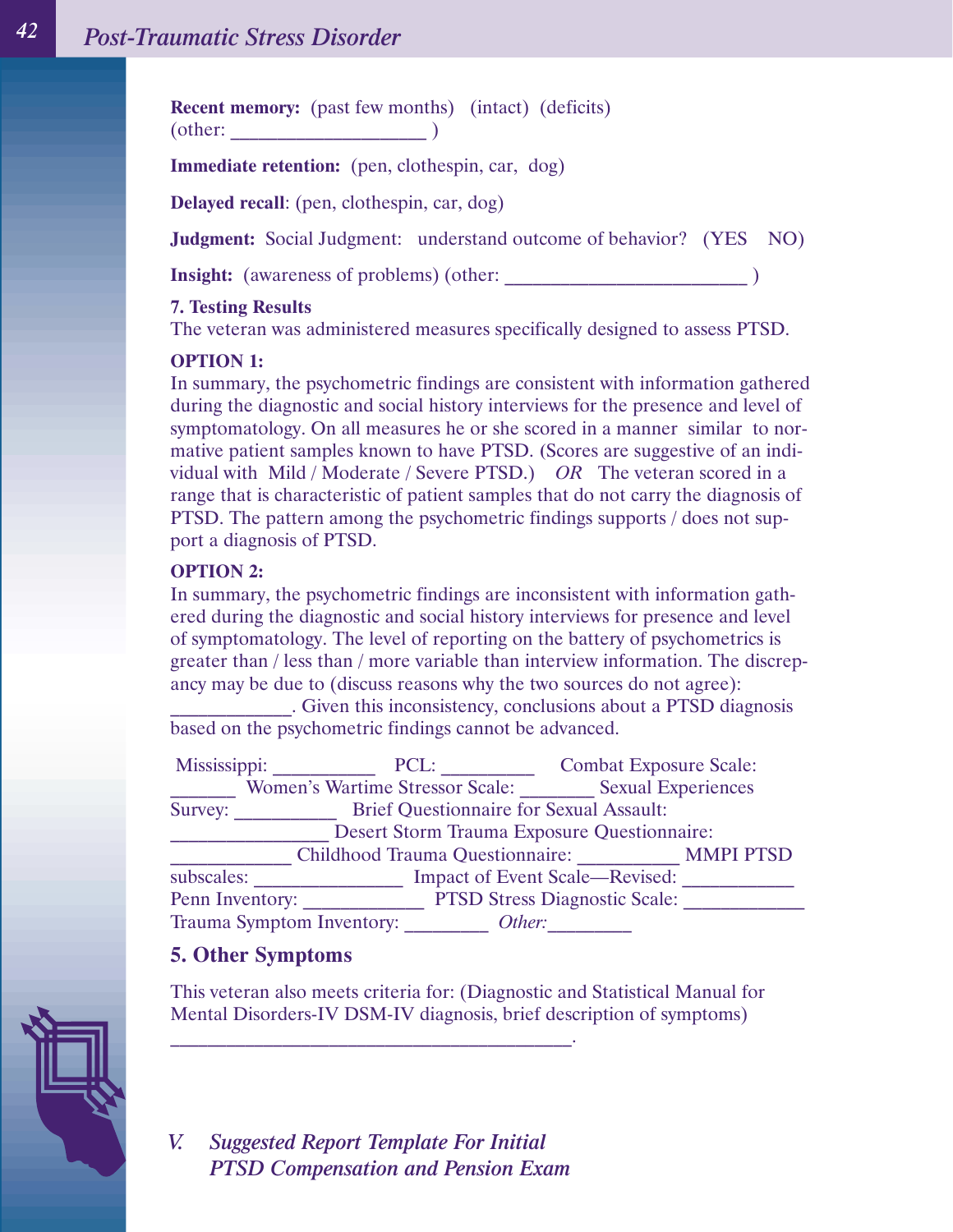| <b>Recent memory:</b> (past few months) (intact) (deficits) |  |
|-------------------------------------------------------------|--|
| (other:                                                     |  |
| <b>Immediate retention:</b> (pen, clothespin, car, dog)     |  |

**Delayed recall**: (pen, clothespin, car, dog)

**Judgment:** Social Judgment: understand outcome of behavior? (YES NO)

**Insight:** (awareness of problems) (other:

### **7. Testing Results**

The veteran was administered measures specifically designed to assess PTSD.

### **OPTION 1:**

In summary, the psychometric findings are consistent with information gathered during the diagnostic and social history interviews for the presence and level of symptomatology. On all measures he or she scored in a manner similar to normative patient samples known to have PTSD. **(**Scores are suggestive of an individual with Mild / Moderate / Severe PTSD.) *OR* The veteran scored in a range that is characteristic of patient samples that do not carry the diagnosis of PTSD. The pattern among the psychometric findings supports / does not support a diagnosis of PTSD.

### **OPTION 2:**

In summary, the psychometric findings are inconsistent with information gathered during the diagnostic and social history interviews for presence and level of symptomatology. The level of reporting on the battery of psychometrics is greater than / less than / more variable than interview information. The discrepancy may be due to (discuss reasons why the two sources do not agree):

\_\_\_\_\_\_\_\_\_\_\_\_\_. Given this inconsistency, conclusions about a PTSD diagnosis based on the psychometric findings cannot be advanced.

| Mississippi:                                               |                                                | PCL: | <b>Combat Exposure Scale:</b> |  |
|------------------------------------------------------------|------------------------------------------------|------|-------------------------------|--|
| Women's Wartime Stressor Scale:                            |                                                |      | <b>Sexual Experiences</b>     |  |
| Survey:                                                    | <b>Brief Questionnaire for Sexual Assault:</b> |      |                               |  |
| Desert Storm Trauma Exposure Questionnaire:                |                                                |      |                               |  |
| <b>Childhood Trauma Questionnaire:</b><br><b>MMPI PTSD</b> |                                                |      |                               |  |
| subscales:<br>Impact of Event Scale-Revised:               |                                                |      |                               |  |
| <b>PTSD Stress Diagnostic Scale:</b><br>Penn Inventory:    |                                                |      |                               |  |
|                                                            | <b>Trauma Symptom Inventory:</b>               |      | Other:                        |  |

### **5. Other Symptoms**

This veteran also meets criteria for: (Diagnostic and Statistical Manual for Mental Disorders-IV DSM-IV diagnosis, brief description of symptoms)



*V. Suggested Report Template For Initial PTSD Compensation and Pension Exam*

 $\overline{\phantom{a}}$  , and the set of the set of the set of the set of the set of the set of the set of the set of the set of the set of the set of the set of the set of the set of the set of the set of the set of the set of the s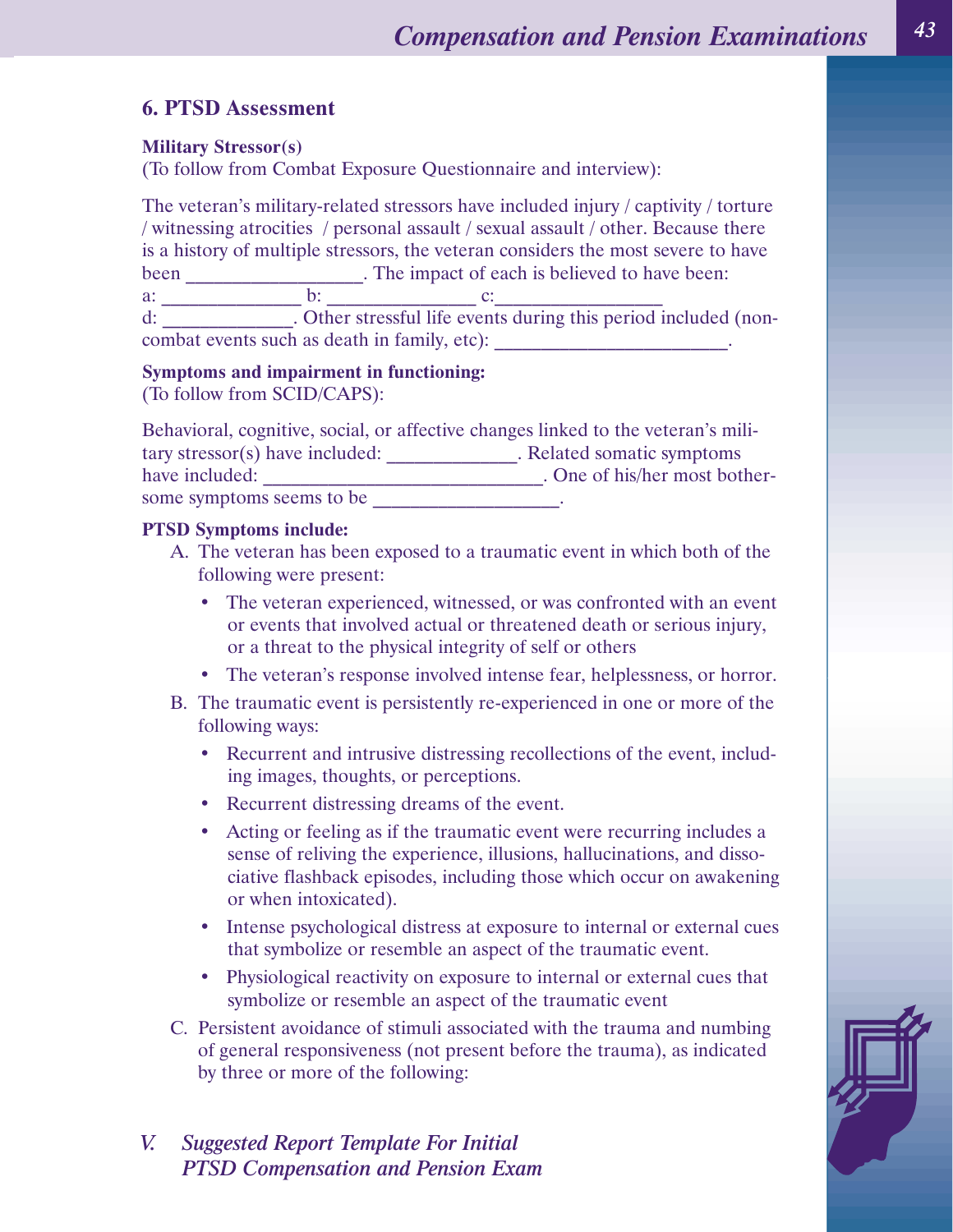### **6. PTSD Assessment**

### **Military Stressor(s)**

(To follow from Combat Exposure Questionnaire and interview):

The veteran's military-related stressors have included injury / captivity / torture / witnessing atrocities / personal assault / sexual assault / other. Because there is a history of multiple stressors, the veteran considers the most severe to have been \_\_\_\_\_\_\_\_\_\_\_\_\_\_\_\_. The impact of each is believed to have been: a: \_\_\_\_\_\_\_\_\_\_\_\_\_\_\_ b: \_\_\_\_\_\_\_\_\_\_\_\_\_\_\_\_ c:\_\_\_\_\_\_\_\_\_\_\_\_\_\_\_\_\_\_ d: \_\_\_\_\_\_\_\_\_\_\_\_\_\_. Other stressful life events during this period included (non-

combat events such as death in family, etc):

## **Symptoms and impairment in functioning:**

(To follow from SCID/CAPS):

Behavioral, cognitive, social, or affective changes linked to the veteran's military stressor(s) have included: \_\_\_\_\_\_\_\_\_\_\_\_\_\_. Related somatic symptoms have included: \_\_\_\_\_\_\_\_\_\_\_\_\_\_\_\_\_\_\_\_\_\_\_\_\_\_\_\_\_\_. One of his/her most bothersome symptoms seems to be

### **PTSD Symptoms include:**

- A. The veteran has been exposed to a traumatic event in which both of the following were present:
	- The veteran experienced, witnessed, or was confronted with an event or events that involved actual or threatened death or serious injury, or a threat to the physical integrity of self or others
	- The veteran's response involved intense fear, helplessness, or horror.
- B. The traumatic event is persistently re-experienced in one or more of the following ways:
	- Recurrent and intrusive distressing recollections of the event, including images, thoughts, or perceptions.
	- Recurrent distressing dreams of the event.
	- Acting or feeling as if the traumatic event were recurring includes a sense of reliving the experience, illusions, hallucinations, and dissociative flashback episodes, including those which occur on awakening or when intoxicated).
	- Intense psychological distress at exposure to internal or external cues that symbolize or resemble an aspect of the traumatic event.
	- Physiological reactivity on exposure to internal or external cues that symbolize or resemble an aspect of the traumatic event
- C. Persistent avoidance of stimuli associated with the trauma and numbing of general responsiveness (not present before the trauma), as indicated by three or more of the following:
- *V. Suggested Report Template For Initial PTSD Compensation and Pension Exam*

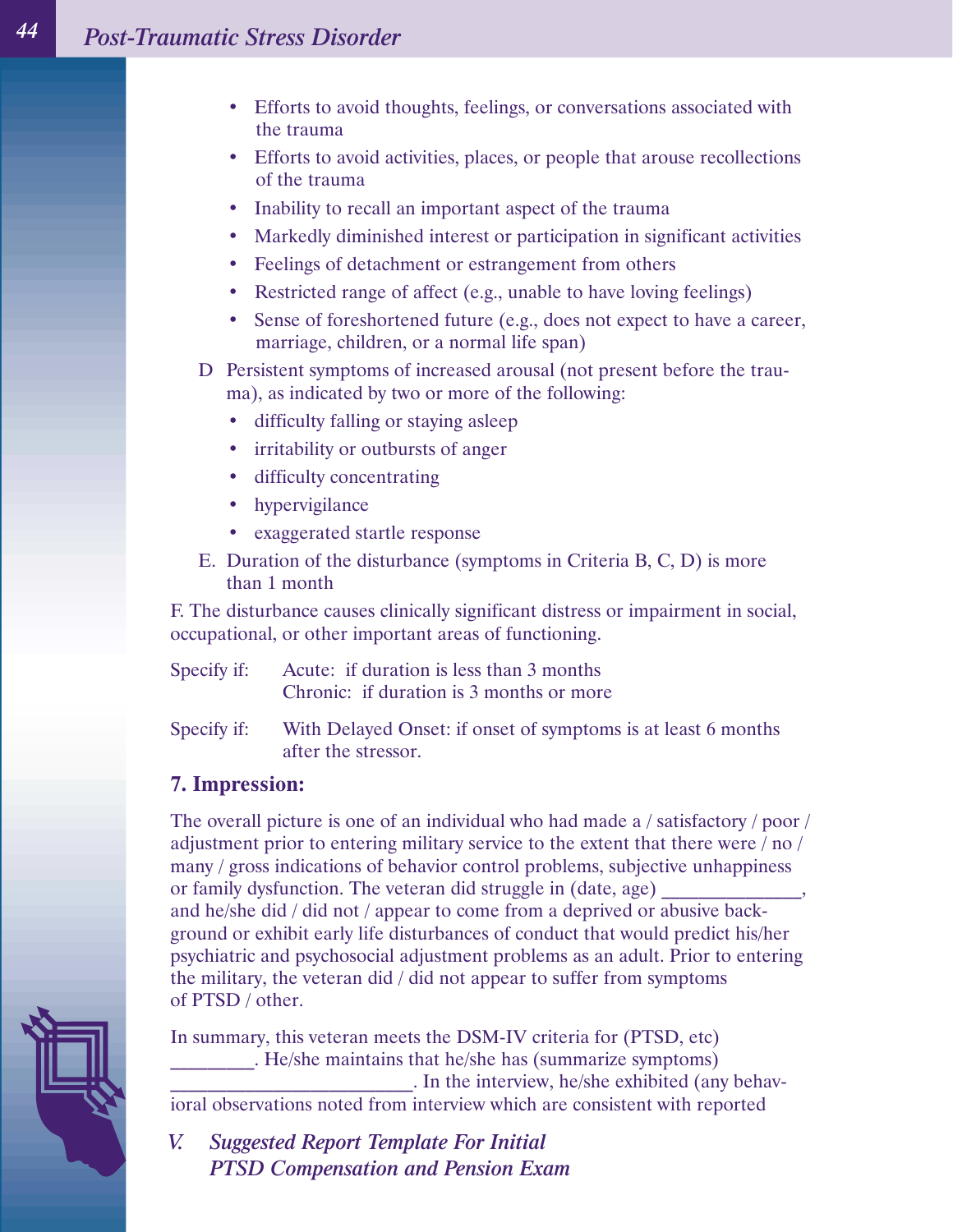- Efforts to avoid thoughts, feelings, or conversations associated with the trauma
- Efforts to avoid activities, places, or people that arouse recollections of the trauma
- Inability to recall an important aspect of the trauma
- Markedly diminished interest or participation in significant activities
- Feelings of detachment or estrangement from others
- Restricted range of affect (e.g., unable to have loving feelings)
- Sense of foreshortened future (e.g., does not expect to have a career, marriage, children, or a normal life span)
- D Persistent symptoms of increased arousal (not present before the trauma), as indicated by two or more of the following:
	- difficulty falling or staying asleep
	- irritability or outbursts of anger
	- difficulty concentrating
	- hypervigilance
	- exaggerated startle response
- E. Duration of the disturbance (symptoms in Criteria B, C, D) is more than 1 month

F. The disturbance causes clinically significant distress or impairment in social, occupational, or other important areas of functioning.

| Specify if: |  | Acute: if duration is less than 3 months |  |  |  |
|-------------|--|------------------------------------------|--|--|--|
|             |  | Chronic: if duration is 3 months or more |  |  |  |

Specify if: With Delayed Onset: if onset of symptoms is at least 6 months after the stressor.

### **7. Impression:**

The overall picture is one of an individual who had made a / satisfactory / poor / adjustment prior to entering military service to the extent that there were / no / many / gross indications of behavior control problems, subjective unhappiness or family dysfunction. The veteran did struggle in (date, age) and he/she did / did not / appear to come from a deprived or abusive background or exhibit early life disturbances of conduct that would predict his/her psychiatric and psychosocial adjustment problems as an adult. Prior to entering the military, the veteran did / did not appear to suffer from symptoms of PTSD / other.

In summary, this veteran meets the DSM-IV criteria for (PTSD, etc) \_\_\_\_\_\_\_\_\_. He/she maintains that he/she has (summarize symptoms) \_\_\_\_\_\_\_\_\_\_\_\_\_\_\_\_\_\_\_\_\_\_\_\_\_\_. In the interview, he/she exhibited (any behavioral observations noted from interview which are consistent with reported

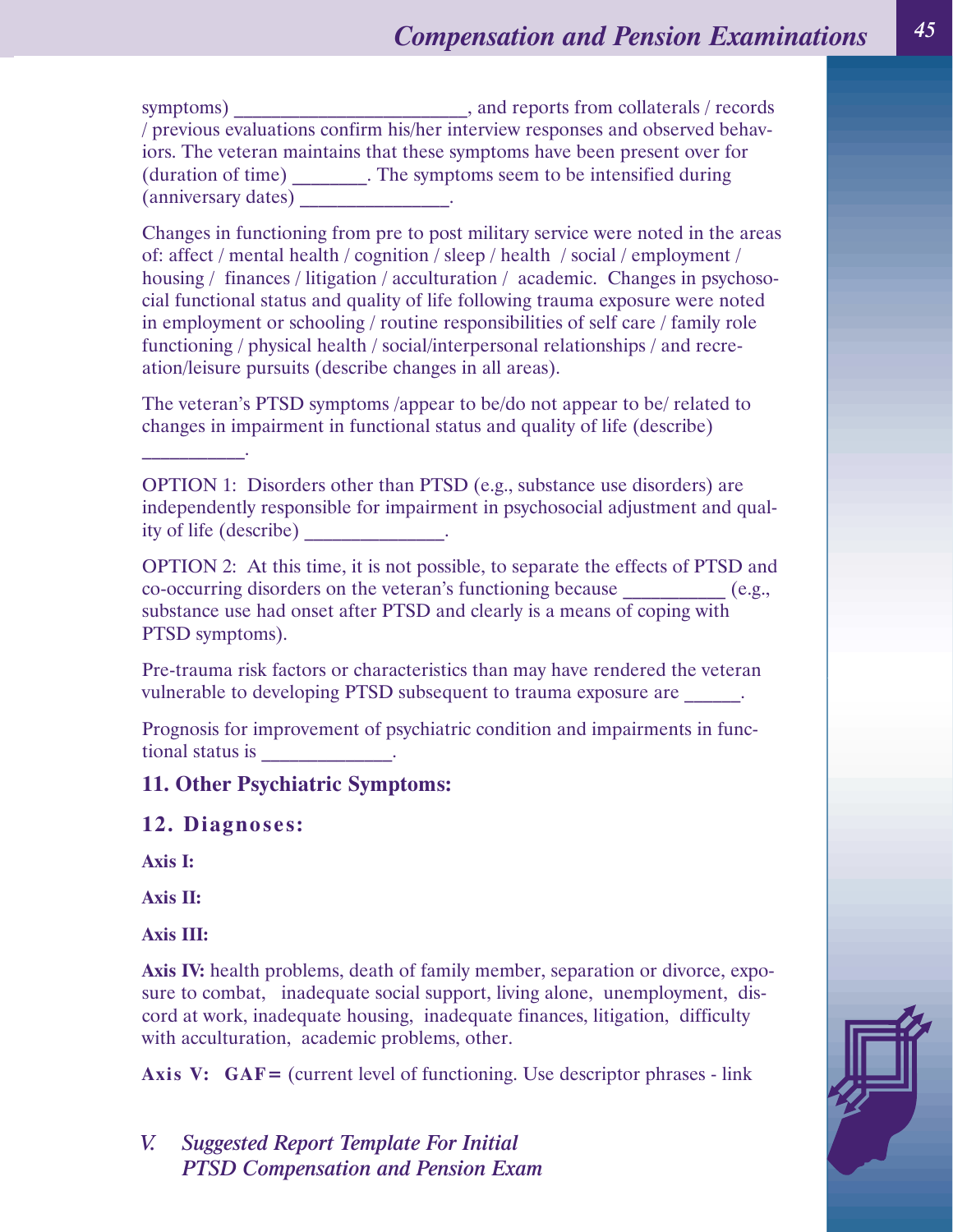symptoms) \_\_\_\_\_\_\_\_\_\_\_\_\_\_\_\_\_\_\_\_\_\_\_\_, and reports from collaterals / records / previous evaluations confirm his/her interview responses and observed behaviors. The veteran maintains that these symptoms have been present over for (duration of time) \_\_\_\_\_\_\_\_. The symptoms seem to be intensified during (anniversary dates) \_\_\_\_\_\_\_\_\_\_\_\_\_\_\_\_.

Changes in functioning from pre to post military service were noted in the areas of: affect / mental health / cognition / sleep / health / social / employment / housing / finances / litigation / acculturation / academic. Changes in psychosocial functional status and quality of life following trauma exposure were noted in employment or schooling / routine responsibilities of self care / family role functioning / physical health / social/interpersonal relationships / and recreation/leisure pursuits (describe changes in all areas).

The veteran's PTSD symptoms /appear to be/do not appear to be/ related to changes in impairment in functional status and quality of life (describe)

OPTION 1: Disorders other than PTSD (e.g., substance use disorders) are independently responsible for impairment in psychosocial adjustment and quality of life (describe) \_\_\_\_\_\_\_\_\_\_\_\_\_\_\_.

OPTION 2: At this time, it is not possible, to separate the effects of PTSD and co-occurring disorders on the veteran's functioning because \_\_\_\_\_\_\_\_\_\_\_ (e.g., substance use had onset after PTSD and clearly is a means of coping with PTSD symptoms).

Pre-trauma risk factors or characteristics than may have rendered the veteran vulnerable to developing PTSD subsequent to trauma exposure are  $\qquad \qquad$ .

Prognosis for improvement of psychiatric condition and impairments in functional status is \_\_\_\_\_\_\_\_\_\_\_\_\_\_.

### **11. Other Psychiatric Symptoms:**

#### **12. Diagnoses:**

\_\_\_\_\_\_\_\_\_\_\_.

**Axis I:**

**Axis II:**

**Axis III:**

Axis IV: health problems, death of family member, separation or divorce, exposure to combat, inadequate social support, living alone, unemployment, discord at work, inadequate housing, inadequate finances, litigation, difficulty with acculturation, academic problems, other.

Axis V: GAF = (current level of functioning. Use descriptor phrases - link

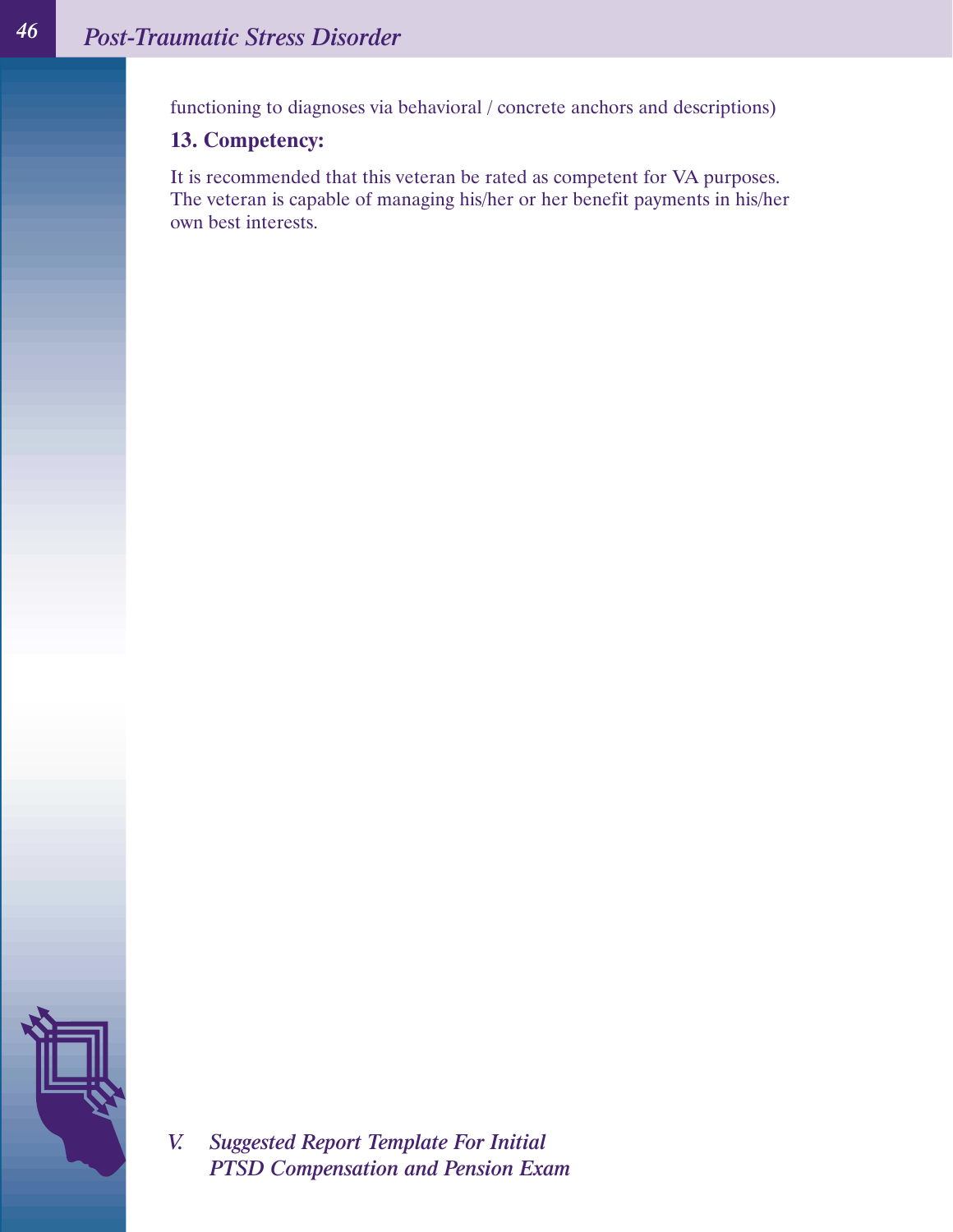functioning to diagnoses via behavioral / concrete anchors and descriptions)

## **13. Competency:**

It is recommended that this veteran be rated as competent for VA purposes. The veteran is capable of managing his/her or her benefit payments in his/her own best interests.

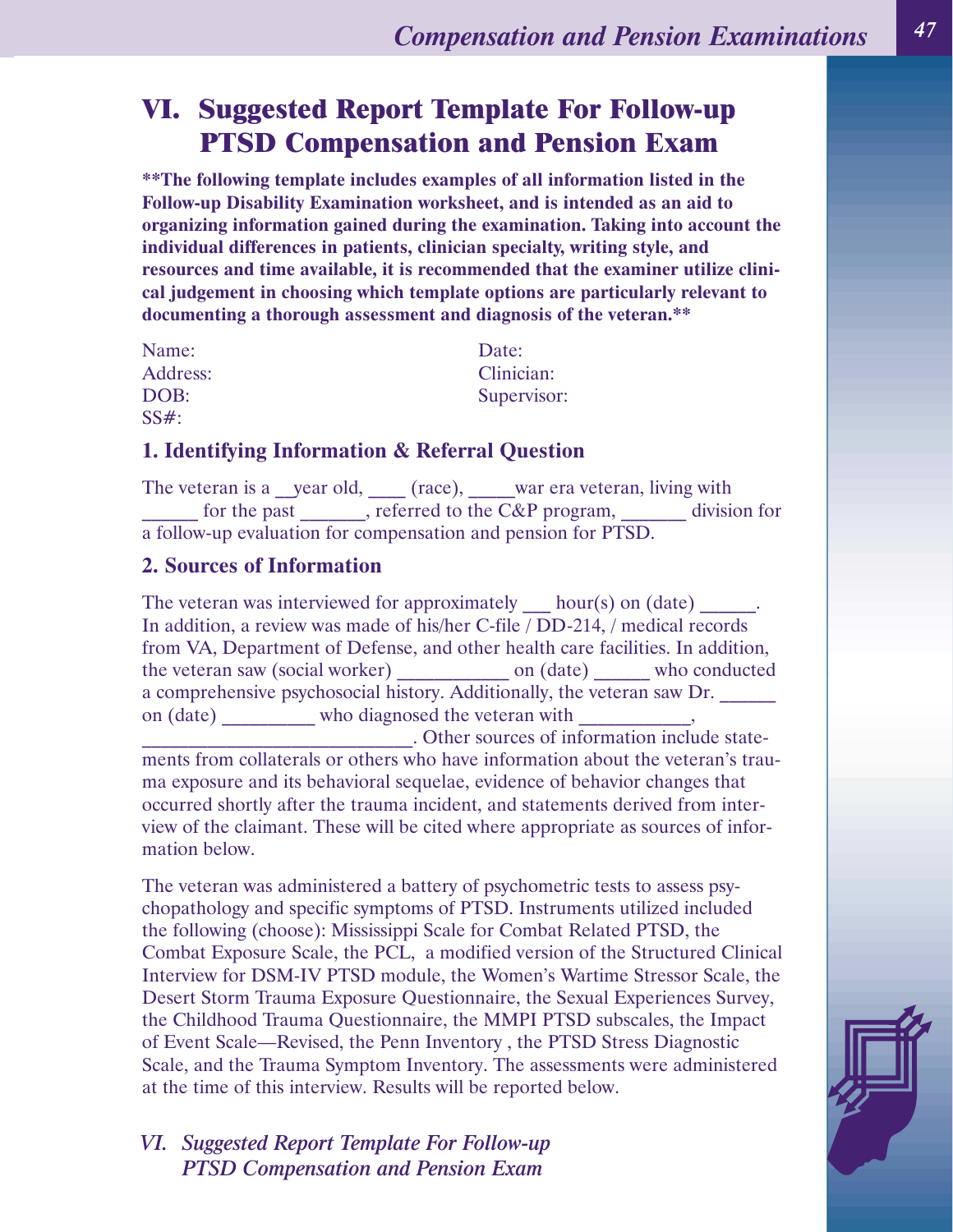# **VI. Suggested Report Template For Follow-up PTSD Compensation and Pension Exam**

**\*\*The following template includes examples of all information listed in the Follow-up Disability Examination worksheet, and is intended as an aid to organizing information gained during the examination. Taking into account the individual differences in patients, clinician specialty, writing style, and resources and time available, it is recommended that the examiner utilize clinical judgement in choosing which template options are particularly relevant to documenting a thorough assessment and diagnosis of the veteran.\*\***

| Name:    | Date:       |
|----------|-------------|
| Address: | Clinician:  |
| DOB:     | Supervisor: |
| $SS#$ :  |             |

### **1. Identifying Information & Referral Question**

The veteran is a \_\_year old, \_\_\_\_ (race), \_\_\_\_war era veteran, living with for the past \_\_\_\_\_\_, referred to the C&P program, \_\_\_\_\_\_\_ division for a follow-up evaluation for compensation and pension for PTSD.

### **2. Sources of Information**

The veteran was interviewed for approximately  $\qquad$  hour(s) on (date)  $\qquad$ . In addition, a review was made of his/her C-file / DD-214, / medical records from VA, Department of Defense, and other health care facilities. In addition, the veteran saw (social worker) \_\_\_\_\_\_\_\_\_\_\_\_ on (date) \_\_\_\_\_\_ who conducted a comprehensive psychosocial history. Additionally, the veteran saw Dr. on (date) \_\_\_\_\_\_\_\_\_\_ who diagnosed the veteran with \_

\_\_\_\_\_\_\_\_\_\_\_\_\_\_\_\_\_\_\_\_\_\_\_\_\_\_\_\_\_. Other sources of information include statements from collaterals or others who have information about the veteran's trauma exposure and its behavioral sequelae, evidence of behavior changes that occurred shortly after the trauma incident, and statements derived from interview of the claimant. These will be cited where appropriate as sources of information below.

The veteran was administered a battery of psychometric tests to assess psychopathology and specific symptoms of PTSD. Instruments utilized included the following (choose): Mississippi Scale for Combat Related PTSD, the Combat Exposure Scale, the PCL, a modified version of the Structured Clinical Interview for DSM-IV PTSD module, the Women's Wartime Stressor Scale, the Desert Storm Trauma Exposure Questionnaire, the Sexual Experiences Survey, the Childhood Trauma Questionnaire, the MMPI PTSD subscales, the Impact of Event Scale—Revised, the Penn Inventory , the PTSD Stress Diagnostic Scale, and the Trauma Symptom Inventory. The assessments were administered at the time of this interview. Results will be reported below.

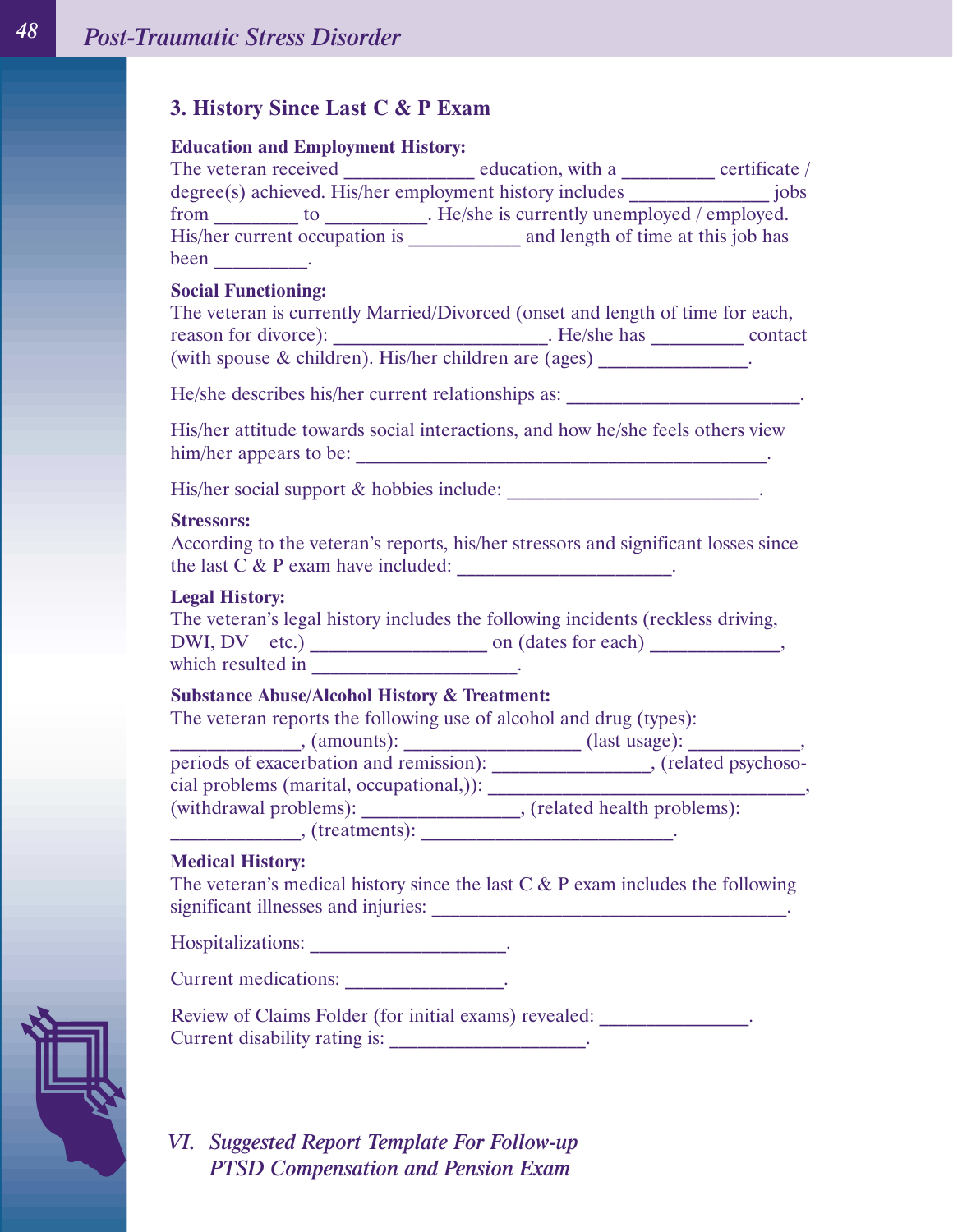### **3. History Since Last C & P Exam**

### **Education and Employment History:**

| The veteran received |                               | education, with a                                       | certificate / |
|----------------------|-------------------------------|---------------------------------------------------------|---------------|
|                      |                               | degree(s) achieved. His/her employment history includes | jobs          |
| from                 | īΩ                            | . He/she is currently unemployed / employed.            |               |
|                      | His/her current occupation is | and length of time at this job has                      |               |
| been                 |                               |                                                         |               |

### **Social Functioning:**

|                                                          | The veteran is currently Married/Divorced (onset and length of time for each, |         |
|----------------------------------------------------------|-------------------------------------------------------------------------------|---------|
| reason for divorce):                                     | . He/she has                                                                  | contact |
| (with spouse $\&$ children). His/her children are (ages) |                                                                               |         |

He/she describes his/her current relationships as:

His/her attitude towards social interactions, and how he/she feels others view him/her appears to be: \_\_\_\_\_\_\_\_\_\_\_\_\_\_\_\_\_\_\_\_\_\_\_\_\_\_\_\_\_\_\_\_\_\_\_\_\_\_\_\_\_\_\_\_.

His/her social support & hobbies include:

#### **Stressors:**

According to the veteran's reports, his/her stressors and significant losses since the last C & P exam have included: \_\_\_\_\_\_\_\_\_\_\_\_\_\_\_\_\_\_\_\_\_\_\_.

#### **Legal History:**

The veteran's legal history includes the following incidents (reckless driving, DWI, DV etc.) \_\_\_\_\_\_\_\_\_\_\_\_\_\_\_\_\_\_\_ on (dates for each) \_\_\_\_\_\_\_\_\_\_\_\_\_\_, which resulted in

### **Substance Abuse/Alcohol History & Treatment:**

| The veteran reports the following use of alcohol and drug (types): |                            |
|--------------------------------------------------------------------|----------------------------|
| (amounts):                                                         | $last usage):$             |
| periods of exacerbation and remission):                            | , (related psychoso-       |
| cial problems (marital, occupational,)):                           |                            |
| (withdrawal problems):                                             | (related health problems): |
| (treatments):                                                      |                            |

### **Medical History:**

The veteran's medical history since the last C & P exam includes the following significant illnesses and injuries: \_\_\_\_\_\_\_\_\_\_\_\_\_\_\_\_\_\_\_\_\_\_\_\_\_\_\_\_\_\_\_\_\_\_\_\_\_\_.

Hospitalizations: \_\_\_\_\_\_\_\_\_\_\_\_\_\_\_\_\_\_\_\_\_\_\_\_.

Current medications: \_\_\_\_\_\_\_\_\_\_\_\_\_\_\_\_\_\_.

| Review of Claims Folder (for initial exams) revealed: |  |  |  |
|-------------------------------------------------------|--|--|--|
| Current disability rating is:                         |  |  |  |

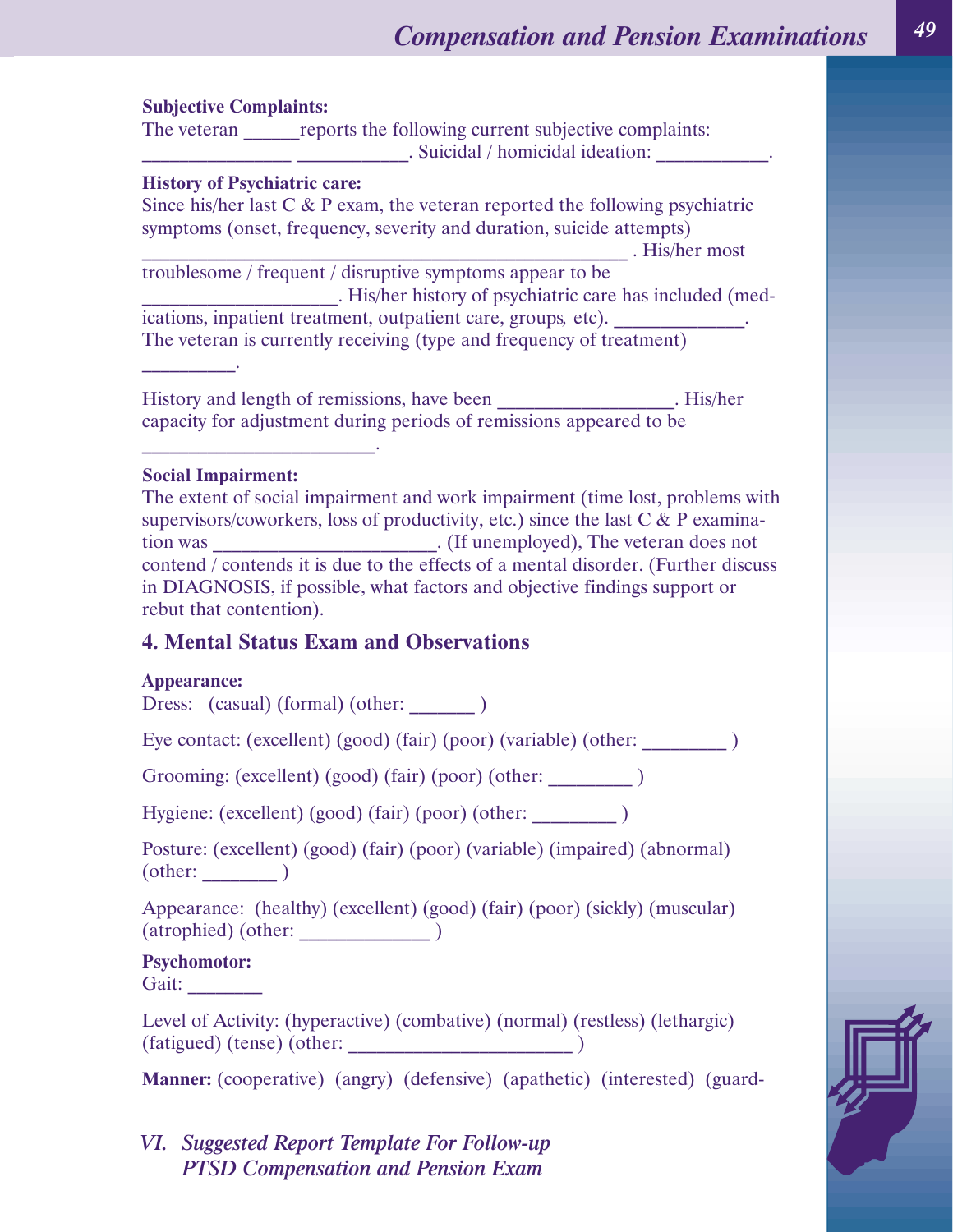### **Subjective Complaints:**

The veteran reports the following current subjective complaints: . Suicidal / homicidal ideation:

### **History of Psychiatric care:**

Since his/her last  $C \& P$  exam, the veteran reported the following psychiatric symptoms (onset, frequency, severity and duration, suicide attempts)  $\overline{\phantom{a}}$ . His/her most

troublesome / frequent / disruptive symptoms appear to be \_\_\_\_\_\_\_\_\_\_\_\_\_\_\_\_\_\_\_\_\_. His/her history of psychiatric care has included (medications, inpatient treatment, outpatient care, groups, etc). The veteran is currently receiving (type and frequency of treatment)

History and length of remissions, have been \_\_\_\_\_\_\_\_\_\_\_\_\_\_\_\_\_\_\_. His/her capacity for adjustment during periods of remissions appeared to be

### **Social Impairment:**

\_\_\_\_\_\_\_\_\_\_\_\_\_\_\_\_\_\_\_\_\_\_\_\_\_.

 $\overline{\phantom{a}}$ 

The extent of social impairment and work impairment (time lost, problems with supervisors/coworkers, loss of productivity, etc.) since the last  $C \& P$  examination was \_\_\_\_\_\_\_\_\_\_\_\_\_\_\_\_\_\_\_\_\_\_\_\_. (If unemployed), The veteran does not contend / contends it is due to the effects of a mental disorder. (Further discuss in DIAGNOSIS, if possible, what factors and objective findings support or rebut that contention).

### **4. Mental Status Exam and Observations**

#### **Appearance:**

Dress: (casual) (formal) (other:  $\qquad$ )

Eye contact: (excellent) (good) (fair) (poor) (variable) (other:  $\qquad \qquad$  )

Grooming: (excellent) (good) (fair) (poor) (other: \_\_\_\_\_\_\_\_\_ )

Hygiene: (excellent) (good) (fair) (poor) (other:  $\qquad \qquad$  )

Posture: (excellent) (good) (fair) (poor) (variable) (impaired) (abnormal)  $(other: )$ 

Appearance: (healthy) (excellent) (good) (fair) (poor) (sickly) (muscular) (atrophied) (other: \_\_\_\_\_\_\_\_\_\_\_\_\_\_ )

### **Psychomotor:**

Gait:

Level of Activity: (hyperactive) (combative) (normal) (restless) (lethargic)  $(fatigued)$  (tense) (other:  $\qquad \qquad$ )

**Manner:** (cooperative) (angry) (defensive) (apathetic) (interested) (guard-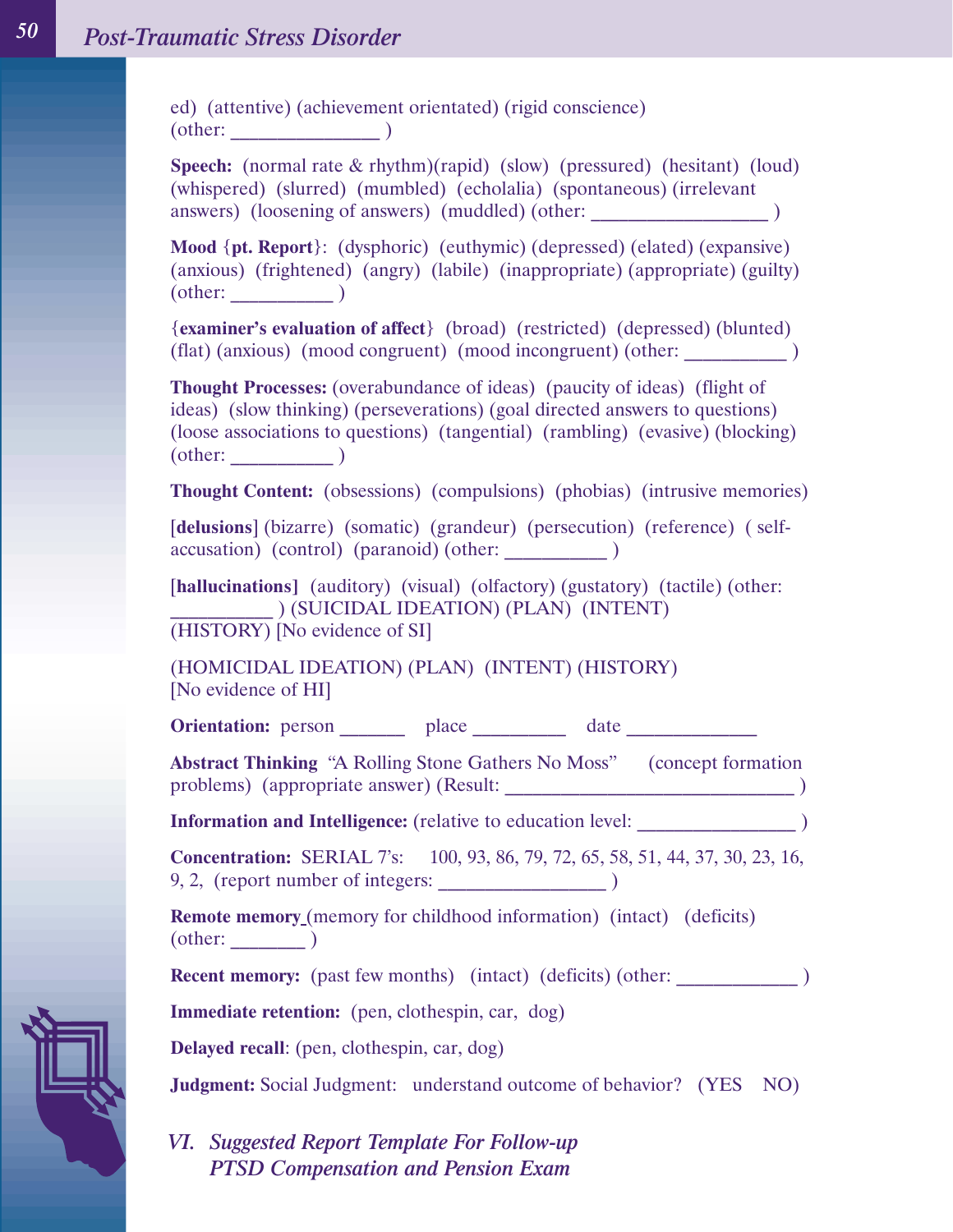ed) (attentive) (achievement orientated) (rigid conscience)  $(other: )$ 

**Speech:** (normal rate & rhythm)(rapid) (slow) (pressured) (hesitant) (loud) (whispered) (slurred) (mumbled) (echolalia) (spontaneous) (irrelevant answers) (loosening of answers) (muddled) (other:  $\qquad \qquad$  )

**Mood** {**pt. Report**}: (dysphoric) (euthymic) (depressed) (elated) (expansive) (anxious) (frightened) (angry) (labile) (inappropriate) (appropriate) (guilty)  $(other: )$ 

{**examiner's evaluation of affect**} (broad) (restricted) (depressed) (blunted) (flat) (anxious) (mood congruent) (mood incongruent) (other: \_\_\_\_\_\_\_\_\_\_\_ )

**Thought Processes:** (overabundance of ideas) (paucity of ideas) (flight of ideas) (slow thinking) (perseverations) (goal directed answers to questions) (loose associations to questions) (tangential) (rambling) (evasive) (blocking)  $(other: )$ 

**Thought Content:** (obsessions) (compulsions) (phobias) (intrusive memories)

[**delusions**] (bizarre) (somatic) (grandeur) (persecution) (reference) ( selfaccusation) (control) (paranoid) (other:  $\qquad \qquad$ )

[**hallucinations]** (auditory) (visual) (olfactory) (gustatory) (tactile) (other: \_\_\_\_\_\_\_\_\_\_\_ ) (SUICIDAL IDEATION) (PLAN) (INTENT) (HISTORY) [No evidence of SI]

(HOMICIDAL IDEATION) (PLAN) (INTENT) (HISTORY) [No evidence of HI]

**Orientation:** person \_\_\_\_\_\_\_ place \_\_\_\_\_\_\_\_\_\_ date \_\_\_\_\_\_\_\_\_\_\_\_\_\_

**Abstract Thinking** "A Rolling Stone Gathers No Moss" (concept formation problems) (appropriate answer) (Result: \_\_\_\_\_\_\_\_\_\_\_\_\_\_\_\_\_\_\_\_\_\_\_\_\_\_\_\_\_\_\_ )

**Information and Intelligence:** (relative to education level:  $\qquad \qquad$  )

**Concentration:** SERIAL 7's: 100, 93, 86, 79, 72, 65, 58, 51, 44, 37, 30, 23, 16, 9, 2, (report number of integers:  $\frac{1}{2}$ 

**Remote memory** (memory for childhood information) (intact) (deficits)  $\text{(other:}\_\_\_\_\_$ 

**Recent memory:** (past few months) (intact) (deficits) (other:

**Immediate retention:** (pen, clothespin, car, dog)

**Delayed recall**: (pen, clothespin, car, dog)

**Judgment:** Social Judgment: understand outcome of behavior? (YES NO)

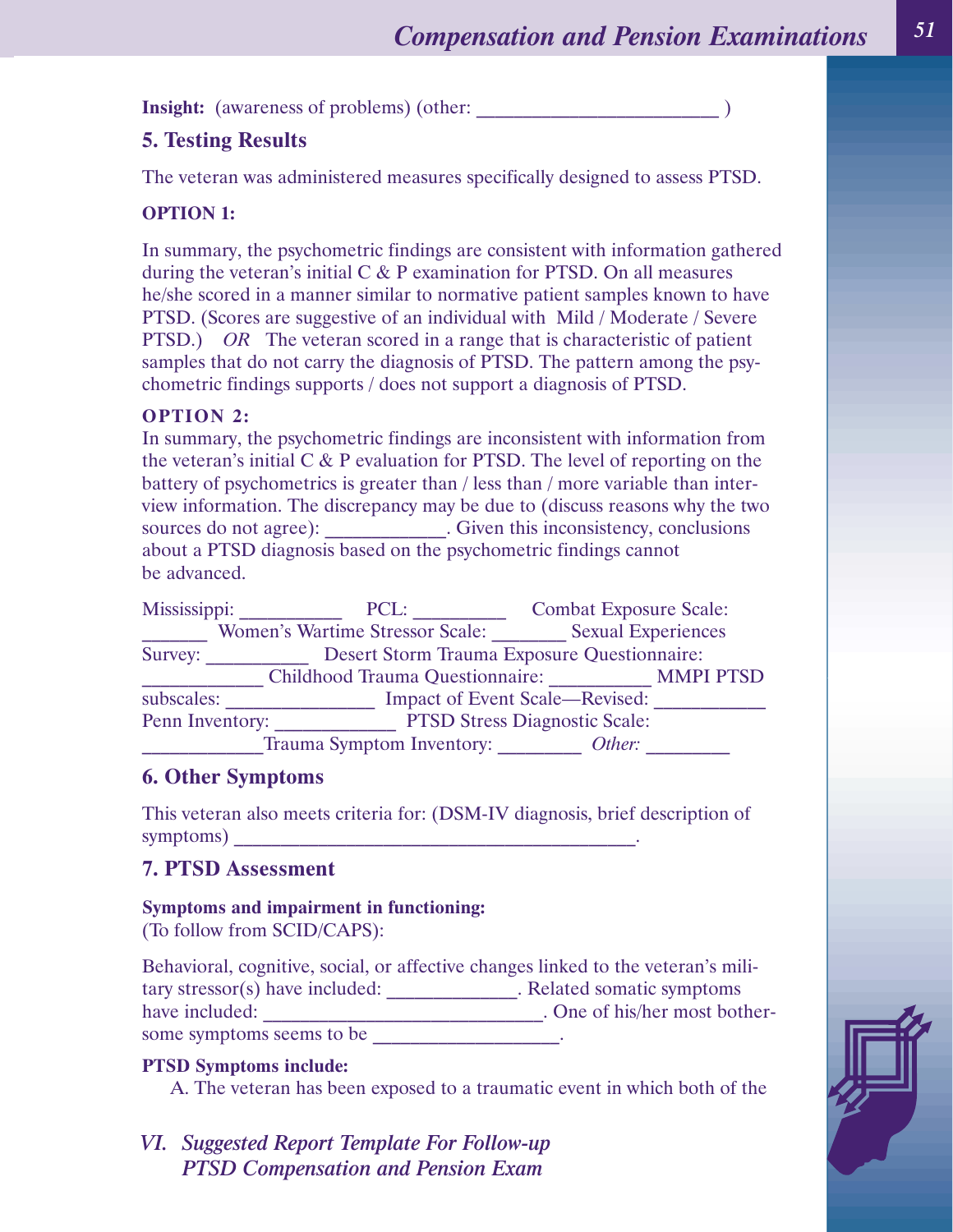**Insight:** (awareness of problems) (other:  $\qquad \qquad$ )

### **5. Testing Results**

The veteran was administered measures specifically designed to assess PTSD.

#### **OPTION 1:**

In summary, the psychometric findings are consistent with information gathered during the veteran's initial C & P examination for PTSD. On all measures he/she scored in a manner similar to normative patient samples known to have PTSD. (Scores are suggestive of an individual with Mild / Moderate / Severe PTSD.) *OR* The veteran scored in a range that is characteristic of patient samples that do not carry the diagnosis of PTSD. The pattern among the psychometric findings supports / does not support a diagnosis of PTSD.

#### **OPTION 2:**

In summary, the psychometric findings are inconsistent with information from the veteran's initial C & P evaluation for PTSD. The level of reporting on the battery of psychometrics is greater than / less than / more variable than interview information. The discrepancy may be due to (discuss reasons why the two sources do not agree): \_\_\_\_\_\_\_\_\_\_\_\_. Given this inconsistency, conclusions about a PTSD diagnosis based on the psychometric findings cannot be advanced.

| Mississippi:    | PCL:                                   | <b>Combat Exposure Scale:</b>               |  |  |  |  |
|-----------------|----------------------------------------|---------------------------------------------|--|--|--|--|
|                 | <b>Women's Wartime Stressor Scale:</b> | <b>Sexual Experiences</b>                   |  |  |  |  |
| Survey:         |                                        | Desert Storm Trauma Exposure Questionnaire: |  |  |  |  |
|                 | <b>Childhood Trauma Questionnaire:</b> | <b>MMPI PTSD</b>                            |  |  |  |  |
| subscales:      |                                        | <b>Impact of Event Scale—Revised:</b>       |  |  |  |  |
| Penn Inventory: |                                        | <b>PTSD Stress Diagnostic Scale:</b>        |  |  |  |  |
|                 | Trauma Symptom Inventory:              | Other:                                      |  |  |  |  |

#### **6. Other Symptoms**

This veteran also meets criteria for: (DSM-IV diagnosis, brief description of symptoms)

### **7. PTSD Assessment**

#### **Symptoms and impairment in functioning:**

(To follow from SCID/CAPS):

Behavioral, cognitive, social, or affective changes linked to the veteran's military stressor(s) have included: \_\_\_\_\_\_\_\_\_\_\_\_\_\_. Related somatic symptoms have included: \_\_\_\_\_\_\_\_\_\_\_\_\_\_\_\_\_\_\_\_\_\_\_\_\_\_\_\_\_\_\_. One of his/her most bothersome symptoms seems to be \_\_\_\_\_\_\_\_\_\_\_\_\_\_\_\_\_\_.

### **PTSD Symptoms include:**

A. The veteran has been exposed to a traumatic event in which both of the

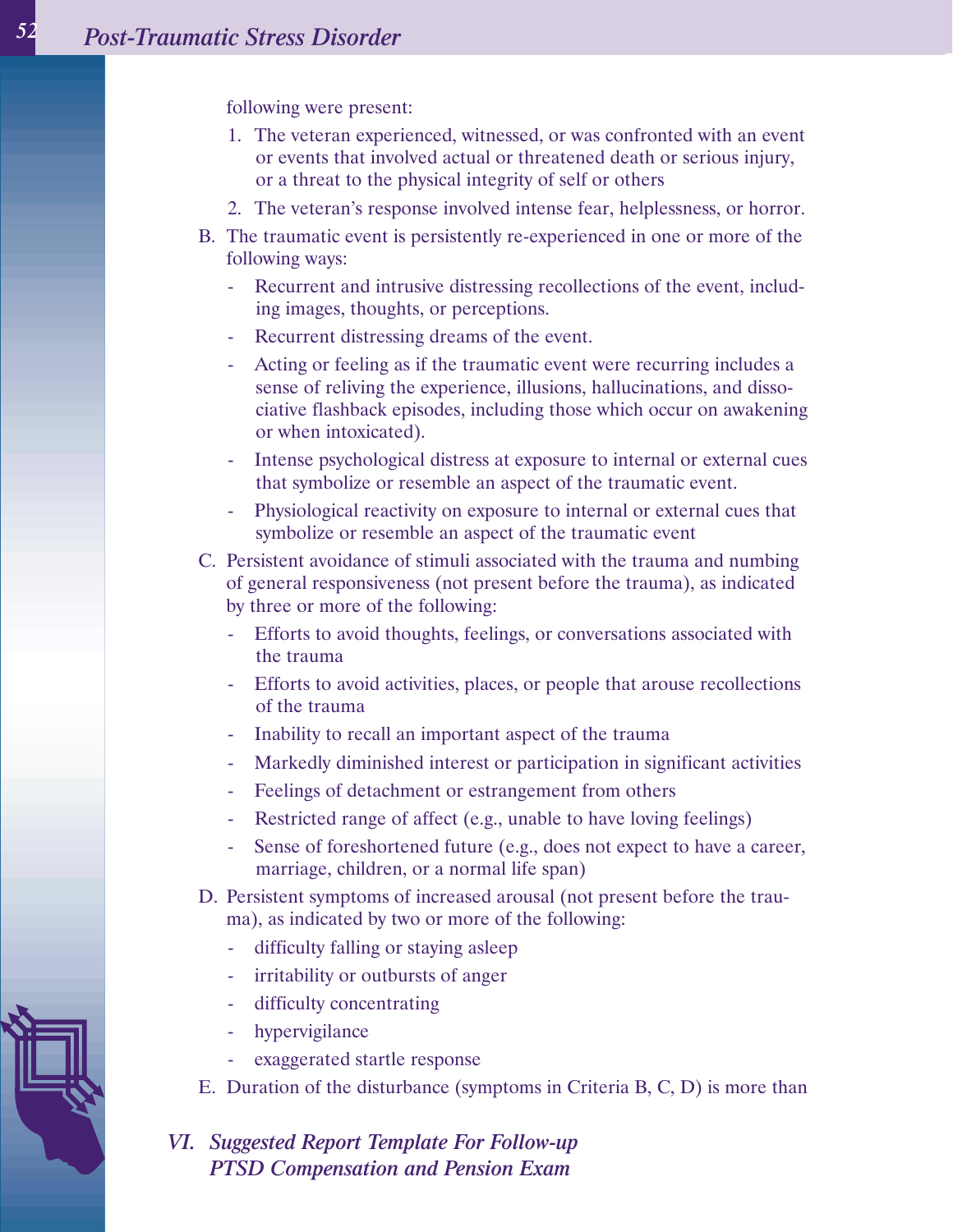following were present:

- 1. The veteran experienced, witnessed, or was confronted with an event or events that involved actual or threatened death or serious injury, or a threat to the physical integrity of self or others
- 2. The veteran's response involved intense fear, helplessness, or horror.
- B. The traumatic event is persistently re-experienced in one or more of the following ways:
	- Recurrent and intrusive distressing recollections of the event, including images, thoughts, or perceptions.
	- Recurrent distressing dreams of the event.
	- Acting or feeling as if the traumatic event were recurring includes a sense of reliving the experience, illusions, hallucinations, and dissociative flashback episodes, including those which occur on awakening or when intoxicated).
	- Intense psychological distress at exposure to internal or external cues that symbolize or resemble an aspect of the traumatic event.
	- Physiological reactivity on exposure to internal or external cues that symbolize or resemble an aspect of the traumatic event
- C. Persistent avoidance of stimuli associated with the trauma and numbing of general responsiveness (not present before the trauma), as indicated by three or more of the following:
	- Efforts to avoid thoughts, feelings, or conversations associated with the trauma
	- Efforts to avoid activities, places, or people that arouse recollections of the trauma
	- Inability to recall an important aspect of the trauma
	- Markedly diminished interest or participation in significant activities
	- Feelings of detachment or estrangement from others
	- Restricted range of affect (e.g., unable to have loving feelings)
	- Sense of foreshortened future (e.g., does not expect to have a career, marriage, children, or a normal life span)
- D. Persistent symptoms of increased arousal (not present before the trauma), as indicated by two or more of the following:
	- difficulty falling or staying asleep
	- irritability or outbursts of anger
	- difficulty concentrating
	- hypervigilance
	- exaggerated startle response
- E. Duration of the disturbance (symptoms in Criteria B, C, D) is more than
- *VI. Suggested Report Template For Follow-up PTSD Compensation and Pension Exam*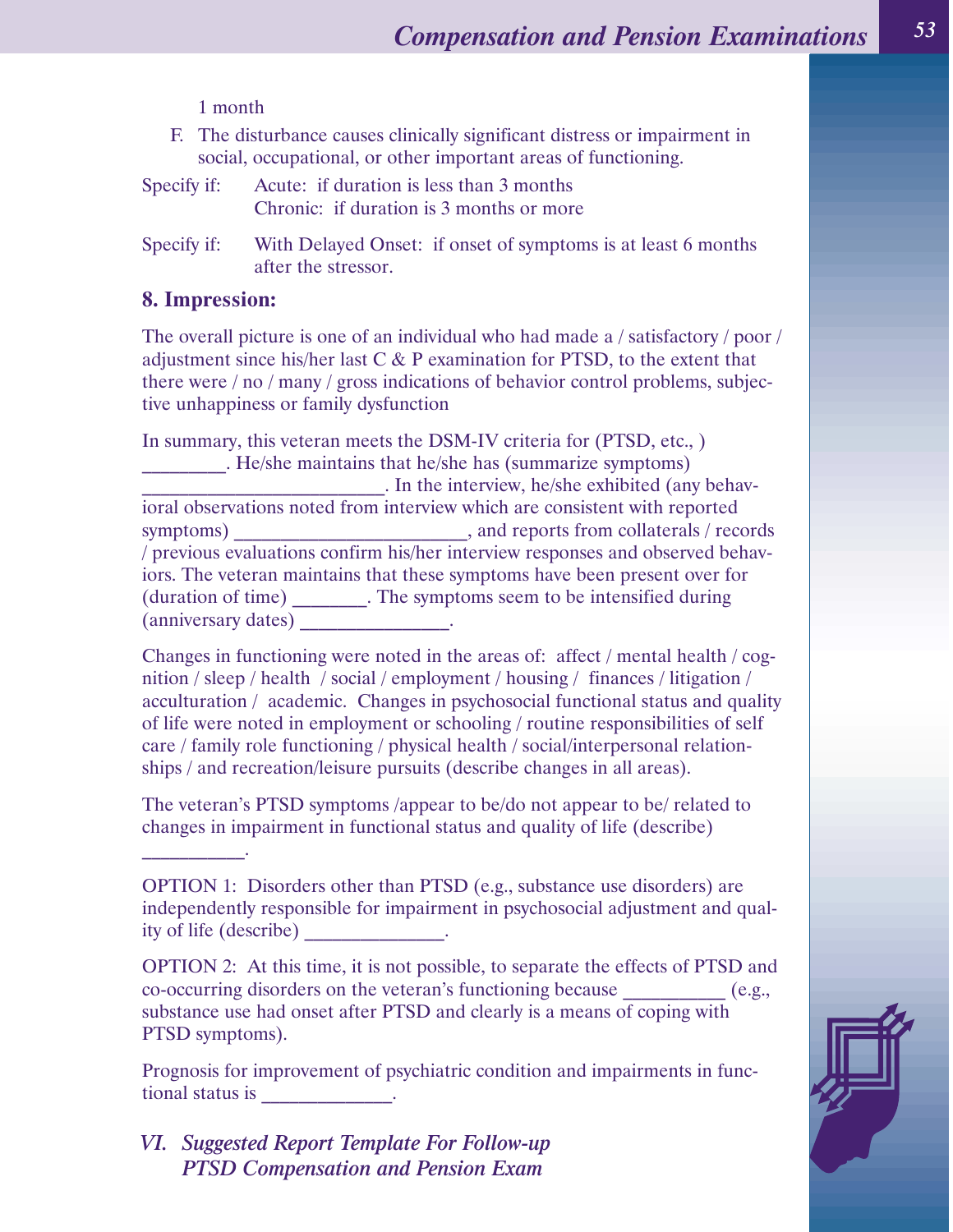1 month

- F. The disturbance causes clinically significant distress or impairment in social, occupational, or other important areas of functioning.
- Specify if: Acute: if duration is less than 3 months Chronic: if duration is 3 months or more
- Specify if: With Delayed Onset: if onset of symptoms is at least 6 months after the stressor.

### **8. Impression:**

 $\overline{\phantom{a}}$ 

The overall picture is one of an individual who had made a / satisfactory / poor / adjustment since his/her last C & P examination for PTSD, to the extent that there were / no / many / gross indications of behavior control problems, subjective unhappiness or family dysfunction

In summary, this veteran meets the DSM-IV criteria for (PTSD, etc., ) \_\_\_\_\_\_\_\_\_. He/she maintains that he/she has (summarize symptoms) . In the interview, he/she exhibited (any behavioral observations noted from interview which are consistent with reported symptoms) \_\_\_\_\_\_\_\_\_\_\_\_\_\_\_\_\_\_\_\_\_\_\_\_, and reports from collaterals / records / previous evaluations confirm his/her interview responses and observed behaviors. The veteran maintains that these symptoms have been present over for (duration of time) \_\_\_\_\_\_\_\_. The symptoms seem to be intensified during

(anniversary dates) \_\_\_\_\_\_\_\_\_\_\_\_\_\_\_\_.

Changes in functioning were noted in the areas of: affect / mental health / cognition / sleep / health / social / employment / housing / finances / litigation / acculturation / academic. Changes in psychosocial functional status and quality of life were noted in employment or schooling / routine responsibilities of self care / family role functioning / physical health / social/interpersonal relationships / and recreation/leisure pursuits (describe changes in all areas).

The veteran's PTSD symptoms /appear to be/do not appear to be/ related to changes in impairment in functional status and quality of life (describe)

OPTION 1: Disorders other than PTSD (e.g., substance use disorders) are independently responsible for impairment in psychosocial adjustment and quality of life (describe) \_\_\_\_\_\_\_\_\_\_\_\_\_\_\_.

OPTION 2: At this time, it is not possible, to separate the effects of PTSD and co-occurring disorders on the veteran's functioning because \_\_\_\_\_\_\_\_\_\_\_ (e.g., substance use had onset after PTSD and clearly is a means of coping with PTSD symptoms).

Prognosis for improvement of psychiatric condition and impairments in functional status is  $\qquad \qquad$ 

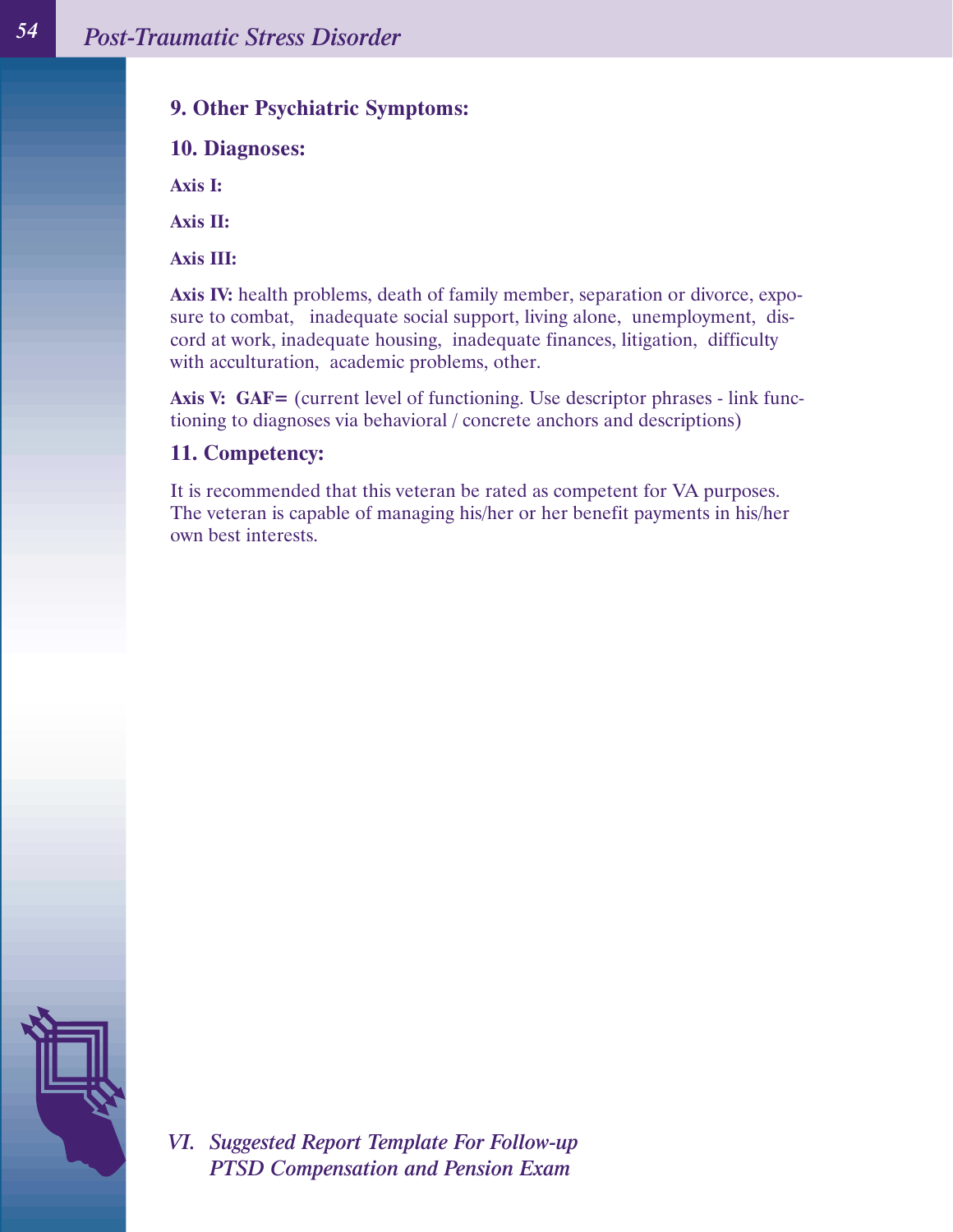### **9. Other Psychiatric Symptoms:**

**10. Diagnoses:**

**Axis I:**

**Axis II:**

**Axis III:**

Axis IV: health problems, death of family member, separation or divorce, exposure to combat, inadequate social support, living alone, unemployment, discord at work, inadequate housing, inadequate finances, litigation, difficulty with acculturation, academic problems, other.

**Axis V: GAF=** (current level of functioning. Use descriptor phrases - link functioning to diagnoses via behavioral / concrete anchors and descriptions)

### **11. Competency:**

It is recommended that this veteran be rated as competent for VA purposes. The veteran is capable of managing his/her or her benefit payments in his/her own best interests.

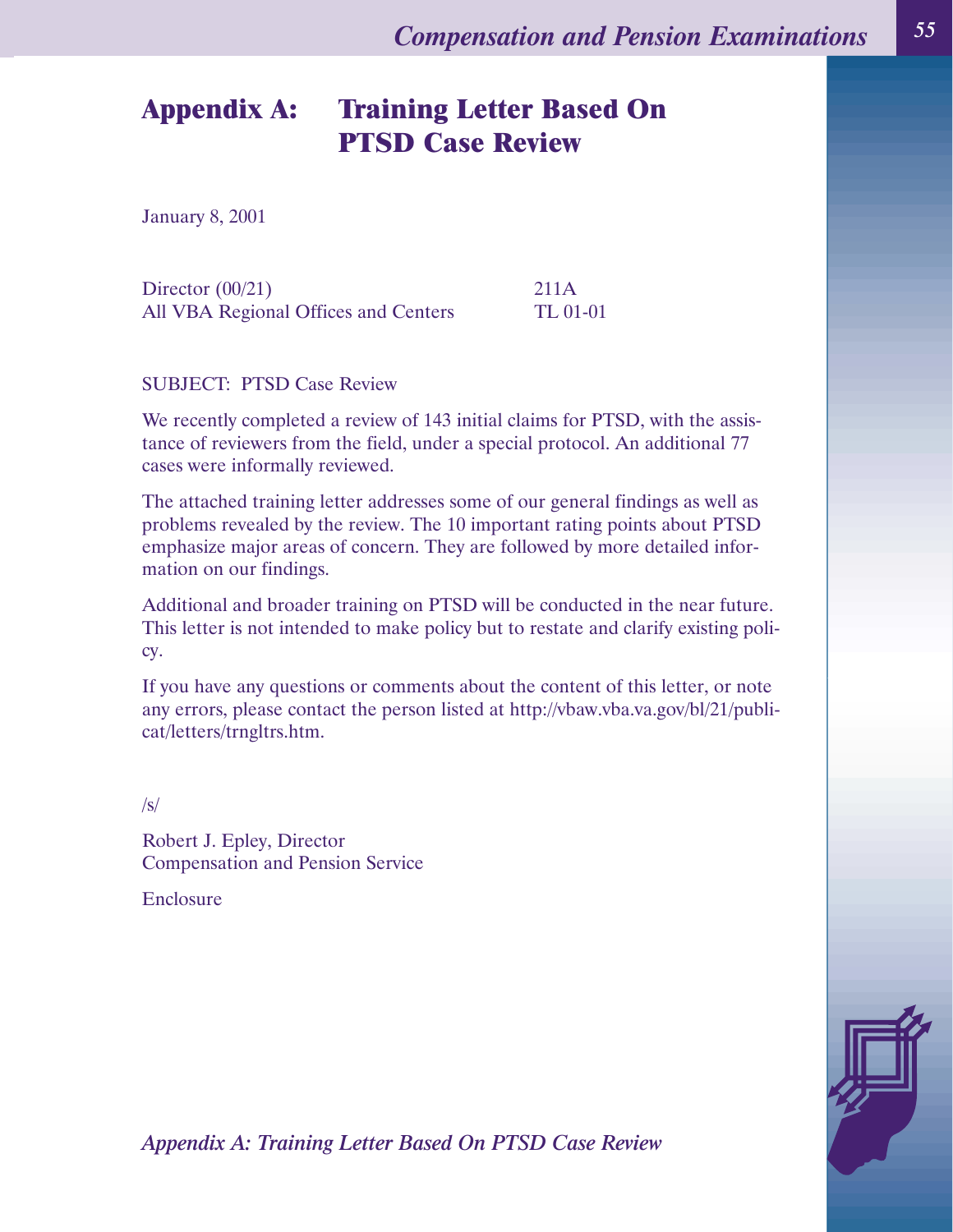# **Appendix A: Training Letter Based On PTSD Case Review**

January 8, 2001

Director (00/21) 211A All VBA Regional Offices and Centers TL 01-01

SUBJECT: PTSD Case Review

We recently completed a review of 143 initial claims for PTSD, with the assistance of reviewers from the field, under a special protocol. An additional 77 cases were informally reviewed.

The attached training letter addresses some of our general findings as well as problems revealed by the review. The 10 important rating points about PTSD emphasize major areas of concern. They are followed by more detailed information on our findings.

Additional and broader training on PTSD will be conducted in the near future. This letter is not intended to make policy but to restate and clarify existing policy.

If you have any questions or comments about the content of this letter, or note any errors, please contact the person listed at http://vbaw.vba.va.gov/bl/21/publicat/letters/trngltrs.htm.

/s/

Robert J. Epley, Director Compensation and Pension Service

Enclosure

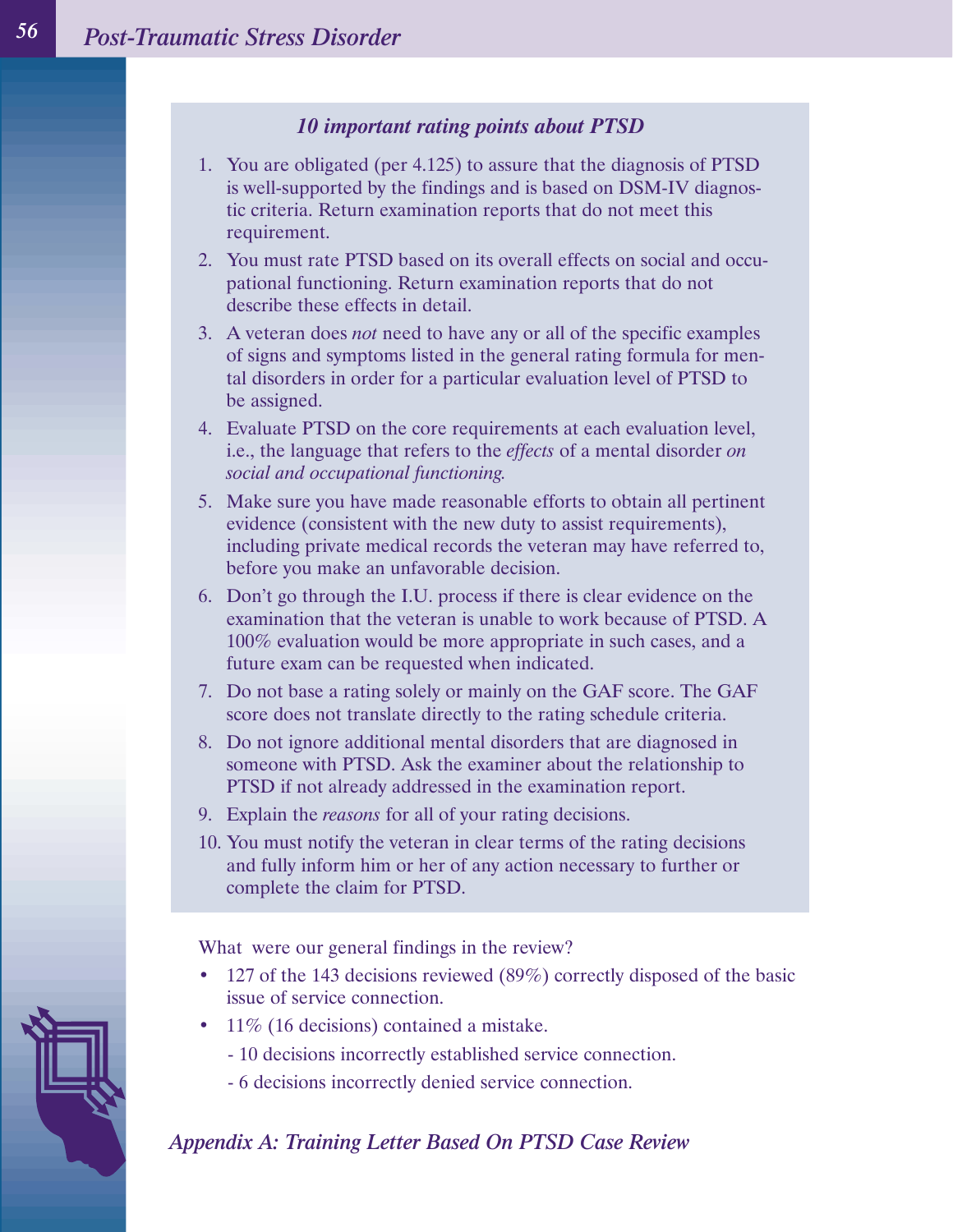### *10 important rating points about PTSD*

- 1. You are obligated (per 4.125) to assure that the diagnosis of PTSD is well-supported by the findings and is based on DSM-IV diagnostic criteria. Return examination reports that do not meet this requirement.
- 2. You must rate PTSD based on its overall effects on social and occupational functioning. Return examination reports that do not describe these effects in detail.
- 3. A veteran does *not* need to have any or all of the specific examples of signs and symptoms listed in the general rating formula for mental disorders in order for a particular evaluation level of PTSD to be assigned.
- 4. Evaluate PTSD on the core requirements at each evaluation level, i.e., the language that refers to the *effects* of a mental disorder *on social and occupational functioning.*
- 5. Make sure you have made reasonable efforts to obtain all pertinent evidence (consistent with the new duty to assist requirements), including private medical records the veteran may have referred to, before you make an unfavorable decision.
- 6. Don't go through the I.U. process if there is clear evidence on the examination that the veteran is unable to work because of PTSD. A 100% evaluation would be more appropriate in such cases, and a future exam can be requested when indicated.
- 7. Do not base a rating solely or mainly on the GAF score. The GAF score does not translate directly to the rating schedule criteria.
- 8. Do not ignore additional mental disorders that are diagnosed in someone with PTSD. Ask the examiner about the relationship to PTSD if not already addressed in the examination report.
- 9. Explain the *reasons* for all of your rating decisions.
- 10. You must notify the veteran in clear terms of the rating decisions and fully inform him or her of any action necessary to further or complete the claim for PTSD.

What were our general findings in the review?

- 127 of the 143 decisions reviewed (89%) correctly disposed of the basic issue of service connection.
- $11\%$  (16 decisions) contained a mistake.
	- 10 decisions incorrectly established service connection.
	- 6 decisions incorrectly denied service connection.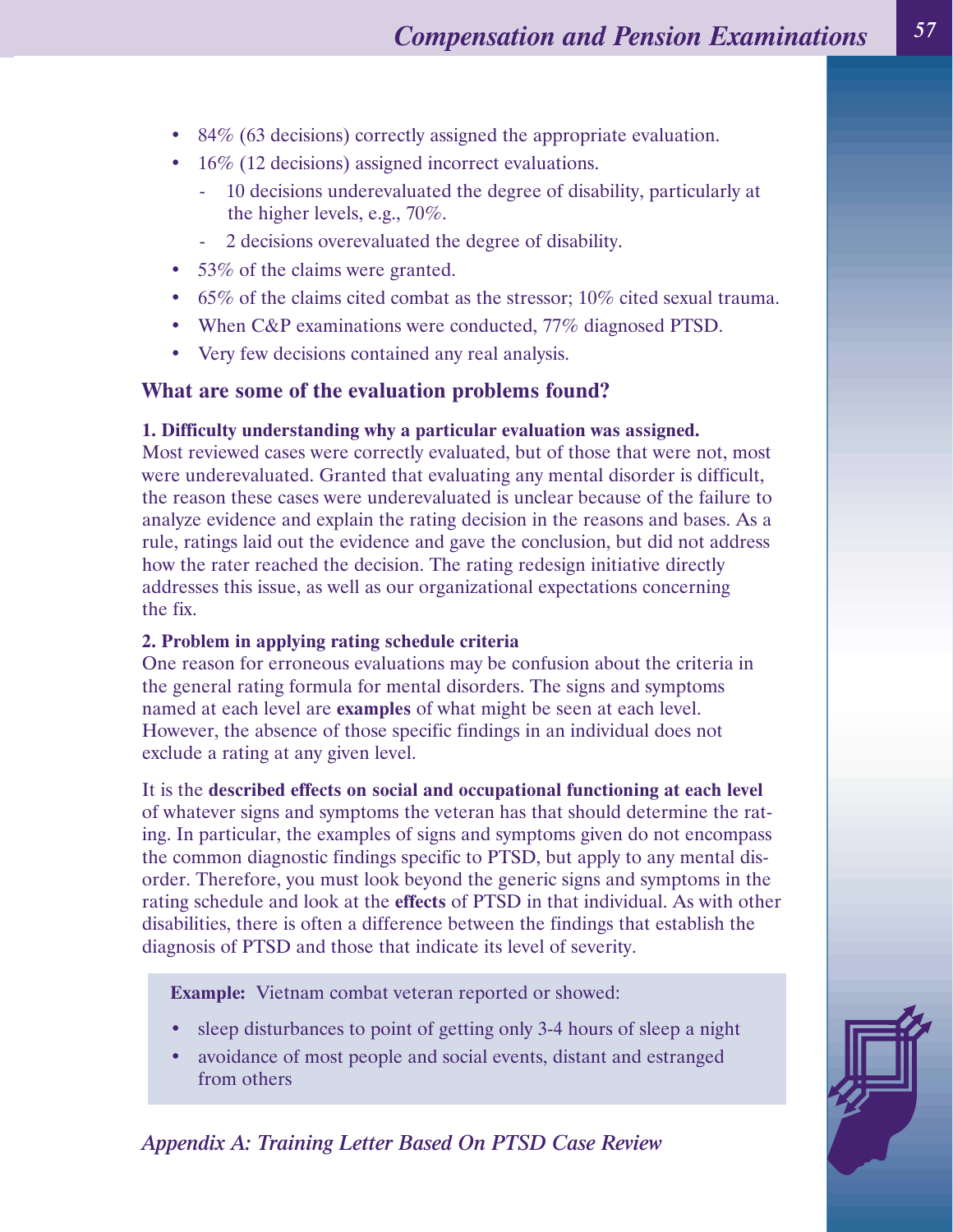- 84% (63 decisions) correctly assigned the appropriate evaluation.
- 16% (12 decisions) assigned incorrect evaluations.
	- 10 decisions underevaluated the degree of disability, particularly at the higher levels, e.g., 70%.
	- 2 decisions overevaluated the degree of disability.
- 53% of the claims were granted.
- 65% of the claims cited combat as the stressor;  $10\%$  cited sexual trauma.
- When C&P examinations were conducted, 77% diagnosed PTSD.
- Very few decisions contained any real analysis.

### **What are some of the evaluation problems found?**

#### **1. Difficulty understanding why a particular evaluation was assigned.**

Most reviewed cases were correctly evaluated, but of those that were not, most were underevaluated. Granted that evaluating any mental disorder is difficult, the reason these cases were underevaluated is unclear because of the failure to analyze evidence and explain the rating decision in the reasons and bases. As a rule, ratings laid out the evidence and gave the conclusion, but did not address how the rater reached the decision. The rating redesign initiative directly addresses this issue, as well as our organizational expectations concerning the fix.

#### **2. Problem in applying rating schedule criteria**

One reason for erroneous evaluations may be confusion about the criteria in the general rating formula for mental disorders. The signs and symptoms named at each level are **examples** of what might be seen at each level. However, the absence of those specific findings in an individual does not exclude a rating at any given level.

#### It is the **described effects on social and occupational functioning at each level**

of whatever signs and symptoms the veteran has that should determine the rating. In particular, the examples of signs and symptoms given do not encompass the common diagnostic findings specific to PTSD, but apply to any mental disorder. Therefore, you must look beyond the generic signs and symptoms in the rating schedule and look at the **effects** of PTSD in that individual. As with other disabilities, there is often a difference between the findings that establish the diagnosis of PTSD and those that indicate its level of severity.

**Example:** Vietnam combat veteran reported or showed:

- sleep disturbances to point of getting only 3-4 hours of sleep a night
- avoidance of most people and social events, distant and estranged from others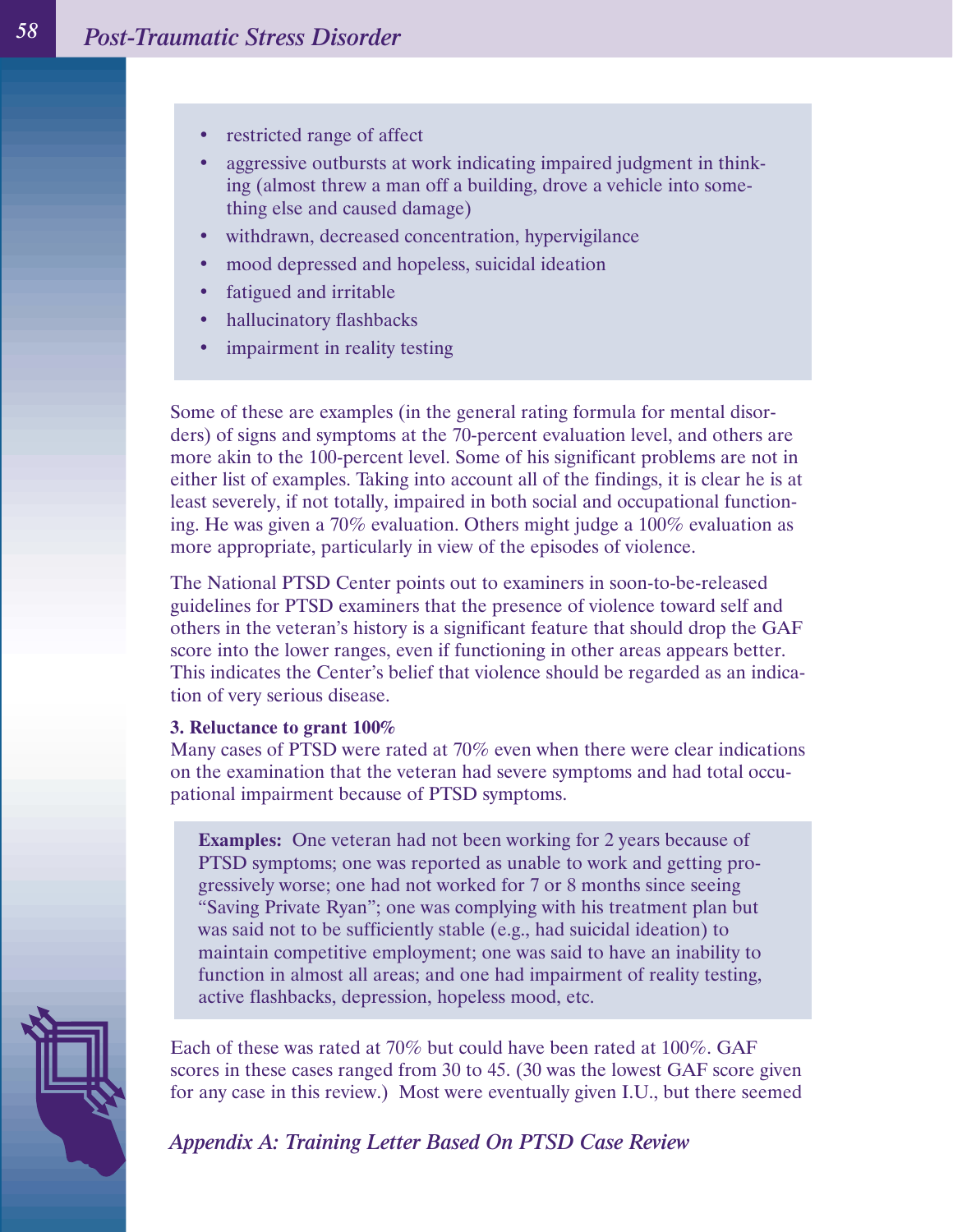- restricted range of affect
- aggressive outbursts at work indicating impaired judgment in thinking (almost threw a man off a building, drove a vehicle into something else and caused damage)
- withdrawn, decreased concentration, hypervigilance
- mood depressed and hopeless, suicidal ideation
- fatigued and irritable
- hallucinatory flashbacks
- impairment in reality testing

Some of these are examples (in the general rating formula for mental disorders) of signs and symptoms at the 70-percent evaluation level, and others are more akin to the 100-percent level. Some of his significant problems are not in either list of examples. Taking into account all of the findings, it is clear he is at least severely, if not totally, impaired in both social and occupational functioning. He was given a 70% evaluation. Others might judge a 100% evaluation as more appropriate, particularly in view of the episodes of violence.

The National PTSD Center points out to examiners in soon-to-be-released guidelines for PTSD examiners that the presence of violence toward self and others in the veteran's history is a significant feature that should drop the GAF score into the lower ranges, even if functioning in other areas appears better. This indicates the Center's belief that violence should be regarded as an indication of very serious disease.

#### **3. Reluctance to grant 100%**

Many cases of PTSD were rated at 70% even when there were clear indications on the examination that the veteran had severe symptoms and had total occupational impairment because of PTSD symptoms.

**Examples:** One veteran had not been working for 2 years because of PTSD symptoms; one was reported as unable to work and getting progressively worse; one had not worked for 7 or 8 months since seeing "Saving Private Ryan"; one was complying with his treatment plan but was said not to be sufficiently stable (e.g., had suicidal ideation) to maintain competitive employment; one was said to have an inability to function in almost all areas; and one had impairment of reality testing, active flashbacks, depression, hopeless mood, etc.

Each of these was rated at 70% but could have been rated at 100%. GAF scores in these cases ranged from 30 to 45. (30 was the lowest GAF score given for any case in this review.) Most were eventually given I.U., but there seemed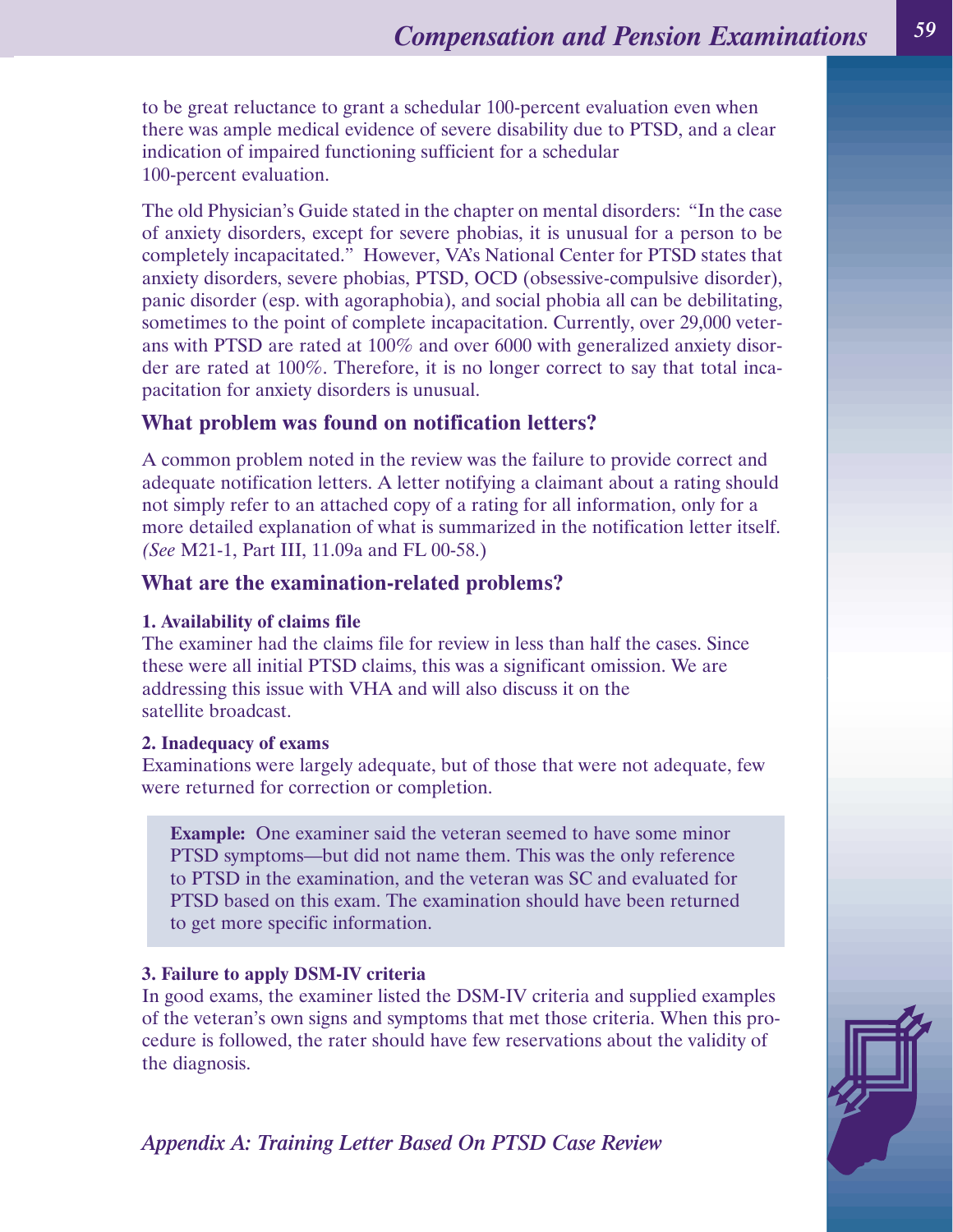to be great reluctance to grant a schedular 100-percent evaluation even when there was ample medical evidence of severe disability due to PTSD, and a clear indication of impaired functioning sufficient for a schedular 100-percent evaluation.

The old Physician's Guide stated in the chapter on mental disorders: "In the case of anxiety disorders, except for severe phobias, it is unusual for a person to be completely incapacitated." However, VA's National Center for PTSD states that anxiety disorders, severe phobias, PTSD, OCD (obsessive-compulsive disorder), panic disorder (esp. with agoraphobia), and social phobia all can be debilitating, sometimes to the point of complete incapacitation. Currently, over 29,000 veterans with PTSD are rated at 100% and over 6000 with generalized anxiety disorder are rated at 100%. Therefore, it is no longer correct to say that total incapacitation for anxiety disorders is unusual.

### **What problem was found on notification letters?**

A common problem noted in the review was the failure to provide correct and adequate notification letters. A letter notifying a claimant about a rating should not simply refer to an attached copy of a rating for all information, only for a more detailed explanation of what is summarized in the notification letter itself. *(See* M21-1, Part III, 11.09a and FL 00-58.)

#### **What are the examination-related problems?**

#### **1. Availability of claims file**

The examiner had the claims file for review in less than half the cases. Since these were all initial PTSD claims, this was a significant omission. We are addressing this issue with VHA and will also discuss it on the satellite broadcast.

#### **2. Inadequacy of exams**

Examinations were largely adequate, but of those that were not adequate, few were returned for correction or completion.

**Example:** One examiner said the veteran seemed to have some minor PTSD symptoms—but did not name them. This was the only reference to PTSD in the examination, and the veteran was SC and evaluated for PTSD based on this exam. The examination should have been returned to get more specific information.

#### **3. Failure to apply DSM-IV criteria**

In good exams, the examiner listed the DSM-IV criteria and supplied examples of the veteran's own signs and symptoms that met those criteria. When this procedure is followed, the rater should have few reservations about the validity of the diagnosis.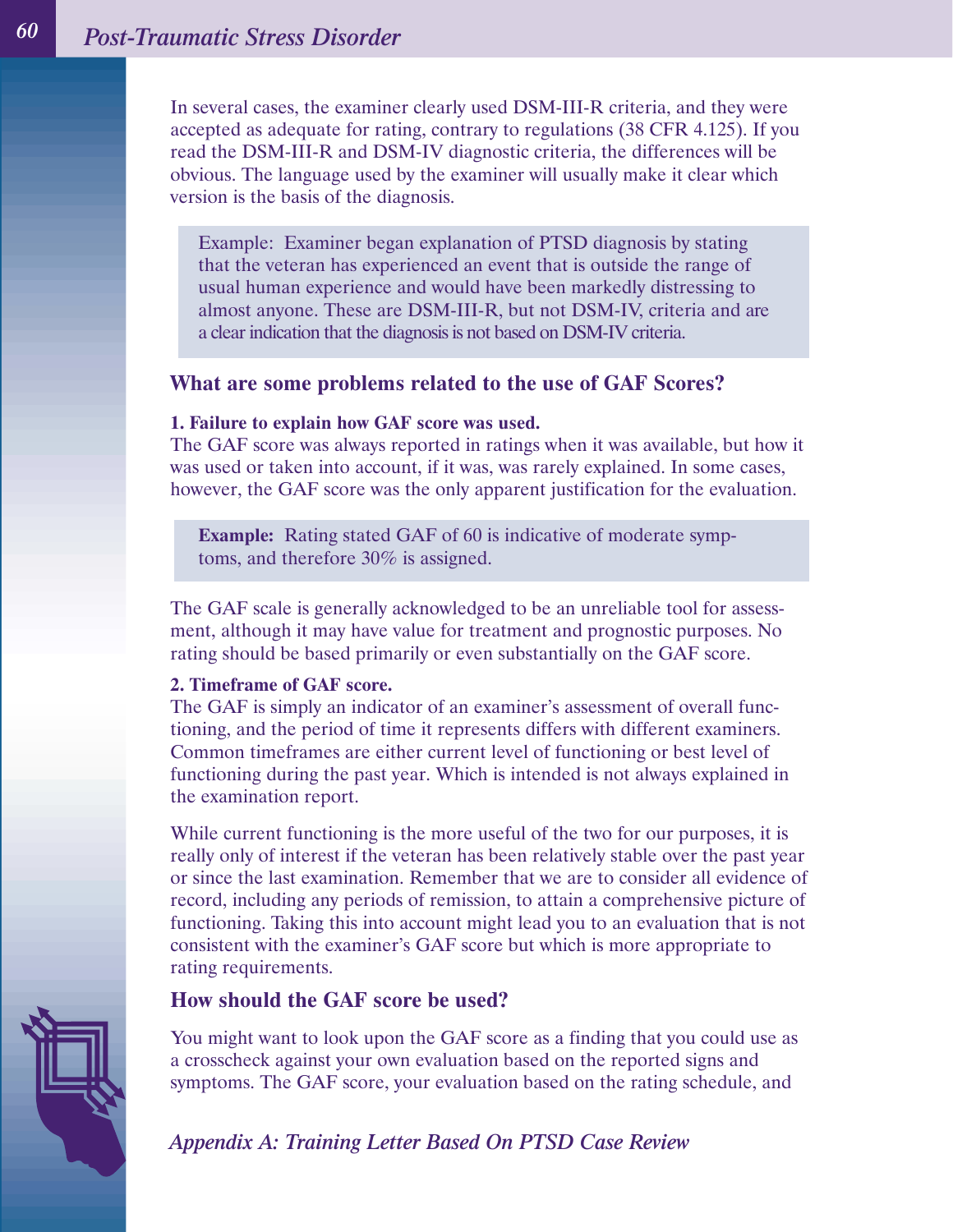In several cases, the examiner clearly used DSM-III-R criteria, and they were accepted as adequate for rating, contrary to regulations (38 CFR 4.125). If you read the DSM-III-R and DSM-IV diagnostic criteria, the differences will be obvious. The language used by the examiner will usually make it clear which version is the basis of the diagnosis.

Example: Examiner began explanation of PTSD diagnosis by stating that the veteran has experienced an event that is outside the range of usual human experience and would have been markedly distressing to almost anyone. These are DSM-III-R, but not DSM-IV, criteria and are a clear indication that the diagnosis is not based on DSM-IV criteria.

#### **What are some problems related to the use of GAF Scores?**

#### **1. Failure to explain how GAF score was used.**

The GAF score was always reported in ratings when it was available, but how it was used or taken into account, if it was, was rarely explained. In some cases, however, the GAF score was the only apparent justification for the evaluation.

**Example:** Rating stated GAF of 60 is indicative of moderate symptoms, and therefore 30% is assigned.

The GAF scale is generally acknowledged to be an unreliable tool for assessment, although it may have value for treatment and prognostic purposes. No rating should be based primarily or even substantially on the GAF score.

#### **2. Timeframe of GAF score.**

The GAF is simply an indicator of an examiner's assessment of overall functioning, and the period of time it represents differs with different examiners. Common timeframes are either current level of functioning or best level of functioning during the past year. Which is intended is not always explained in the examination report.

While current functioning is the more useful of the two for our purposes, it is really only of interest if the veteran has been relatively stable over the past year or since the last examination. Remember that we are to consider all evidence of record, including any periods of remission, to attain a comprehensive picture of functioning. Taking this into account might lead you to an evaluation that is not consistent with the examiner's GAF score but which is more appropriate to rating requirements.

#### **How should the GAF score be used?**

You might want to look upon the GAF score as a finding that you could use as a crosscheck against your own evaluation based on the reported signs and symptoms. The GAF score, your evaluation based on the rating schedule, and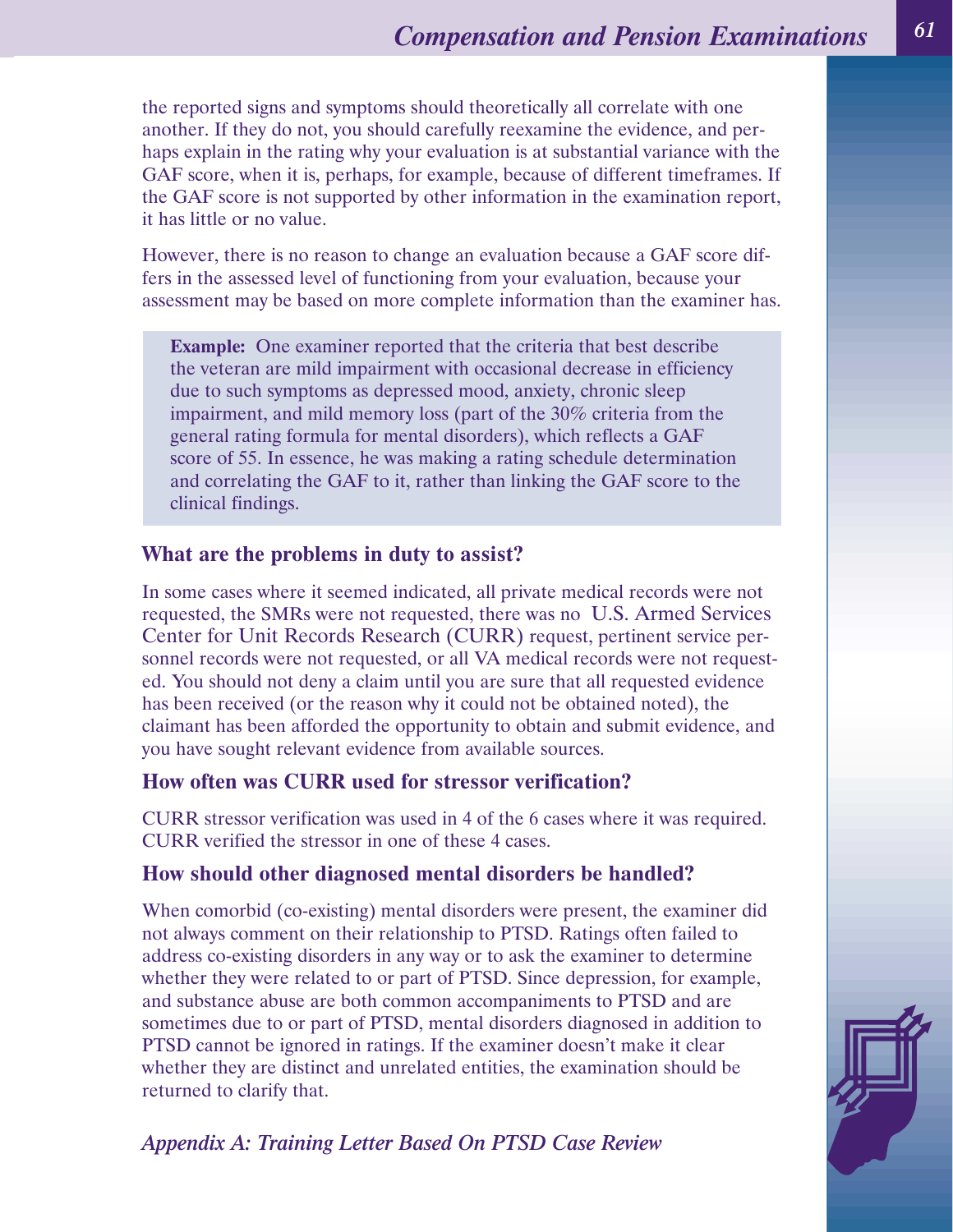the reported signs and symptoms should theoretically all correlate with one another. If they do not, you should carefully reexamine the evidence, and perhaps explain in the rating why your evaluation is at substantial variance with the GAF score, when it is, perhaps, for example, because of different timeframes. If the GAF score is not supported by other information in the examination report, it has little or no value.

However, there is no reason to change an evaluation because a GAF score differs in the assessed level of functioning from your evaluation, because your assessment may be based on more complete information than the examiner has.

**Example:** One examiner reported that the criteria that best describe the veteran are mild impairment with occasional decrease in efficiency due to such symptoms as depressed mood, anxiety, chronic sleep impairment, and mild memory loss (part of the 30% criteria from the general rating formula for mental disorders), which reflects a GAF score of 55. In essence, he was making a rating schedule determination and correlating the GAF to it, rather than linking the GAF score to the clinical findings.

### **What are the problems in duty to assist?**

In some cases where it seemed indicated, all private medical records were not requested, the SMRs were not requested, there was no U.S. Armed Services Center for Unit Records Research (CURR) request, pertinent service personnel records were not requested, or all VA medical records were not requested. You should not deny a claim until you are sure that all requested evidence has been received (or the reason why it could not be obtained noted), the claimant has been afforded the opportunity to obtain and submit evidence, and you have sought relevant evidence from available sources.

### **How often was CURR used for stressor verification?**

CURR stressor verification was used in 4 of the 6 cases where it was required. CURR verified the stressor in one of these 4 cases.

#### **How should other diagnosed mental disorders be handled?**

When comorbid (co-existing) mental disorders were present, the examiner did not always comment on their relationship to PTSD. Ratings often failed to address co-existing disorders in any way or to ask the examiner to determine whether they were related to or part of PTSD. Since depression, for example, and substance abuse are both common accompaniments to PTSD and are sometimes due to or part of PTSD, mental disorders diagnosed in addition to PTSD cannot be ignored in ratings. If the examiner doesn't make it clear whether they are distinct and unrelated entities, the examination should be returned to clarify that.

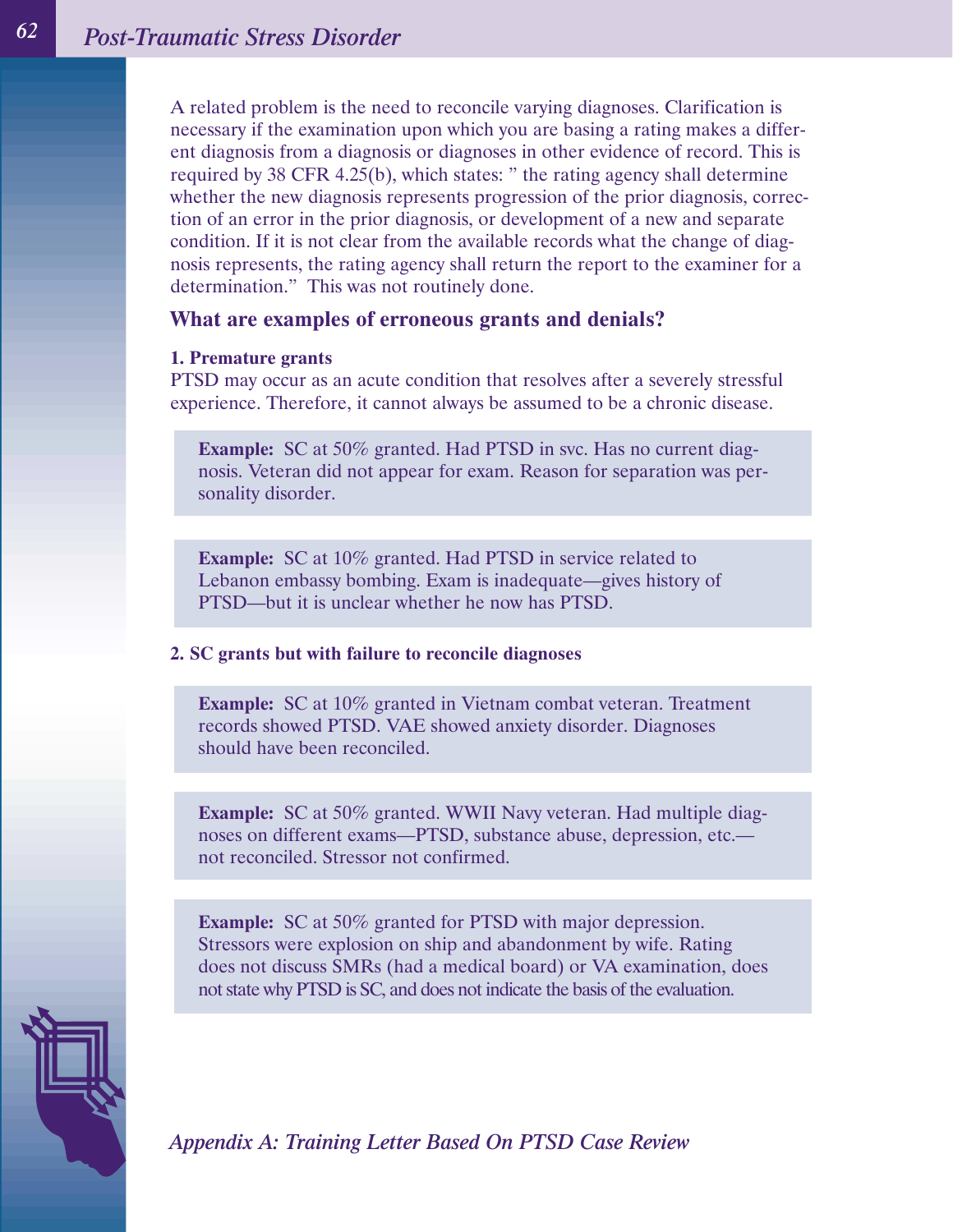A related problem is the need to reconcile varying diagnoses. Clarification is necessary if the examination upon which you are basing a rating makes a different diagnosis from a diagnosis or diagnoses in other evidence of record. This is required by 38 CFR 4.25(b), which states: " the rating agency shall determine whether the new diagnosis represents progression of the prior diagnosis, correction of an error in the prior diagnosis, or development of a new and separate condition. If it is not clear from the available records what the change of diagnosis represents, the rating agency shall return the report to the examiner for a determination." This was not routinely done.

### **What are examples of erroneous grants and denials?**

#### **1. Premature grants**

PTSD may occur as an acute condition that resolves after a severely stressful experience. Therefore, it cannot always be assumed to be a chronic disease.

**Example:** SC at 50% granted. Had PTSD in svc. Has no current diagnosis. Veteran did not appear for exam. Reason for separation was personality disorder.

**Example:** SC at 10% granted. Had PTSD in service related to Lebanon embassy bombing. Exam is inadequate—gives history of PTSD—but it is unclear whether he now has PTSD.

#### **2. SC grants but with failure to reconcile diagnoses**

**Example:** SC at 10% granted in Vietnam combat veteran. Treatment records showed PTSD. VAE showed anxiety disorder. Diagnoses should have been reconciled.

**Example:** SC at 50% granted. WWII Navy veteran. Had multiple diagnoses on different exams—PTSD, substance abuse, depression, etc. not reconciled. Stressor not confirmed.

**Example:** SC at 50% granted for PTSD with major depression. Stressors were explosion on ship and abandonment by wife. Rating does not discuss SMRs (had a medical board) or VA examination, does not state why PTSD is SC, and does not indicate the basis of the evaluation.

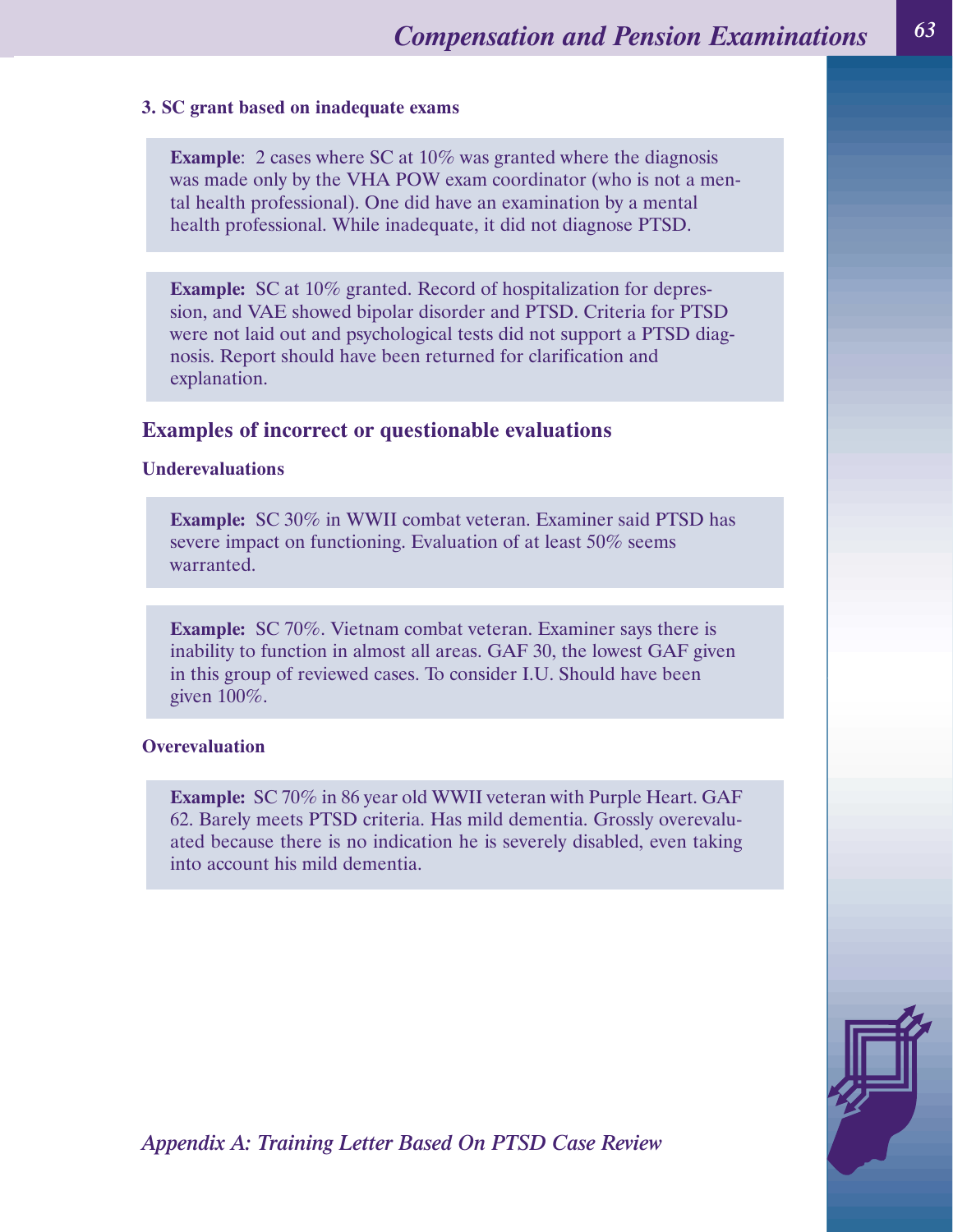#### **3. SC grant based on inadequate exams**

**Example:** 2 cases where SC at 10% was granted where the diagnosis was made only by the VHA POW exam coordinator (who is not a mental health professional). One did have an examination by a mental health professional. While inadequate, it did not diagnose PTSD.

**Example:** SC at 10% granted. Record of hospitalization for depression, and VAE showed bipolar disorder and PTSD. Criteria for PTSD were not laid out and psychological tests did not support a PTSD diagnosis. Report should have been returned for clarification and explanation.

### **Examples of incorrect or questionable evaluations**

#### **Underevaluations**

**Example:** SC 30% in WWII combat veteran. Examiner said PTSD has severe impact on functioning. Evaluation of at least 50% seems warranted.

**Example:** SC 70%. Vietnam combat veteran. Examiner says there is inability to function in almost all areas. GAF 30, the lowest GAF given in this group of reviewed cases. To consider I.U. Should have been given 100%.

#### **Overevaluation**

**Example:** SC 70% in 86 year old WWII veteran with Purple Heart. GAF 62. Barely meets PTSD criteria. Has mild dementia. Grossly overevaluated because there is no indication he is severely disabled, even taking into account his mild dementia.

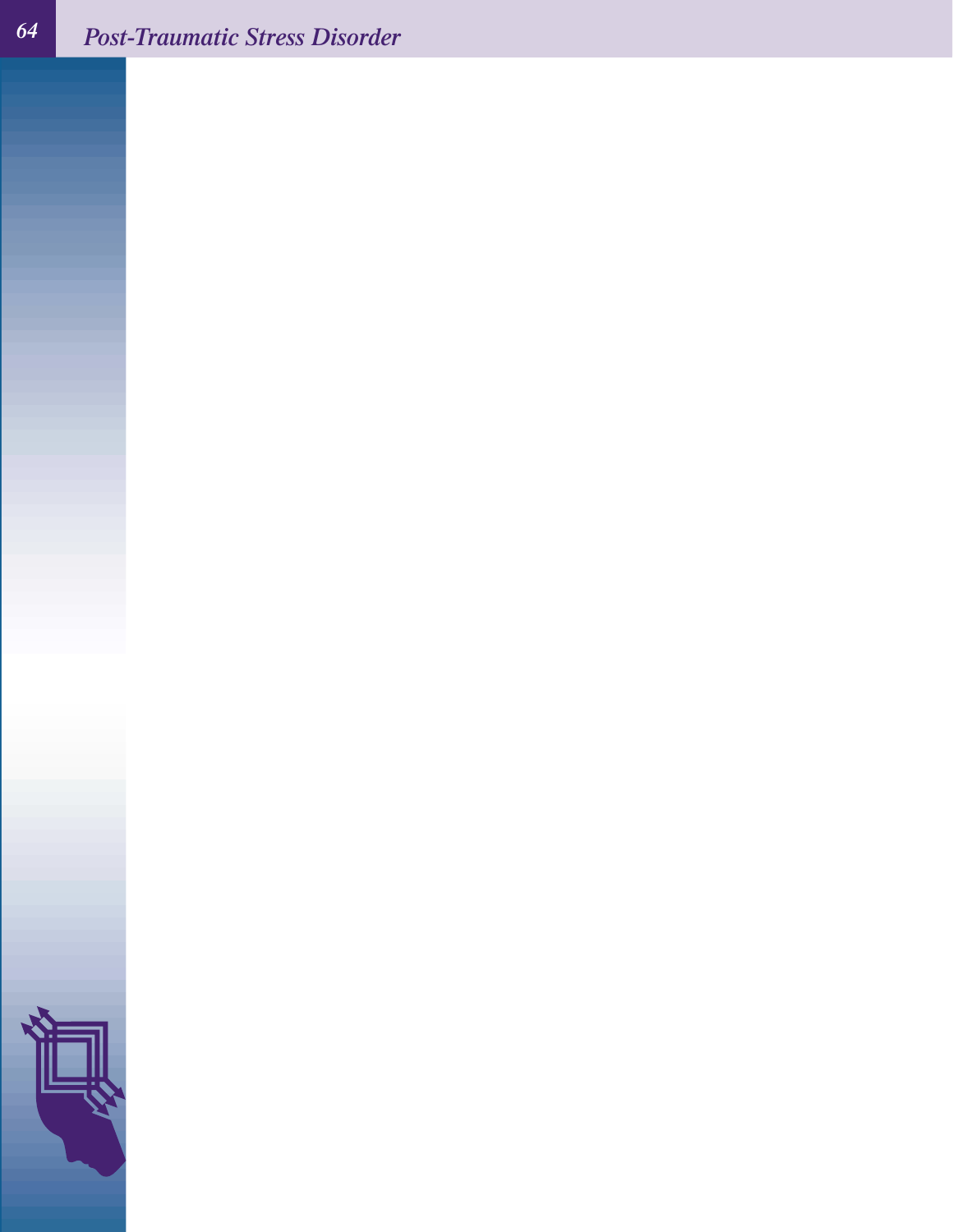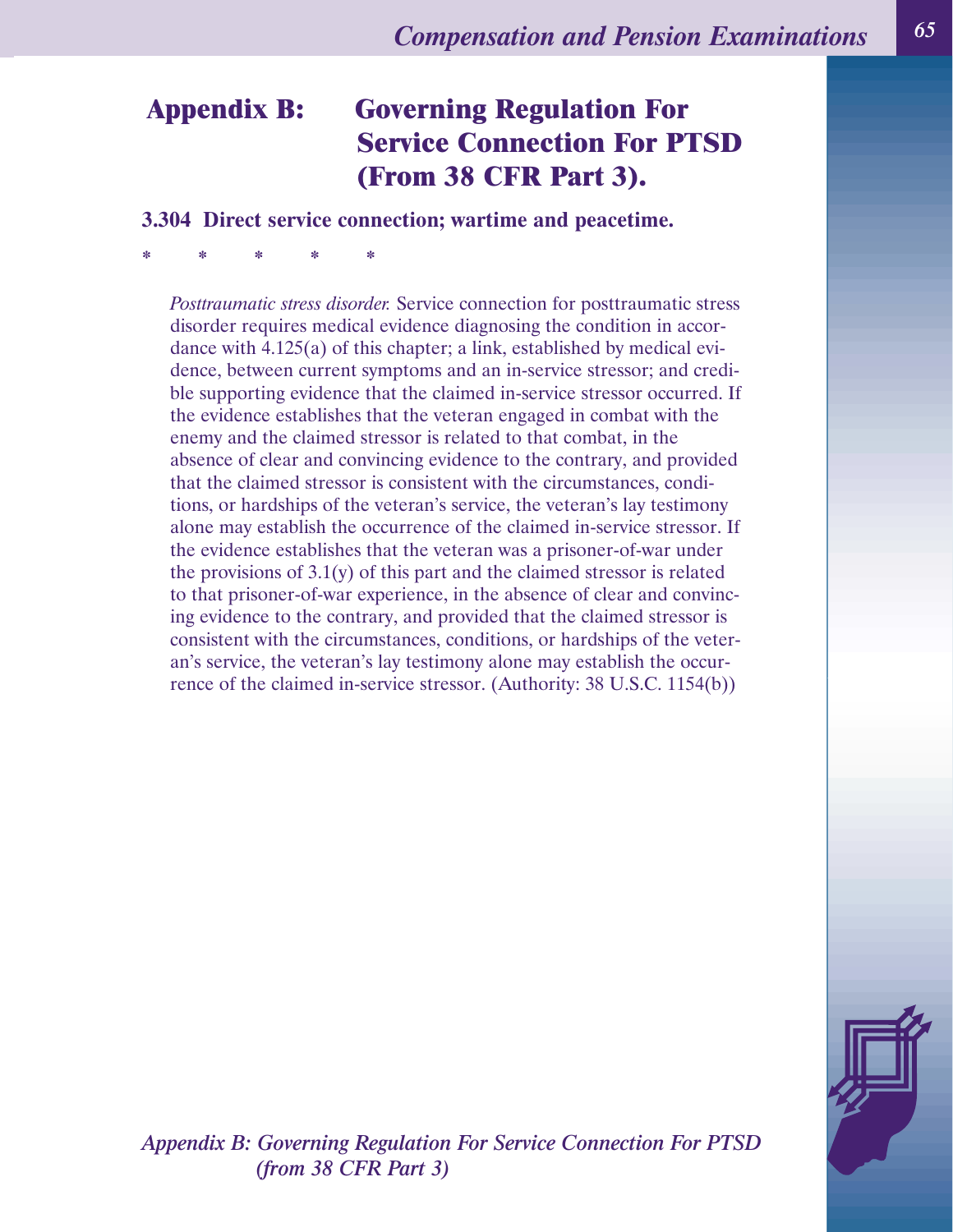# **Appendix B: Governing Regulation For Service Connection For PTSD (From 38 CFR Part 3).**

**3.304 Direct service connection; wartime and peacetime.**

**\*\*\*\*\***

*Posttraumatic stress disorder.* Service connection for posttraumatic stress disorder requires medical evidence diagnosing the condition in accordance with 4.125(a) of this chapter; a link, established by medical evidence, between current symptoms and an in-service stressor; and credible supporting evidence that the claimed in-service stressor occurred. If the evidence establishes that the veteran engaged in combat with the enemy and the claimed stressor is related to that combat, in the absence of clear and convincing evidence to the contrary, and provided that the claimed stressor is consistent with the circumstances, conditions, or hardships of the veteran's service, the veteran's lay testimony alone may establish the occurrence of the claimed in-service stressor. If the evidence establishes that the veteran was a prisoner-of-war under the provisions of 3.1(y) of this part and the claimed stressor is related to that prisoner-of-war experience, in the absence of clear and convincing evidence to the contrary, and provided that the claimed stressor is consistent with the circumstances, conditions, or hardships of the veteran's service, the veteran's lay testimony alone may establish the occurrence of the claimed in-service stressor. (Authority: 38 U.S.C. 1154(b))



*Appendix B: Governing Regulation For Service Connection For PTSD (from 38 CFR Part 3)*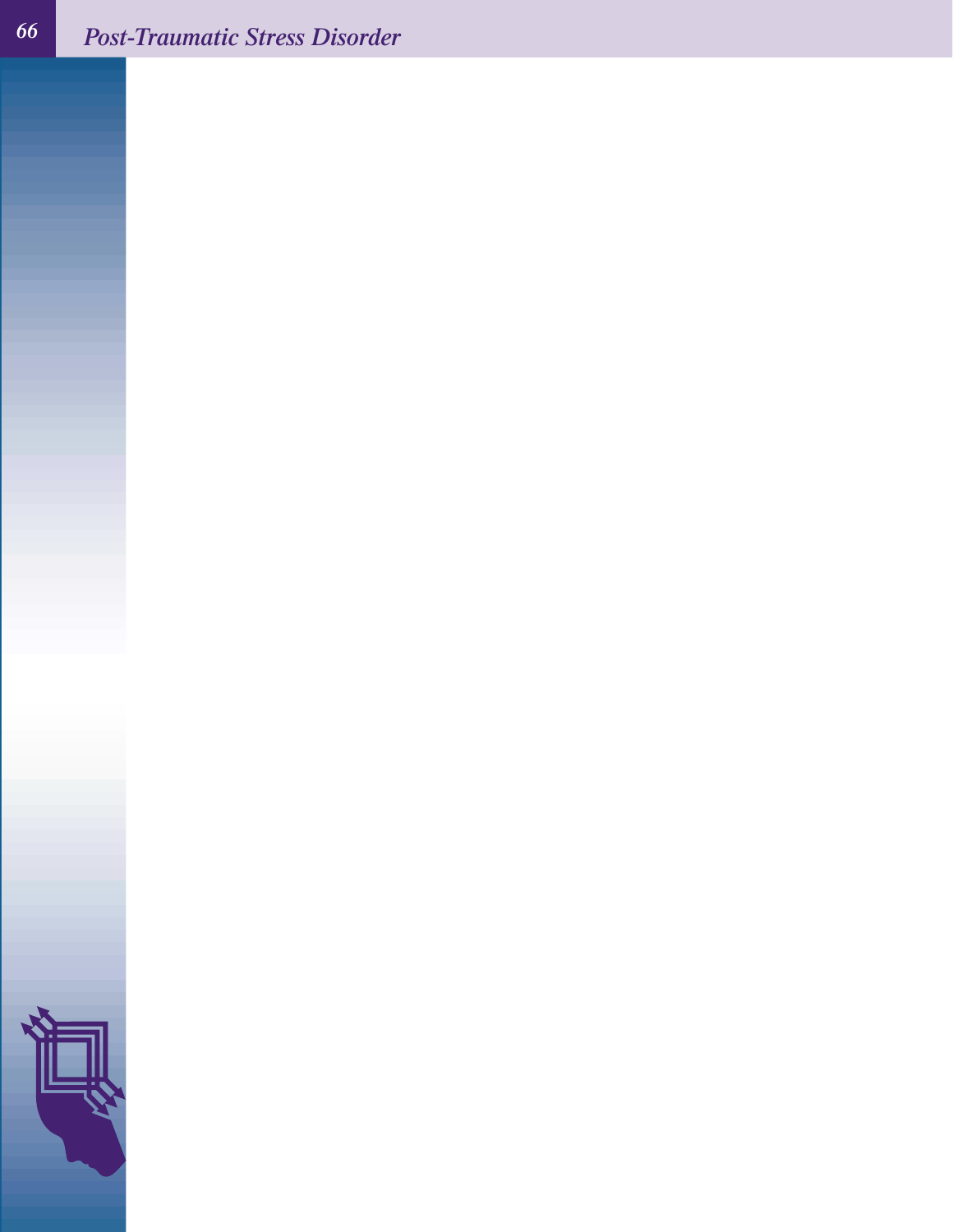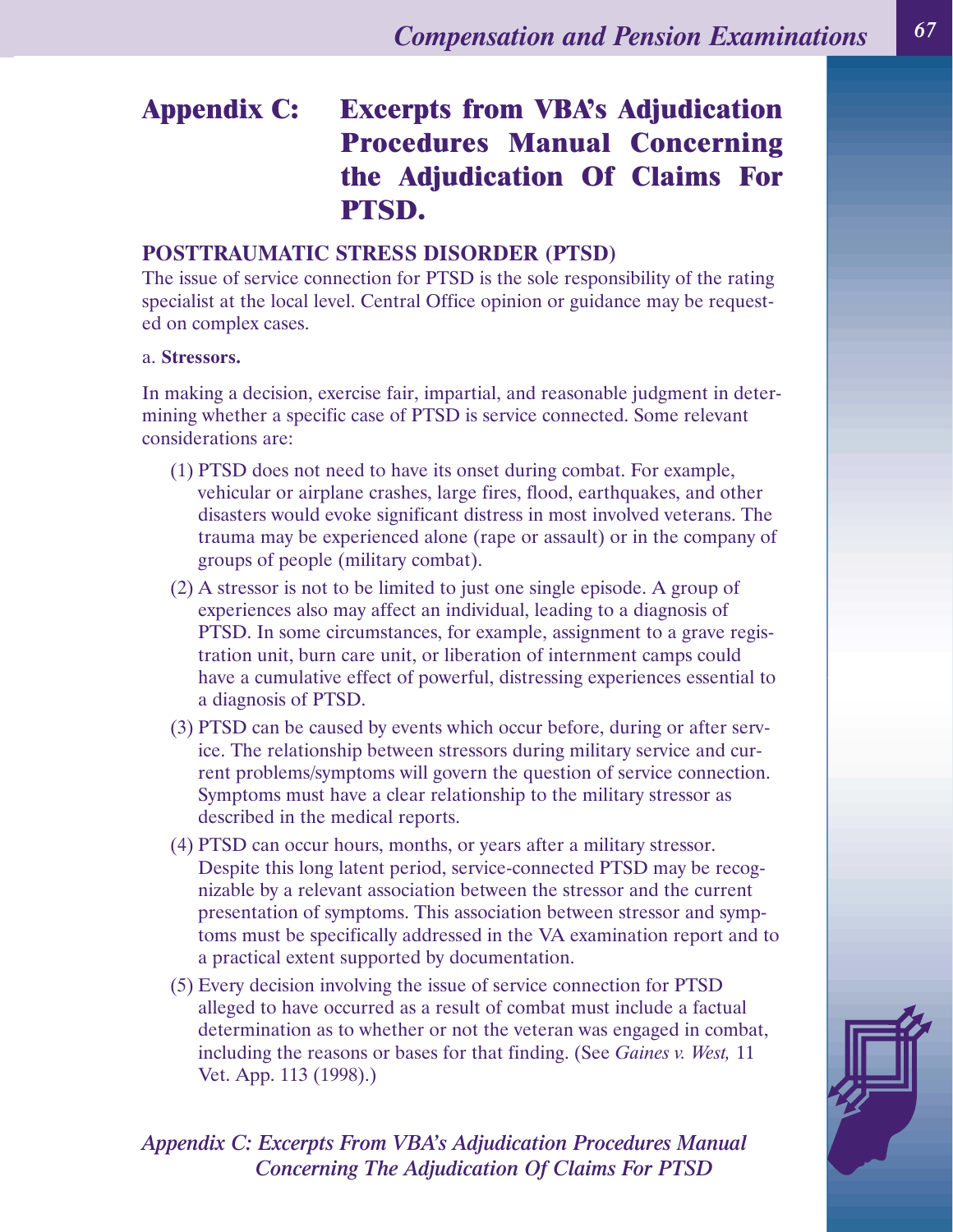# **Appendix C: Excerpts from VBA's Adjudication Procedures Manual Concerning the Adjudication Of Claims For PTSD.**

### **POSTTRAUMATIC STRESS DISORDER (PTSD)**

The issue of service connection for PTSD is the sole responsibility of the rating specialist at the local level. Central Office opinion or guidance may be requested on complex cases.

#### a. **Stressors.**

In making a decision, exercise fair, impartial, and reasonable judgment in determining whether a specific case of PTSD is service connected. Some relevant considerations are:

- (1) PTSD does not need to have its onset during combat. For example, vehicular or airplane crashes, large fires, flood, earthquakes, and other disasters would evoke significant distress in most involved veterans. The trauma may be experienced alone (rape or assault) or in the company of groups of people (military combat).
- (2) A stressor is not to be limited to just one single episode. A group of experiences also may affect an individual, leading to a diagnosis of PTSD. In some circumstances, for example, assignment to a grave registration unit, burn care unit, or liberation of internment camps could have a cumulative effect of powerful, distressing experiences essential to a diagnosis of PTSD.
- (3) PTSD can be caused by events which occur before, during or after service. The relationship between stressors during military service and current problems/symptoms will govern the question of service connection. Symptoms must have a clear relationship to the military stressor as described in the medical reports.
- (4) PTSD can occur hours, months, or years after a military stressor. Despite this long latent period, service-connected PTSD may be recognizable by a relevant association between the stressor and the current presentation of symptoms. This association between stressor and symptoms must be specifically addressed in the VA examination report and to a practical extent supported by documentation.
- (5) Every decision involving the issue of service connection for PTSD alleged to have occurred as a result of combat must include a factual determination as to whether or not the veteran was engaged in combat, including the reasons or bases for that finding. (See *Gaines v. West,* 11 Vet. App. 113 (1998).)

*Appendix C: Excerpts From VBA's Adjudication Procedures Manual Concerning The Adjudication Of Claims For PTSD*

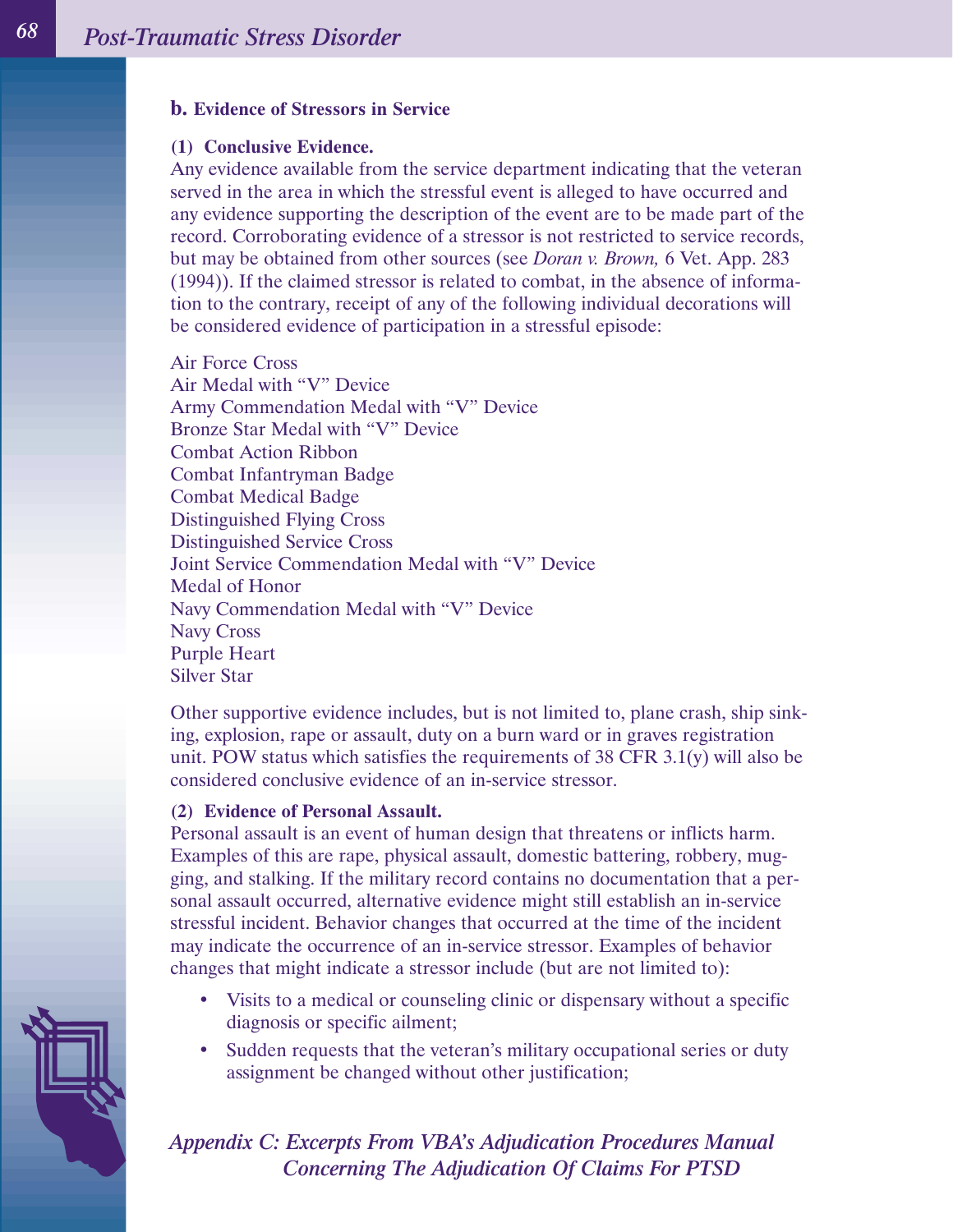#### **b. Evidence of Stressors in Service**

#### **(1) Conclusive Evidence.**

Any evidence available from the service department indicating that the veteran served in the area in which the stressful event is alleged to have occurred and any evidence supporting the description of the event are to be made part of the record. Corroborating evidence of a stressor is not restricted to service records, but may be obtained from other sources (see *Doran v. Brown,* 6 Vet. App. 283 (1994)). If the claimed stressor is related to combat, in the absence of information to the contrary, receipt of any of the following individual decorations will be considered evidence of participation in a stressful episode:

Air Force Cross Air Medal with "V" Device Army Commendation Medal with "V" Device Bronze Star Medal with "V" Device Combat Action Ribbon Combat Infantryman Badge Combat Medical Badge Distinguished Flying Cross Distinguished Service Cross Joint Service Commendation Medal with "V" Device Medal of Honor Navy Commendation Medal with "V" Device Navy Cross Purple Heart Silver Star

Other supportive evidence includes, but is not limited to, plane crash, ship sinking, explosion, rape or assault, duty on a burn ward or in graves registration unit. POW status which satisfies the requirements of 38 CFR 3.1(y) will also be considered conclusive evidence of an in-service stressor.

#### **(2) Evidence of Personal Assault.**

Personal assault is an event of human design that threatens or inflicts harm. Examples of this are rape, physical assault, domestic battering, robbery, mugging, and stalking. If the military record contains no documentation that a personal assault occurred, alternative evidence might still establish an in-service stressful incident. Behavior changes that occurred at the time of the incident may indicate the occurrence of an in-service stressor. Examples of behavior changes that might indicate a stressor include (but are not limited to):

- Visits to a medical or counseling clinic or dispensary without a specific diagnosis or specific ailment;
- Sudden requests that the veteran's military occupational series or duty assignment be changed without other justification;

*Appendix C: Excerpts From VBA's Adjudication Procedures Manual Concerning The Adjudication Of Claims For PTSD*

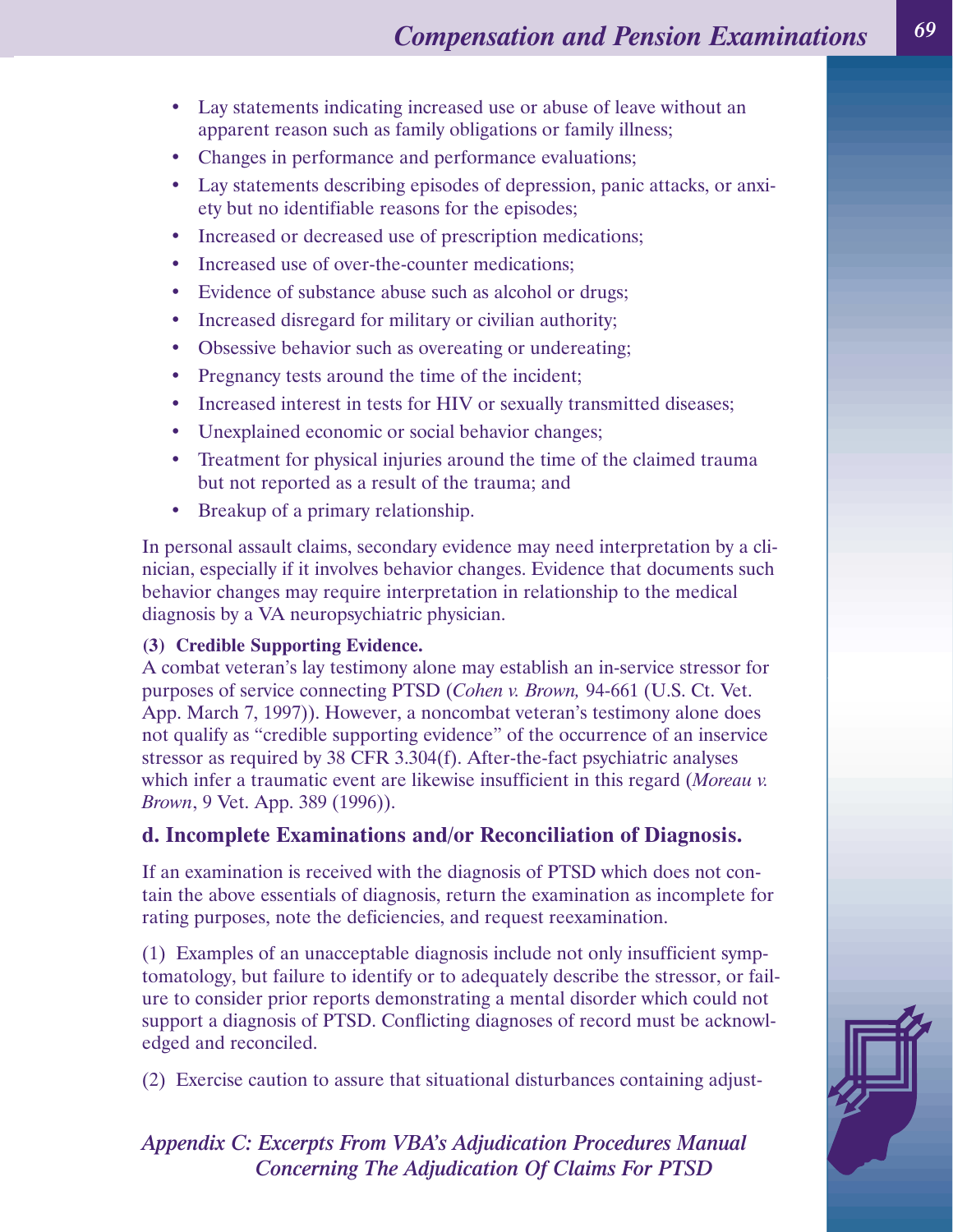- Lay statements indicating increased use or abuse of leave without an apparent reason such as family obligations or family illness;
- Changes in performance and performance evaluations;
- Lay statements describing episodes of depression, panic attacks, or anxiety but no identifiable reasons for the episodes;
- Increased or decreased use of prescription medications;
- Increased use of over-the-counter medications;
- Evidence of substance abuse such as alcohol or drugs;
- Increased disregard for military or civilian authority;
- Obsessive behavior such as overeating or undereating;
- Pregnancy tests around the time of the incident;
- Increased interest in tests for HIV or sexually transmitted diseases;
- Unexplained economic or social behavior changes;
- Treatment for physical injuries around the time of the claimed trauma but not reported as a result of the trauma; and
- Breakup of a primary relationship.

In personal assault claims, secondary evidence may need interpretation by a clinician, especially if it involves behavior changes. Evidence that documents such behavior changes may require interpretation in relationship to the medical diagnosis by a VA neuropsychiatric physician.

### **(3) Credible Supporting Evidence.**

A combat veteran's lay testimony alone may establish an in-service stressor for purposes of service connecting PTSD (*Cohen v. Brown,* 94-661 (U.S. Ct. Vet. App. March 7, 1997)). However, a noncombat veteran's testimony alone does not qualify as "credible supporting evidence" of the occurrence of an inservice stressor as required by 38 CFR 3.304(f). After-the-fact psychiatric analyses which infer a traumatic event are likewise insufficient in this regard (*Moreau v. Brown*, 9 Vet. App. 389 (1996)).

### **d. Incomplete Examinations and/or Reconciliation of Diagnosis.**

If an examination is received with the diagnosis of PTSD which does not contain the above essentials of diagnosis, return the examination as incomplete for rating purposes, note the deficiencies, and request reexamination.

(1) Examples of an unacceptable diagnosis include not only insufficient symptomatology, but failure to identify or to adequately describe the stressor, or failure to consider prior reports demonstrating a mental disorder which could not support a diagnosis of PTSD. Conflicting diagnoses of record must be acknowledged and reconciled.

(2) Exercise caution to assure that situational disturbances containing adjust-

*Appendix C: Excerpts From VBA's Adjudication Procedures Manual Concerning The Adjudication Of Claims For PTSD*

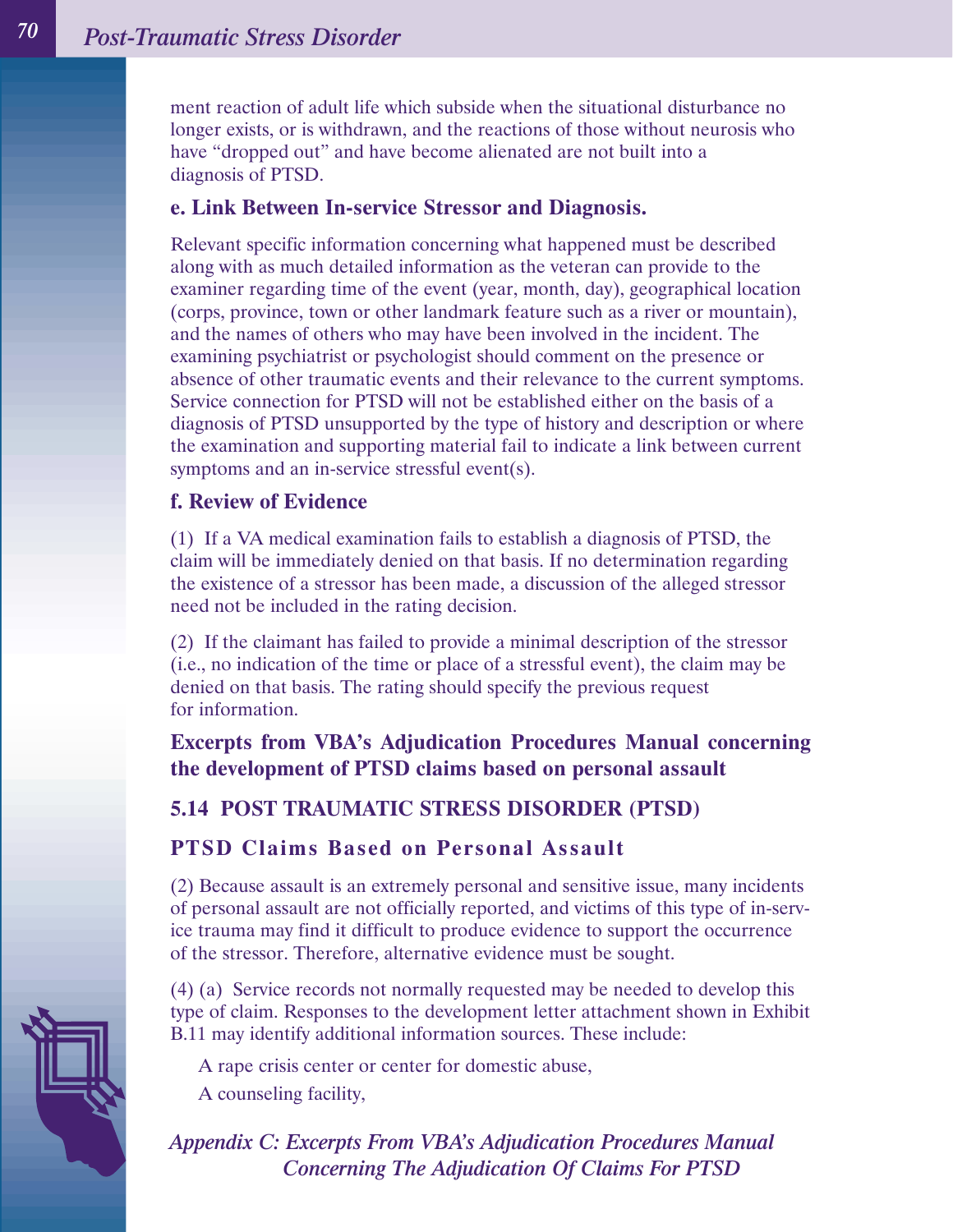ment reaction of adult life which subside when the situational disturbance no longer exists, or is withdrawn, and the reactions of those without neurosis who have "dropped out" and have become alienated are not built into a diagnosis of PTSD.

### **e. Link Between In-service Stressor and Diagnosis.**

Relevant specific information concerning what happened must be described along with as much detailed information as the veteran can provide to the examiner regarding time of the event (year, month, day), geographical location (corps, province, town or other landmark feature such as a river or mountain), and the names of others who may have been involved in the incident. The examining psychiatrist or psychologist should comment on the presence or absence of other traumatic events and their relevance to the current symptoms. Service connection for PTSD will not be established either on the basis of a diagnosis of PTSD unsupported by the type of history and description or where the examination and supporting material fail to indicate a link between current symptoms and an in-service stressful event(s).

### **f. Review of Evidence**

(1) If a VA medical examination fails to establish a diagnosis of PTSD, the claim will be immediately denied on that basis. If no determination regarding the existence of a stressor has been made, a discussion of the alleged stressor need not be included in the rating decision.

(2) If the claimant has failed to provide a minimal description of the stressor (i.e., no indication of the time or place of a stressful event), the claim may be denied on that basis. The rating should specify the previous request for information.

**Excerpts from VBA's Adjudication Procedures Manual concerning the development of PTSD claims based on personal assault**

### **5.14 POST TRAUMATIC STRESS DISORDER (PTSD)**

### **PTSD Claims Based on Personal Assault**

(2) Because assault is an extremely personal and sensitive issue, many incidents of personal assault are not officially reported, and victims of this type of in-service trauma may find it difficult to produce evidence to support the occurrence of the stressor. Therefore, alternative evidence must be sought.

(4) (a) Service records not normally requested may be needed to develop this type of claim. Responses to the development letter attachment shown in Exhibit B.11 may identify additional information sources. These include:

A rape crisis center or center for domestic abuse,

A counseling facility,

*Appendix C: Excerpts From VBA's Adjudication Procedures Manual Concerning The Adjudication Of Claims For PTSD*

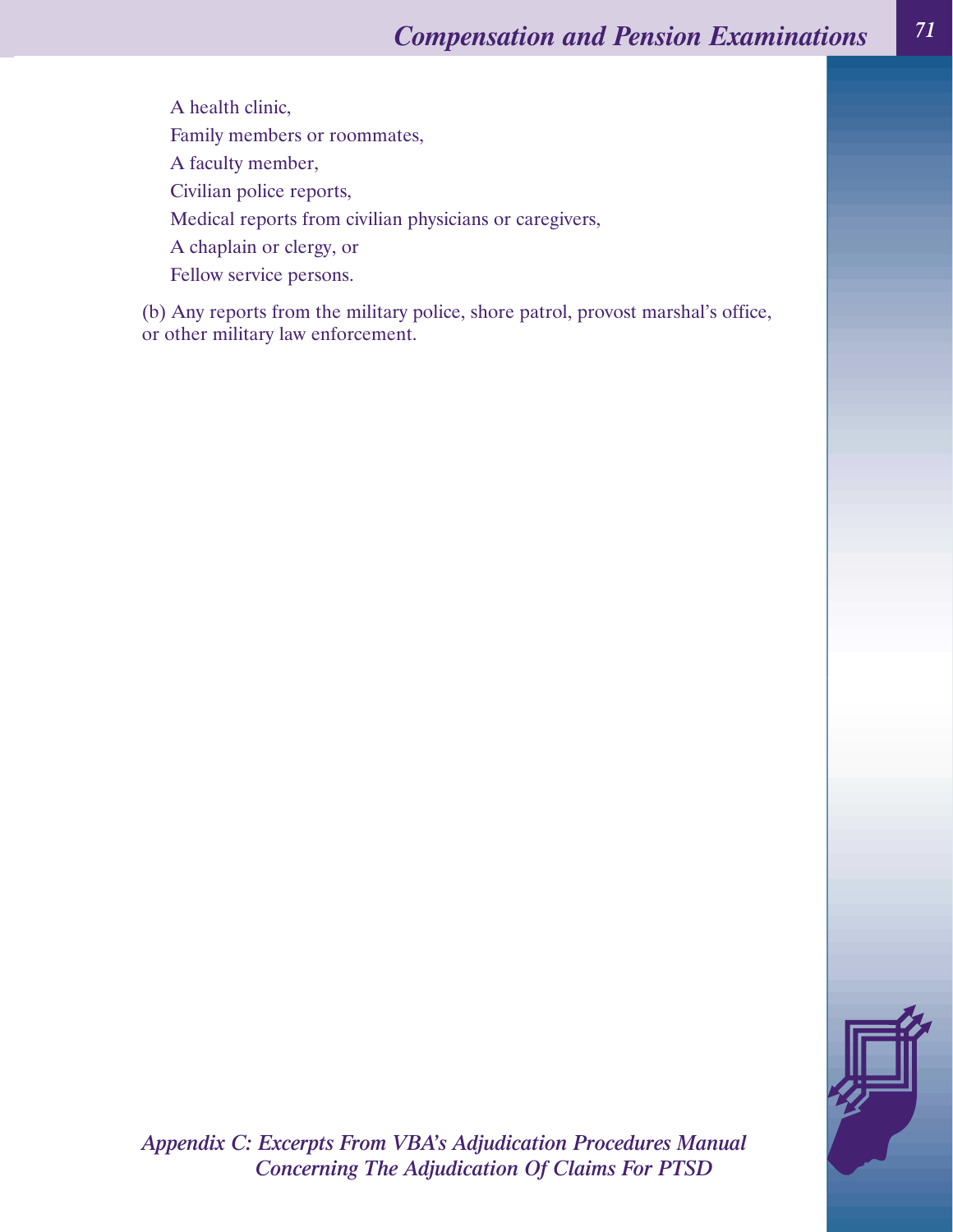A health clinic, Family members or roommates, A faculty member, Civilian police reports, Medical reports from civilian physicians or caregivers, A chaplain or clergy, or Fellow service persons.

(b) Any reports from the military police, shore patrol, provost marshal's office, or other military law enforcement.



*Appendix C: Excerpts From VBA's Adjudication Procedures Manual Concerning The Adjudication Of Claims For PTSD*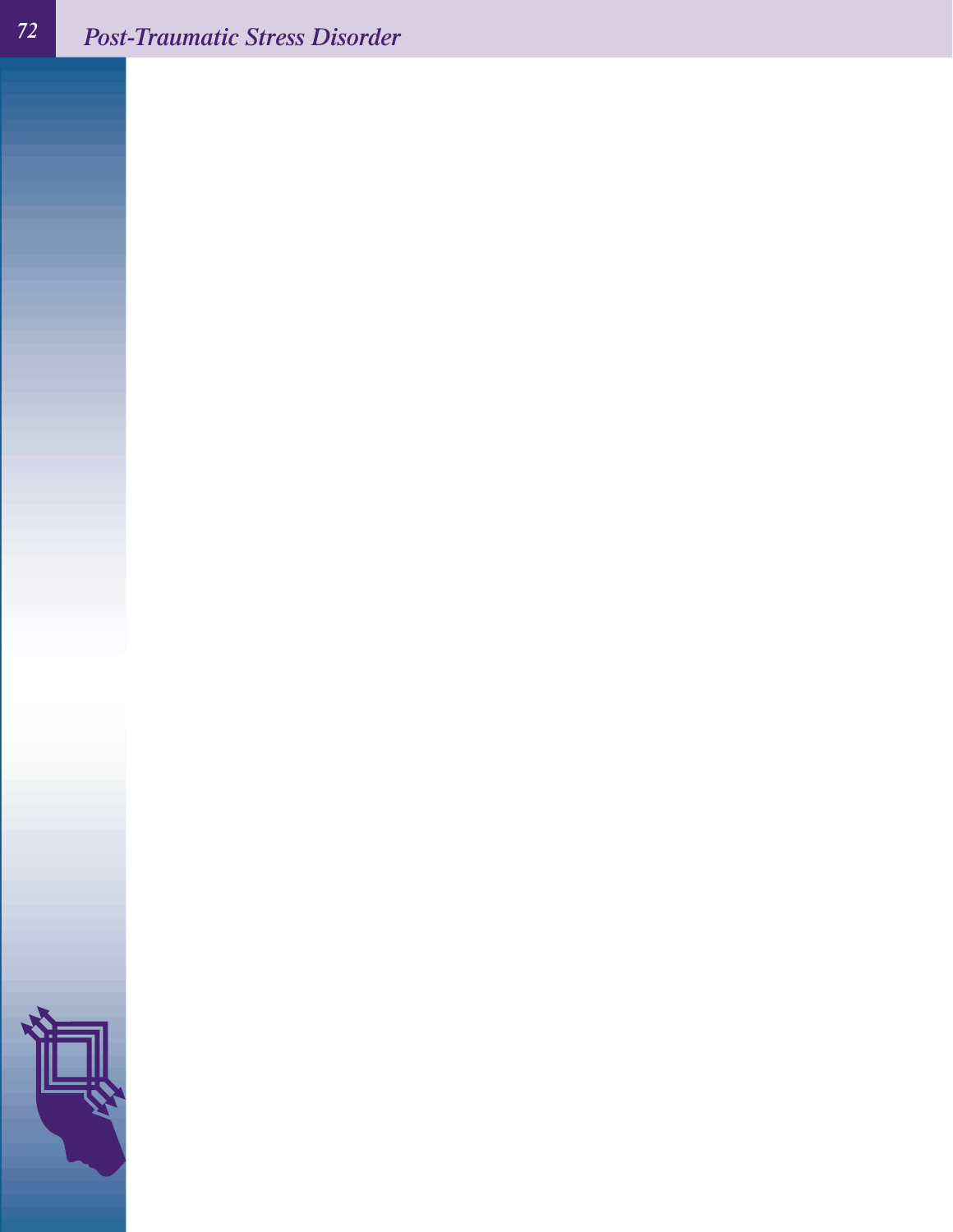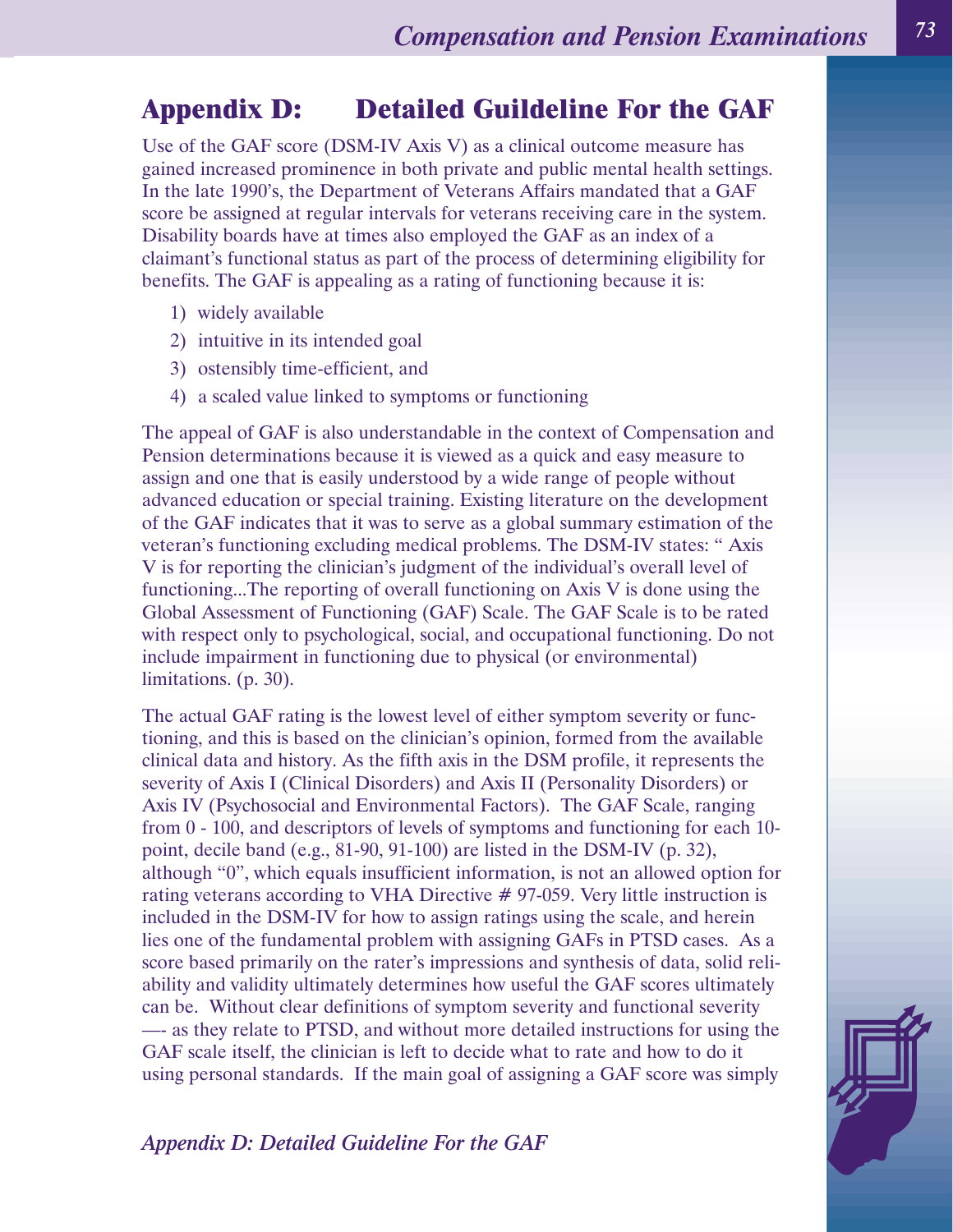# **Appendix D: Detailed Guildeline For the GAF**

Use of the GAF score (DSM-IV Axis V) as a clinical outcome measure has gained increased prominence in both private and public mental health settings. In the late 1990's, the Department of Veterans Affairs mandated that a GAF score be assigned at regular intervals for veterans receiving care in the system. Disability boards have at times also employed the GAF as an index of a claimant's functional status as part of the process of determining eligibility for benefits. The GAF is appealing as a rating of functioning because it is:

- 1) widely available
- 2) intuitive in its intended goal
- 3) ostensibly time-efficient, and
- 4) a scaled value linked to symptoms or functioning

The appeal of GAF is also understandable in the context of Compensation and Pension determinations because it is viewed as a quick and easy measure to assign and one that is easily understood by a wide range of people without advanced education or special training. Existing literature on the development of the GAF indicates that it was to serve as a global summary estimation of the veteran's functioning excluding medical problems. The DSM-IV states: " Axis V is for reporting the clinician's judgment of the individual's overall level of functioning...The reporting of overall functioning on Axis V is done using the Global Assessment of Functioning (GAF) Scale. The GAF Scale is to be rated with respect only to psychological, social, and occupational functioning. Do not include impairment in functioning due to physical (or environmental) limitations. (p. 30).

The actual GAF rating is the lowest level of either symptom severity or functioning, and this is based on the clinician's opinion, formed from the available clinical data and history. As the fifth axis in the DSM profile, it represents the severity of Axis I (Clinical Disorders) and Axis II (Personality Disorders) or Axis IV (Psychosocial and Environmental Factors). The GAF Scale, ranging from 0 - 100, and descriptors of levels of symptoms and functioning for each 10 point, decile band (e.g., 81-90, 91-100) are listed in the DSM-IV (p. 32), although "0", which equals insufficient information, is not an allowed option for rating veterans according to VHA Directive # 97-059. Very little instruction is included in the DSM-IV for how to assign ratings using the scale, and herein lies one of the fundamental problem with assigning GAFs in PTSD cases. As a score based primarily on the rater's impressions and synthesis of data, solid reliability and validity ultimately determines how useful the GAF scores ultimately can be. Without clear definitions of symptom severity and functional severity —- as they relate to PTSD, and without more detailed instructions for using the GAF scale itself, the clinician is left to decide what to rate and how to do it using personal standards. If the main goal of assigning a GAF score was simply

### *Appendix D: Detailed Guideline For the GAF*

$$
\mathbb{P}^{\hat{f}}
$$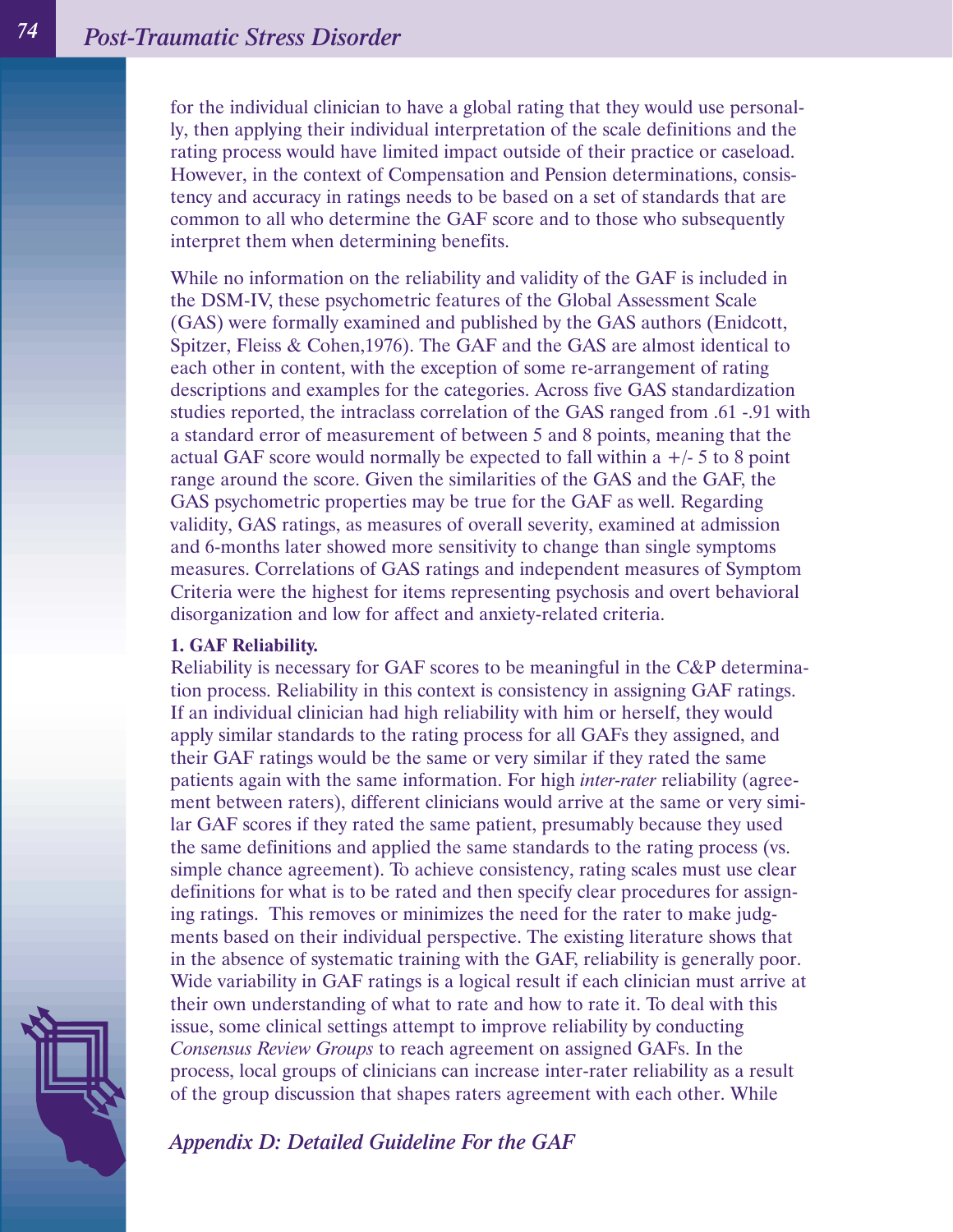for the individual clinician to have a global rating that they would use personally, then applying their individual interpretation of the scale definitions and the rating process would have limited impact outside of their practice or caseload. However, in the context of Compensation and Pension determinations, consistency and accuracy in ratings needs to be based on a set of standards that are common to all who determine the GAF score and to those who subsequently interpret them when determining benefits.

While no information on the reliability and validity of the GAF is included in the DSM-IV, these psychometric features of the Global Assessment Scale (GAS) were formally examined and published by the GAS authors (Enidcott, Spitzer, Fleiss & Cohen,1976). The GAF and the GAS are almost identical to each other in content, with the exception of some re-arrangement of rating descriptions and examples for the categories. Across five GAS standardization studies reported, the intraclass correlation of the GAS ranged from .61 -.91 with a standard error of measurement of between 5 and 8 points, meaning that the actual GAF score would normally be expected to fall within a  $+/-$  5 to 8 point range around the score. Given the similarities of the GAS and the GAF, the GAS psychometric properties may be true for the GAF as well. Regarding validity, GAS ratings, as measures of overall severity, examined at admission and 6-months later showed more sensitivity to change than single symptoms measures. Correlations of GAS ratings and independent measures of Symptom Criteria were the highest for items representing psychosis and overt behavioral disorganization and low for affect and anxiety-related criteria.

#### **1. GAF Reliability.**

Reliability is necessary for GAF scores to be meaningful in the C&P determination process. Reliability in this context is consistency in assigning GAF ratings. If an individual clinician had high reliability with him or herself, they would apply similar standards to the rating process for all GAFs they assigned, and their GAF ratings would be the same or very similar if they rated the same patients again with the same information. For high *inter-rater* reliability (agreement between raters), different clinicians would arrive at the same or very similar GAF scores if they rated the same patient, presumably because they used the same definitions and applied the same standards to the rating process (vs. simple chance agreement). To achieve consistency, rating scales must use clear definitions for what is to be rated and then specify clear procedures for assigning ratings. This removes or minimizes the need for the rater to make judgments based on their individual perspective. The existing literature shows that in the absence of systematic training with the GAF, reliability is generally poor. Wide variability in GAF ratings is a logical result if each clinician must arrive at their own understanding of what to rate and how to rate it. To deal with this issue, some clinical settings attempt to improve reliability by conducting *Consensus Review Groups* to reach agreement on assigned GAFs. In the process, local groups of clinicians can increase inter-rater reliability as a result of the group discussion that shapes raters agreement with each other. While

*Appendix D: Detailed Guideline For the GAF*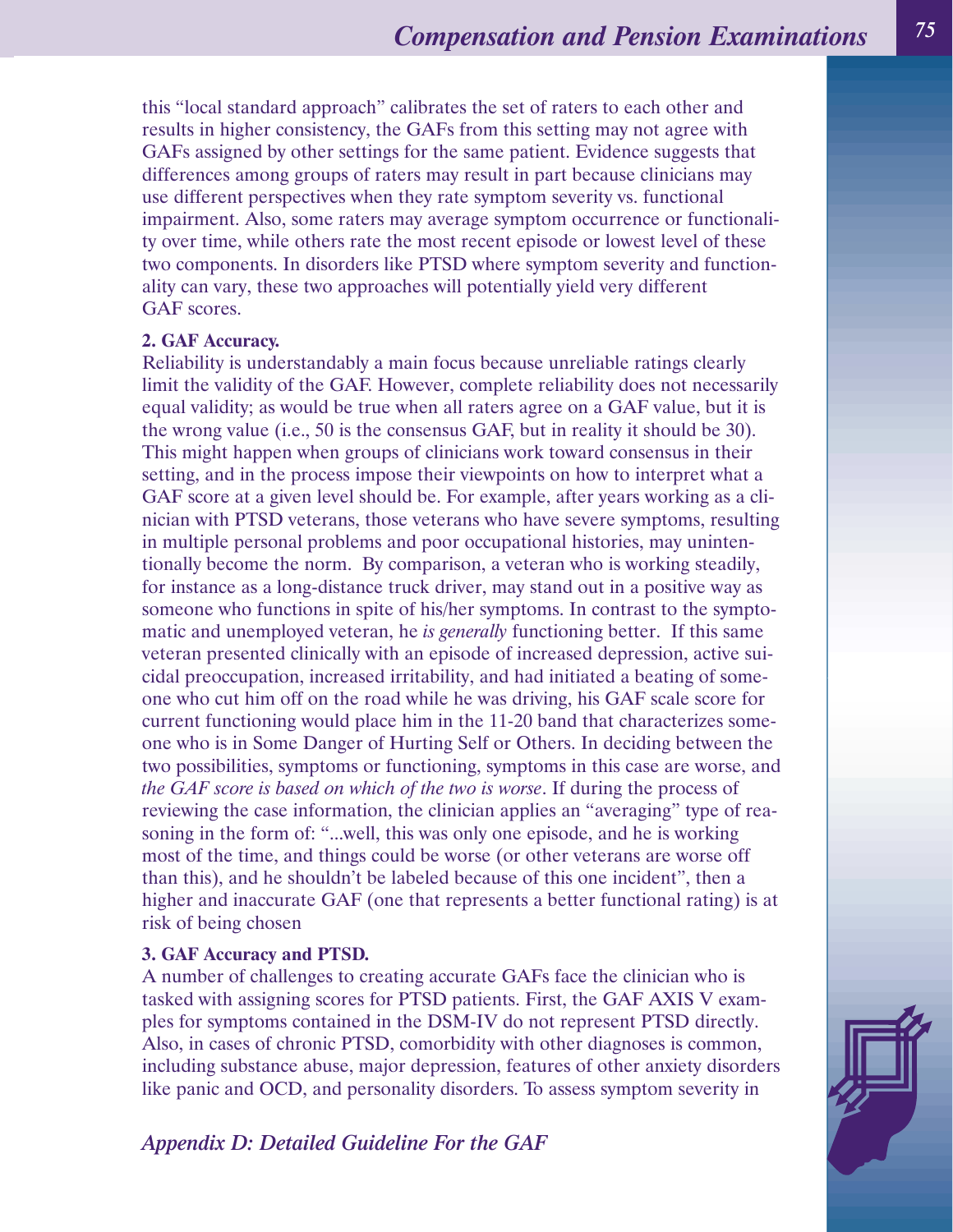this "local standard approach" calibrates the set of raters to each other and results in higher consistency, the GAFs from this setting may not agree with GAFs assigned by other settings for the same patient. Evidence suggests that differences among groups of raters may result in part because clinicians may use different perspectives when they rate symptom severity vs. functional impairment. Also, some raters may average symptom occurrence or functionality over time, while others rate the most recent episode or lowest level of these two components. In disorders like PTSD where symptom severity and functionality can vary, these two approaches will potentially yield very different GAF scores.

#### **2. GAF Accuracy.**

Reliability is understandably a main focus because unreliable ratings clearly limit the validity of the GAF. However, complete reliability does not necessarily equal validity; as would be true when all raters agree on a GAF value, but it is the wrong value (i.e., 50 is the consensus GAF, but in reality it should be 30). This might happen when groups of clinicians work toward consensus in their setting, and in the process impose their viewpoints on how to interpret what a GAF score at a given level should be. For example, after years working as a clinician with PTSD veterans, those veterans who have severe symptoms, resulting in multiple personal problems and poor occupational histories, may unintentionally become the norm. By comparison, a veteran who is working steadily, for instance as a long-distance truck driver, may stand out in a positive way as someone who functions in spite of his/her symptoms. In contrast to the symptomatic and unemployed veteran, he *is generally* functioning better. If this same veteran presented clinically with an episode of increased depression, active suicidal preoccupation, increased irritability, and had initiated a beating of someone who cut him off on the road while he was driving, his GAF scale score for current functioning would place him in the 11-20 band that characterizes someone who is in Some Danger of Hurting Self or Others. In deciding between the two possibilities, symptoms or functioning, symptoms in this case are worse, and *the GAF score is based on which of the two is worse*. If during the process of reviewing the case information, the clinician applies an "averaging" type of reasoning in the form of: "...well, this was only one episode, and he is working most of the time, and things could be worse (or other veterans are worse off than this), and he shouldn't be labeled because of this one incident", then a higher and inaccurate GAF (one that represents a better functional rating) is at risk of being chosen

#### **3. GAF Accuracy and PTSD.**

A number of challenges to creating accurate GAFs face the clinician who is tasked with assigning scores for PTSD patients. First, the GAF AXIS V examples for symptoms contained in the DSM-IV do not represent PTSD directly. Also, in cases of chronic PTSD, comorbidity with other diagnoses is common, including substance abuse, major depression, features of other anxiety disorders like panic and OCD, and personality disorders. To assess symptom severity in

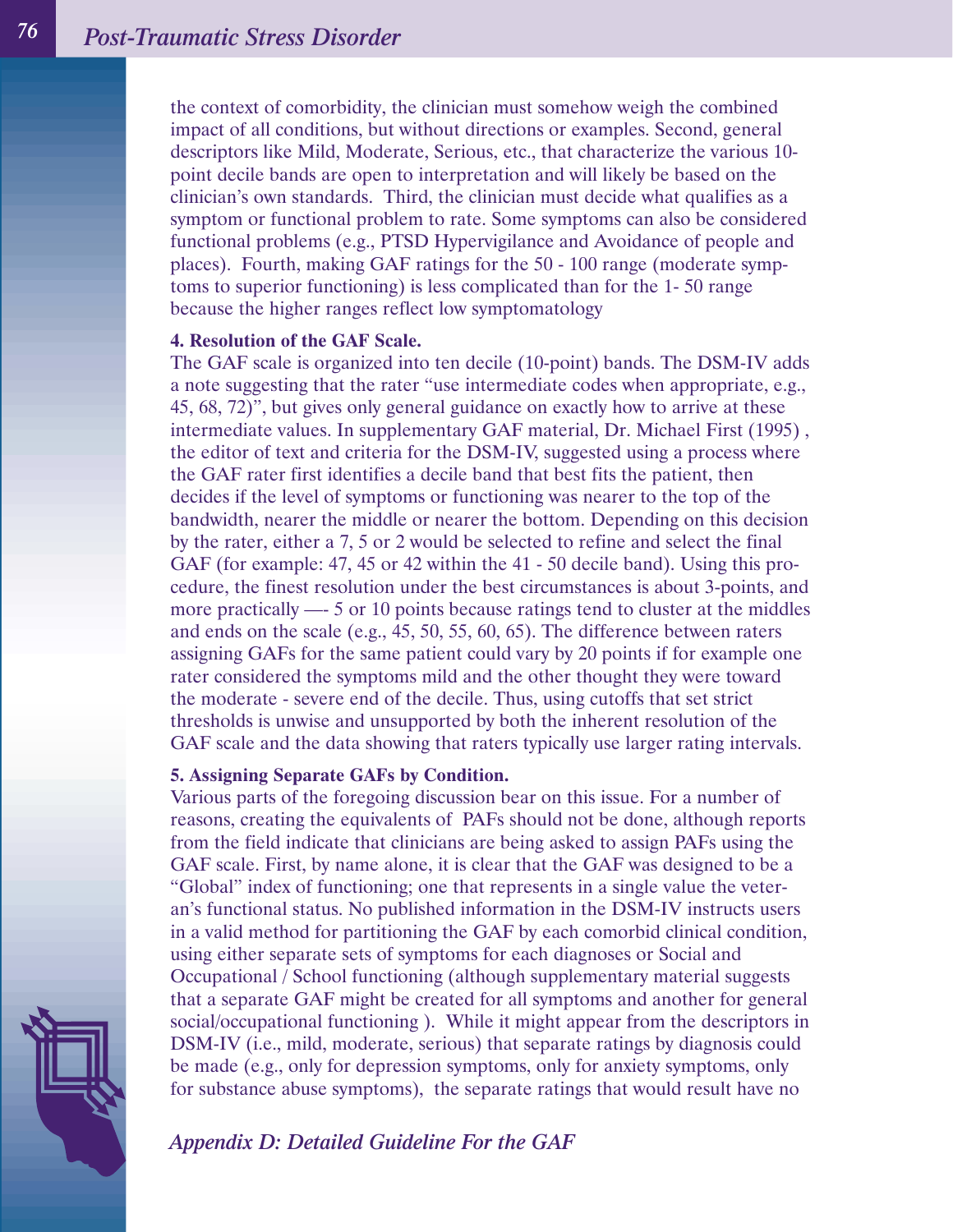the context of comorbidity, the clinician must somehow weigh the combined impact of all conditions, but without directions or examples. Second, general descriptors like Mild, Moderate, Serious, etc., that characterize the various 10 point decile bands are open to interpretation and will likely be based on the clinician's own standards. Third, the clinician must decide what qualifies as a symptom or functional problem to rate. Some symptoms can also be considered functional problems (e.g., PTSD Hypervigilance and Avoidance of people and places). Fourth, making GAF ratings for the 50 - 100 range (moderate symptoms to superior functioning) is less complicated than for the 1- 50 range because the higher ranges reflect low symptomatology

#### **4. Resolution of the GAF Scale.**

The GAF scale is organized into ten decile (10-point) bands. The DSM-IV adds a note suggesting that the rater "use intermediate codes when appropriate, e.g., 45, 68, 72)", but gives only general guidance on exactly how to arrive at these intermediate values. In supplementary GAF material, Dr. Michael First (1995) , the editor of text and criteria for the DSM-IV, suggested using a process where the GAF rater first identifies a decile band that best fits the patient, then decides if the level of symptoms or functioning was nearer to the top of the bandwidth, nearer the middle or nearer the bottom. Depending on this decision by the rater, either a 7, 5 or 2 would be selected to refine and select the final GAF (for example: 47, 45 or 42 within the 41 - 50 decile band). Using this procedure, the finest resolution under the best circumstances is about 3-points, and more practically —- 5 or 10 points because ratings tend to cluster at the middles and ends on the scale (e.g., 45, 50, 55, 60, 65). The difference between raters assigning GAFs for the same patient could vary by 20 points if for example one rater considered the symptoms mild and the other thought they were toward the moderate - severe end of the decile. Thus, using cutoffs that set strict thresholds is unwise and unsupported by both the inherent resolution of the GAF scale and the data showing that raters typically use larger rating intervals.

#### **5. Assigning Separate GAFs by Condition.**

Various parts of the foregoing discussion bear on this issue. For a number of reasons, creating the equivalents of PAFs should not be done, although reports from the field indicate that clinicians are being asked to assign PAFs using the GAF scale. First, by name alone, it is clear that the GAF was designed to be a "Global" index of functioning; one that represents in a single value the veteran's functional status. No published information in the DSM-IV instructs users in a valid method for partitioning the GAF by each comorbid clinical condition, using either separate sets of symptoms for each diagnoses or Social and Occupational / School functioning (although supplementary material suggests that a separate GAF might be created for all symptoms and another for general social/occupational functioning ). While it might appear from the descriptors in DSM-IV (i.e., mild, moderate, serious) that separate ratings by diagnosis could be made (e.g., only for depression symptoms, only for anxiety symptoms, only for substance abuse symptoms), the separate ratings that would result have no

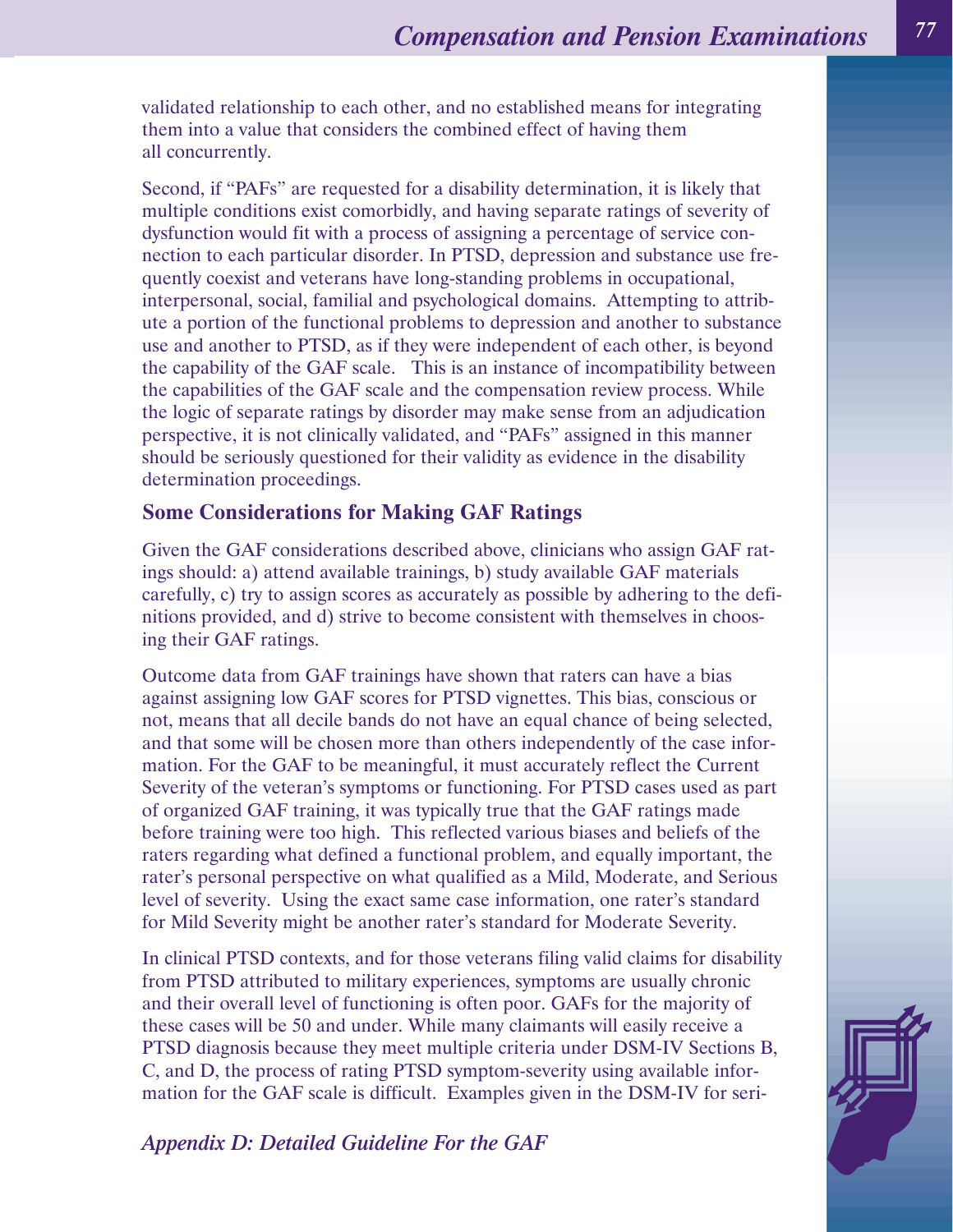validated relationship to each other, and no established means for integrating them into a value that considers the combined effect of having them all concurrently.

Second, if "PAFs" are requested for a disability determination, it is likely that multiple conditions exist comorbidly, and having separate ratings of severity of dysfunction would fit with a process of assigning a percentage of service connection to each particular disorder. In PTSD, depression and substance use frequently coexist and veterans have long-standing problems in occupational, interpersonal, social, familial and psychological domains. Attempting to attribute a portion of the functional problems to depression and another to substance use and another to PTSD, as if they were independent of each other, is beyond the capability of the GAF scale. This is an instance of incompatibility between the capabilities of the GAF scale and the compensation review process. While the logic of separate ratings by disorder may make sense from an adjudication perspective, it is not clinically validated, and "PAFs" assigned in this manner should be seriously questioned for their validity as evidence in the disability determination proceedings.

### **Some Considerations for Making GAF Ratings**

Given the GAF considerations described above, clinicians who assign GAF ratings should: a) attend available trainings, b) study available GAF materials carefully, c) try to assign scores as accurately as possible by adhering to the definitions provided, and d) strive to become consistent with themselves in choosing their GAF ratings.

Outcome data from GAF trainings have shown that raters can have a bias against assigning low GAF scores for PTSD vignettes. This bias, conscious or not, means that all decile bands do not have an equal chance of being selected, and that some will be chosen more than others independently of the case information. For the GAF to be meaningful, it must accurately reflect the Current Severity of the veteran's symptoms or functioning. For PTSD cases used as part of organized GAF training, it was typically true that the GAF ratings made before training were too high. This reflected various biases and beliefs of the raters regarding what defined a functional problem, and equally important, the rater's personal perspective on what qualified as a Mild, Moderate, and Serious level of severity. Using the exact same case information, one rater's standard for Mild Severity might be another rater's standard for Moderate Severity.

In clinical PTSD contexts, and for those veterans filing valid claims for disability from PTSD attributed to military experiences, symptoms are usually chronic and their overall level of functioning is often poor. GAFs for the majority of these cases will be 50 and under. While many claimants will easily receive a PTSD diagnosis because they meet multiple criteria under DSM-IV Sections B, C, and D, the process of rating PTSD symptom-severity using available information for the GAF scale is difficult. Examples given in the DSM-IV for seri-

#### *Appendix D: Detailed Guideline For the GAF*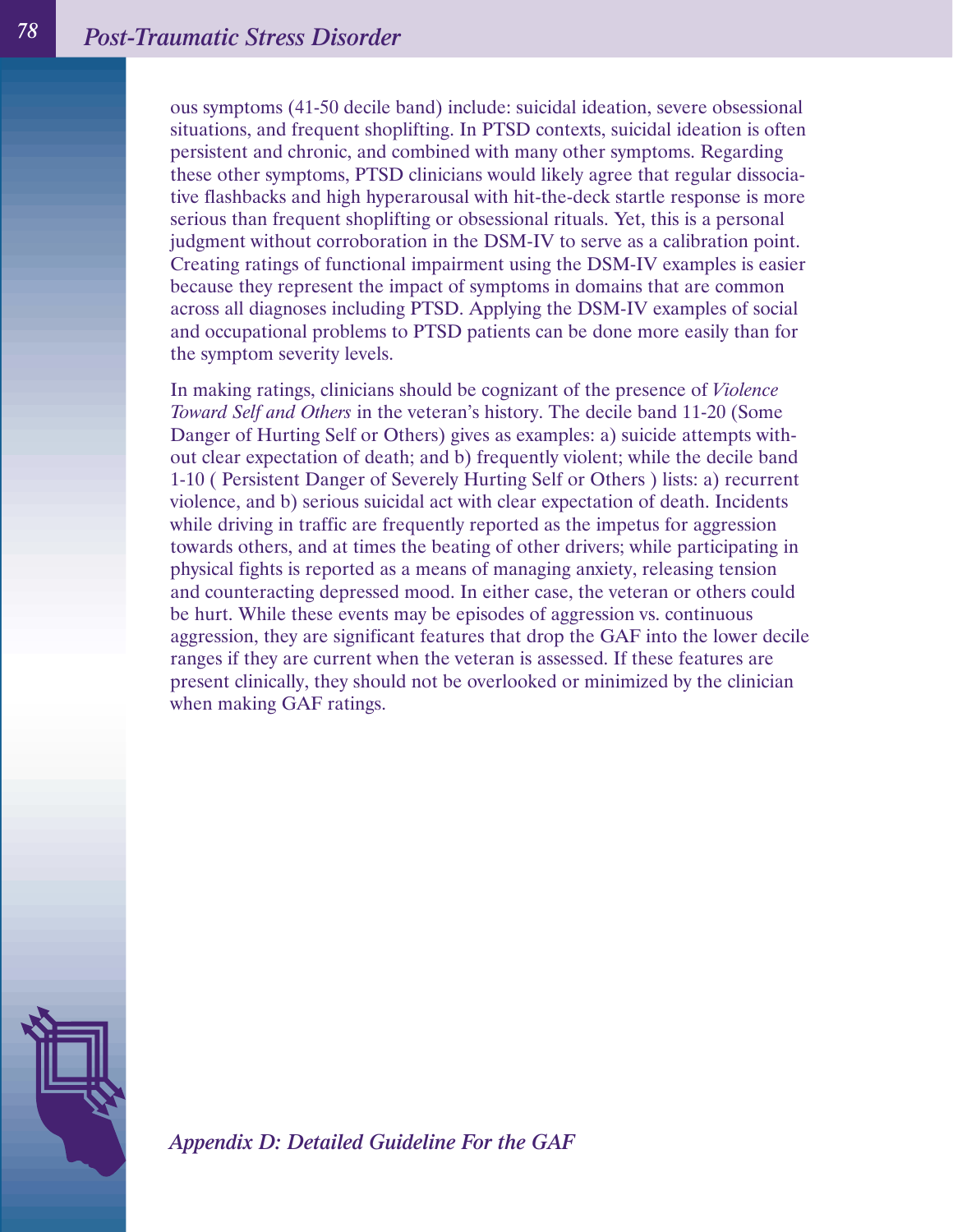ous symptoms (41-50 decile band) include: suicidal ideation, severe obsessional situations, and frequent shoplifting. In PTSD contexts, suicidal ideation is often persistent and chronic, and combined with many other symptoms. Regarding these other symptoms, PTSD clinicians would likely agree that regular dissociative flashbacks and high hyperarousal with hit-the-deck startle response is more serious than frequent shoplifting or obsessional rituals. Yet, this is a personal judgment without corroboration in the DSM-IV to serve as a calibration point. Creating ratings of functional impairment using the DSM-IV examples is easier because they represent the impact of symptoms in domains that are common across all diagnoses including PTSD. Applying the DSM-IV examples of social and occupational problems to PTSD patients can be done more easily than for the symptom severity levels.

In making ratings, clinicians should be cognizant of the presence of *Violence Toward Self and Others* in the veteran's history. The decile band 11-20 (Some Danger of Hurting Self or Others) gives as examples: a) suicide attempts without clear expectation of death; and b) frequently violent; while the decile band 1-10 ( Persistent Danger of Severely Hurting Self or Others ) lists: a) recurrent violence, and b) serious suicidal act with clear expectation of death. Incidents while driving in traffic are frequently reported as the impetus for aggression towards others, and at times the beating of other drivers; while participating in physical fights is reported as a means of managing anxiety, releasing tension and counteracting depressed mood. In either case, the veteran or others could be hurt. While these events may be episodes of aggression vs. continuous aggression, they are significant features that drop the GAF into the lower decile ranges if they are current when the veteran is assessed. If these features are present clinically, they should not be overlooked or minimized by the clinician when making GAF ratings.

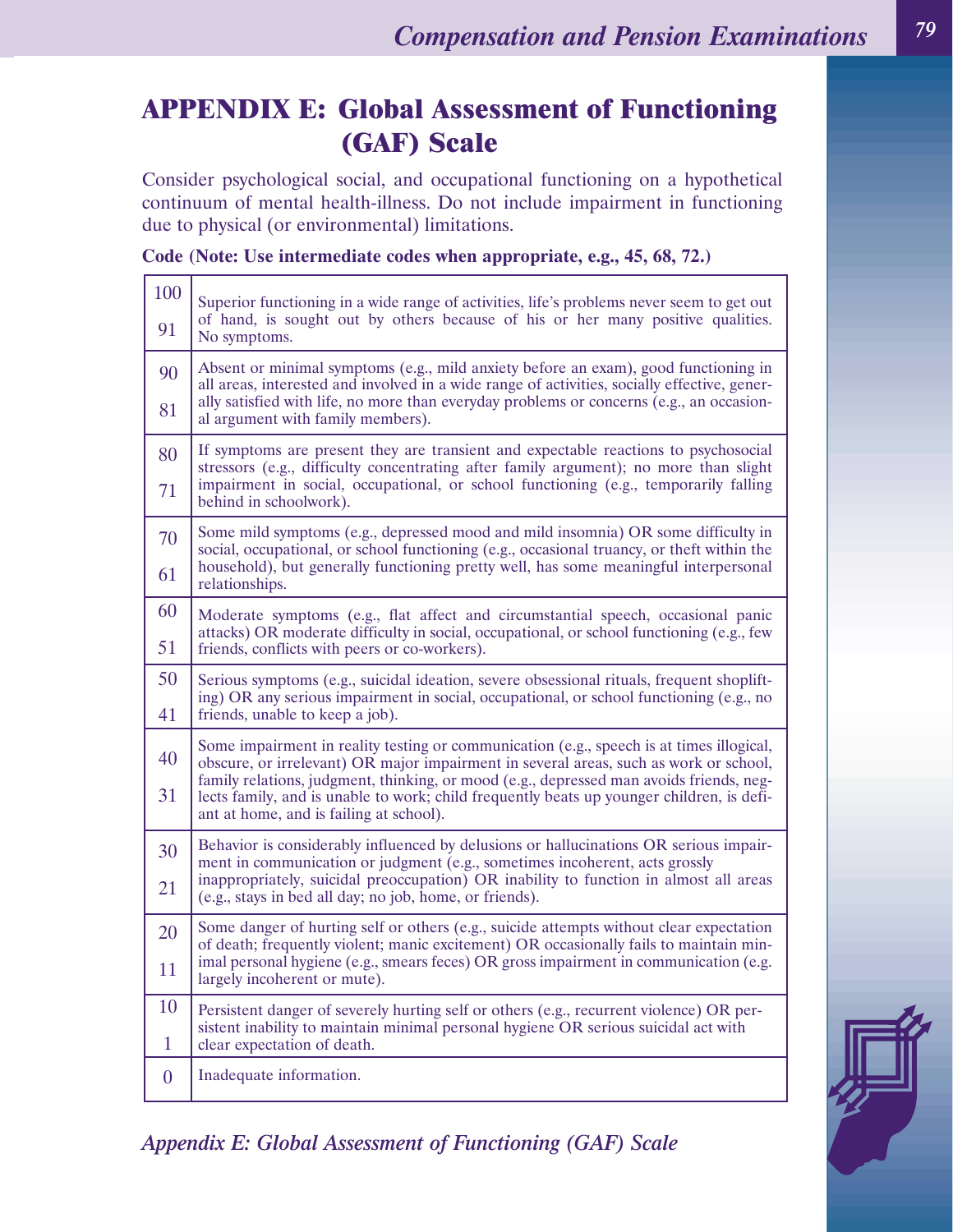# **APPENDIX E: Global Assessment of Functioning (GAF) Scale**

Consider psychological social, and occupational functioning on a hypothetical continuum of mental health-illness. Do not include impairment in functioning due to physical (or environmental) limitations.

**Code (Note: Use intermediate codes when appropriate, e.g., 45, 68, 72.)**

| 100<br>91      | Superior functioning in a wide range of activities, life's problems never seem to get out<br>of hand, is sought out by others because of his or her many positive qualities.<br>No symptoms.                                                                                                                                                                                                                         |  |
|----------------|----------------------------------------------------------------------------------------------------------------------------------------------------------------------------------------------------------------------------------------------------------------------------------------------------------------------------------------------------------------------------------------------------------------------|--|
| 90             | Absent or minimal symptoms (e.g., mild anxiety before an exam), good functioning in<br>all areas, interested and involved in a wide range of activities, socially effective, gener-<br>ally satisfied with life, no more than everyday problems or concerns (e.g., an occasion-<br>al argument with family members).                                                                                                 |  |
| 81             |                                                                                                                                                                                                                                                                                                                                                                                                                      |  |
| 80             | If symptoms are present they are transient and expectable reactions to psychosocial<br>stressors (e.g., difficulty concentrating after family argument); no more than slight                                                                                                                                                                                                                                         |  |
| 71             | impairment in social, occupational, or school functioning (e.g., temporarily falling<br>behind in schoolwork).                                                                                                                                                                                                                                                                                                       |  |
| 70             | Some mild symptoms (e.g., depressed mood and mild insomnia) OR some difficulty in<br>social, occupational, or school functioning (e.g., occasional truancy, or theft within the                                                                                                                                                                                                                                      |  |
| 61             | household), but generally functioning pretty well, has some meaningful interpersonal<br>relationships.                                                                                                                                                                                                                                                                                                               |  |
| 60             | Moderate symptoms (e.g., flat affect and circumstantial speech, occasional panic<br>attacks) OR moderate difficulty in social, occupational, or school functioning (e.g., few                                                                                                                                                                                                                                        |  |
| 51             | friends, conflicts with peers or co-workers).                                                                                                                                                                                                                                                                                                                                                                        |  |
| 50<br>41       | Serious symptoms (e.g., suicidal ideation, severe obsessional rituals, frequent shoplift-<br>ing) OR any serious impairment in social, occupational, or school functioning (e.g., no<br>friends, unable to keep a job).                                                                                                                                                                                              |  |
| 40<br>31       | Some impairment in reality testing or communication (e.g., speech is at times illogical,<br>obscure, or irrelevant) OR major impairment in several areas, such as work or school,<br>family relations, judgment, thinking, or mood (e.g., depressed man avoids friends, neg-<br>lects family, and is unable to work; child frequently beats up younger children, is defi-<br>ant at home, and is failing at school). |  |
| 30             | Behavior is considerably influenced by delusions or hallucinations OR serious impair-<br>ment in communication or judgment (e.g., sometimes incoherent, acts grossly                                                                                                                                                                                                                                                 |  |
| 21             | inappropriately, suicidal preoccupation) OR inability to function in almost all areas<br>(e.g., stays in bed all day; no job, home, or friends).                                                                                                                                                                                                                                                                     |  |
| 20             | Some danger of hurting self or others (e.g., suicide attempts without clear expectation<br>of death; frequently violent; manic excitement) OR occasionally fails to maintain min-                                                                                                                                                                                                                                    |  |
| 11             | imal personal hygiene (e.g., smears feces) OR gross impairment in communication (e.g.<br>largely incoherent or mute).                                                                                                                                                                                                                                                                                                |  |
| 10             | Persistent danger of severely hurting self or others (e.g., recurrent violence) OR per-<br>sistent inability to maintain minimal personal hygiene OR serious suicidal act with                                                                                                                                                                                                                                       |  |
| $\mathbf{1}$   | clear expectation of death.                                                                                                                                                                                                                                                                                                                                                                                          |  |
| $\overline{0}$ | Inadequate information.                                                                                                                                                                                                                                                                                                                                                                                              |  |



*Appendix E: Global Assessment of Functioning (GAF) Scale*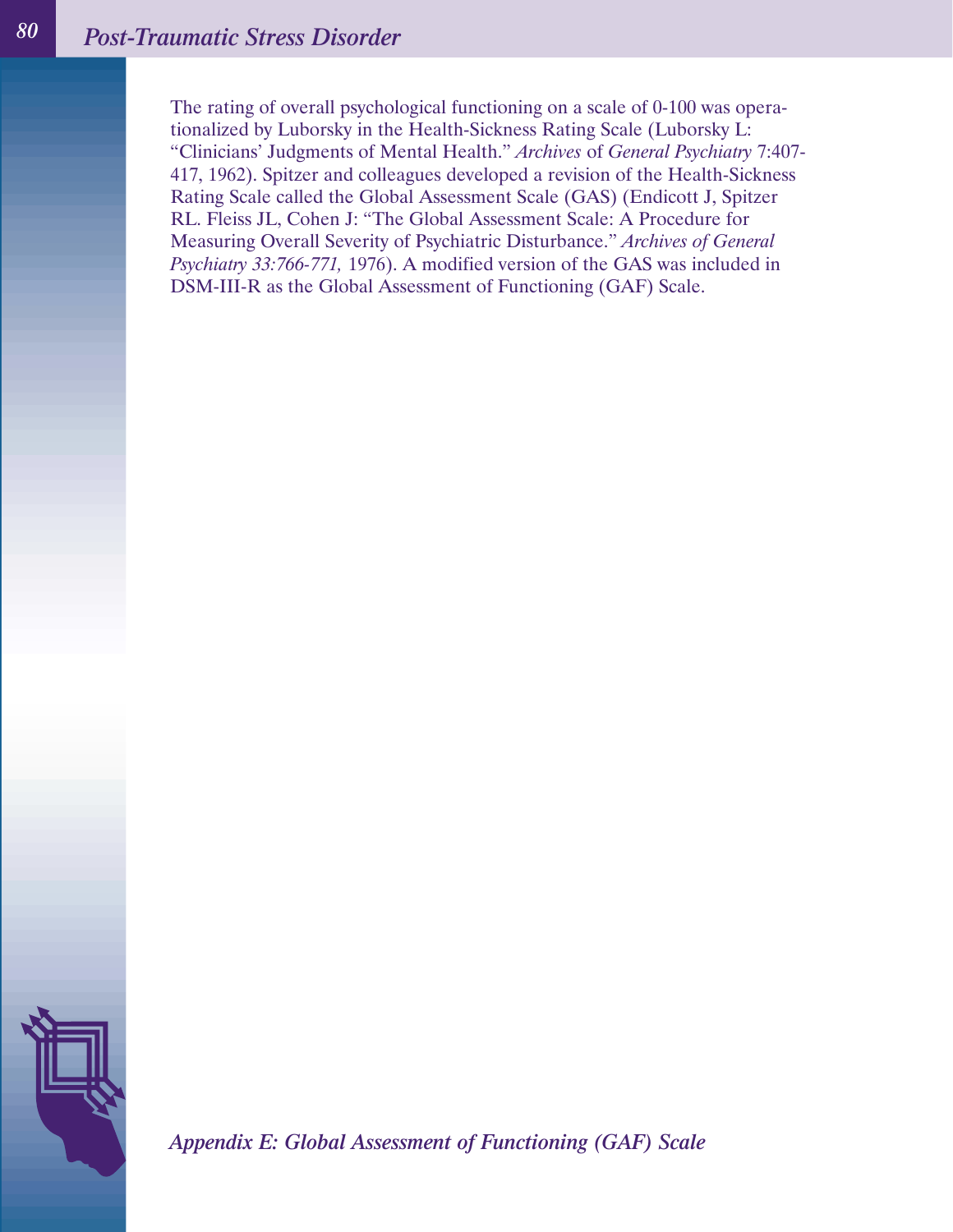The rating of overall psychological functioning on a scale of 0-100 was operationalized by Luborsky in the Health-Sickness Rating Scale (Luborsky L: "Clinicians' Judgments of Mental Health." *Archives* of *General Psychiatry* 7:407- 417, 1962). Spitzer and colleagues developed a revision of the Health-Sickness Rating Scale called the Global Assessment Scale (GAS) (Endicott J, Spitzer RL. Fleiss JL, Cohen J: "The Global Assessment Scale: A Procedure for Measuring Overall Severity of Psychiatric Disturbance." *Archives of General Psychiatry 33:766-771,* 1976). A modified version of the GAS was included in DSM-III-R as the Global Assessment of Functioning (GAF) Scale.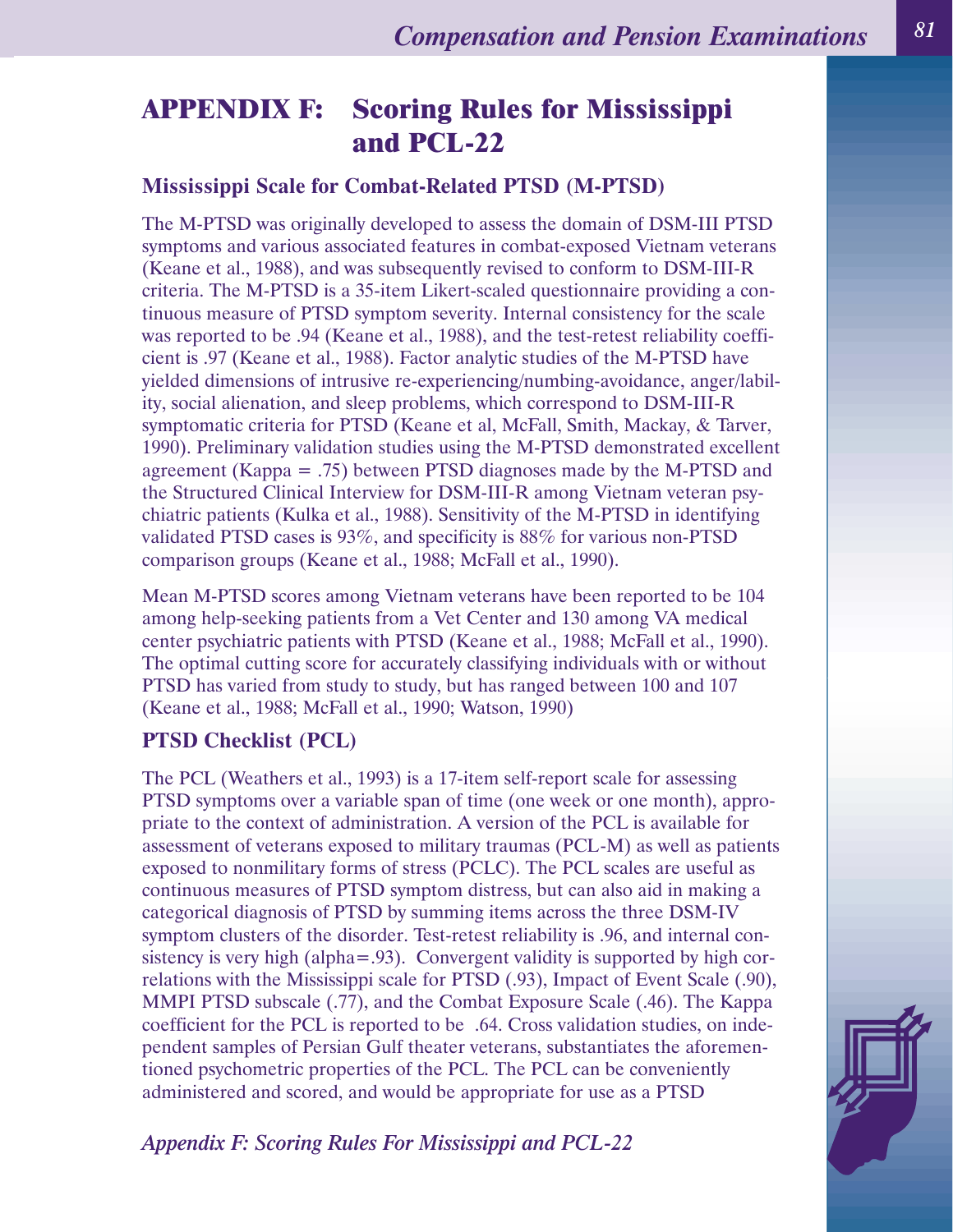# **APPENDIX F: Scoring Rules for Mississippi and PCL-22**

### **Mississippi Scale for Combat-Related PTSD (M-PTSD)**

The M-PTSD was originally developed to assess the domain of DSM-III PTSD symptoms and various associated features in combat-exposed Vietnam veterans (Keane et al., 1988), and was subsequently revised to conform to DSM-III-R criteria. The M-PTSD is a 35-item Likert-scaled questionnaire providing a continuous measure of PTSD symptom severity. Internal consistency for the scale was reported to be .94 (Keane et al., 1988), and the test-retest reliability coefficient is .97 (Keane et al., 1988). Factor analytic studies of the M-PTSD have yielded dimensions of intrusive re-experiencing/numbing-avoidance, anger/lability, social alienation, and sleep problems, which correspond to DSM-III-R symptomatic criteria for PTSD (Keane et al, McFall, Smith, Mackay, & Tarver, 1990). Preliminary validation studies using the M-PTSD demonstrated excellent agreement (Kappa = .75) between PTSD diagnoses made by the M-PTSD and the Structured Clinical Interview for DSM-III-R among Vietnam veteran psychiatric patients (Kulka et al., 1988). Sensitivity of the M-PTSD in identifying validated PTSD cases is 93%, and specificity is 88% for various non-PTSD comparison groups (Keane et al., 1988; McFall et al., 1990).

Mean M-PTSD scores among Vietnam veterans have been reported to be 104 among help-seeking patients from a Vet Center and 130 among VA medical center psychiatric patients with PTSD (Keane et al., 1988; McFall et al., 1990). The optimal cutting score for accurately classifying individuals with or without PTSD has varied from study to study, but has ranged between 100 and 107 (Keane et al., 1988; McFall et al., 1990; Watson, 1990)

### **PTSD Checklist (PCL)**

The PCL (Weathers et al., 1993) is a 17-item self-report scale for assessing PTSD symptoms over a variable span of time (one week or one month), appropriate to the context of administration. A version of the PCL is available for assessment of veterans exposed to military traumas (PCL-M) as well as patients exposed to nonmilitary forms of stress (PCLC). The PCL scales are useful as continuous measures of PTSD symptom distress, but can also aid in making a categorical diagnosis of PTSD by summing items across the three DSM-IV symptom clusters of the disorder. Test-retest reliability is .96, and internal consistency is very high (alpha=.93). Convergent validity is supported by high correlations with the Mississippi scale for PTSD (.93), Impact of Event Scale (.90), MMPI PTSD subscale (.77), and the Combat Exposure Scale (.46). The Kappa coefficient for the PCL is reported to be .64. Cross validation studies, on independent samples of Persian Gulf theater veterans, substantiates the aforementioned psychometric properties of the PCL. The PCL can be conveniently administered and scored, and would be appropriate for use as a PTSD

*Appendix F: Scoring Rules For Mississippi and PCL-22*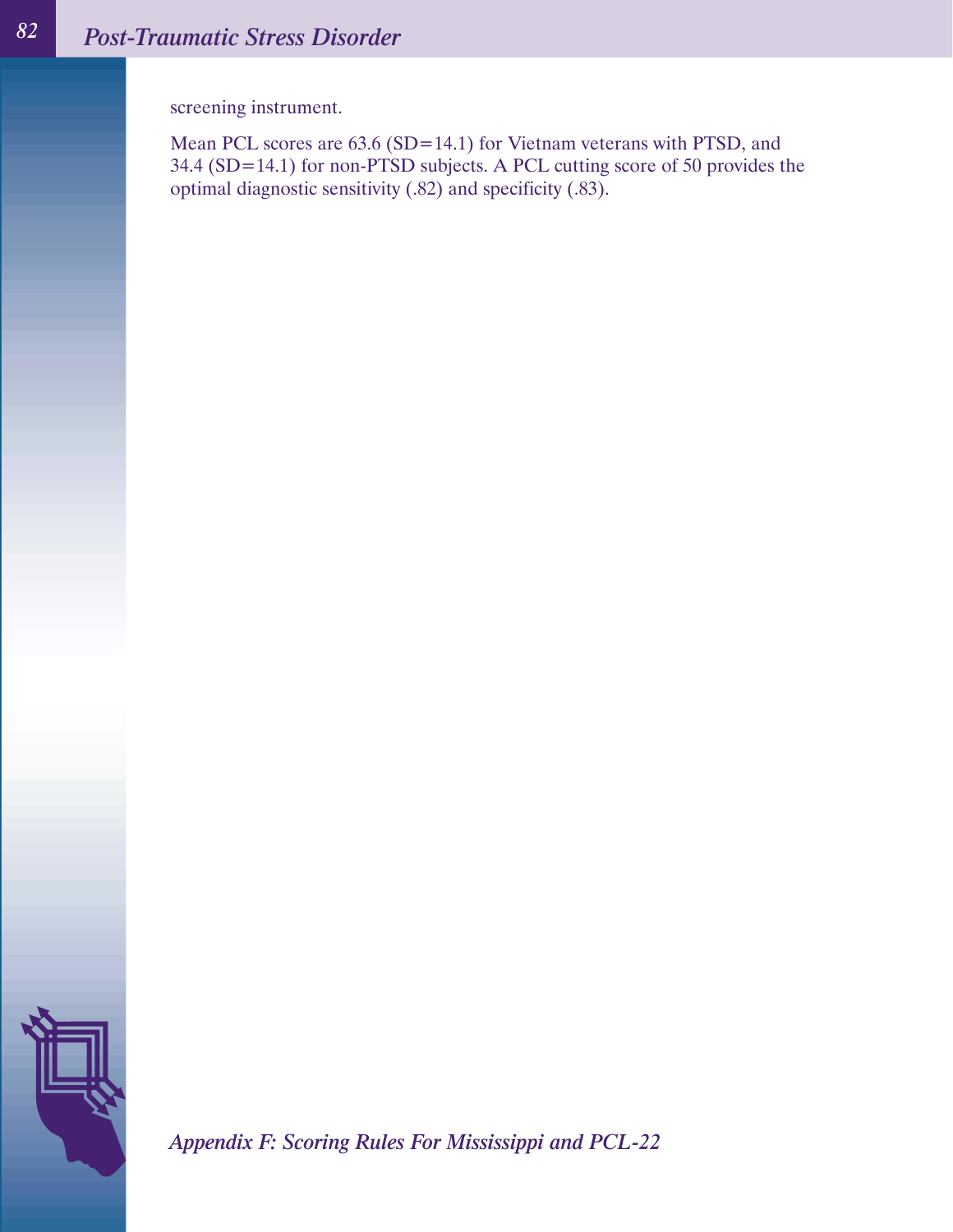screening instrument.

Mean PCL scores are 63.6 (SD=14.1) for Vietnam veterans with PTSD, and 34.4 (SD=14.1) for non-PTSD subjects. A PCL cutting score of 50 provides the optimal diagnostic sensitivity (.82) and specificity (.83).



*Appendix F: Scoring Rules For Mississippi and PCL-22*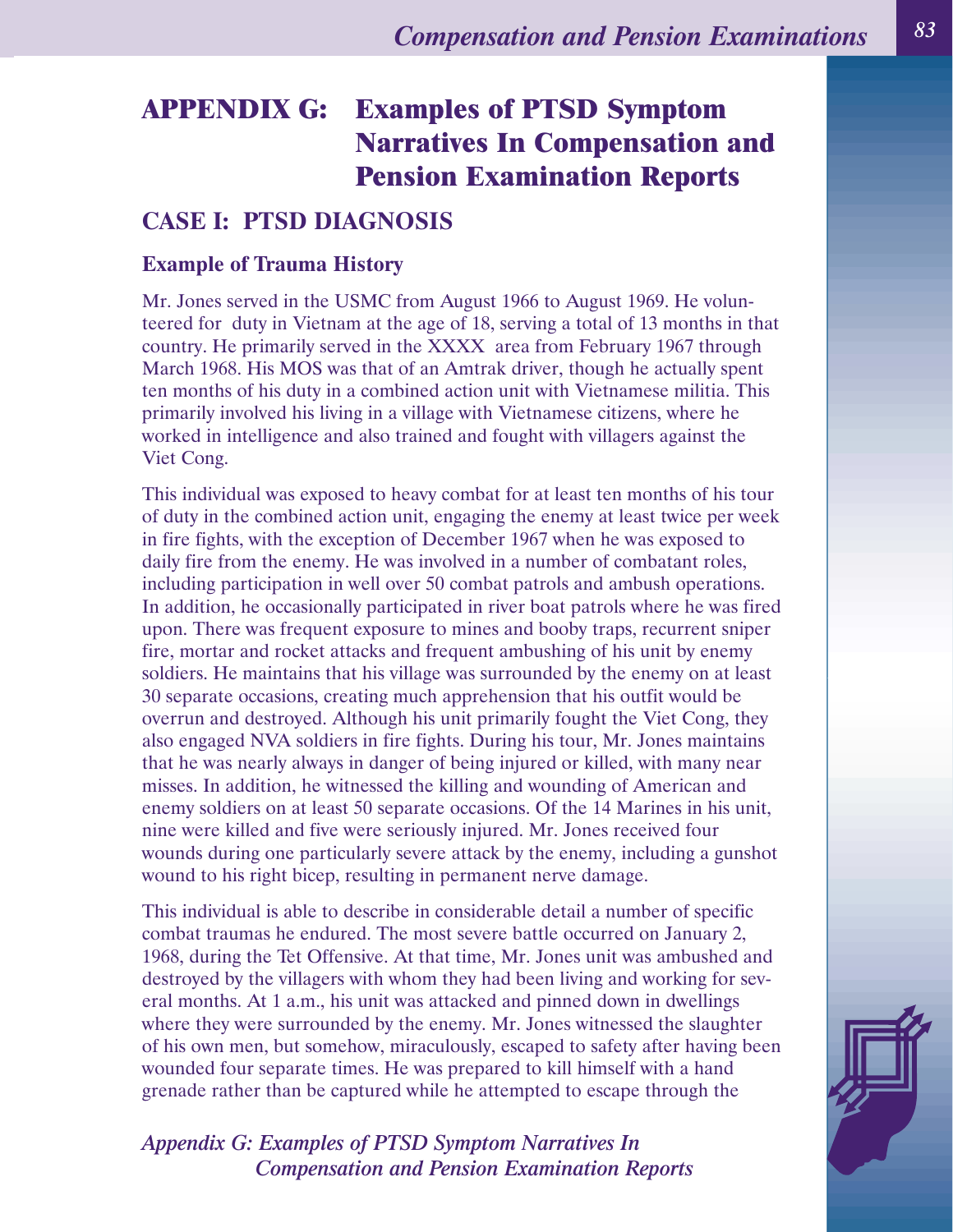# **APPENDIX G: Examples of PTSD Symptom Narratives In Compensation and Pension Examination Reports**

### **CASE I: PTSD DIAGNOSIS**

### **Example of Trauma History**

Mr. Jones served in the USMC from August 1966 to August 1969. He volunteered for duty in Vietnam at the age of 18, serving a total of 13 months in that country. He primarily served in the XXXX area from February 1967 through March 1968. His MOS was that of an Amtrak driver, though he actually spent ten months of his duty in a combined action unit with Vietnamese militia. This primarily involved his living in a village with Vietnamese citizens, where he worked in intelligence and also trained and fought with villagers against the Viet Cong.

This individual was exposed to heavy combat for at least ten months of his tour of duty in the combined action unit, engaging the enemy at least twice per week in fire fights, with the exception of December 1967 when he was exposed to daily fire from the enemy. He was involved in a number of combatant roles, including participation in well over 50 combat patrols and ambush operations. In addition, he occasionally participated in river boat patrols where he was fired upon. There was frequent exposure to mines and booby traps, recurrent sniper fire, mortar and rocket attacks and frequent ambushing of his unit by enemy soldiers. He maintains that his village was surrounded by the enemy on at least 30 separate occasions, creating much apprehension that his outfit would be overrun and destroyed. Although his unit primarily fought the Viet Cong, they also engaged NVA soldiers in fire fights. During his tour, Mr. Jones maintains that he was nearly always in danger of being injured or killed, with many near misses. In addition, he witnessed the killing and wounding of American and enemy soldiers on at least 50 separate occasions. Of the 14 Marines in his unit, nine were killed and five were seriously injured. Mr. Jones received four wounds during one particularly severe attack by the enemy, including a gunshot wound to his right bicep, resulting in permanent nerve damage.

This individual is able to describe in considerable detail a number of specific combat traumas he endured. The most severe battle occurred on January 2, 1968, during the Tet Offensive. At that time, Mr. Jones unit was ambushed and destroyed by the villagers with whom they had been living and working for several months. At 1 a.m., his unit was attacked and pinned down in dwellings where they were surrounded by the enemy. Mr. Jones witnessed the slaughter of his own men, but somehow, miraculously, escaped to safety after having been wounded four separate times. He was prepared to kill himself with a hand grenade rather than be captured while he attempted to escape through the

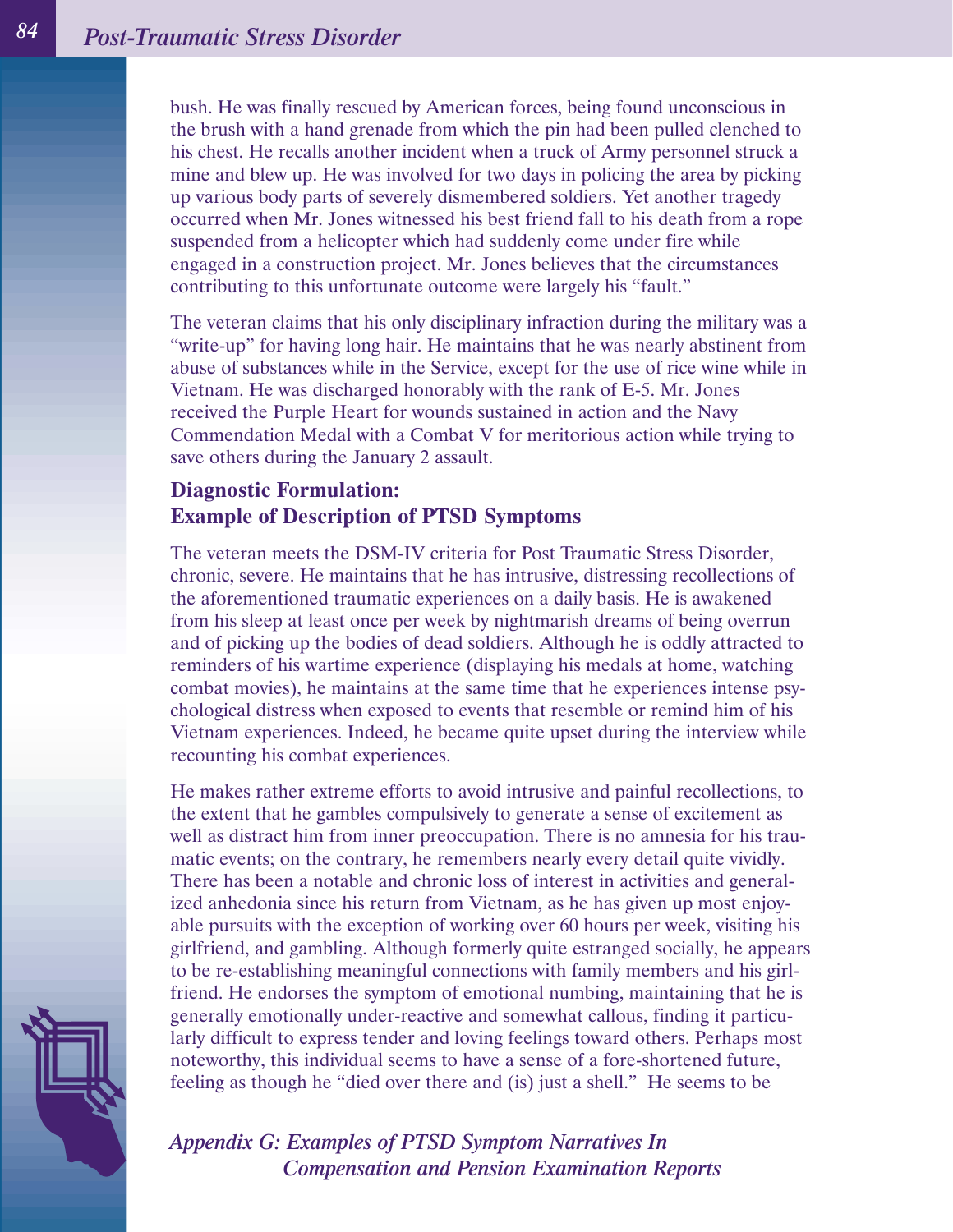bush. He was finally rescued by American forces, being found unconscious in the brush with a hand grenade from which the pin had been pulled clenched to his chest. He recalls another incident when a truck of Army personnel struck a mine and blew up. He was involved for two days in policing the area by picking up various body parts of severely dismembered soldiers. Yet another tragedy occurred when Mr. Jones witnessed his best friend fall to his death from a rope suspended from a helicopter which had suddenly come under fire while engaged in a construction project. Mr. Jones believes that the circumstances contributing to this unfortunate outcome were largely his "fault."

The veteran claims that his only disciplinary infraction during the military was a "write-up" for having long hair. He maintains that he was nearly abstinent from abuse of substances while in the Service, except for the use of rice wine while in Vietnam. He was discharged honorably with the rank of E-5. Mr. Jones received the Purple Heart for wounds sustained in action and the Navy Commendation Medal with a Combat V for meritorious action while trying to save others during the January 2 assault.

### **Diagnostic Formulation: Example of Description of PTSD Symptoms**

The veteran meets the DSM-IV criteria for Post Traumatic Stress Disorder, chronic, severe. He maintains that he has intrusive, distressing recollections of the aforementioned traumatic experiences on a daily basis. He is awakened from his sleep at least once per week by nightmarish dreams of being overrun and of picking up the bodies of dead soldiers. Although he is oddly attracted to reminders of his wartime experience (displaying his medals at home, watching combat movies), he maintains at the same time that he experiences intense psychological distress when exposed to events that resemble or remind him of his Vietnam experiences. Indeed, he became quite upset during the interview while recounting his combat experiences.

He makes rather extreme efforts to avoid intrusive and painful recollections, to the extent that he gambles compulsively to generate a sense of excitement as well as distract him from inner preoccupation. There is no amnesia for his traumatic events; on the contrary, he remembers nearly every detail quite vividly. There has been a notable and chronic loss of interest in activities and generalized anhedonia since his return from Vietnam, as he has given up most enjoyable pursuits with the exception of working over 60 hours per week, visiting his girlfriend, and gambling. Although formerly quite estranged socially, he appears to be re-establishing meaningful connections with family members and his girlfriend. He endorses the symptom of emotional numbing, maintaining that he is generally emotionally under-reactive and somewhat callous, finding it particularly difficult to express tender and loving feelings toward others. Perhaps most noteworthy, this individual seems to have a sense of a fore-shortened future, feeling as though he "died over there and (is) just a shell." He seems to be

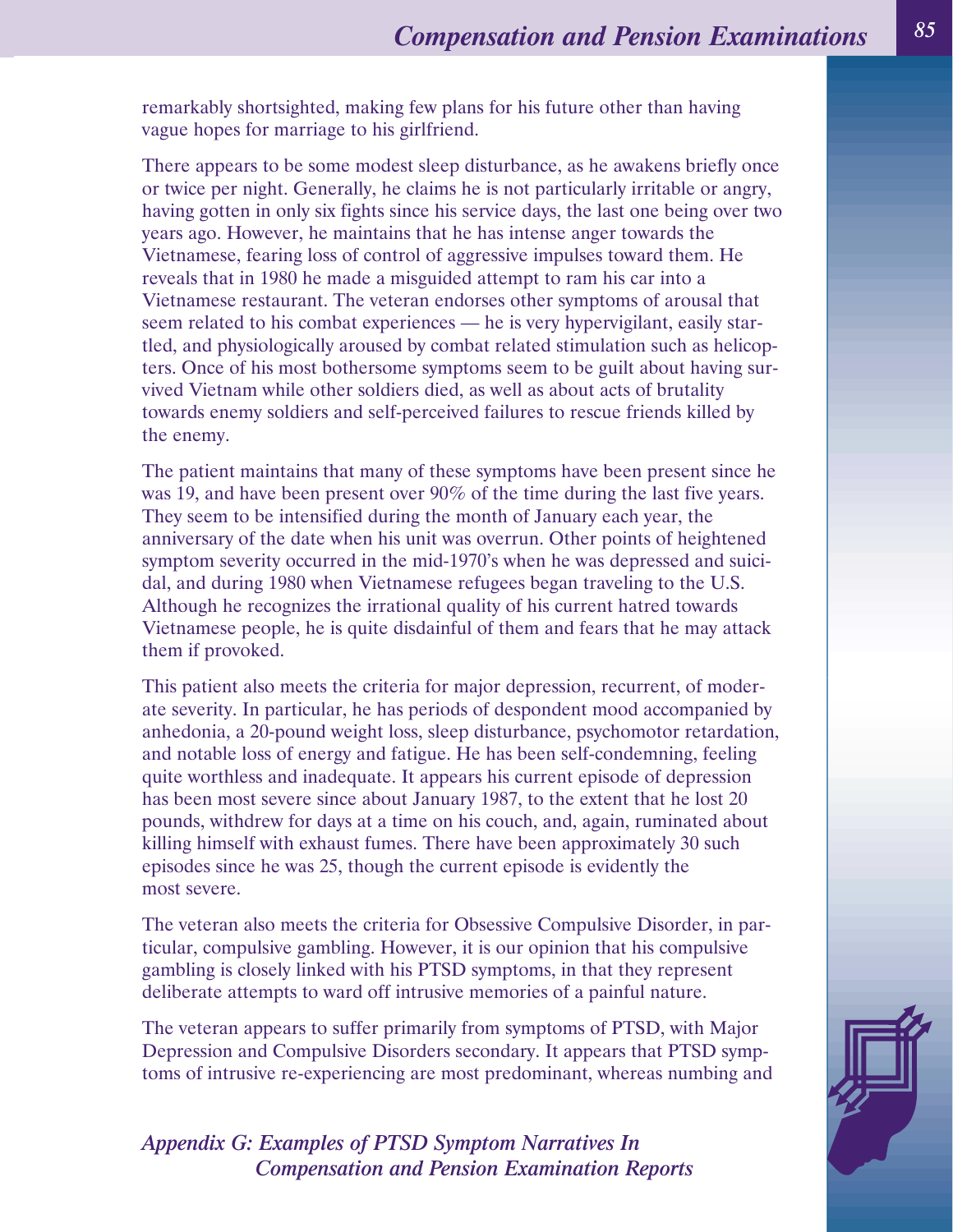remarkably shortsighted, making few plans for his future other than having vague hopes for marriage to his girlfriend.

There appears to be some modest sleep disturbance, as he awakens briefly once or twice per night. Generally, he claims he is not particularly irritable or angry, having gotten in only six fights since his service days, the last one being over two years ago. However, he maintains that he has intense anger towards the Vietnamese, fearing loss of control of aggressive impulses toward them. He reveals that in 1980 he made a misguided attempt to ram his car into a Vietnamese restaurant. The veteran endorses other symptoms of arousal that seem related to his combat experiences — he is very hypervigilant, easily startled, and physiologically aroused by combat related stimulation such as helicopters. Once of his most bothersome symptoms seem to be guilt about having survived Vietnam while other soldiers died, as well as about acts of brutality towards enemy soldiers and self-perceived failures to rescue friends killed by the enemy.

The patient maintains that many of these symptoms have been present since he was 19, and have been present over 90% of the time during the last five years. They seem to be intensified during the month of January each year, the anniversary of the date when his unit was overrun. Other points of heightened symptom severity occurred in the mid-1970's when he was depressed and suicidal, and during 1980 when Vietnamese refugees began traveling to the U.S. Although he recognizes the irrational quality of his current hatred towards Vietnamese people, he is quite disdainful of them and fears that he may attack them if provoked.

This patient also meets the criteria for major depression, recurrent, of moderate severity. In particular, he has periods of despondent mood accompanied by anhedonia, a 20-pound weight loss, sleep disturbance, psychomotor retardation, and notable loss of energy and fatigue. He has been self-condemning, feeling quite worthless and inadequate. It appears his current episode of depression has been most severe since about January 1987, to the extent that he lost 20 pounds, withdrew for days at a time on his couch, and, again, ruminated about killing himself with exhaust fumes. There have been approximately 30 such episodes since he was 25, though the current episode is evidently the most severe.

The veteran also meets the criteria for Obsessive Compulsive Disorder, in particular, compulsive gambling. However, it is our opinion that his compulsive gambling is closely linked with his PTSD symptoms, in that they represent deliberate attempts to ward off intrusive memories of a painful nature.

The veteran appears to suffer primarily from symptoms of PTSD, with Major Depression and Compulsive Disorders secondary. It appears that PTSD symptoms of intrusive re-experiencing are most predominant, whereas numbing and

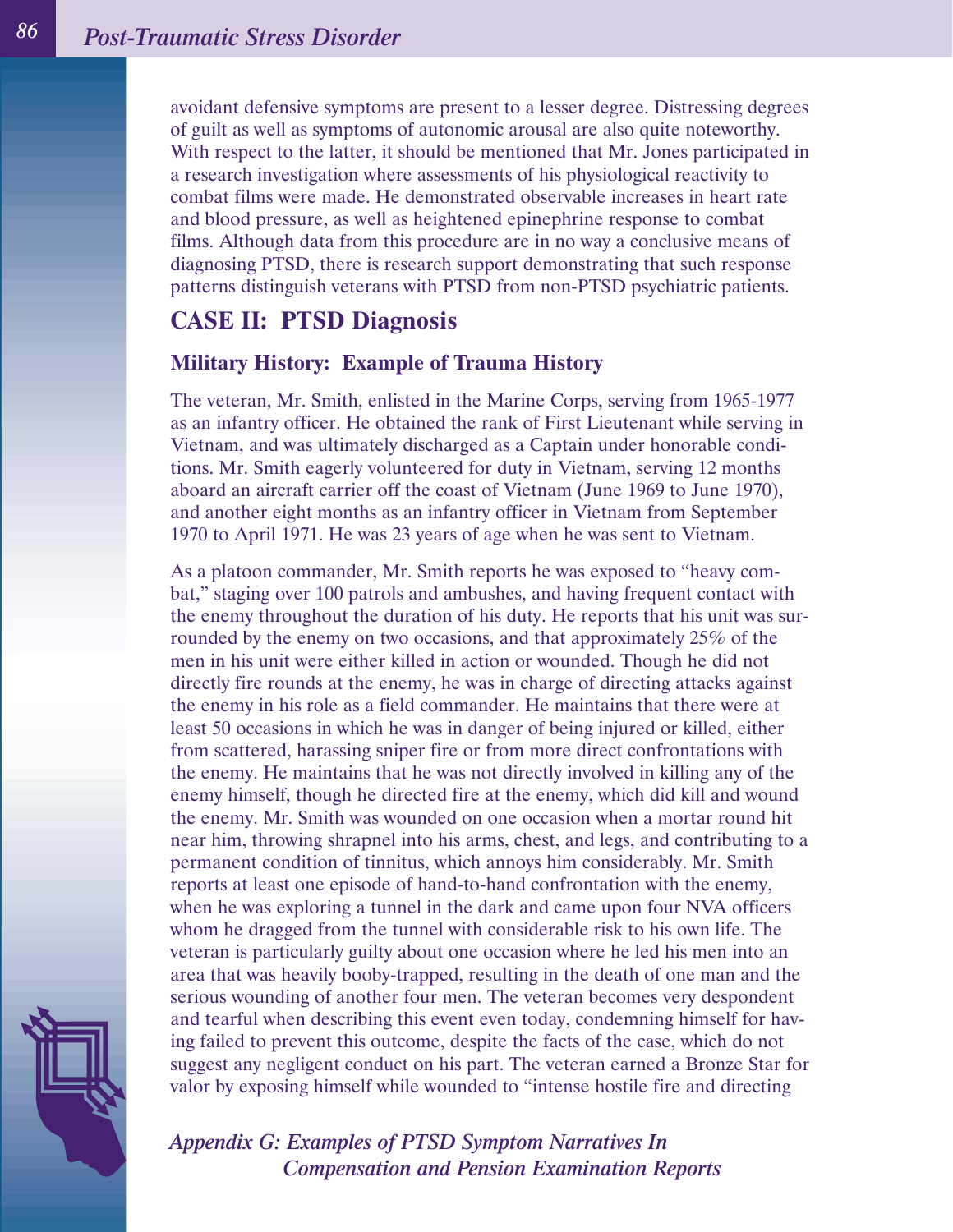avoidant defensive symptoms are present to a lesser degree. Distressing degrees of guilt as well as symptoms of autonomic arousal are also quite noteworthy. With respect to the latter, it should be mentioned that Mr. Jones participated in a research investigation where assessments of his physiological reactivity to combat films were made. He demonstrated observable increases in heart rate and blood pressure, as well as heightened epinephrine response to combat films. Although data from this procedure are in no way a conclusive means of diagnosing PTSD, there is research support demonstrating that such response patterns distinguish veterans with PTSD from non-PTSD psychiatric patients.

### **CASE II: PTSD Diagnosis**

### **Military History: Example of Trauma History**

The veteran, Mr. Smith, enlisted in the Marine Corps, serving from 1965-1977 as an infantry officer. He obtained the rank of First Lieutenant while serving in Vietnam, and was ultimately discharged as a Captain under honorable conditions. Mr. Smith eagerly volunteered for duty in Vietnam, serving 12 months aboard an aircraft carrier off the coast of Vietnam (June 1969 to June 1970), and another eight months as an infantry officer in Vietnam from September 1970 to April 1971. He was 23 years of age when he was sent to Vietnam.

As a platoon commander, Mr. Smith reports he was exposed to "heavy combat," staging over 100 patrols and ambushes, and having frequent contact with the enemy throughout the duration of his duty. He reports that his unit was surrounded by the enemy on two occasions, and that approximately 25% of the men in his unit were either killed in action or wounded. Though he did not directly fire rounds at the enemy, he was in charge of directing attacks against the enemy in his role as a field commander. He maintains that there were at least 50 occasions in which he was in danger of being injured or killed, either from scattered, harassing sniper fire or from more direct confrontations with the enemy. He maintains that he was not directly involved in killing any of the enemy himself, though he directed fire at the enemy, which did kill and wound the enemy. Mr. Smith was wounded on one occasion when a mortar round hit near him, throwing shrapnel into his arms, chest, and legs, and contributing to a permanent condition of tinnitus, which annoys him considerably. Mr. Smith reports at least one episode of hand-to-hand confrontation with the enemy, when he was exploring a tunnel in the dark and came upon four NVA officers whom he dragged from the tunnel with considerable risk to his own life. The veteran is particularly guilty about one occasion where he led his men into an area that was heavily booby-trapped, resulting in the death of one man and the serious wounding of another four men. The veteran becomes very despondent and tearful when describing this event even today, condemning himself for having failed to prevent this outcome, despite the facts of the case, which do not suggest any negligent conduct on his part. The veteran earned a Bronze Star for valor by exposing himself while wounded to "intense hostile fire and directing

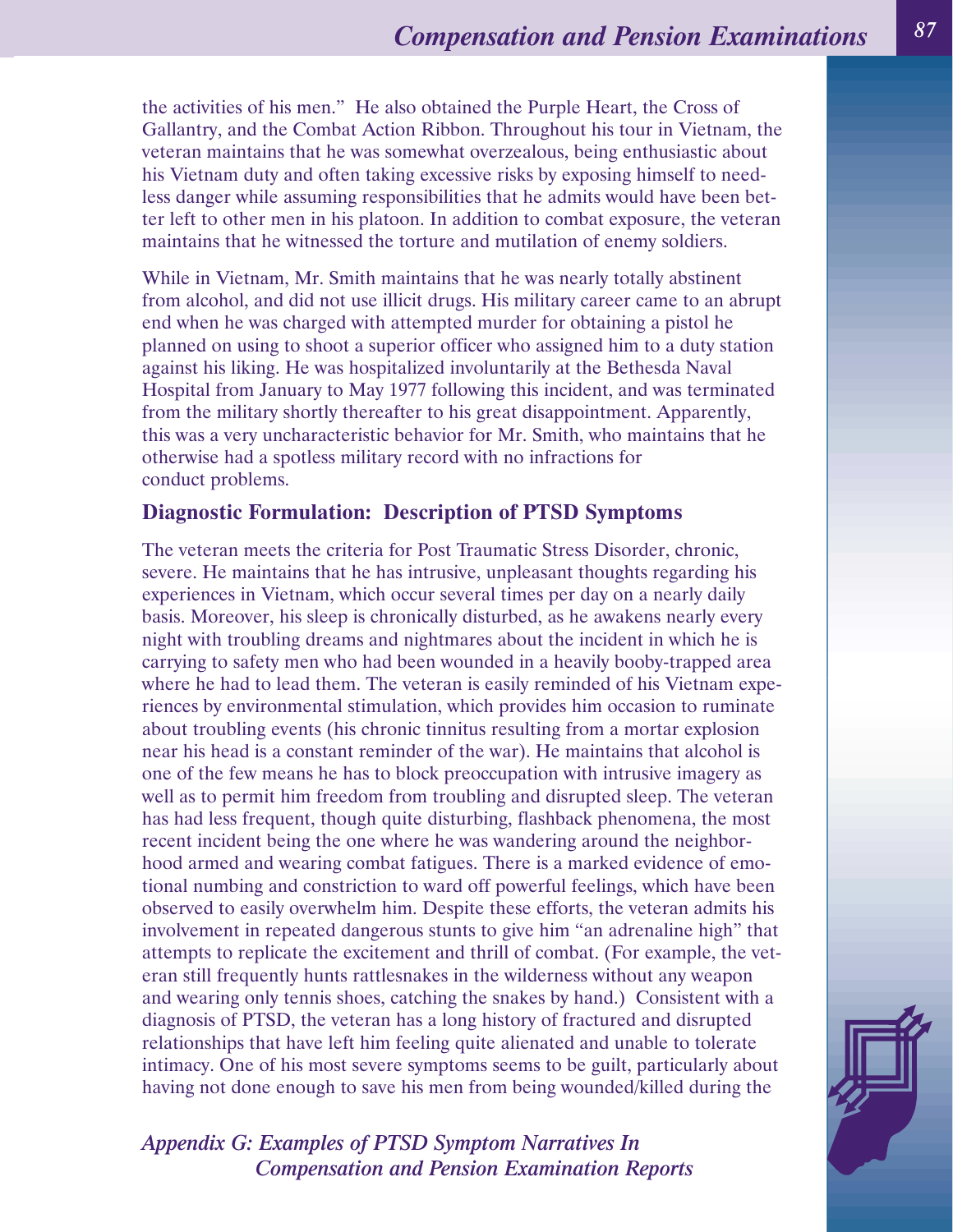the activities of his men." He also obtained the Purple Heart, the Cross of Gallantry, and the Combat Action Ribbon. Throughout his tour in Vietnam, the veteran maintains that he was somewhat overzealous, being enthusiastic about his Vietnam duty and often taking excessive risks by exposing himself to needless danger while assuming responsibilities that he admits would have been better left to other men in his platoon. In addition to combat exposure, the veteran maintains that he witnessed the torture and mutilation of enemy soldiers.

While in Vietnam, Mr. Smith maintains that he was nearly totally abstinent from alcohol, and did not use illicit drugs. His military career came to an abrupt end when he was charged with attempted murder for obtaining a pistol he planned on using to shoot a superior officer who assigned him to a duty station against his liking. He was hospitalized involuntarily at the Bethesda Naval Hospital from January to May 1977 following this incident, and was terminated from the military shortly thereafter to his great disappointment. Apparently, this was a very uncharacteristic behavior for Mr. Smith, who maintains that he otherwise had a spotless military record with no infractions for conduct problems.

### **Diagnostic Formulation: Description of PTSD Symptoms**

The veteran meets the criteria for Post Traumatic Stress Disorder, chronic, severe. He maintains that he has intrusive, unpleasant thoughts regarding his experiences in Vietnam, which occur several times per day on a nearly daily basis. Moreover, his sleep is chronically disturbed, as he awakens nearly every night with troubling dreams and nightmares about the incident in which he is carrying to safety men who had been wounded in a heavily booby-trapped area where he had to lead them. The veteran is easily reminded of his Vietnam experiences by environmental stimulation, which provides him occasion to ruminate about troubling events (his chronic tinnitus resulting from a mortar explosion near his head is a constant reminder of the war). He maintains that alcohol is one of the few means he has to block preoccupation with intrusive imagery as well as to permit him freedom from troubling and disrupted sleep. The veteran has had less frequent, though quite disturbing, flashback phenomena, the most recent incident being the one where he was wandering around the neighborhood armed and wearing combat fatigues. There is a marked evidence of emotional numbing and constriction to ward off powerful feelings, which have been observed to easily overwhelm him. Despite these efforts, the veteran admits his involvement in repeated dangerous stunts to give him "an adrenaline high" that attempts to replicate the excitement and thrill of combat. (For example, the veteran still frequently hunts rattlesnakes in the wilderness without any weapon and wearing only tennis shoes, catching the snakes by hand.) Consistent with a diagnosis of PTSD, the veteran has a long history of fractured and disrupted relationships that have left him feeling quite alienated and unable to tolerate intimacy. One of his most severe symptoms seems to be guilt, particularly about having not done enough to save his men from being wounded/killed during the

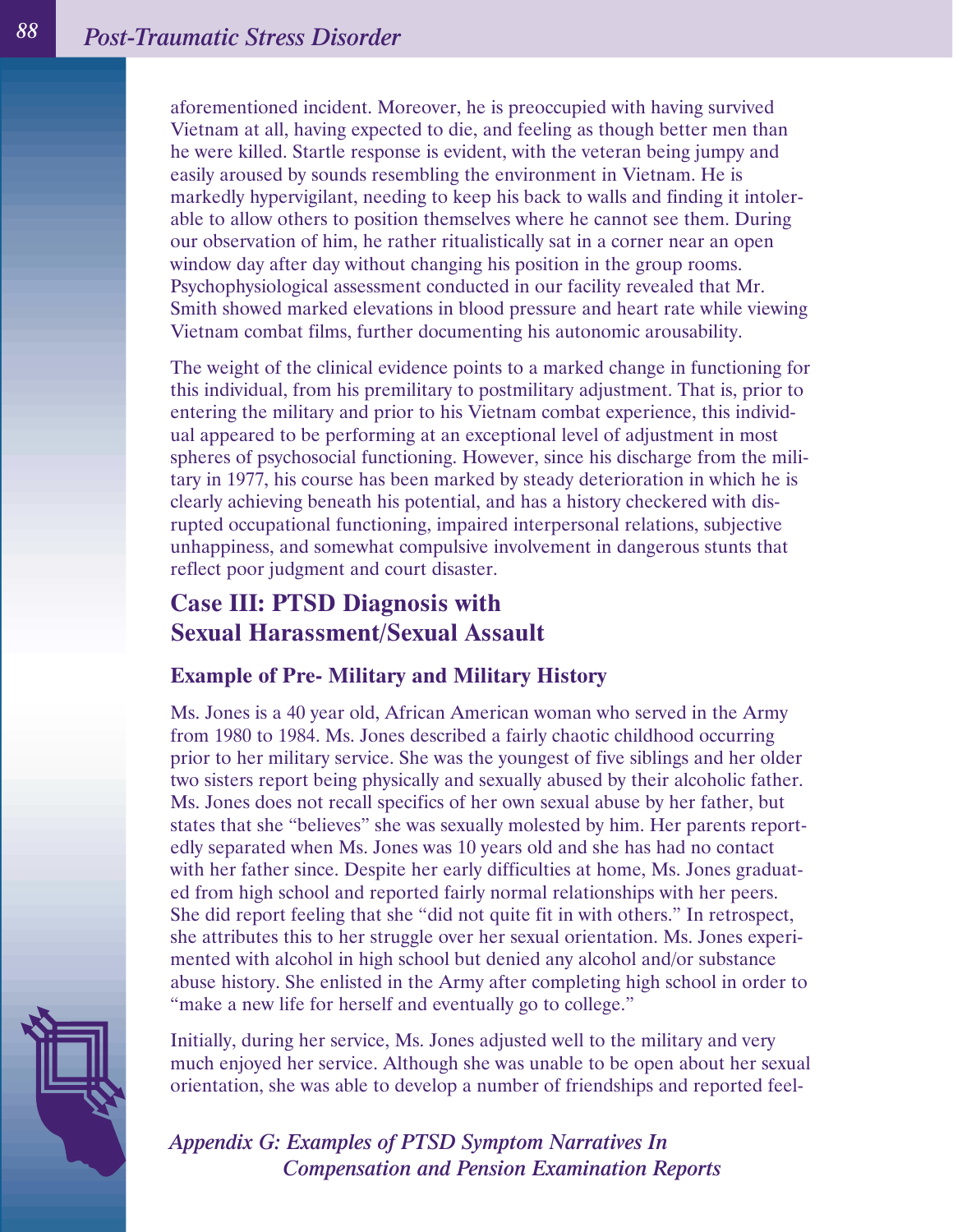aforementioned incident. Moreover, he is preoccupied with having survived Vietnam at all, having expected to die, and feeling as though better men than he were killed. Startle response is evident, with the veteran being jumpy and easily aroused by sounds resembling the environment in Vietnam. He is markedly hypervigilant, needing to keep his back to walls and finding it intolerable to allow others to position themselves where he cannot see them. During our observation of him, he rather ritualistically sat in a corner near an open window day after day without changing his position in the group rooms. Psychophysiological assessment conducted in our facility revealed that Mr. Smith showed marked elevations in blood pressure and heart rate while viewing Vietnam combat films, further documenting his autonomic arousability.

The weight of the clinical evidence points to a marked change in functioning for this individual, from his premilitary to postmilitary adjustment. That is, prior to entering the military and prior to his Vietnam combat experience, this individual appeared to be performing at an exceptional level of adjustment in most spheres of psychosocial functioning. However, since his discharge from the military in 1977, his course has been marked by steady deterioration in which he is clearly achieving beneath his potential, and has a history checkered with disrupted occupational functioning, impaired interpersonal relations, subjective unhappiness, and somewhat compulsive involvement in dangerous stunts that reflect poor judgment and court disaster.

# **Case III: PTSD Diagnosis with Sexual Harassment/Sexual Assault**

### **Example of Pre- Military and Military History**

Ms. Jones is a 40 year old, African American woman who served in the Army from 1980 to 1984. Ms. Jones described a fairly chaotic childhood occurring prior to her military service. She was the youngest of five siblings and her older two sisters report being physically and sexually abused by their alcoholic father. Ms. Jones does not recall specifics of her own sexual abuse by her father, but states that she "believes" she was sexually molested by him. Her parents reportedly separated when Ms. Jones was 10 years old and she has had no contact with her father since. Despite her early difficulties at home, Ms. Jones graduated from high school and reported fairly normal relationships with her peers. She did report feeling that she "did not quite fit in with others." In retrospect, she attributes this to her struggle over her sexual orientation. Ms. Jones experimented with alcohol in high school but denied any alcohol and/or substance abuse history. She enlisted in the Army after completing high school in order to "make a new life for herself and eventually go to college."

Initially, during her service, Ms. Jones adjusted well to the military and very much enjoyed her service. Although she was unable to be open about her sexual orientation, she was able to develop a number of friendships and reported feel-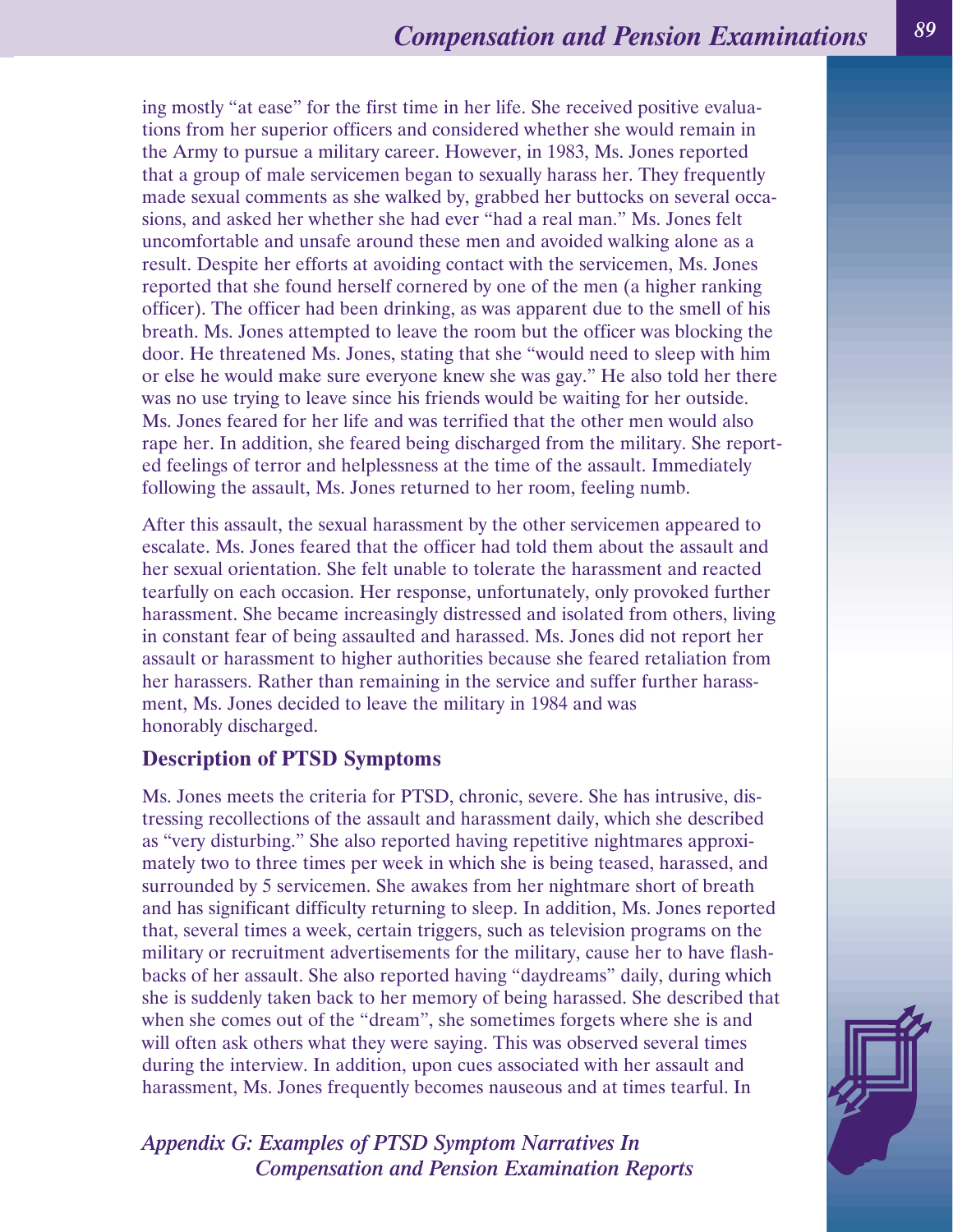ing mostly "at ease" for the first time in her life. She received positive evaluations from her superior officers and considered whether she would remain in the Army to pursue a military career. However, in 1983, Ms. Jones reported that a group of male servicemen began to sexually harass her. They frequently made sexual comments as she walked by, grabbed her buttocks on several occasions, and asked her whether she had ever "had a real man." Ms. Jones felt uncomfortable and unsafe around these men and avoided walking alone as a result. Despite her efforts at avoiding contact with the servicemen, Ms. Jones reported that she found herself cornered by one of the men (a higher ranking officer). The officer had been drinking, as was apparent due to the smell of his breath. Ms. Jones attempted to leave the room but the officer was blocking the door. He threatened Ms. Jones, stating that she "would need to sleep with him or else he would make sure everyone knew she was gay." He also told her there was no use trying to leave since his friends would be waiting for her outside. Ms. Jones feared for her life and was terrified that the other men would also rape her. In addition, she feared being discharged from the military. She reported feelings of terror and helplessness at the time of the assault. Immediately following the assault, Ms. Jones returned to her room, feeling numb.

After this assault, the sexual harassment by the other servicemen appeared to escalate. Ms. Jones feared that the officer had told them about the assault and her sexual orientation. She felt unable to tolerate the harassment and reacted tearfully on each occasion. Her response, unfortunately, only provoked further harassment. She became increasingly distressed and isolated from others, living in constant fear of being assaulted and harassed. Ms. Jones did not report her assault or harassment to higher authorities because she feared retaliation from her harassers. Rather than remaining in the service and suffer further harassment, Ms. Jones decided to leave the military in 1984 and was honorably discharged.

#### **Description of PTSD Symptoms**

Ms. Jones meets the criteria for PTSD, chronic, severe. She has intrusive, distressing recollections of the assault and harassment daily, which she described as "very disturbing." She also reported having repetitive nightmares approximately two to three times per week in which she is being teased, harassed, and surrounded by 5 servicemen. She awakes from her nightmare short of breath and has significant difficulty returning to sleep. In addition, Ms. Jones reported that, several times a week, certain triggers, such as television programs on the military or recruitment advertisements for the military, cause her to have flashbacks of her assault. She also reported having "daydreams" daily, during which she is suddenly taken back to her memory of being harassed. She described that when she comes out of the "dream", she sometimes forgets where she is and will often ask others what they were saying. This was observed several times during the interview. In addition, upon cues associated with her assault and harassment, Ms. Jones frequently becomes nauseous and at times tearful. In

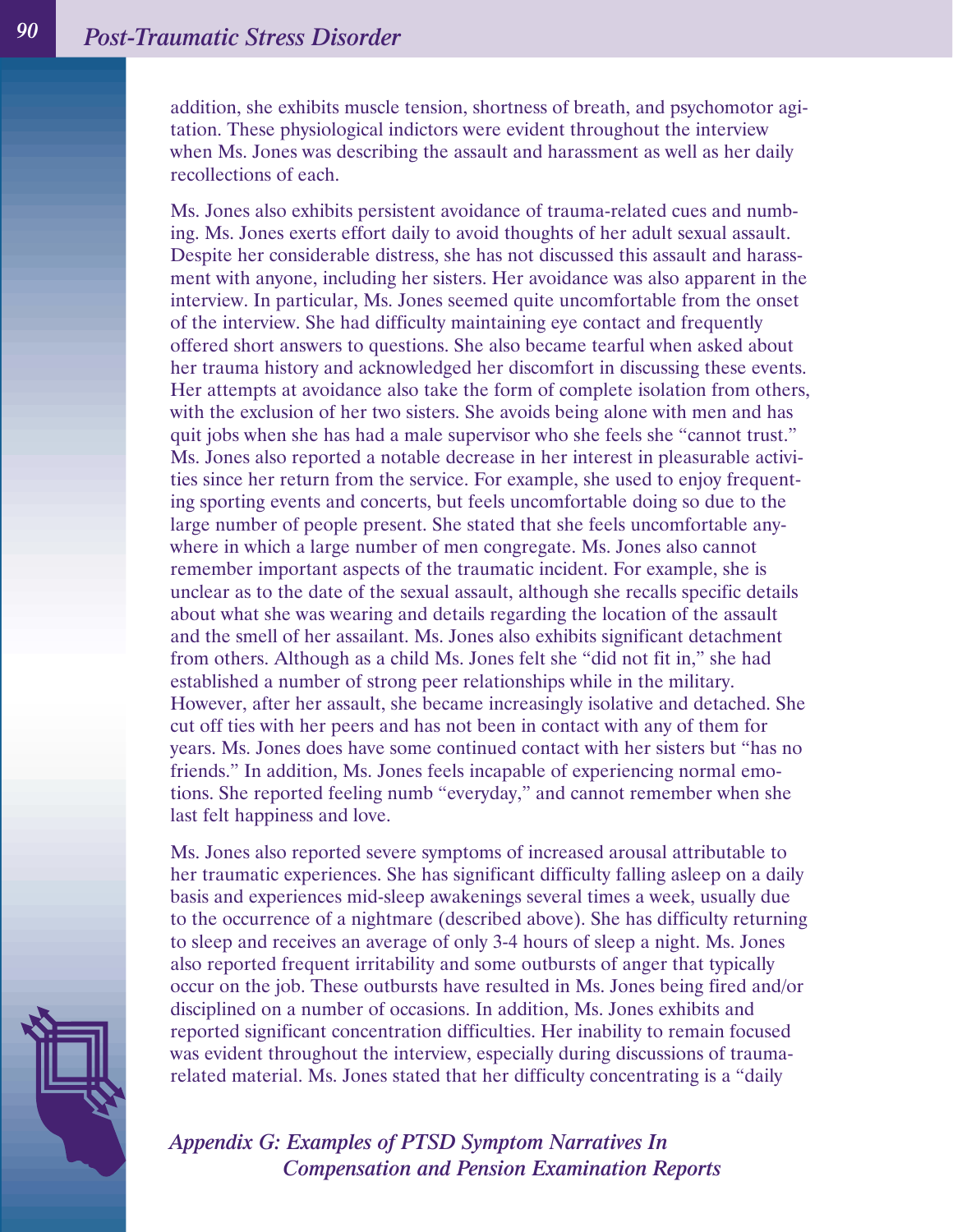addition, she exhibits muscle tension, shortness of breath, and psychomotor agitation. These physiological indictors were evident throughout the interview when Ms. Jones was describing the assault and harassment as well as her daily recollections of each.

Ms. Jones also exhibits persistent avoidance of trauma-related cues and numbing. Ms. Jones exerts effort daily to avoid thoughts of her adult sexual assault. Despite her considerable distress, she has not discussed this assault and harassment with anyone, including her sisters. Her avoidance was also apparent in the interview. In particular, Ms. Jones seemed quite uncomfortable from the onset of the interview. She had difficulty maintaining eye contact and frequently offered short answers to questions. She also became tearful when asked about her trauma history and acknowledged her discomfort in discussing these events. Her attempts at avoidance also take the form of complete isolation from others, with the exclusion of her two sisters. She avoids being alone with men and has quit jobs when she has had a male supervisor who she feels she "cannot trust." Ms. Jones also reported a notable decrease in her interest in pleasurable activities since her return from the service. For example, she used to enjoy frequenting sporting events and concerts, but feels uncomfortable doing so due to the large number of people present. She stated that she feels uncomfortable anywhere in which a large number of men congregate. Ms. Jones also cannot remember important aspects of the traumatic incident. For example, she is unclear as to the date of the sexual assault, although she recalls specific details about what she was wearing and details regarding the location of the assault and the smell of her assailant. Ms. Jones also exhibits significant detachment from others. Although as a child Ms. Jones felt she "did not fit in," she had established a number of strong peer relationships while in the military. However, after her assault, she became increasingly isolative and detached. She cut off ties with her peers and has not been in contact with any of them for years. Ms. Jones does have some continued contact with her sisters but "has no friends." In addition, Ms. Jones feels incapable of experiencing normal emotions. She reported feeling numb "everyday," and cannot remember when she last felt happiness and love.

Ms. Jones also reported severe symptoms of increased arousal attributable to her traumatic experiences. She has significant difficulty falling asleep on a daily basis and experiences mid-sleep awakenings several times a week, usually due to the occurrence of a nightmare (described above). She has difficulty returning to sleep and receives an average of only 3-4 hours of sleep a night. Ms. Jones also reported frequent irritability and some outbursts of anger that typically occur on the job. These outbursts have resulted in Ms. Jones being fired and/or disciplined on a number of occasions. In addition, Ms. Jones exhibits and reported significant concentration difficulties. Her inability to remain focused was evident throughout the interview, especially during discussions of traumarelated material. Ms. Jones stated that her difficulty concentrating is a "daily

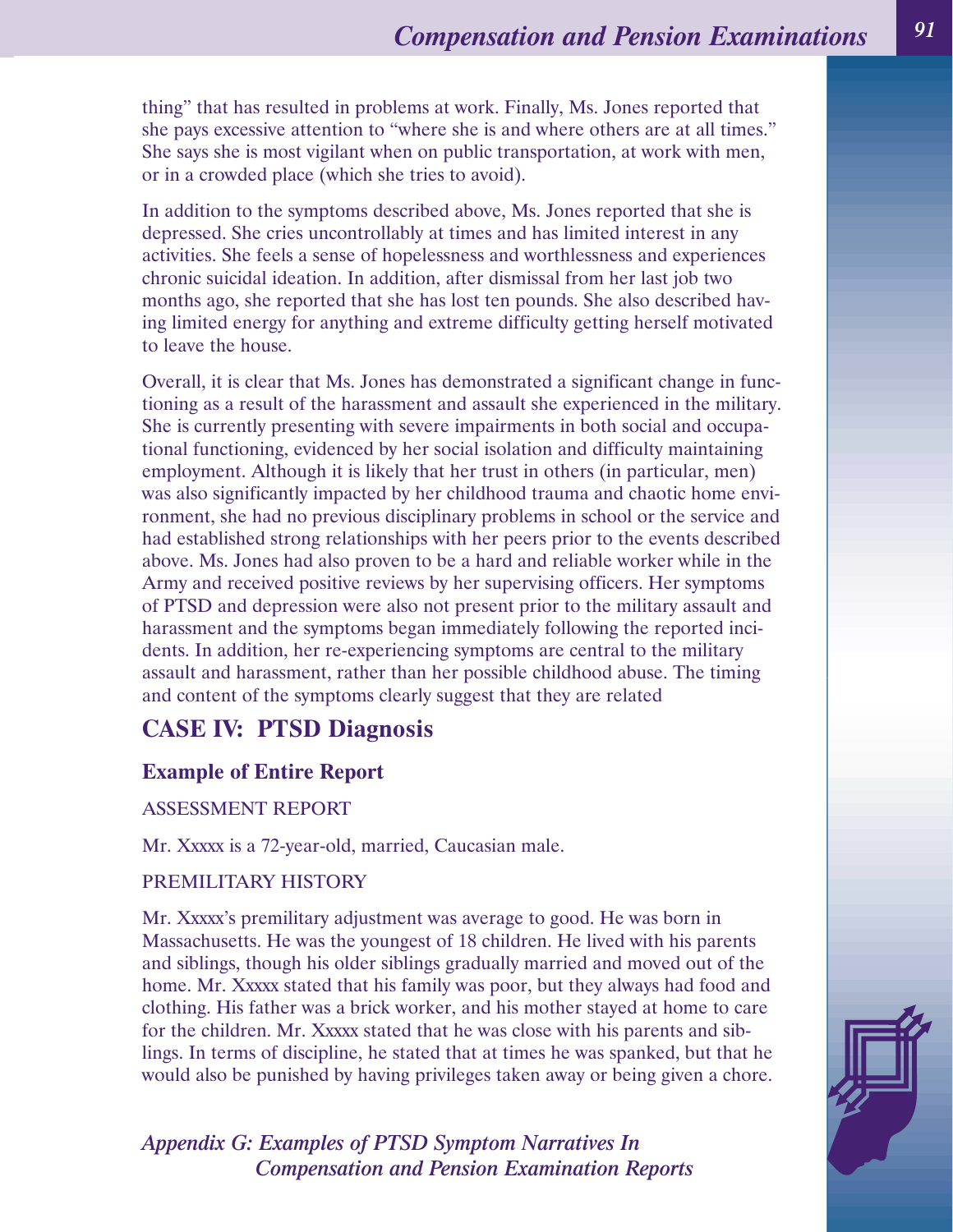thing" that has resulted in problems at work. Finally, Ms. Jones reported that she pays excessive attention to "where she is and where others are at all times." She says she is most vigilant when on public transportation, at work with men, or in a crowded place (which she tries to avoid).

In addition to the symptoms described above, Ms. Jones reported that she is depressed. She cries uncontrollably at times and has limited interest in any activities. She feels a sense of hopelessness and worthlessness and experiences chronic suicidal ideation. In addition, after dismissal from her last job two months ago, she reported that she has lost ten pounds. She also described having limited energy for anything and extreme difficulty getting herself motivated to leave the house.

Overall, it is clear that Ms. Jones has demonstrated a significant change in functioning as a result of the harassment and assault she experienced in the military. She is currently presenting with severe impairments in both social and occupational functioning, evidenced by her social isolation and difficulty maintaining employment. Although it is likely that her trust in others (in particular, men) was also significantly impacted by her childhood trauma and chaotic home environment, she had no previous disciplinary problems in school or the service and had established strong relationships with her peers prior to the events described above. Ms. Jones had also proven to be a hard and reliable worker while in the Army and received positive reviews by her supervising officers. Her symptoms of PTSD and depression were also not present prior to the military assault and harassment and the symptoms began immediately following the reported incidents. In addition, her re-experiencing symptoms are central to the military assault and harassment, rather than her possible childhood abuse. The timing and content of the symptoms clearly suggest that they are related

### **CASE IV: PTSD Diagnosis**

### **Example of Entire Report**

#### ASSESSMENT REPORT

Mr. Xxxxx is a 72-year-old, married, Caucasian male.

### PREMILITARY HISTORY

Mr. Xxxxx's premilitary adjustment was average to good. He was born in Massachusetts. He was the youngest of 18 children. He lived with his parents and siblings, though his older siblings gradually married and moved out of the home. Mr. Xxxxx stated that his family was poor, but they always had food and clothing. His father was a brick worker, and his mother stayed at home to care for the children. Mr. Xxxxx stated that he was close with his parents and siblings. In terms of discipline, he stated that at times he was spanked, but that he would also be punished by having privileges taken away or being given a chore.

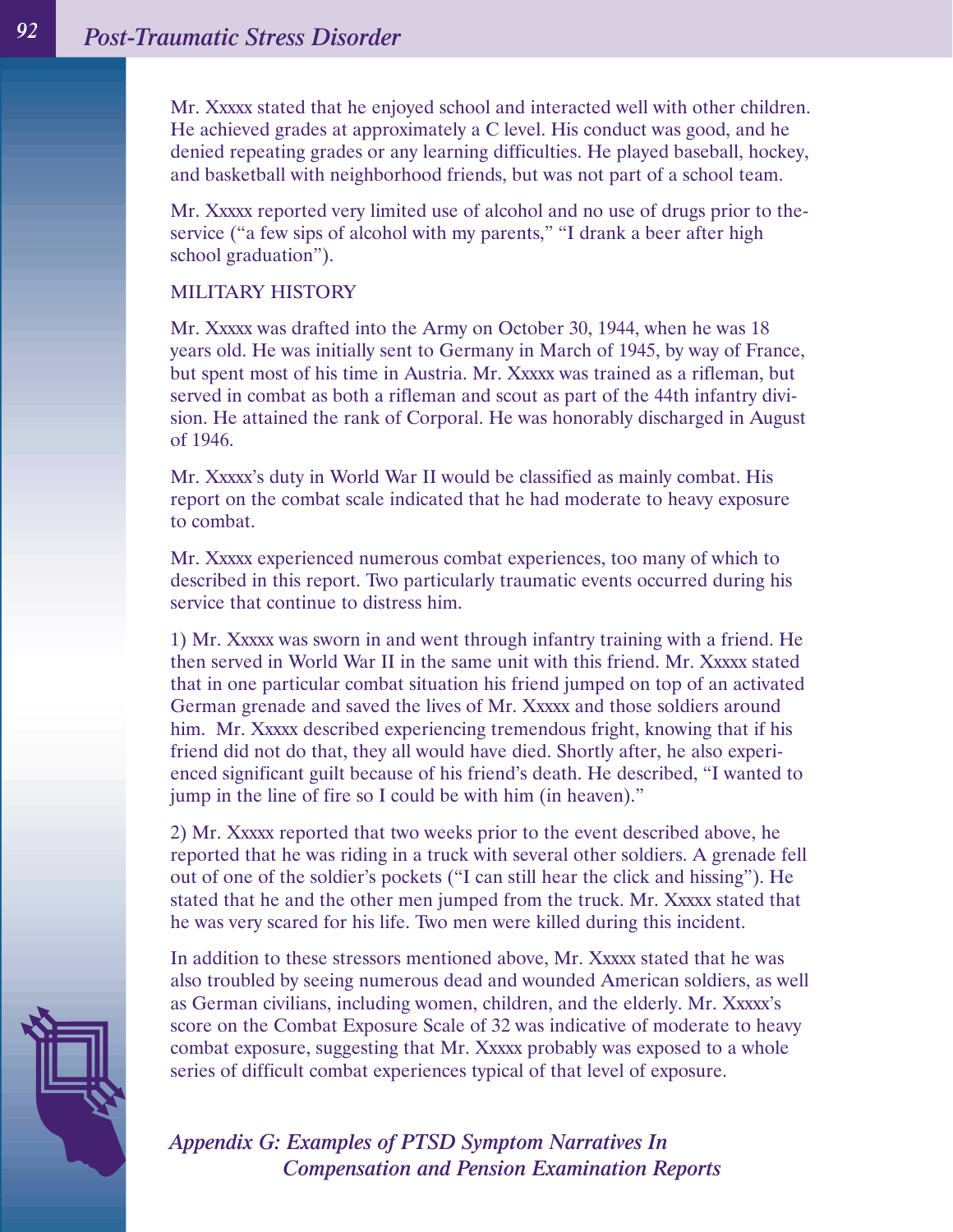Mr. Xxxxx stated that he enjoyed school and interacted well with other children. He achieved grades at approximately a C level. His conduct was good, and he denied repeating grades or any learning difficulties. He played baseball, hockey, and basketball with neighborhood friends, but was not part of a school team.

Mr. Xxxxx reported very limited use of alcohol and no use of drugs prior to theservice ("a few sips of alcohol with my parents," "I drank a beer after high school graduation").

#### MILITARY HISTORY

Mr. Xxxxx was drafted into the Army on October 30, 1944, when he was 18 years old. He was initially sent to Germany in March of 1945, by way of France, but spent most of his time in Austria. Mr. Xxxxx was trained as a rifleman, but served in combat as both a rifleman and scout as part of the 44th infantry division. He attained the rank of Corporal. He was honorably discharged in August of 1946.

Mr. Xxxxx's duty in World War II would be classified as mainly combat. His report on the combat scale indicated that he had moderate to heavy exposure to combat.

Mr. Xxxxx experienced numerous combat experiences, too many of which to described in this report. Two particularly traumatic events occurred during his service that continue to distress him.

1) Mr. Xxxxx was sworn in and went through infantry training with a friend. He then served in World War II in the same unit with this friend. Mr. Xxxxx stated that in one particular combat situation his friend jumped on top of an activated German grenade and saved the lives of Mr. Xxxxx and those soldiers around him. Mr. Xxxxx described experiencing tremendous fright, knowing that if his friend did not do that, they all would have died. Shortly after, he also experienced significant guilt because of his friend's death. He described, "I wanted to jump in the line of fire so I could be with him (in heaven)."

2) Mr. Xxxxx reported that two weeks prior to the event described above, he reported that he was riding in a truck with several other soldiers. A grenade fell out of one of the soldier's pockets ("I can still hear the click and hissing"). He stated that he and the other men jumped from the truck. Mr. Xxxxx stated that he was very scared for his life. Two men were killed during this incident.

In addition to these stressors mentioned above, Mr. Xxxxx stated that he was also troubled by seeing numerous dead and wounded American soldiers, as well as German civilians, including women, children, and the elderly. Mr. Xxxxx's score on the Combat Exposure Scale of 32 was indicative of moderate to heavy combat exposure, suggesting that Mr. Xxxxx probably was exposed to a whole series of difficult combat experiences typical of that level of exposure.

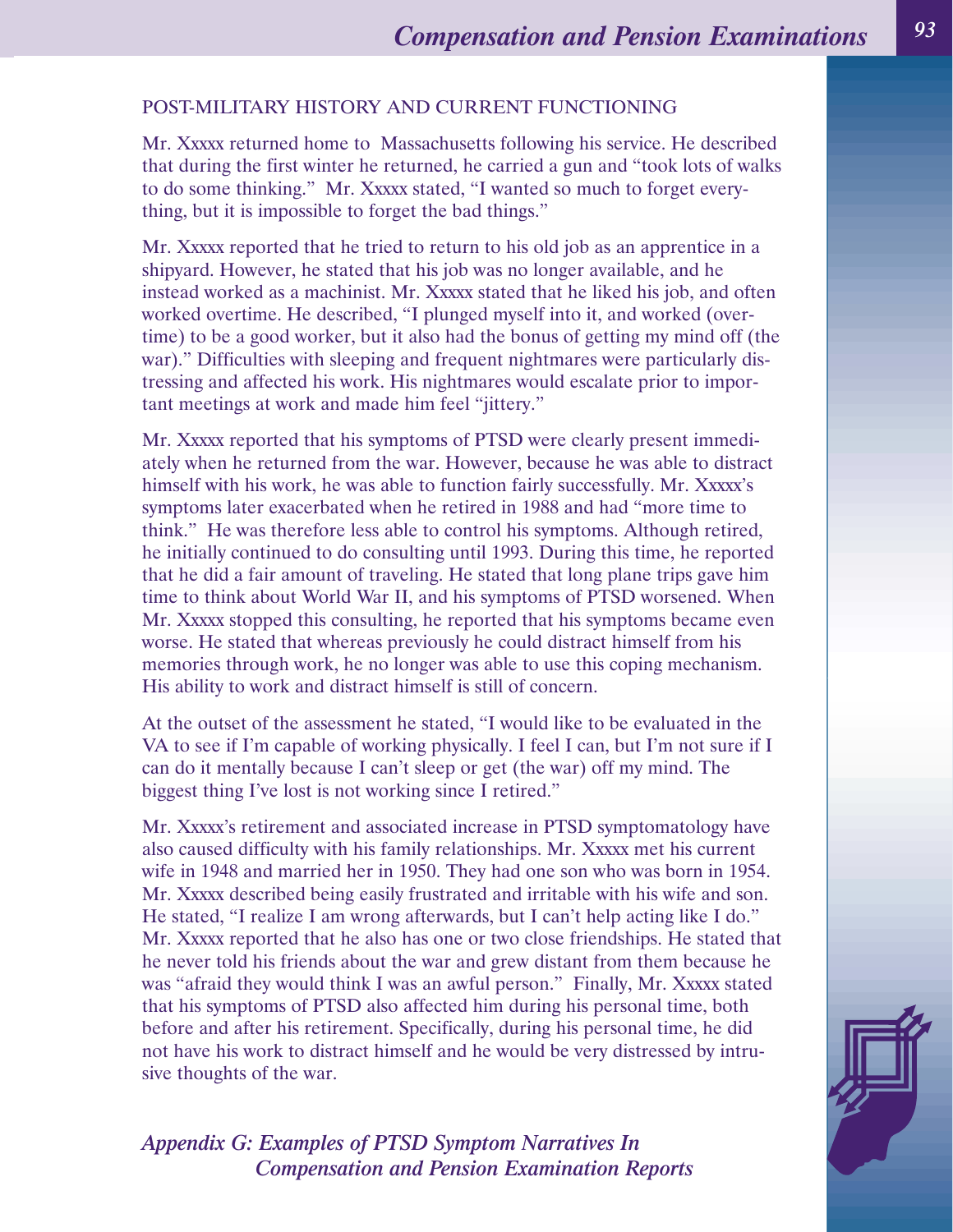#### POST-MILITARY HISTORY AND CURRENT FUNCTIONING

Mr. Xxxxx returned home to Massachusetts following his service. He described that during the first winter he returned, he carried a gun and "took lots of walks to do some thinking." Mr. Xxxxx stated, "I wanted so much to forget everything, but it is impossible to forget the bad things."

Mr. Xxxxx reported that he tried to return to his old job as an apprentice in a shipyard. However, he stated that his job was no longer available, and he instead worked as a machinist. Mr. Xxxxx stated that he liked his job, and often worked overtime. He described, "I plunged myself into it, and worked (overtime) to be a good worker, but it also had the bonus of getting my mind off (the war)." Difficulties with sleeping and frequent nightmares were particularly distressing and affected his work. His nightmares would escalate prior to important meetings at work and made him feel "jittery."

Mr. Xxxxx reported that his symptoms of PTSD were clearly present immediately when he returned from the war. However, because he was able to distract himself with his work, he was able to function fairly successfully. Mr. Xxxxx's symptoms later exacerbated when he retired in 1988 and had "more time to think." He was therefore less able to control his symptoms. Although retired, he initially continued to do consulting until 1993. During this time, he reported that he did a fair amount of traveling. He stated that long plane trips gave him time to think about World War II, and his symptoms of PTSD worsened. When Mr. Xxxxx stopped this consulting, he reported that his symptoms became even worse. He stated that whereas previously he could distract himself from his memories through work, he no longer was able to use this coping mechanism. His ability to work and distract himself is still of concern.

At the outset of the assessment he stated, "I would like to be evaluated in the VA to see if I'm capable of working physically. I feel I can, but I'm not sure if I can do it mentally because I can't sleep or get (the war) off my mind. The biggest thing I've lost is not working since I retired."

Mr. Xxxxx's retirement and associated increase in PTSD symptomatology have also caused difficulty with his family relationships. Mr. Xxxxx met his current wife in 1948 and married her in 1950. They had one son who was born in 1954. Mr. Xxxxx described being easily frustrated and irritable with his wife and son. He stated, "I realize I am wrong afterwards, but I can't help acting like I do." Mr. Xxxxx reported that he also has one or two close friendships. He stated that he never told his friends about the war and grew distant from them because he was "afraid they would think I was an awful person." Finally, Mr. Xxxxx stated that his symptoms of PTSD also affected him during his personal time, both before and after his retirement. Specifically, during his personal time, he did not have his work to distract himself and he would be very distressed by intrusive thoughts of the war.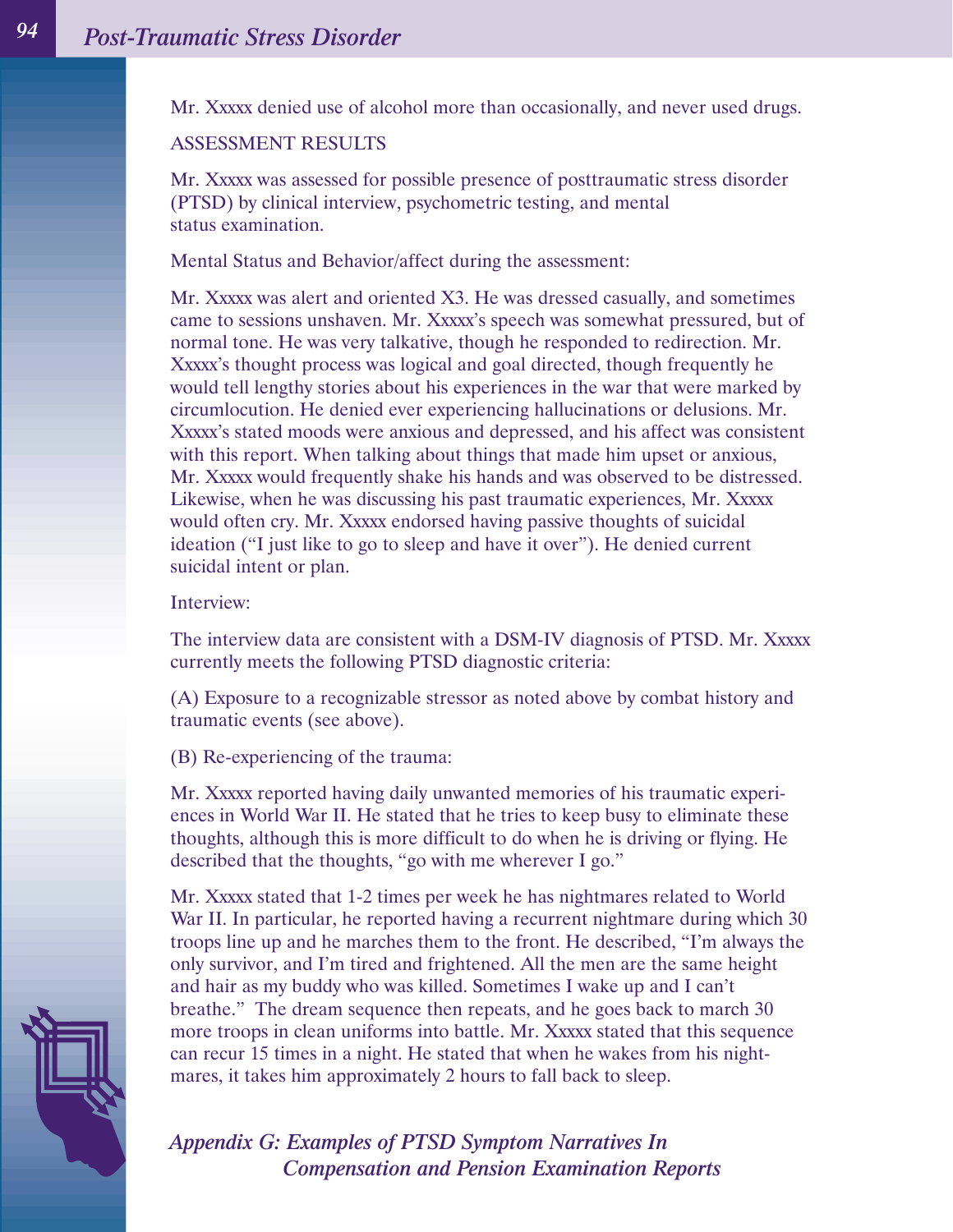Mr. Xxxxx denied use of alcohol more than occasionally, and never used drugs.

#### ASSESSMENT RESULTS

Mr. Xxxxx was assessed for possible presence of posttraumatic stress disorder (PTSD) by clinical interview, psychometric testing, and mental status examination.

Mental Status and Behavior/affect during the assessment:

Mr. Xxxxx was alert and oriented X3. He was dressed casually, and sometimes came to sessions unshaven. Mr. Xxxxx's speech was somewhat pressured, but of normal tone. He was very talkative, though he responded to redirection. Mr. Xxxxx's thought process was logical and goal directed, though frequently he would tell lengthy stories about his experiences in the war that were marked by circumlocution. He denied ever experiencing hallucinations or delusions. Mr. Xxxxx's stated moods were anxious and depressed, and his affect was consistent with this report. When talking about things that made him upset or anxious, Mr. Xxxxx would frequently shake his hands and was observed to be distressed. Likewise, when he was discussing his past traumatic experiences, Mr. Xxxxx would often cry. Mr. Xxxxx endorsed having passive thoughts of suicidal ideation ("I just like to go to sleep and have it over"). He denied current suicidal intent or plan.

#### Interview:

The interview data are consistent with a DSM-IV diagnosis of PTSD. Mr. Xxxxx currently meets the following PTSD diagnostic criteria:

(A) Exposure to a recognizable stressor as noted above by combat history and traumatic events (see above).

(B) Re-experiencing of the trauma:

Mr. Xxxxx reported having daily unwanted memories of his traumatic experiences in World War II. He stated that he tries to keep busy to eliminate these thoughts, although this is more difficult to do when he is driving or flying. He described that the thoughts, "go with me wherever I go."

Mr. Xxxxx stated that 1-2 times per week he has nightmares related to World War II. In particular, he reported having a recurrent nightmare during which 30 troops line up and he marches them to the front. He described, "I'm always the only survivor, and I'm tired and frightened. All the men are the same height and hair as my buddy who was killed. Sometimes I wake up and I can't breathe." The dream sequence then repeats, and he goes back to march 30 more troops in clean uniforms into battle. Mr. Xxxxx stated that this sequence can recur 15 times in a night. He stated that when he wakes from his nightmares, it takes him approximately 2 hours to fall back to sleep.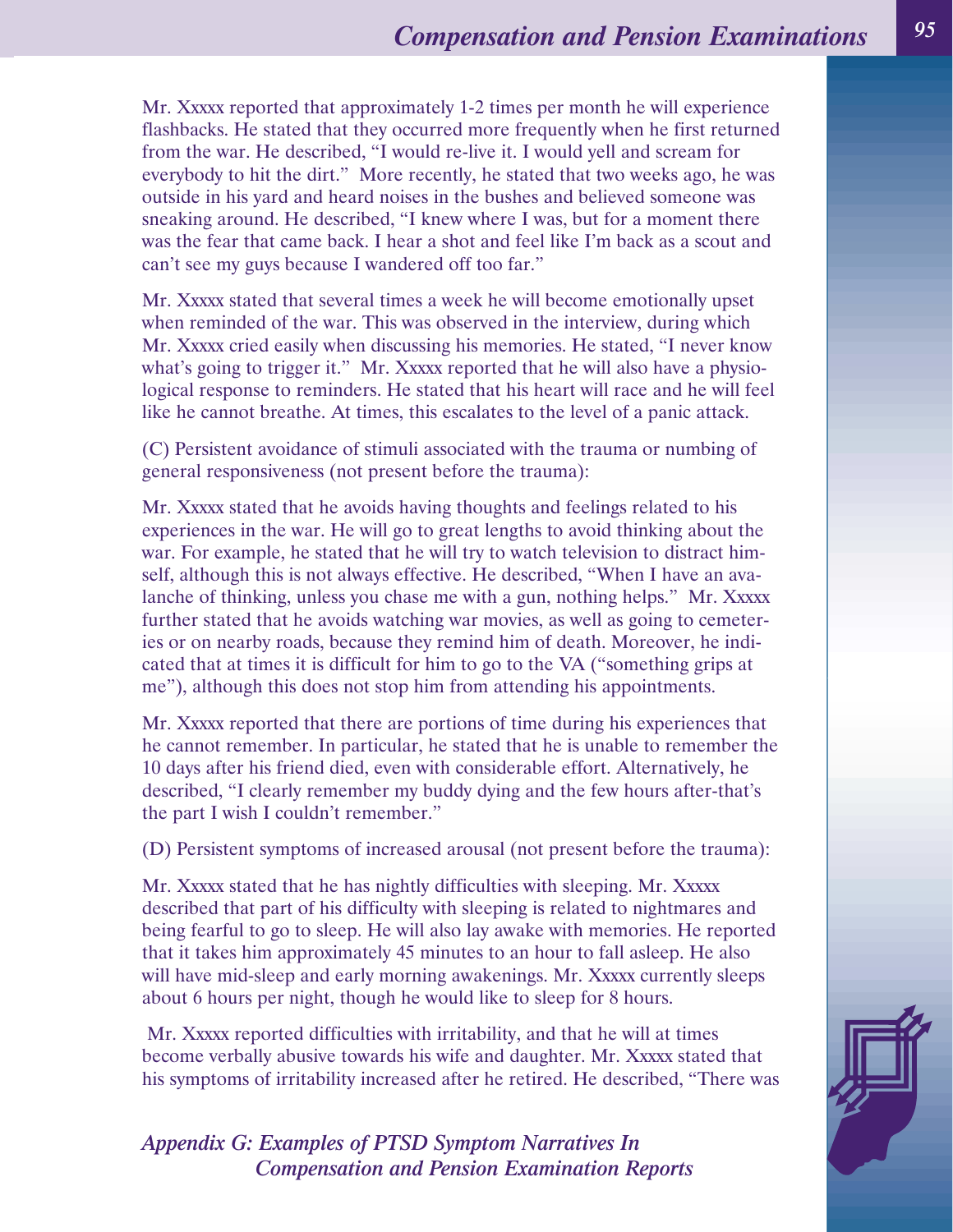Mr. Xxxxx reported that approximately 1-2 times per month he will experience flashbacks. He stated that they occurred more frequently when he first returned from the war. He described, "I would re-live it. I would yell and scream for everybody to hit the dirt." More recently, he stated that two weeks ago, he was outside in his yard and heard noises in the bushes and believed someone was sneaking around. He described, "I knew where I was, but for a moment there was the fear that came back. I hear a shot and feel like I'm back as a scout and can't see my guys because I wandered off too far."

Mr. Xxxxx stated that several times a week he will become emotionally upset when reminded of the war. This was observed in the interview, during which Mr. Xxxxx cried easily when discussing his memories. He stated, "I never know what's going to trigger it." Mr. Xxxxx reported that he will also have a physiological response to reminders. He stated that his heart will race and he will feel like he cannot breathe. At times, this escalates to the level of a panic attack.

(C) Persistent avoidance of stimuli associated with the trauma or numbing of general responsiveness (not present before the trauma):

Mr. Xxxxx stated that he avoids having thoughts and feelings related to his experiences in the war. He will go to great lengths to avoid thinking about the war. For example, he stated that he will try to watch television to distract himself, although this is not always effective. He described, "When I have an avalanche of thinking, unless you chase me with a gun, nothing helps." Mr. Xxxxx further stated that he avoids watching war movies, as well as going to cemeteries or on nearby roads, because they remind him of death. Moreover, he indicated that at times it is difficult for him to go to the VA ("something grips at me"), although this does not stop him from attending his appointments.

Mr. Xxxxx reported that there are portions of time during his experiences that he cannot remember. In particular, he stated that he is unable to remember the 10 days after his friend died, even with considerable effort. Alternatively, he described, "I clearly remember my buddy dying and the few hours after-that's the part I wish I couldn't remember."

(D) Persistent symptoms of increased arousal (not present before the trauma):

Mr. Xxxxx stated that he has nightly difficulties with sleeping. Mr. Xxxxx described that part of his difficulty with sleeping is related to nightmares and being fearful to go to sleep. He will also lay awake with memories. He reported that it takes him approximately 45 minutes to an hour to fall asleep. He also will have mid-sleep and early morning awakenings. Mr. Xxxxx currently sleeps about 6 hours per night, though he would like to sleep for 8 hours.

Mr. Xxxxx reported difficulties with irritability, and that he will at times become verbally abusive towards his wife and daughter. Mr. Xxxxx stated that his symptoms of irritability increased after he retired. He described, "There was

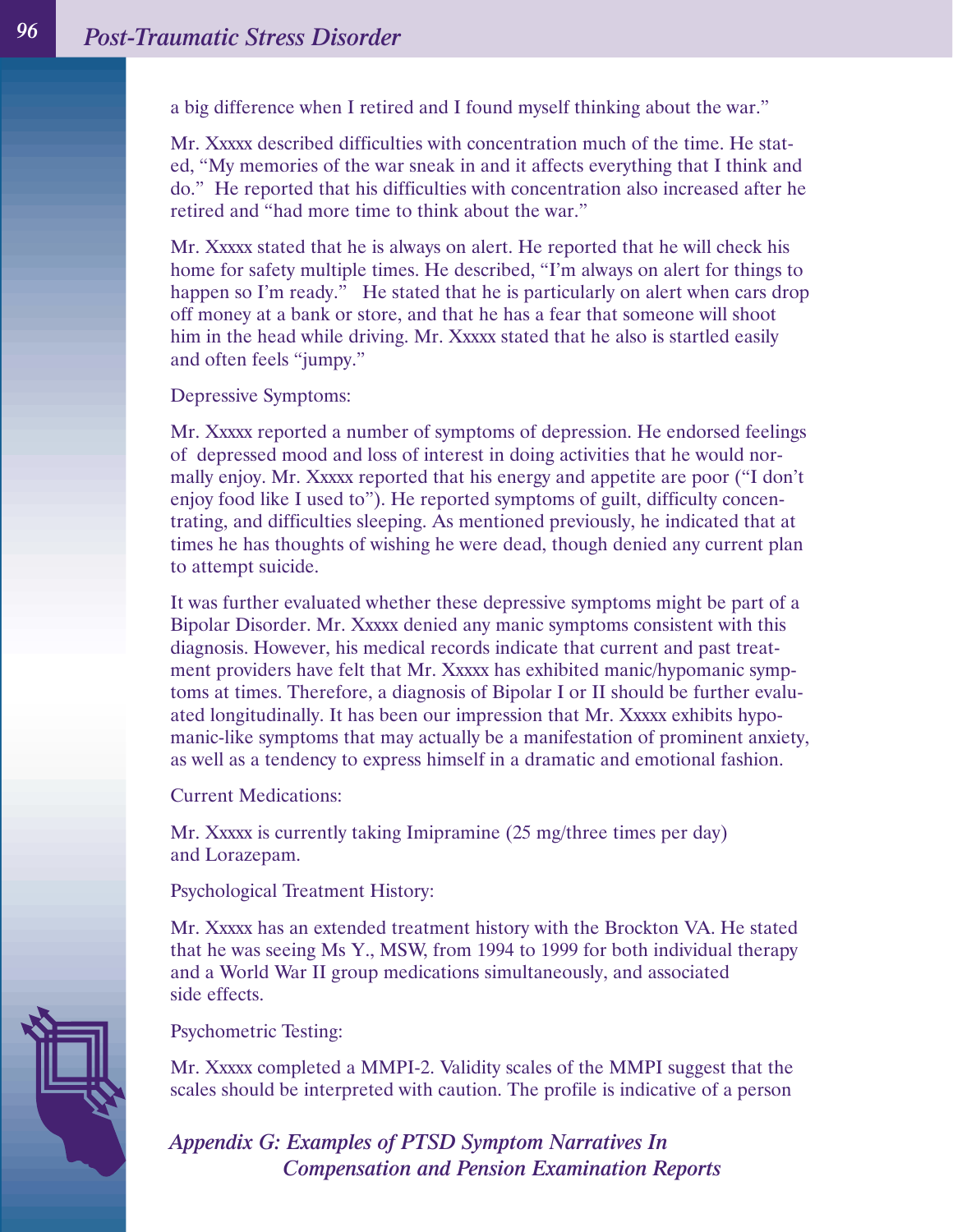a big difference when I retired and I found myself thinking about the war."

Mr. Xxxxx described difficulties with concentration much of the time. He stated, "My memories of the war sneak in and it affects everything that I think and do." He reported that his difficulties with concentration also increased after he retired and "had more time to think about the war."

Mr. Xxxxx stated that he is always on alert. He reported that he will check his home for safety multiple times. He described, "I'm always on alert for things to happen so I'm ready." He stated that he is particularly on alert when cars drop off money at a bank or store, and that he has a fear that someone will shoot him in the head while driving. Mr. Xxxxx stated that he also is startled easily and often feels "jumpy."

Depressive Symptoms:

Mr. Xxxxx reported a number of symptoms of depression. He endorsed feelings of depressed mood and loss of interest in doing activities that he would normally enjoy. Mr. Xxxxx reported that his energy and appetite are poor ("I don't enjoy food like I used to"). He reported symptoms of guilt, difficulty concentrating, and difficulties sleeping. As mentioned previously, he indicated that at times he has thoughts of wishing he were dead, though denied any current plan to attempt suicide.

It was further evaluated whether these depressive symptoms might be part of a Bipolar Disorder. Mr. Xxxxx denied any manic symptoms consistent with this diagnosis. However, his medical records indicate that current and past treatment providers have felt that Mr. Xxxxx has exhibited manic/hypomanic symptoms at times. Therefore, a diagnosis of Bipolar I or II should be further evaluated longitudinally. It has been our impression that Mr. Xxxxx exhibits hypomanic-like symptoms that may actually be a manifestation of prominent anxiety, as well as a tendency to express himself in a dramatic and emotional fashion.

Current Medications:

Mr. Xxxxx is currently taking Imipramine (25 mg/three times per day) and Lorazepam.

Psychological Treatment History:

Mr. Xxxxx has an extended treatment history with the Brockton VA. He stated that he was seeing Ms Y., MSW, from 1994 to 1999 for both individual therapy and a World War II group medications simultaneously, and associated side effects.

Psychometric Testing:

Mr. Xxxxx completed a MMPI-2. Validity scales of the MMPI suggest that the scales should be interpreted with caution. The profile is indicative of a person

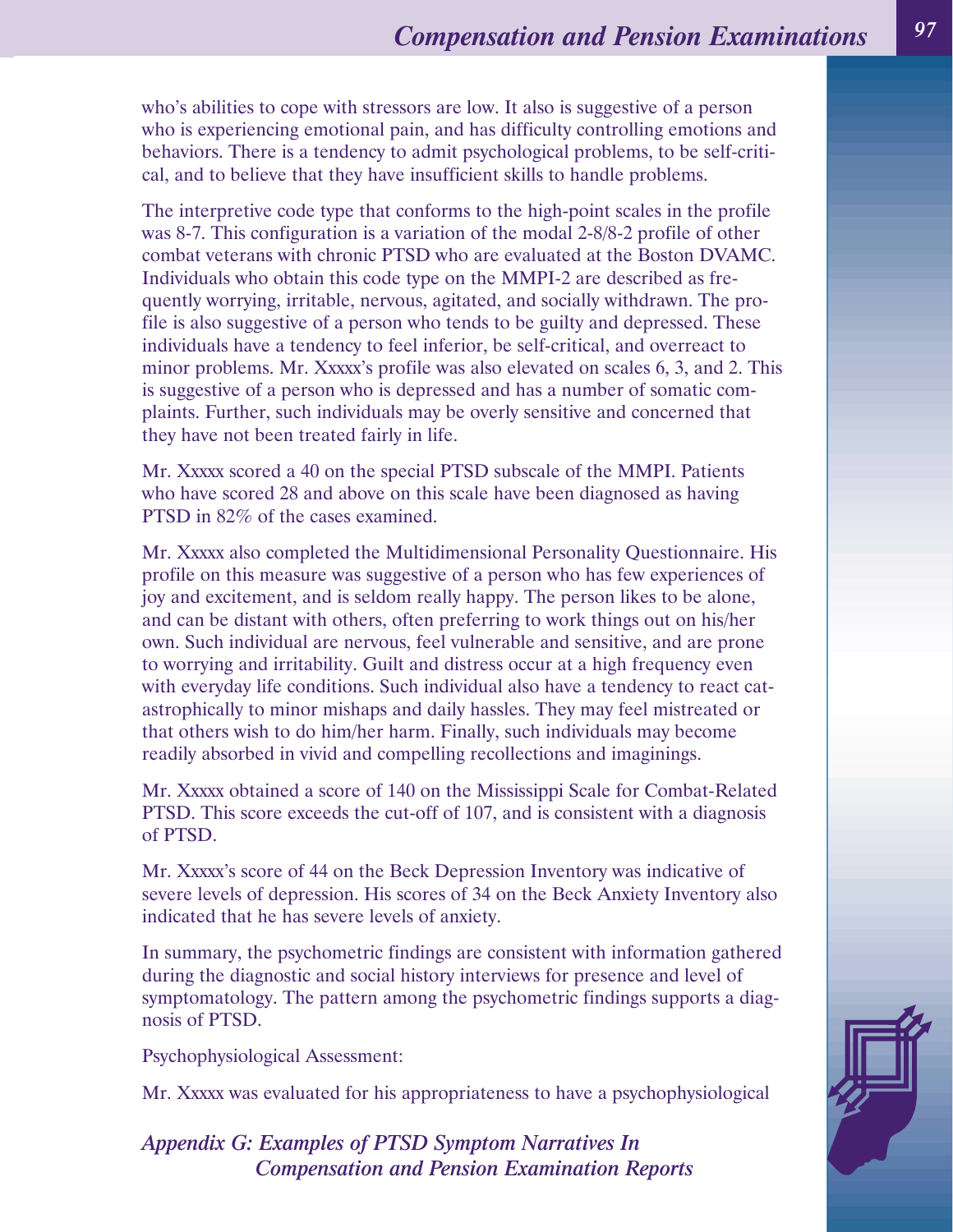who's abilities to cope with stressors are low. It also is suggestive of a person who is experiencing emotional pain, and has difficulty controlling emotions and behaviors. There is a tendency to admit psychological problems, to be self-critical, and to believe that they have insufficient skills to handle problems.

The interpretive code type that conforms to the high-point scales in the profile was 8-7. This configuration is a variation of the modal 2-8/8-2 profile of other combat veterans with chronic PTSD who are evaluated at the Boston DVAMC. Individuals who obtain this code type on the MMPI-2 are described as frequently worrying, irritable, nervous, agitated, and socially withdrawn. The profile is also suggestive of a person who tends to be guilty and depressed. These individuals have a tendency to feel inferior, be self-critical, and overreact to minor problems. Mr. Xxxxx's profile was also elevated on scales 6, 3, and 2. This is suggestive of a person who is depressed and has a number of somatic complaints. Further, such individuals may be overly sensitive and concerned that they have not been treated fairly in life.

Mr. Xxxxx scored a 40 on the special PTSD subscale of the MMPI. Patients who have scored 28 and above on this scale have been diagnosed as having PTSD in 82% of the cases examined.

Mr. Xxxxx also completed the Multidimensional Personality Questionnaire. His profile on this measure was suggestive of a person who has few experiences of joy and excitement, and is seldom really happy. The person likes to be alone, and can be distant with others, often preferring to work things out on his/her own. Such individual are nervous, feel vulnerable and sensitive, and are prone to worrying and irritability. Guilt and distress occur at a high frequency even with everyday life conditions. Such individual also have a tendency to react catastrophically to minor mishaps and daily hassles. They may feel mistreated or that others wish to do him/her harm. Finally, such individuals may become readily absorbed in vivid and compelling recollections and imaginings.

Mr. Xxxxx obtained a score of 140 on the Mississippi Scale for Combat-Related PTSD. This score exceeds the cut-off of 107, and is consistent with a diagnosis of PTSD.

Mr. Xxxxx's score of 44 on the Beck Depression Inventory was indicative of severe levels of depression. His scores of 34 on the Beck Anxiety Inventory also indicated that he has severe levels of anxiety.

In summary, the psychometric findings are consistent with information gathered during the diagnostic and social history interviews for presence and level of symptomatology. The pattern among the psychometric findings supports a diagnosis of PTSD.

Psychophysiological Assessment:

Mr. Xxxxx was evaluated for his appropriateness to have a psychophysiological

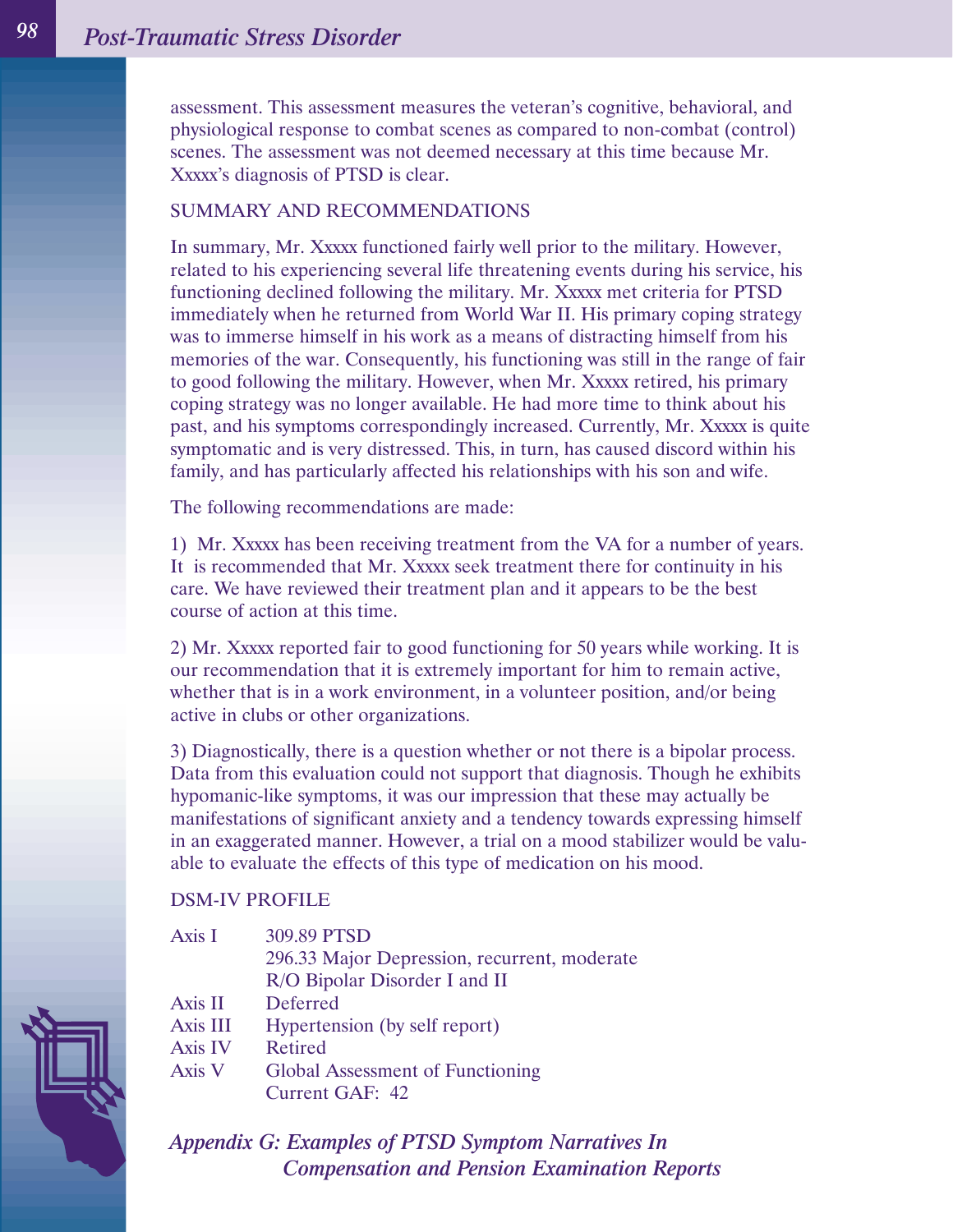assessment. This assessment measures the veteran's cognitive, behavioral, and physiological response to combat scenes as compared to non-combat (control) scenes. The assessment was not deemed necessary at this time because Mr. Xxxxx's diagnosis of PTSD is clear.

#### SUMMARY AND RECOMMENDATIONS

In summary, Mr. Xxxxx functioned fairly well prior to the military. However, related to his experiencing several life threatening events during his service, his functioning declined following the military. Mr. Xxxxx met criteria for PTSD immediately when he returned from World War II. His primary coping strategy was to immerse himself in his work as a means of distracting himself from his memories of the war. Consequently, his functioning was still in the range of fair to good following the military. However, when Mr. Xxxxx retired, his primary coping strategy was no longer available. He had more time to think about his past, and his symptoms correspondingly increased. Currently, Mr. Xxxxx is quite symptomatic and is very distressed. This, in turn, has caused discord within his family, and has particularly affected his relationships with his son and wife.

The following recommendations are made:

1) Mr. Xxxxx has been receiving treatment from the VA for a number of years. It is recommended that Mr. Xxxxx seek treatment there for continuity in his care. We have reviewed their treatment plan and it appears to be the best course of action at this time.

2) Mr. Xxxxx reported fair to good functioning for 50 years while working. It is our recommendation that it is extremely important for him to remain active, whether that is in a work environment, in a volunteer position, and/or being active in clubs or other organizations.

3) Diagnostically, there is a question whether or not there is a bipolar process. Data from this evaluation could not support that diagnosis. Though he exhibits hypomanic-like symptoms, it was our impression that these may actually be manifestations of significant anxiety and a tendency towards expressing himself in an exaggerated manner. However, a trial on a mood stabilizer would be valuable to evaluate the effects of this type of medication on his mood.

#### DSM-IV PROFILE

| Axis I          | 309.89 PTSD                                  |
|-----------------|----------------------------------------------|
|                 | 296.33 Major Depression, recurrent, moderate |
|                 | R/O Bipolar Disorder I and II                |
| <b>Axis II</b>  | Deferred                                     |
| <b>Axis III</b> | Hypertension (by self report)                |
| <b>Axis IV</b>  | <b>Retired</b>                               |
| Axis V          | Global Assessment of Functioning             |
|                 | Current GAF: 42                              |
|                 |                                              |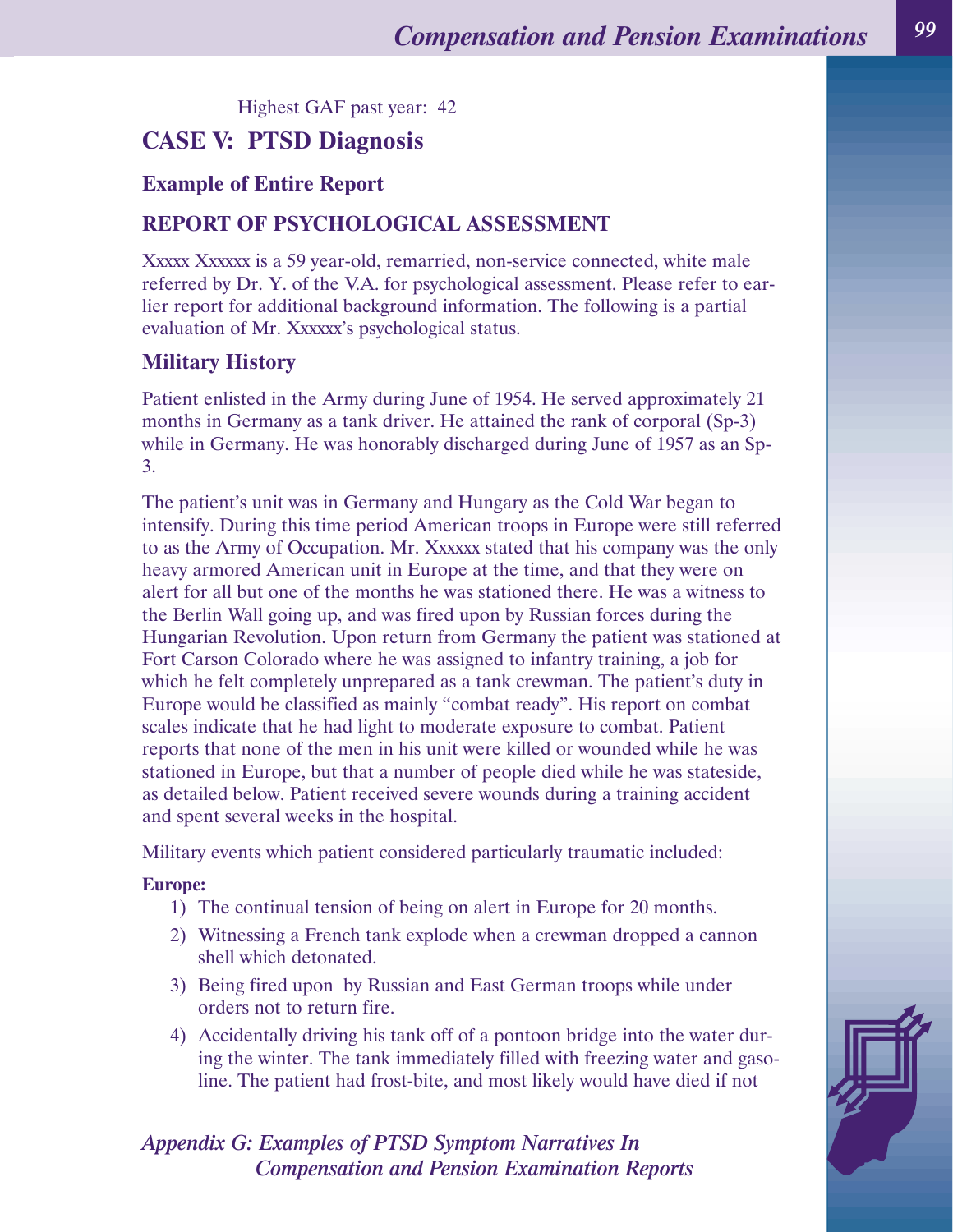Highest GAF past year: 42

### **CASE V: PTSD Diagnosis**

### **Example of Entire Report**

### **REPORT OF PSYCHOLOGICAL ASSESSMENT**

Xxxxx Xxxxxx is a 59 year-old, remarried, non-service connected, white male referred by Dr. Y. of the V.A. for psychological assessment. Please refer to earlier report for additional background information. The following is a partial evaluation of Mr. Xxxxxx's psychological status.

### **Military History**

Patient enlisted in the Army during June of 1954. He served approximately 21 months in Germany as a tank driver. He attained the rank of corporal (Sp-3) while in Germany. He was honorably discharged during June of 1957 as an Sp-3.

The patient's unit was in Germany and Hungary as the Cold War began to intensify. During this time period American troops in Europe were still referred to as the Army of Occupation. Mr. Xxxxxx stated that his company was the only heavy armored American unit in Europe at the time, and that they were on alert for all but one of the months he was stationed there. He was a witness to the Berlin Wall going up, and was fired upon by Russian forces during the Hungarian Revolution. Upon return from Germany the patient was stationed at Fort Carson Colorado where he was assigned to infantry training, a job for which he felt completely unprepared as a tank crewman. The patient's duty in Europe would be classified as mainly "combat ready". His report on combat scales indicate that he had light to moderate exposure to combat. Patient reports that none of the men in his unit were killed or wounded while he was stationed in Europe, but that a number of people died while he was stateside, as detailed below. Patient received severe wounds during a training accident and spent several weeks in the hospital.

Military events which patient considered particularly traumatic included:

#### **Europe:**

- 1) The continual tension of being on alert in Europe for 20 months.
- 2) Witnessing a French tank explode when a crewman dropped a cannon shell which detonated.
- 3) Being fired upon by Russian and East German troops while under orders not to return fire.
- 4) Accidentally driving his tank off of a pontoon bridge into the water during the winter. The tank immediately filled with freezing water and gasoline. The patient had frost-bite, and most likely would have died if not

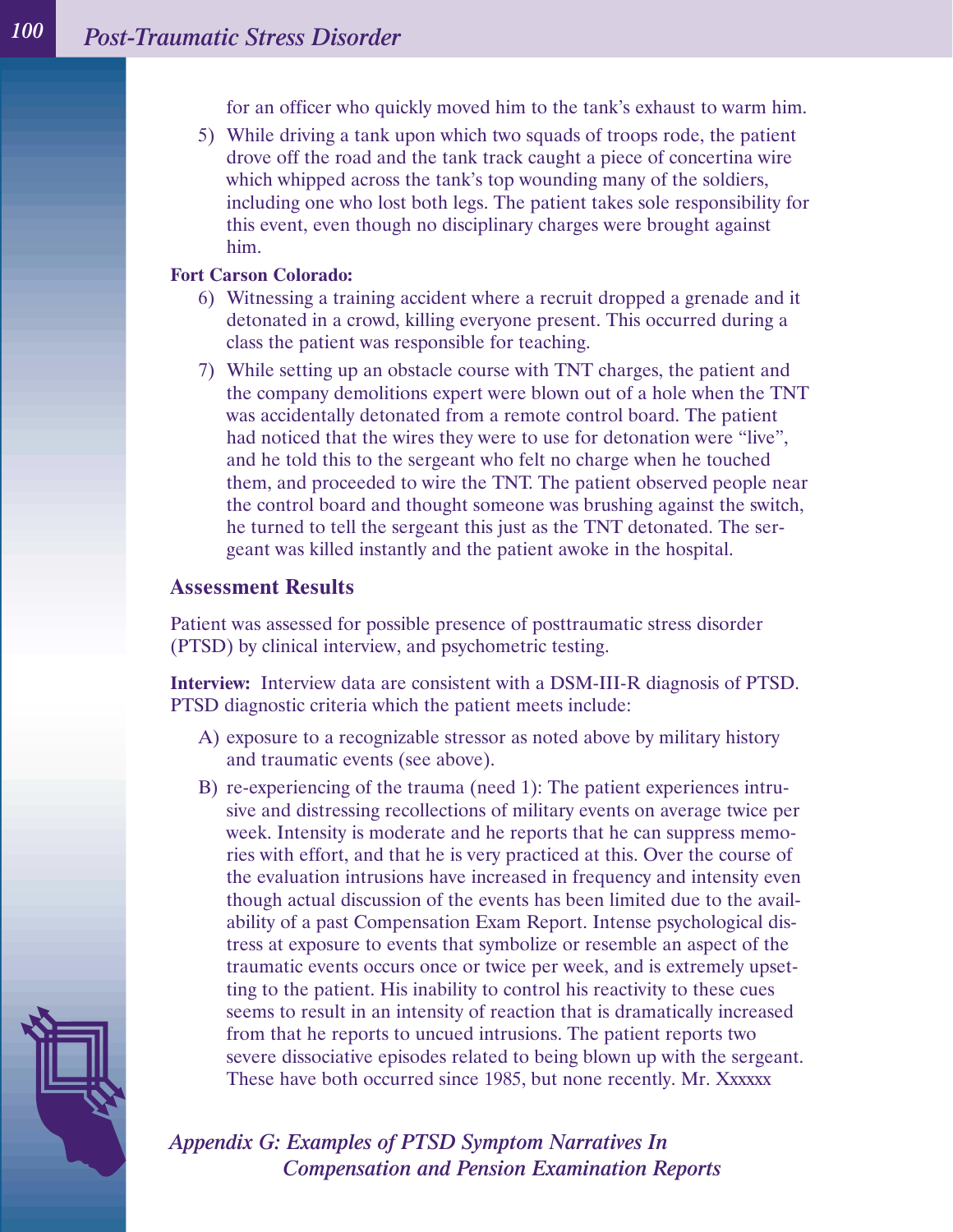for an officer who quickly moved him to the tank's exhaust to warm him.

5) While driving a tank upon which two squads of troops rode, the patient drove off the road and the tank track caught a piece of concertina wire which whipped across the tank's top wounding many of the soldiers, including one who lost both legs. The patient takes sole responsibility for this event, even though no disciplinary charges were brought against him.

### **Fort Carson Colorado:**

- 6) Witnessing a training accident where a recruit dropped a grenade and it detonated in a crowd, killing everyone present. This occurred during a class the patient was responsible for teaching.
- 7) While setting up an obstacle course with TNT charges, the patient and the company demolitions expert were blown out of a hole when the TNT was accidentally detonated from a remote control board. The patient had noticed that the wires they were to use for detonation were "live", and he told this to the sergeant who felt no charge when he touched them, and proceeded to wire the TNT. The patient observed people near the control board and thought someone was brushing against the switch, he turned to tell the sergeant this just as the TNT detonated. The sergeant was killed instantly and the patient awoke in the hospital.

#### **Assessment Results**

Patient was assessed for possible presence of posttraumatic stress disorder (PTSD) by clinical interview, and psychometric testing.

**Interview:** Interview data are consistent with a DSM-III-R diagnosis of PTSD. PTSD diagnostic criteria which the patient meets include:

- A) exposure to a recognizable stressor as noted above by military history and traumatic events (see above).
- B) re-experiencing of the trauma (need 1): The patient experiences intrusive and distressing recollections of military events on average twice per week. Intensity is moderate and he reports that he can suppress memories with effort, and that he is very practiced at this. Over the course of the evaluation intrusions have increased in frequency and intensity even though actual discussion of the events has been limited due to the availability of a past Compensation Exam Report. Intense psychological distress at exposure to events that symbolize or resemble an aspect of the traumatic events occurs once or twice per week, and is extremely upsetting to the patient. His inability to control his reactivity to these cues seems to result in an intensity of reaction that is dramatically increased from that he reports to uncued intrusions. The patient reports two severe dissociative episodes related to being blown up with the sergeant. These have both occurred since 1985, but none recently. Mr. Xxxxxx

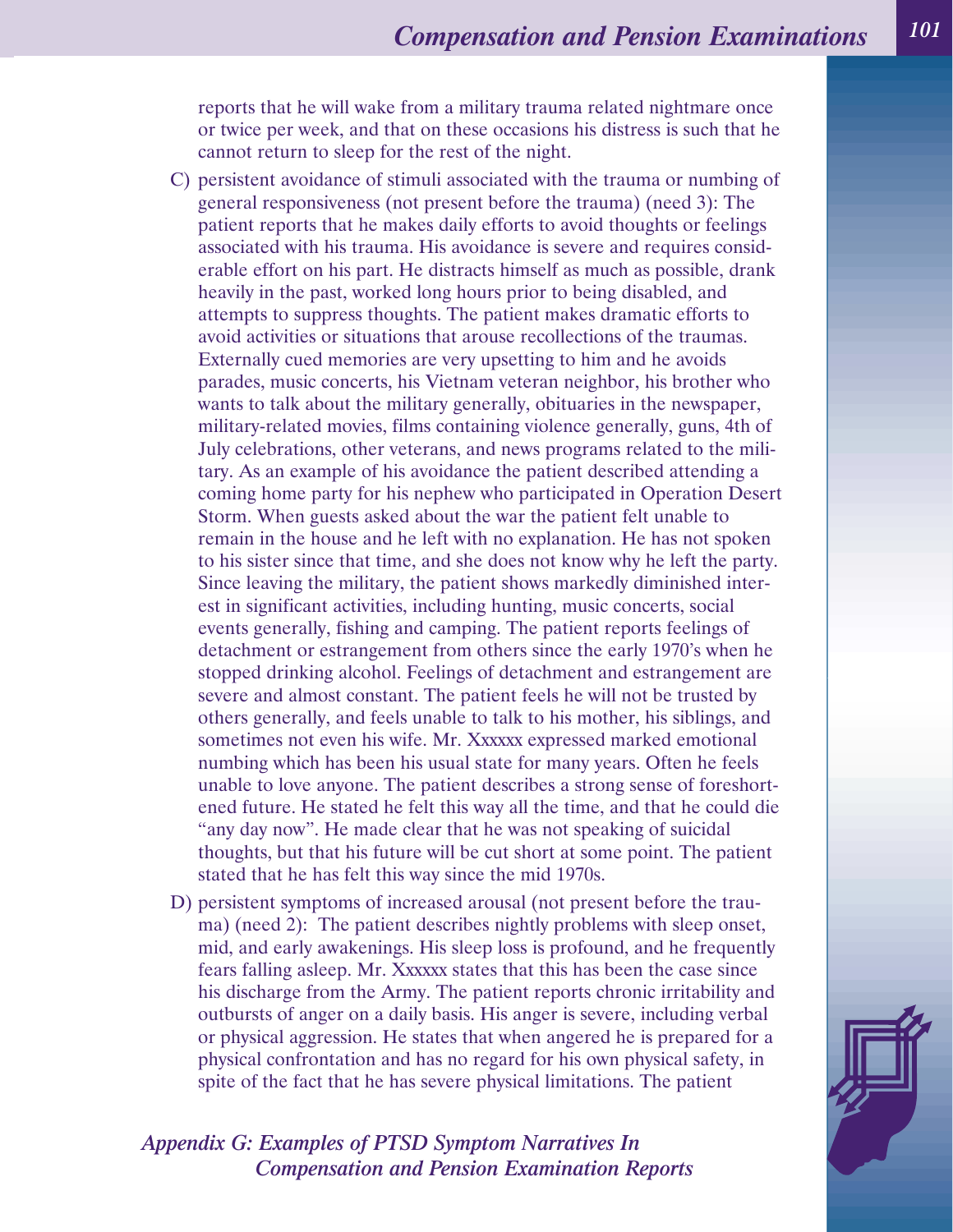reports that he will wake from a military trauma related nightmare once or twice per week, and that on these occasions his distress is such that he cannot return to sleep for the rest of the night.

- C) persistent avoidance of stimuli associated with the trauma or numbing of general responsiveness (not present before the trauma) (need 3): The patient reports that he makes daily efforts to avoid thoughts or feelings associated with his trauma. His avoidance is severe and requires considerable effort on his part. He distracts himself as much as possible, drank heavily in the past, worked long hours prior to being disabled, and attempts to suppress thoughts. The patient makes dramatic efforts to avoid activities or situations that arouse recollections of the traumas. Externally cued memories are very upsetting to him and he avoids parades, music concerts, his Vietnam veteran neighbor, his brother who wants to talk about the military generally, obituaries in the newspaper, military-related movies, films containing violence generally, guns, 4th of July celebrations, other veterans, and news programs related to the military. As an example of his avoidance the patient described attending a coming home party for his nephew who participated in Operation Desert Storm. When guests asked about the war the patient felt unable to remain in the house and he left with no explanation. He has not spoken to his sister since that time, and she does not know why he left the party. Since leaving the military, the patient shows markedly diminished interest in significant activities, including hunting, music concerts, social events generally, fishing and camping. The patient reports feelings of detachment or estrangement from others since the early 1970's when he stopped drinking alcohol. Feelings of detachment and estrangement are severe and almost constant. The patient feels he will not be trusted by others generally, and feels unable to talk to his mother, his siblings, and sometimes not even his wife. Mr. Xxxxxx expressed marked emotional numbing which has been his usual state for many years. Often he feels unable to love anyone. The patient describes a strong sense of foreshortened future. He stated he felt this way all the time, and that he could die "any day now". He made clear that he was not speaking of suicidal thoughts, but that his future will be cut short at some point. The patient stated that he has felt this way since the mid 1970s.
- D) persistent symptoms of increased arousal (not present before the trauma) (need 2): The patient describes nightly problems with sleep onset, mid, and early awakenings. His sleep loss is profound, and he frequently fears falling asleep. Mr. Xxxxxx states that this has been the case since his discharge from the Army. The patient reports chronic irritability and outbursts of anger on a daily basis. His anger is severe, including verbal or physical aggression. He states that when angered he is prepared for a physical confrontation and has no regard for his own physical safety, in spite of the fact that he has severe physical limitations. The patient

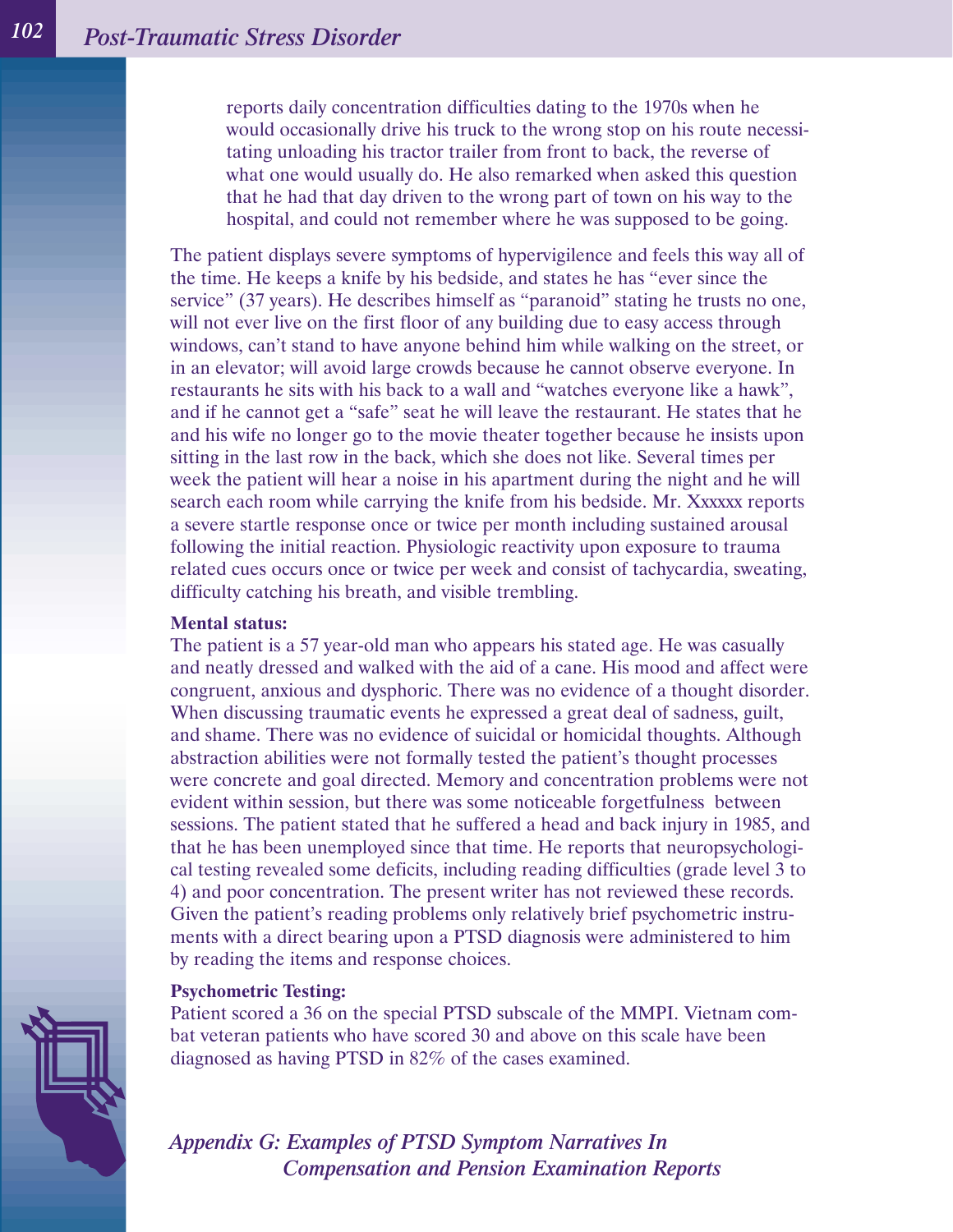reports daily concentration difficulties dating to the 1970s when he would occasionally drive his truck to the wrong stop on his route necessitating unloading his tractor trailer from front to back, the reverse of what one would usually do. He also remarked when asked this question that he had that day driven to the wrong part of town on his way to the hospital, and could not remember where he was supposed to be going.

The patient displays severe symptoms of hypervigilence and feels this way all of the time. He keeps a knife by his bedside, and states he has "ever since the service" (37 years). He describes himself as "paranoid" stating he trusts no one, will not ever live on the first floor of any building due to easy access through windows, can't stand to have anyone behind him while walking on the street, or in an elevator; will avoid large crowds because he cannot observe everyone. In restaurants he sits with his back to a wall and "watches everyone like a hawk", and if he cannot get a "safe" seat he will leave the restaurant. He states that he and his wife no longer go to the movie theater together because he insists upon sitting in the last row in the back, which she does not like. Several times per week the patient will hear a noise in his apartment during the night and he will search each room while carrying the knife from his bedside. Mr. Xxxxxx reports a severe startle response once or twice per month including sustained arousal following the initial reaction. Physiologic reactivity upon exposure to trauma related cues occurs once or twice per week and consist of tachycardia, sweating, difficulty catching his breath, and visible trembling.

#### **Mental status:**

The patient is a 57 year-old man who appears his stated age. He was casually and neatly dressed and walked with the aid of a cane. His mood and affect were congruent, anxious and dysphoric. There was no evidence of a thought disorder. When discussing traumatic events he expressed a great deal of sadness, guilt, and shame. There was no evidence of suicidal or homicidal thoughts. Although abstraction abilities were not formally tested the patient's thought processes were concrete and goal directed. Memory and concentration problems were not evident within session, but there was some noticeable forgetfulness between sessions. The patient stated that he suffered a head and back injury in 1985, and that he has been unemployed since that time. He reports that neuropsychological testing revealed some deficits, including reading difficulties (grade level 3 to 4) and poor concentration. The present writer has not reviewed these records. Given the patient's reading problems only relatively brief psychometric instruments with a direct bearing upon a PTSD diagnosis were administered to him by reading the items and response choices.

#### **Psychometric Testing:**

Patient scored a 36 on the special PTSD subscale of the MMPI. Vietnam combat veteran patients who have scored 30 and above on this scale have been diagnosed as having PTSD in 82% of the cases examined.

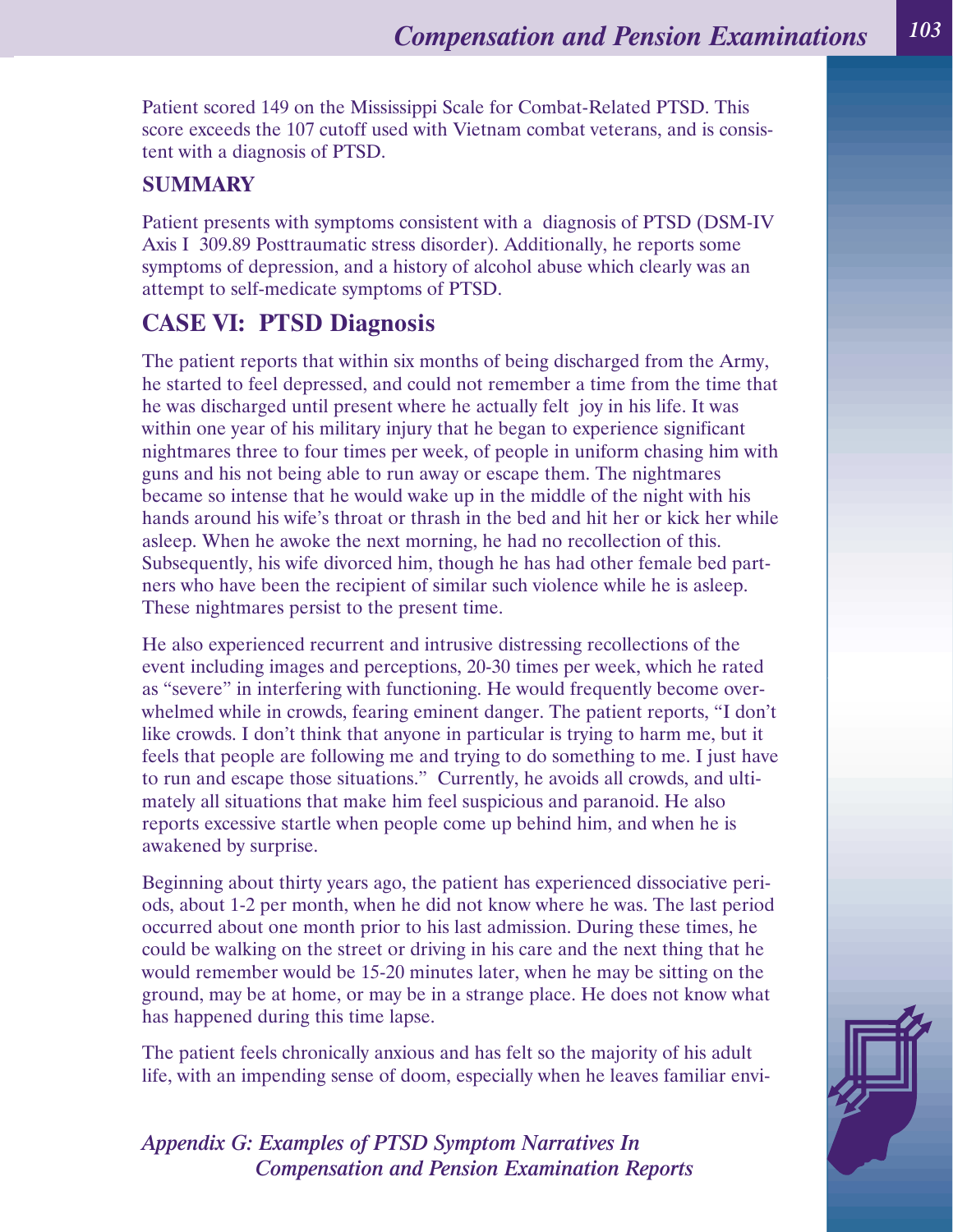Patient scored 149 on the Mississippi Scale for Combat-Related PTSD. This score exceeds the 107 cutoff used with Vietnam combat veterans, and is consistent with a diagnosis of PTSD.

### **SUMMARY**

Patient presents with symptoms consistent with a diagnosis of PTSD (DSM-IV Axis I 309.89 Posttraumatic stress disorder). Additionally, he reports some symptoms of depression, and a history of alcohol abuse which clearly was an attempt to self-medicate symptoms of PTSD.

## **CASE VI: PTSD Diagnosis**

The patient reports that within six months of being discharged from the Army, he started to feel depressed, and could not remember a time from the time that he was discharged until present where he actually felt joy in his life. It was within one year of his military injury that he began to experience significant nightmares three to four times per week, of people in uniform chasing him with guns and his not being able to run away or escape them. The nightmares became so intense that he would wake up in the middle of the night with his hands around his wife's throat or thrash in the bed and hit her or kick her while asleep. When he awoke the next morning, he had no recollection of this. Subsequently, his wife divorced him, though he has had other female bed partners who have been the recipient of similar such violence while he is asleep. These nightmares persist to the present time.

He also experienced recurrent and intrusive distressing recollections of the event including images and perceptions, 20-30 times per week, which he rated as "severe" in interfering with functioning. He would frequently become overwhelmed while in crowds, fearing eminent danger. The patient reports, "I don't like crowds. I don't think that anyone in particular is trying to harm me, but it feels that people are following me and trying to do something to me. I just have to run and escape those situations." Currently, he avoids all crowds, and ultimately all situations that make him feel suspicious and paranoid. He also reports excessive startle when people come up behind him, and when he is awakened by surprise.

Beginning about thirty years ago, the patient has experienced dissociative periods, about 1-2 per month, when he did not know where he was. The last period occurred about one month prior to his last admission. During these times, he could be walking on the street or driving in his care and the next thing that he would remember would be 15-20 minutes later, when he may be sitting on the ground, may be at home, or may be in a strange place. He does not know what has happened during this time lapse.

The patient feels chronically anxious and has felt so the majority of his adult life, with an impending sense of doom, especially when he leaves familiar envi-

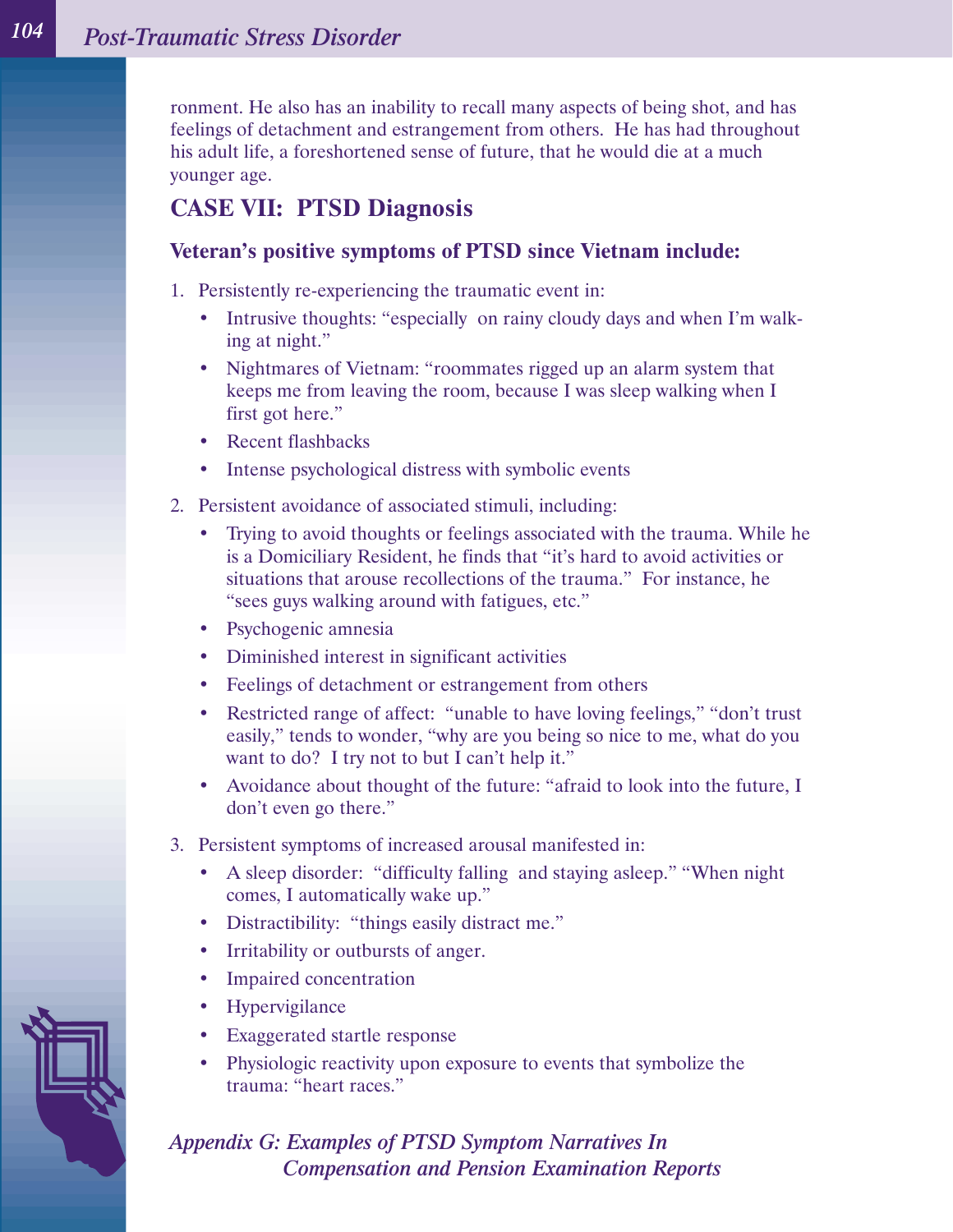ronment. He also has an inability to recall many aspects of being shot, and has feelings of detachment and estrangement from others. He has had throughout his adult life, a foreshortened sense of future, that he would die at a much younger age.

## **CASE VII: PTSD Diagnosis**

### **Veteran's positive symptoms of PTSD since Vietnam include:**

- 1. Persistently re-experiencing the traumatic event in:
	- Intrusive thoughts: "especially on rainy cloudy days and when I'm walking at night."
	- Nightmares of Vietnam: "roommates rigged up an alarm system that keeps me from leaving the room, because I was sleep walking when I first got here."
	- Recent flashbacks
	- Intense psychological distress with symbolic events
- 2. Persistent avoidance of associated stimuli, including:
	- Trying to avoid thoughts or feelings associated with the trauma. While he is a Domiciliary Resident, he finds that "it's hard to avoid activities or situations that arouse recollections of the trauma." For instance, he "sees guys walking around with fatigues, etc."
	- Psychogenic amnesia
	- Diminished interest in significant activities
	- Feelings of detachment or estrangement from others
	- Restricted range of affect: "unable to have loving feelings," "don't trust easily," tends to wonder, "why are you being so nice to me, what do you want to do? I try not to but I can't help it."
	- Avoidance about thought of the future: "afraid to look into the future, I don't even go there."
- 3. Persistent symptoms of increased arousal manifested in:
	- A sleep disorder: "difficulty falling and staying asleep." "When night comes, I automatically wake up."
	- Distractibility: "things easily distract me."
	- Irritability or outbursts of anger.
	- Impaired concentration
	- Hypervigilance
	- Exaggerated startle response
	- Physiologic reactivity upon exposure to events that symbolize the trauma: "heart races."

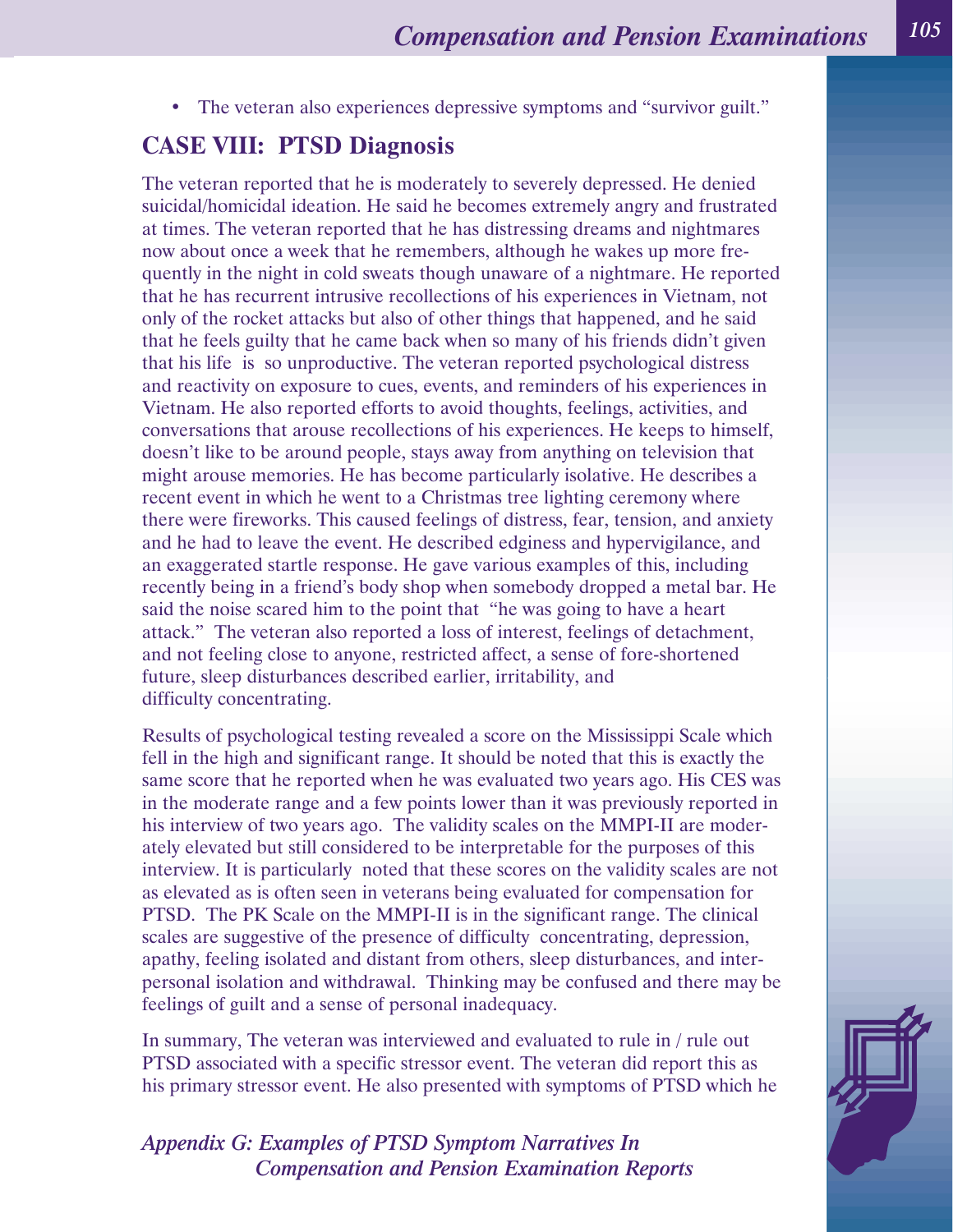• The veteran also experiences depressive symptoms and "survivor guilt."

### **CASE VIII: PTSD Diagnosis**

The veteran reported that he is moderately to severely depressed. He denied suicidal/homicidal ideation. He said he becomes extremely angry and frustrated at times. The veteran reported that he has distressing dreams and nightmares now about once a week that he remembers, although he wakes up more frequently in the night in cold sweats though unaware of a nightmare. He reported that he has recurrent intrusive recollections of his experiences in Vietnam, not only of the rocket attacks but also of other things that happened, and he said that he feels guilty that he came back when so many of his friends didn't given that his life is so unproductive. The veteran reported psychological distress and reactivity on exposure to cues, events, and reminders of his experiences in Vietnam. He also reported efforts to avoid thoughts, feelings, activities, and conversations that arouse recollections of his experiences. He keeps to himself, doesn't like to be around people, stays away from anything on television that might arouse memories. He has become particularly isolative. He describes a recent event in which he went to a Christmas tree lighting ceremony where there were fireworks. This caused feelings of distress, fear, tension, and anxiety and he had to leave the event. He described edginess and hypervigilance, and an exaggerated startle response. He gave various examples of this, including recently being in a friend's body shop when somebody dropped a metal bar. He said the noise scared him to the point that "he was going to have a heart attack." The veteran also reported a loss of interest, feelings of detachment, and not feeling close to anyone, restricted affect, a sense of fore-shortened future, sleep disturbances described earlier, irritability, and difficulty concentrating.

Results of psychological testing revealed a score on the Mississippi Scale which fell in the high and significant range. It should be noted that this is exactly the same score that he reported when he was evaluated two years ago. His CES was in the moderate range and a few points lower than it was previously reported in his interview of two years ago. The validity scales on the MMPI-II are moderately elevated but still considered to be interpretable for the purposes of this interview. It is particularly noted that these scores on the validity scales are not as elevated as is often seen in veterans being evaluated for compensation for PTSD. The PK Scale on the MMPI-II is in the significant range. The clinical scales are suggestive of the presence of difficulty concentrating, depression, apathy, feeling isolated and distant from others, sleep disturbances, and interpersonal isolation and withdrawal. Thinking may be confused and there may be feelings of guilt and a sense of personal inadequacy.

In summary, The veteran was interviewed and evaluated to rule in / rule out PTSD associated with a specific stressor event. The veteran did report this as his primary stressor event. He also presented with symptoms of PTSD which he

*Appendix G: Examples of PTSD Symptom Narratives In Compensation and Pension Examination Reports*

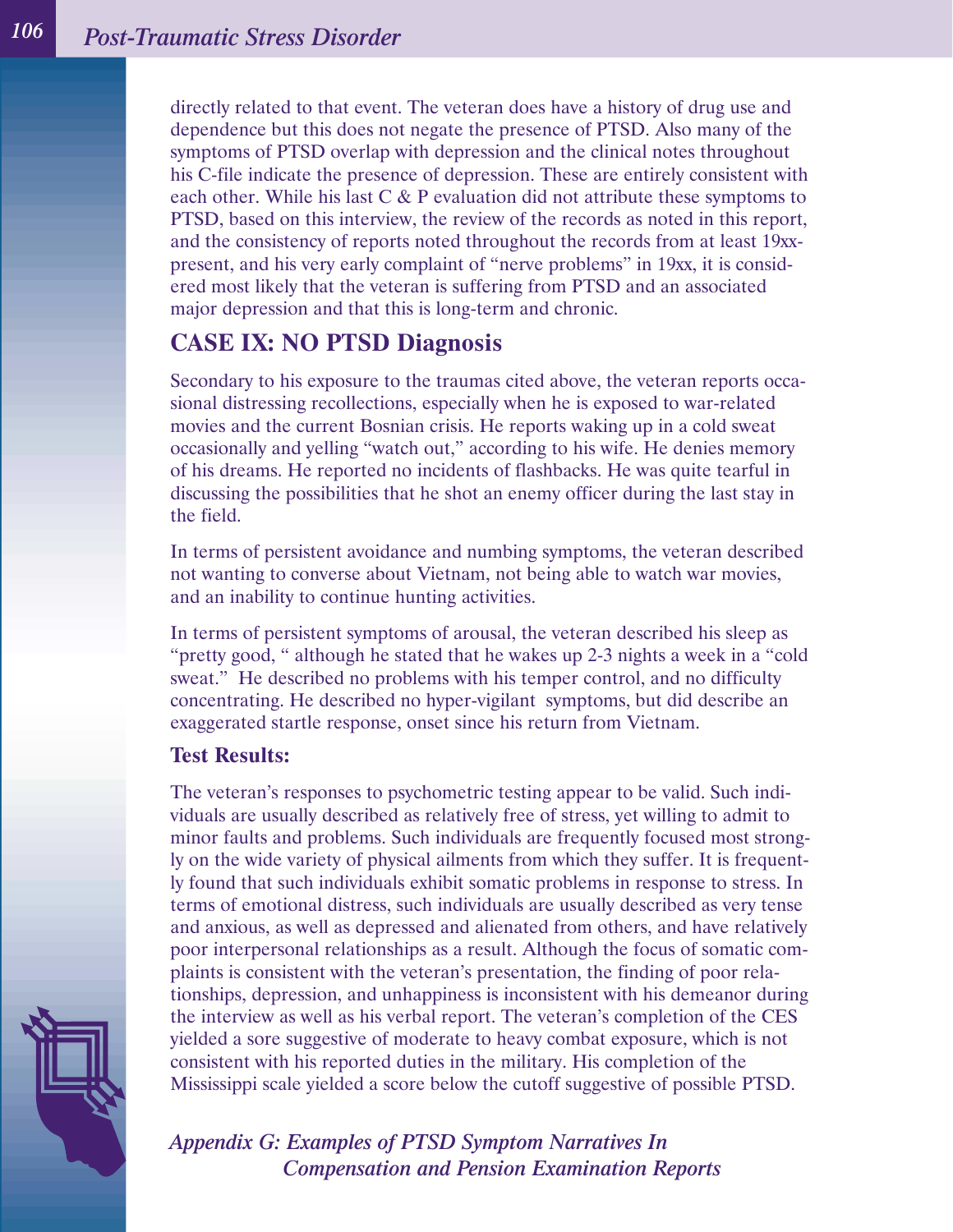directly related to that event. The veteran does have a history of drug use and dependence but this does not negate the presence of PTSD. Also many of the symptoms of PTSD overlap with depression and the clinical notes throughout his C-file indicate the presence of depression. These are entirely consistent with each other. While his last C & P evaluation did not attribute these symptoms to PTSD, based on this interview, the review of the records as noted in this report, and the consistency of reports noted throughout the records from at least 19xxpresent, and his very early complaint of "nerve problems" in 19xx, it is considered most likely that the veteran is suffering from PTSD and an associated major depression and that this is long-term and chronic.

## **CASE IX: NO PTSD Diagnosis**

Secondary to his exposure to the traumas cited above, the veteran reports occasional distressing recollections, especially when he is exposed to war-related movies and the current Bosnian crisis. He reports waking up in a cold sweat occasionally and yelling "watch out," according to his wife. He denies memory of his dreams. He reported no incidents of flashbacks. He was quite tearful in discussing the possibilities that he shot an enemy officer during the last stay in the field.

In terms of persistent avoidance and numbing symptoms, the veteran described not wanting to converse about Vietnam, not being able to watch war movies, and an inability to continue hunting activities.

In terms of persistent symptoms of arousal, the veteran described his sleep as "pretty good, " although he stated that he wakes up 2-3 nights a week in a "cold sweat." He described no problems with his temper control, and no difficulty concentrating. He described no hyper-vigilant symptoms, but did describe an exaggerated startle response, onset since his return from Vietnam.

### **Test Results:**

The veteran's responses to psychometric testing appear to be valid. Such individuals are usually described as relatively free of stress, yet willing to admit to minor faults and problems. Such individuals are frequently focused most strongly on the wide variety of physical ailments from which they suffer. It is frequently found that such individuals exhibit somatic problems in response to stress. In terms of emotional distress, such individuals are usually described as very tense and anxious, as well as depressed and alienated from others, and have relatively poor interpersonal relationships as a result. Although the focus of somatic complaints is consistent with the veteran's presentation, the finding of poor relationships, depression, and unhappiness is inconsistent with his demeanor during the interview as well as his verbal report. The veteran's completion of the CES yielded a sore suggestive of moderate to heavy combat exposure, which is not consistent with his reported duties in the military. His completion of the Mississippi scale yielded a score below the cutoff suggestive of possible PTSD.

*Appendix G: Examples of PTSD Symptom Narratives In Compensation and Pension Examination Reports*

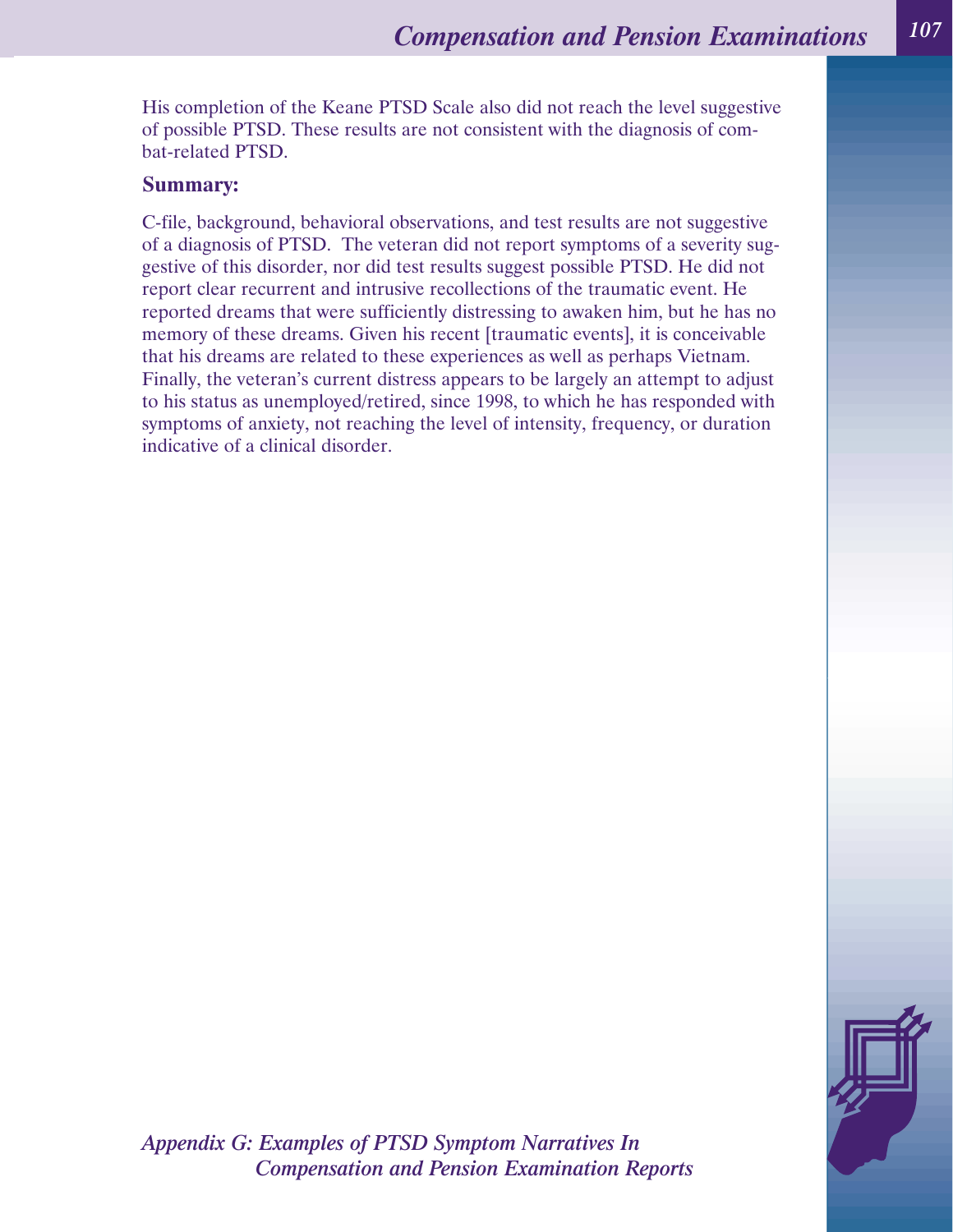His completion of the Keane PTSD Scale also did not reach the level suggestive of possible PTSD. These results are not consistent with the diagnosis of combat-related PTSD.

#### **Summary:**

C-file, background, behavioral observations, and test results are not suggestive of a diagnosis of PTSD. The veteran did not report symptoms of a severity suggestive of this disorder, nor did test results suggest possible PTSD. He did not report clear recurrent and intrusive recollections of the traumatic event. He reported dreams that were sufficiently distressing to awaken him, but he has no memory of these dreams. Given his recent [traumatic events], it is conceivable that his dreams are related to these experiences as well as perhaps Vietnam. Finally, the veteran's current distress appears to be largely an attempt to adjust to his status as unemployed/retired, since 1998, to which he has responded with symptoms of anxiety, not reaching the level of intensity, frequency, or duration indicative of a clinical disorder.

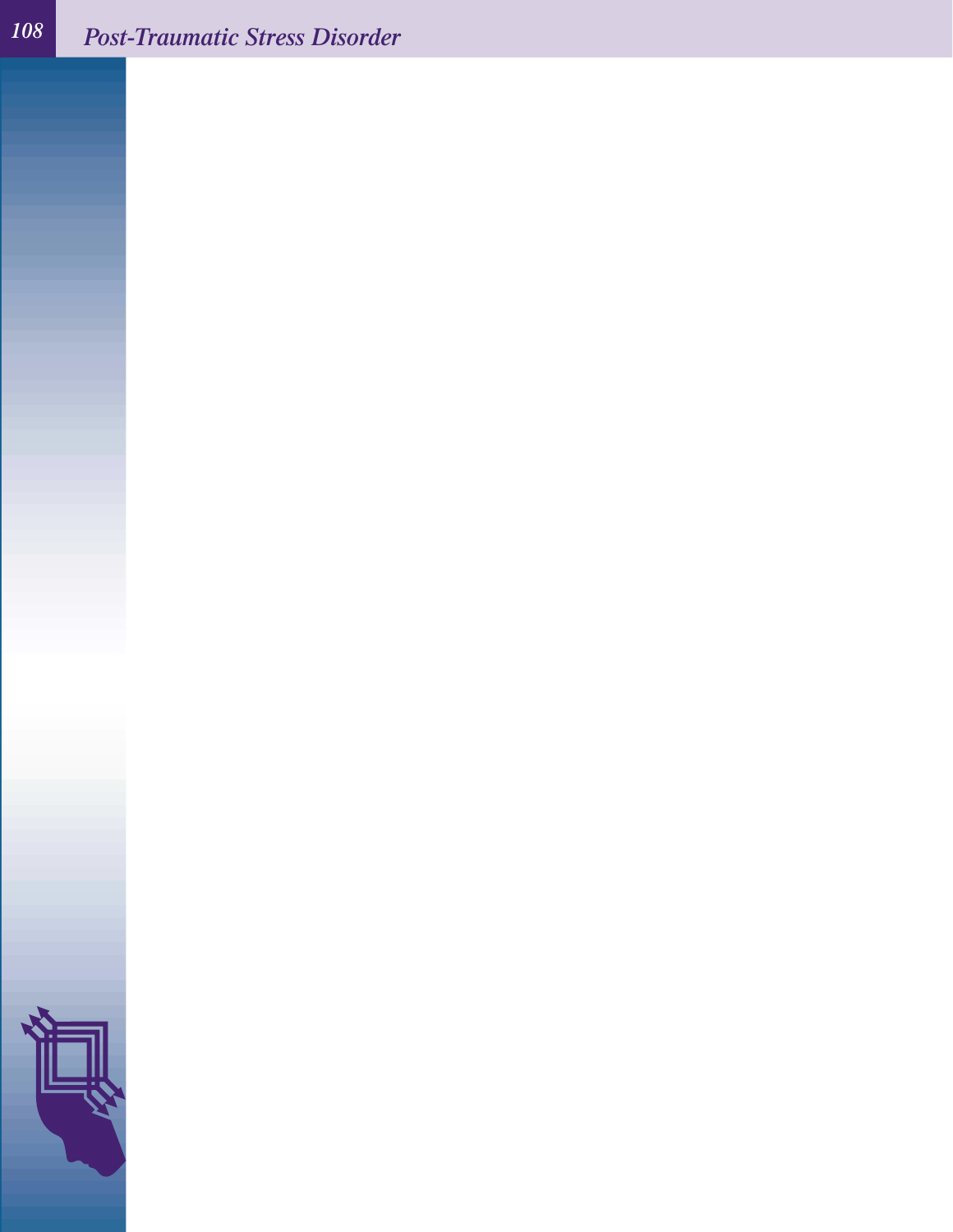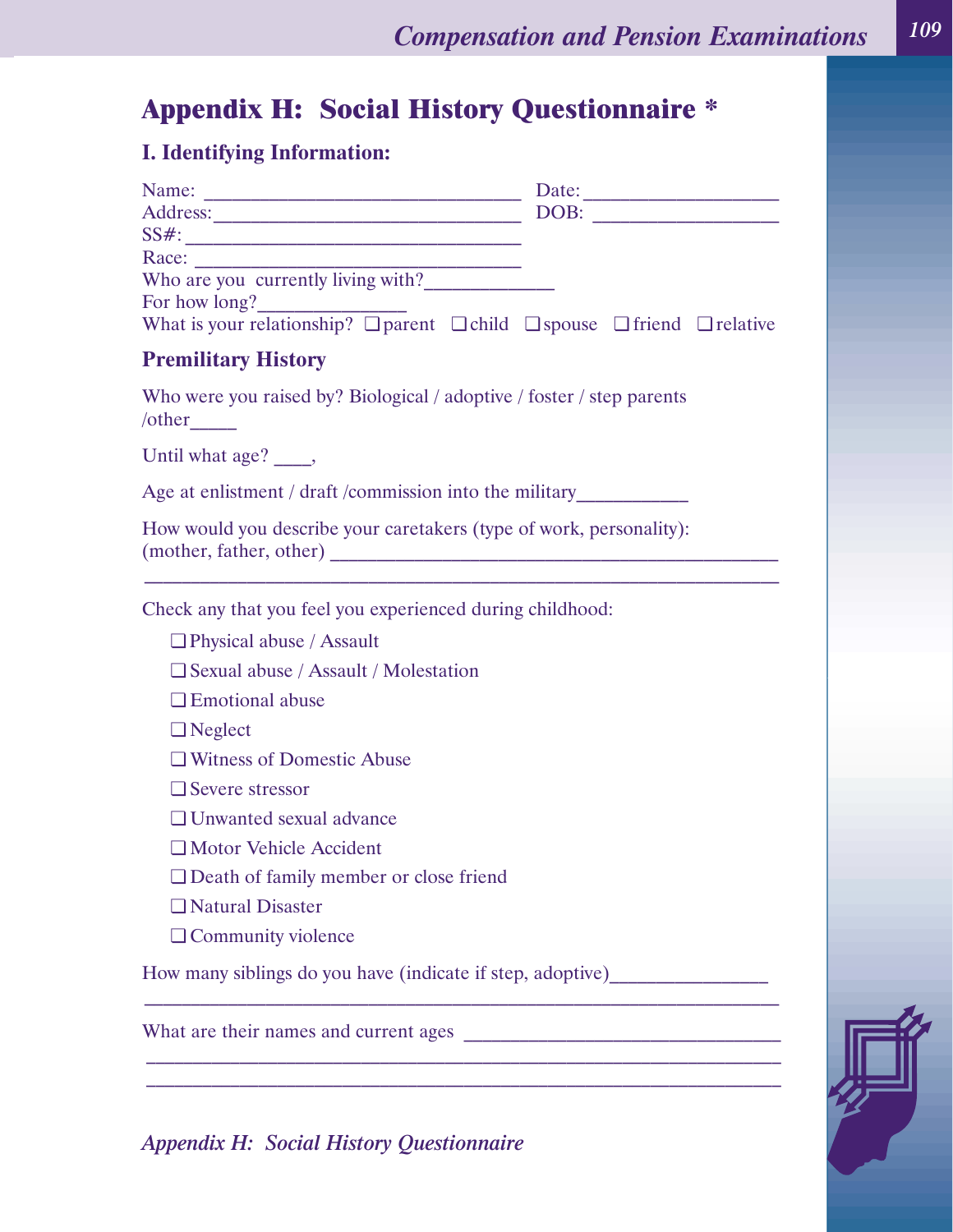## **Appendix H: Social History Questionnaire \***

### **I. Identifying Information:**

| n rachtnig mis mitormation.                                                                                        |  |  |
|--------------------------------------------------------------------------------------------------------------------|--|--|
| Name: Date: Date:                                                                                                  |  |  |
|                                                                                                                    |  |  |
|                                                                                                                    |  |  |
| Race: Who are you currently living with?                                                                           |  |  |
|                                                                                                                    |  |  |
| For how long?<br>What is your relationship? $\Box$ parent $\Box$ child $\Box$ spouse $\Box$ friend $\Box$ relative |  |  |
| <b>Premilitary History</b>                                                                                         |  |  |
| Who were you raised by? Biological / adoptive / foster / step parents<br>$\sqrt{\text{other}}$                     |  |  |
| Until what age? ____,                                                                                              |  |  |
| Age at enlistment / draft / commission into the military                                                           |  |  |
| How would you describe your caretakers (type of work, personality):                                                |  |  |
| Check any that you feel you experienced during childhood:                                                          |  |  |
| $\Box$ Physical abuse / Assault                                                                                    |  |  |
| $\Box$ Sexual abuse / Assault / Molestation                                                                        |  |  |
| $\Box$ Emotional abuse                                                                                             |  |  |
| $\Box$ Neglect                                                                                                     |  |  |
| □ Witness of Domestic Abuse                                                                                        |  |  |
| $\Box$ Severe stressor                                                                                             |  |  |
| □ Unwanted sexual advance                                                                                          |  |  |
| Motor Vehicle Accident                                                                                             |  |  |
| $\Box$ Death of family member or close friend                                                                      |  |  |
| □ Natural Disaster                                                                                                 |  |  |
| $\Box$ Community violence                                                                                          |  |  |

 $\mathcal{L}_\text{max}$ 

\_\_\_\_\_\_\_\_\_\_\_\_\_\_\_\_\_\_\_\_\_\_\_\_\_\_\_\_\_\_\_\_\_\_\_\_\_\_\_\_\_\_\_\_\_\_\_\_\_\_\_\_\_\_\_\_\_\_\_\_\_\_\_\_\_\_\_\_ \_\_\_\_\_\_\_\_\_\_\_\_\_\_\_\_\_\_\_\_\_\_\_\_\_\_\_\_\_\_\_\_\_\_\_\_\_\_\_\_\_\_\_\_\_\_\_\_\_\_\_\_\_\_\_\_\_\_\_\_\_\_\_\_\_\_\_\_

How many siblings do you have (indicate if step, adoptive)\_\_\_\_\_\_\_\_\_\_\_\_\_\_\_\_\_\_\_\_\_\_

What are their names and current ages \_\_\_\_\_\_\_\_\_\_\_\_\_\_\_\_\_\_\_\_\_\_\_\_\_\_\_\_\_\_\_\_\_\_

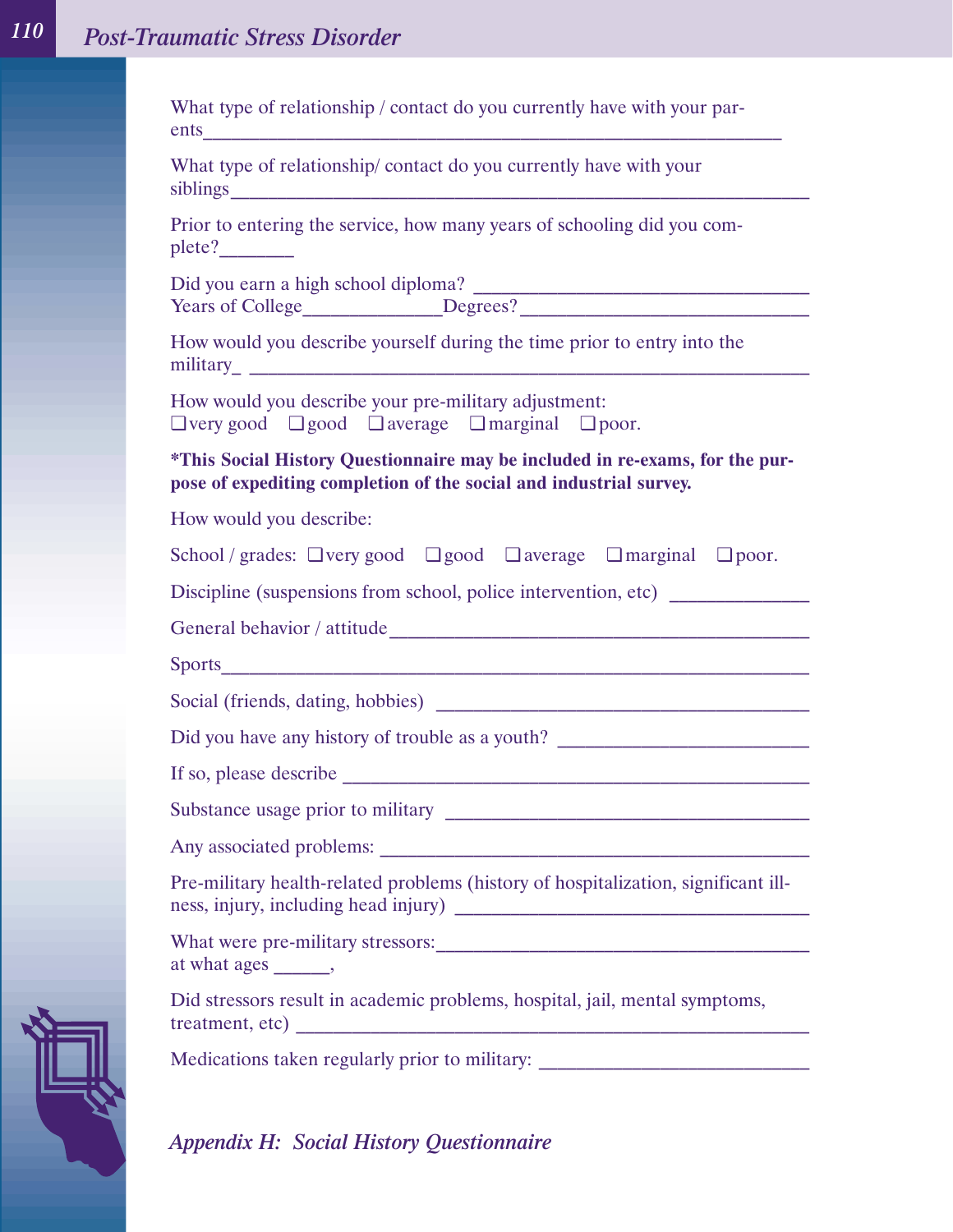| What type of relationship/contact do you currently have with your<br>Prior to entering the service, how many years of schooling did you com-<br>plete?<br>How would you describe yourself during the time prior to entry into the<br>How would you describe your pre-military adjustment:<br>$\Box$ very good $\Box$ good $\Box$ average $\Box$ marginal $\Box$ poor.<br>*This Social History Questionnaire may be included in re-exams, for the pur-<br>pose of expediting completion of the social and industrial survey.<br>How would you describe:<br>School / grades: $\Box$ very good $\Box$ good $\Box$ average $\Box$ marginal $\Box$ poor.<br>Discipline (suspensions from school, police intervention, etc) _________________ |  |  |
|-----------------------------------------------------------------------------------------------------------------------------------------------------------------------------------------------------------------------------------------------------------------------------------------------------------------------------------------------------------------------------------------------------------------------------------------------------------------------------------------------------------------------------------------------------------------------------------------------------------------------------------------------------------------------------------------------------------------------------------------|--|--|
|                                                                                                                                                                                                                                                                                                                                                                                                                                                                                                                                                                                                                                                                                                                                         |  |  |
|                                                                                                                                                                                                                                                                                                                                                                                                                                                                                                                                                                                                                                                                                                                                         |  |  |
|                                                                                                                                                                                                                                                                                                                                                                                                                                                                                                                                                                                                                                                                                                                                         |  |  |
|                                                                                                                                                                                                                                                                                                                                                                                                                                                                                                                                                                                                                                                                                                                                         |  |  |
|                                                                                                                                                                                                                                                                                                                                                                                                                                                                                                                                                                                                                                                                                                                                         |  |  |
|                                                                                                                                                                                                                                                                                                                                                                                                                                                                                                                                                                                                                                                                                                                                         |  |  |
|                                                                                                                                                                                                                                                                                                                                                                                                                                                                                                                                                                                                                                                                                                                                         |  |  |
|                                                                                                                                                                                                                                                                                                                                                                                                                                                                                                                                                                                                                                                                                                                                         |  |  |
|                                                                                                                                                                                                                                                                                                                                                                                                                                                                                                                                                                                                                                                                                                                                         |  |  |
|                                                                                                                                                                                                                                                                                                                                                                                                                                                                                                                                                                                                                                                                                                                                         |  |  |
|                                                                                                                                                                                                                                                                                                                                                                                                                                                                                                                                                                                                                                                                                                                                         |  |  |
|                                                                                                                                                                                                                                                                                                                                                                                                                                                                                                                                                                                                                                                                                                                                         |  |  |
| Did you have any history of trouble as a youth?                                                                                                                                                                                                                                                                                                                                                                                                                                                                                                                                                                                                                                                                                         |  |  |
| If so, please describe                                                                                                                                                                                                                                                                                                                                                                                                                                                                                                                                                                                                                                                                                                                  |  |  |
|                                                                                                                                                                                                                                                                                                                                                                                                                                                                                                                                                                                                                                                                                                                                         |  |  |
|                                                                                                                                                                                                                                                                                                                                                                                                                                                                                                                                                                                                                                                                                                                                         |  |  |
| Pre-military health-related problems (history of hospitalization, significant ill-                                                                                                                                                                                                                                                                                                                                                                                                                                                                                                                                                                                                                                                      |  |  |
| at what ages _______,                                                                                                                                                                                                                                                                                                                                                                                                                                                                                                                                                                                                                                                                                                                   |  |  |
| Did stressors result in academic problems, hospital, jail, mental symptoms,                                                                                                                                                                                                                                                                                                                                                                                                                                                                                                                                                                                                                                                             |  |  |
| Medications taken regularly prior to military: _________________________________                                                                                                                                                                                                                                                                                                                                                                                                                                                                                                                                                                                                                                                        |  |  |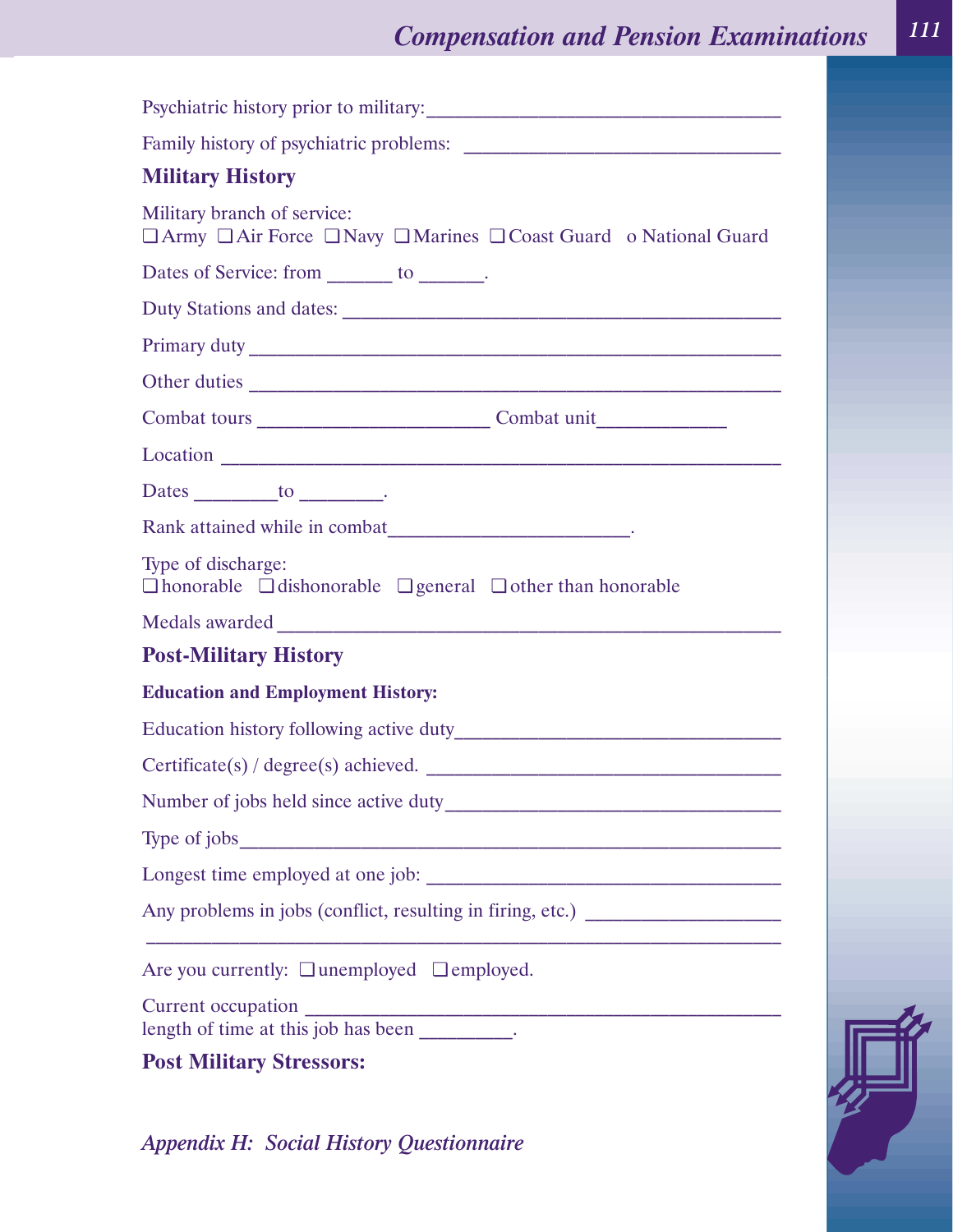# *Compensation and Pension Examinations <sup>111</sup>*

| <b>Military History</b>                                                                               |  |  |
|-------------------------------------------------------------------------------------------------------|--|--|
| Military branch of service:<br>□ Army □ Air Force □ Navy □ Marines □ Coast Guard o National Guard     |  |  |
| Dates of Service: from _______ to ______.                                                             |  |  |
|                                                                                                       |  |  |
|                                                                                                       |  |  |
|                                                                                                       |  |  |
| Combat tours _________________________________Combat unit_______________________                      |  |  |
|                                                                                                       |  |  |
| Dates $\_\_\_\_$ to $\_\_\_\_\_$ .                                                                    |  |  |
|                                                                                                       |  |  |
| Type of discharge:<br>$\Box$ honorable $\Box$ dishonorable $\Box$ general $\Box$ other than honorable |  |  |
|                                                                                                       |  |  |
| <b>Post-Military History</b>                                                                          |  |  |
| <b>Education and Employment History:</b>                                                              |  |  |
|                                                                                                       |  |  |
| Certificate(s) / degree(s) achieved.                                                                  |  |  |
|                                                                                                       |  |  |
|                                                                                                       |  |  |
|                                                                                                       |  |  |
| Any problems in jobs (conflict, resulting in firing, etc.) ______________________                     |  |  |
| Are you currently: $\Box$ unemployed $\Box$ employed.                                                 |  |  |
|                                                                                                       |  |  |
|                                                                                                       |  |  |
| <b>Post Military Stressors:</b>                                                                       |  |  |

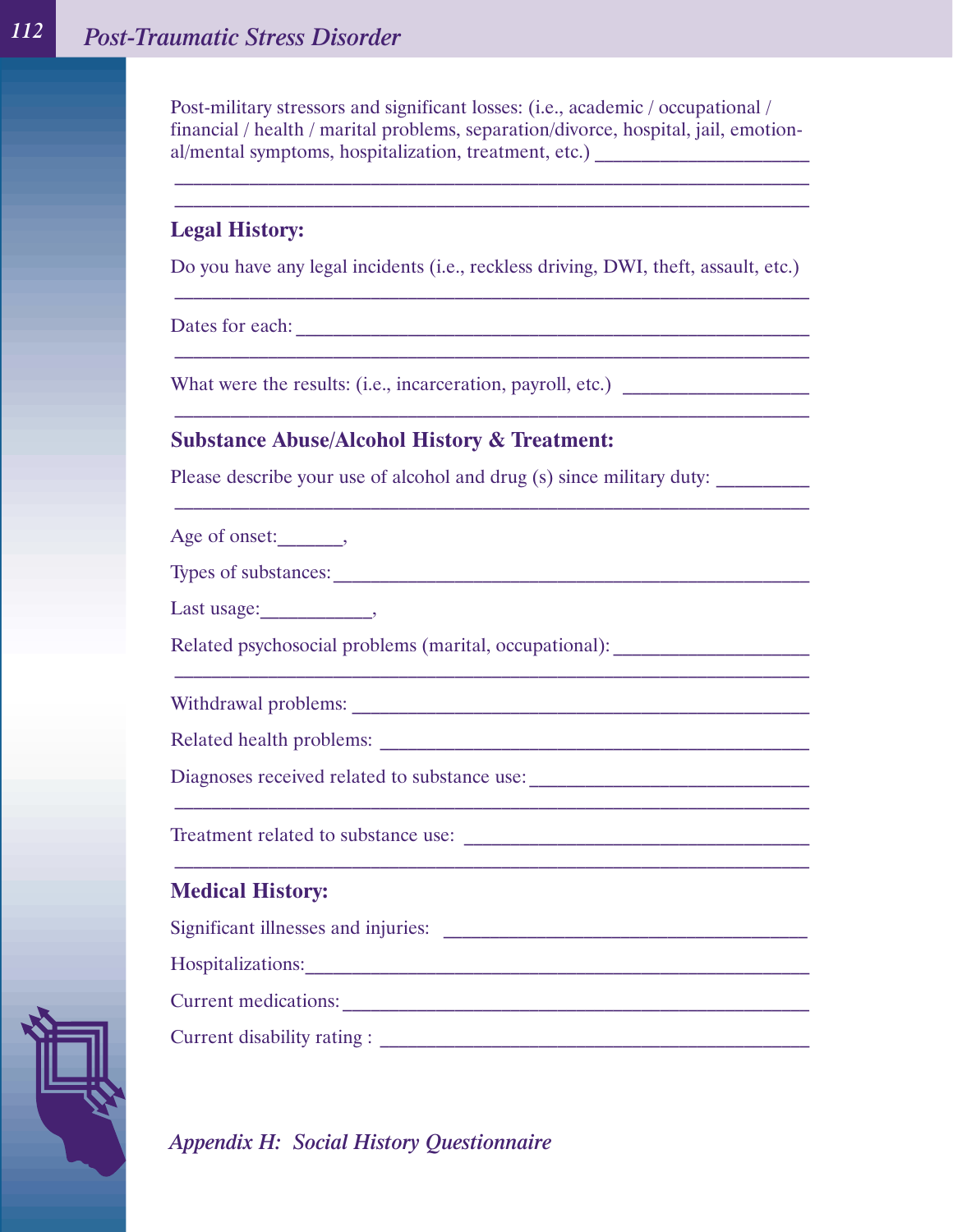Post-military stressors and significant losses: (i.e., academic / occupational / financial / health / marital problems, separation/divorce, hospital, jail, emotional/mental symptoms, hospitalization, treatment, etc.) \_\_\_\_\_\_\_\_\_\_\_\_\_\_\_\_\_\_\_\_\_\_\_\_\_\_

\_\_\_\_\_\_\_\_\_\_\_\_\_\_\_\_\_\_\_\_\_\_\_\_\_\_\_\_\_\_\_\_\_\_\_\_\_\_\_\_\_\_\_\_\_\_\_\_\_\_\_\_\_\_\_\_\_\_\_\_\_\_\_\_\_\_\_\_ \_\_\_\_\_\_\_\_\_\_\_\_\_\_\_\_\_\_\_\_\_\_\_\_\_\_\_\_\_\_\_\_\_\_\_\_\_\_\_\_\_\_\_\_\_\_\_\_\_\_\_\_\_\_\_\_\_\_\_\_\_\_\_\_\_\_\_\_

### **Legal History:**

Do you have any legal incidents (i.e., reckless driving, DWI, theft, assault, etc.) \_\_\_\_\_\_\_\_\_\_\_\_\_\_\_\_\_\_\_\_\_\_\_\_\_\_\_\_\_\_\_\_\_\_\_\_\_\_\_\_\_\_\_\_\_\_\_\_\_\_\_\_\_\_\_\_\_\_\_\_\_\_\_\_\_\_\_\_

\_\_\_\_\_\_\_\_\_\_\_\_\_\_\_\_\_\_\_\_\_\_\_\_\_\_\_\_\_\_\_\_\_\_\_\_\_\_\_\_\_\_\_\_\_\_\_\_\_\_\_\_\_\_\_\_\_\_\_\_\_\_\_\_\_\_\_\_

\_\_\_\_\_\_\_\_\_\_\_\_\_\_\_\_\_\_\_\_\_\_\_\_\_\_\_\_\_\_\_\_\_\_\_\_\_\_\_\_\_\_\_\_\_\_\_\_\_\_\_\_\_\_\_\_\_\_\_\_\_\_\_\_\_\_\_\_

\_\_\_\_\_\_\_\_\_\_\_\_\_\_\_\_\_\_\_\_\_\_\_\_\_\_\_\_\_\_\_\_\_\_\_\_\_\_\_\_\_\_\_\_\_\_\_\_\_\_\_\_\_\_\_\_\_\_\_\_\_\_\_\_\_\_\_\_

\_\_\_\_\_\_\_\_\_\_\_\_\_\_\_\_\_\_\_\_\_\_\_\_\_\_\_\_\_\_\_\_\_\_\_\_\_\_\_\_\_\_\_\_\_\_\_\_\_\_\_\_\_\_\_\_\_\_\_\_\_\_\_\_\_\_\_\_

\_\_\_\_\_\_\_\_\_\_\_\_\_\_\_\_\_\_\_\_\_\_\_\_\_\_\_\_\_\_\_\_\_\_\_\_\_\_\_\_\_\_\_\_\_\_\_\_\_\_\_\_\_\_\_\_\_\_\_\_\_\_\_\_\_\_\_\_

 $\mathcal{L}_\mathcal{L} = \mathcal{L}_\mathcal{L} = \mathcal{L}_\mathcal{L} = \mathcal{L}_\mathcal{L} = \mathcal{L}_\mathcal{L} = \mathcal{L}_\mathcal{L} = \mathcal{L}_\mathcal{L} = \mathcal{L}_\mathcal{L} = \mathcal{L}_\mathcal{L} = \mathcal{L}_\mathcal{L} = \mathcal{L}_\mathcal{L} = \mathcal{L}_\mathcal{L} = \mathcal{L}_\mathcal{L} = \mathcal{L}_\mathcal{L} = \mathcal{L}_\mathcal{L} = \mathcal{L}_\mathcal{L} = \mathcal{L}_\mathcal{L}$ 

Dates for each: \_\_\_\_\_\_\_\_\_\_\_\_\_\_\_\_\_\_\_\_\_\_\_\_\_\_\_\_\_\_\_\_\_\_\_\_\_\_\_\_\_\_\_\_\_\_\_\_\_\_\_\_\_\_\_

What were the results: (i.e., incarceration, payroll, etc.)

### **Substance Abuse/Alcohol History & Treatment:**

Please describe your use of alcohol and drug (s) since military duty:

Age of onset:\_\_\_\_\_\_,

Types of substances:\_\_\_\_\_\_\_\_\_\_\_\_\_\_\_\_\_\_\_\_\_\_\_\_\_\_\_\_\_\_\_\_\_\_\_\_\_\_\_\_\_\_\_\_\_\_\_\_\_\_\_

Last usage:\_\_\_\_\_\_\_\_\_\_\_\_,

Related psychosocial problems (marital, occupational):

Withdrawal problems: \_\_\_\_\_\_\_\_\_\_\_\_\_\_\_\_\_\_\_\_\_\_\_\_\_\_\_\_\_\_\_\_\_\_\_\_\_\_\_\_\_\_\_\_\_\_\_\_\_

Related health problems: \_\_\_\_\_\_\_\_\_\_\_\_\_\_\_\_\_\_\_\_\_\_\_\_\_\_\_\_\_\_\_\_\_\_\_\_\_\_\_\_\_\_\_\_\_\_

Diagnoses received related to substance use: \_\_\_\_\_\_\_\_\_\_\_\_\_\_\_\_\_\_\_\_\_\_\_\_\_\_\_\_\_\_

Treatment related to substance use:

#### **Medical History:**

| Significant illnesses and injuries: |  |
|-------------------------------------|--|
| Hospitalizations:                   |  |
| <b>Current medications:</b>         |  |
| Current disability rating :         |  |

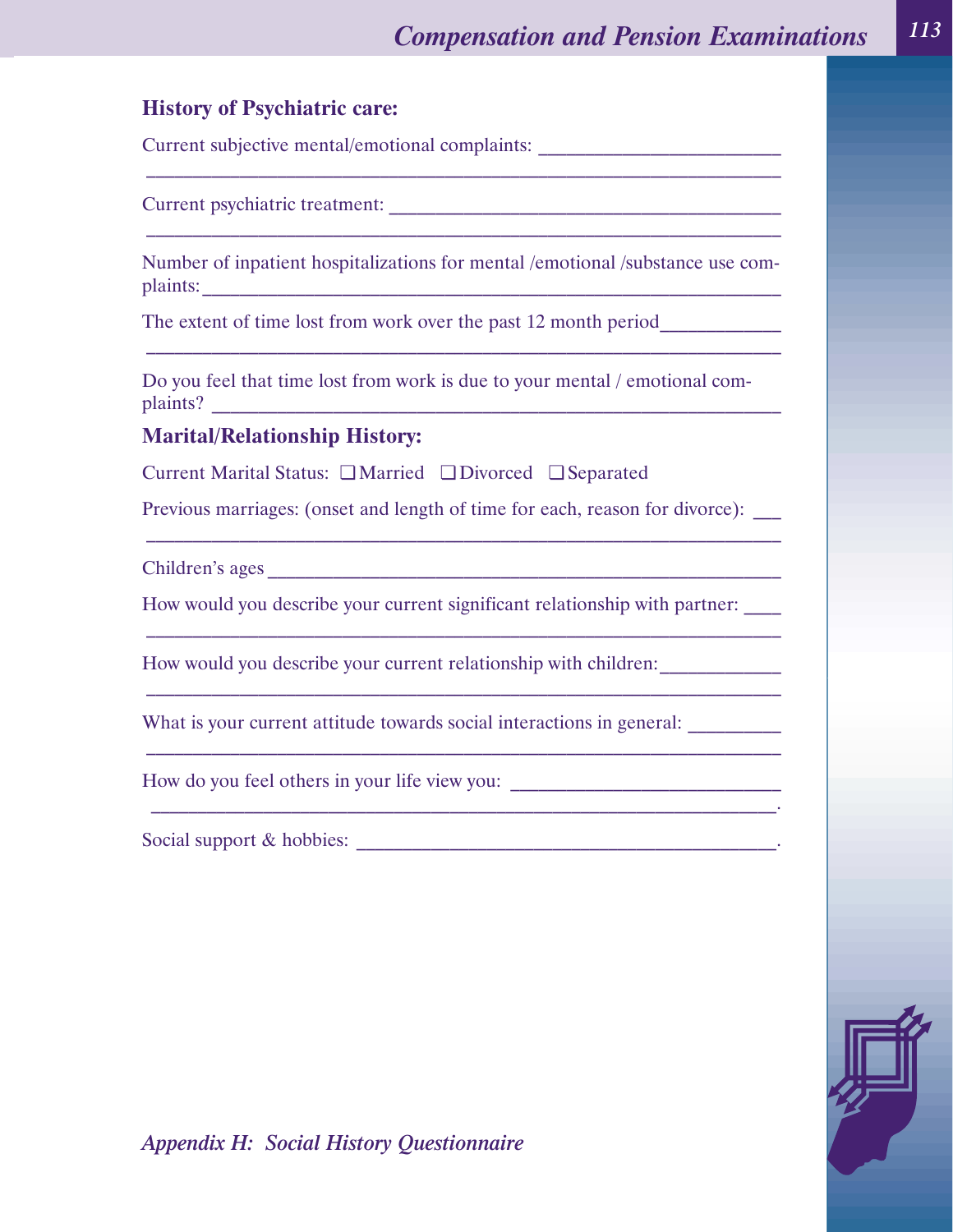\_\_\_\_\_\_\_\_\_\_\_\_\_\_\_\_\_\_\_\_\_\_\_\_\_\_\_\_\_\_\_\_\_\_\_\_\_\_\_\_\_\_\_\_\_\_\_\_\_\_\_\_\_\_\_\_\_\_\_\_\_\_\_\_\_\_\_\_

### **History of Psychiatric care:**

Current subjective mental/emotional complaints:

Current psychiatric treatment:

Number of inpatient hospitalizations for mental /emotional /substance use complaints:

\_\_\_\_\_\_\_\_\_\_\_\_\_\_\_\_\_\_\_\_\_\_\_\_\_\_\_\_\_\_\_\_\_\_\_\_\_\_\_\_\_\_\_\_\_\_\_\_\_\_\_\_\_\_\_\_\_\_\_\_\_\_\_\_\_\_\_\_

\_\_\_\_\_\_\_\_\_\_\_\_\_\_\_\_\_\_\_\_\_\_\_\_\_\_\_\_\_\_\_\_\_\_\_\_\_\_\_\_\_\_\_\_\_\_\_\_\_\_\_\_\_\_\_\_\_\_\_\_\_\_\_\_\_\_\_\_

The extent of time lost from work over the past 12 month period

Do you feel that time lost from work is due to your mental / emotional complaints?

### **Marital/Relationship History:**

Current Marital Status: ❏ Married ❏ Divorced ❏ Separated

Previous marriages: (onset and length of time for each, reason for divorce):

\_\_\_\_\_\_\_\_\_\_\_\_\_\_\_\_\_\_\_\_\_\_\_\_\_\_\_\_\_\_\_\_\_\_\_\_\_\_\_\_\_\_\_\_\_\_\_\_\_\_\_\_\_\_\_\_\_\_\_\_\_\_\_\_\_\_\_\_

\_\_\_\_\_\_\_\_\_\_\_\_\_\_\_\_\_\_\_\_\_\_\_\_\_\_\_\_\_\_\_\_\_\_\_\_\_\_\_\_\_\_\_\_\_\_\_\_\_\_\_\_\_\_\_\_\_\_\_\_\_\_\_\_\_\_\_\_

\_\_\_\_\_\_\_\_\_\_\_\_\_\_\_\_\_\_\_\_\_\_\_\_\_\_\_\_\_\_\_\_\_\_\_\_\_\_\_\_\_\_\_\_\_\_\_\_\_\_\_\_\_\_\_\_\_\_\_\_\_\_\_\_\_\_\_\_

\_\_\_\_\_\_\_\_\_\_\_\_\_\_\_\_\_\_\_\_\_\_\_\_\_\_\_\_\_\_\_\_\_\_\_\_\_\_\_\_\_\_\_\_\_\_\_\_\_\_\_\_\_\_\_\_\_\_\_\_\_\_\_\_\_\_\_.

Children's ages \_\_\_\_\_\_\_\_\_\_\_\_\_\_\_\_\_\_\_\_\_\_\_\_\_\_\_\_\_\_\_\_\_\_\_\_\_\_\_\_\_\_\_\_\_\_\_\_\_\_\_\_\_\_\_

How would you describe your current significant relationship with partner: \_\_\_\_

How would you describe your current relationship with children:

\_\_\_\_\_\_\_\_\_\_\_\_\_\_\_\_\_\_\_\_\_\_\_\_\_\_\_\_\_\_\_\_\_\_\_\_\_\_\_\_\_\_\_\_\_\_\_\_\_\_\_\_\_\_\_\_\_\_\_\_\_\_\_\_\_\_\_\_

What is your current attitude towards social interactions in general:

How do you feel others in your life view you:

Social support & hobbies: \_\_\_\_\_\_\_\_\_\_\_\_\_\_\_\_\_\_\_\_\_\_\_\_\_\_\_\_\_\_\_\_\_\_\_\_\_\_\_\_\_\_\_\_\_.

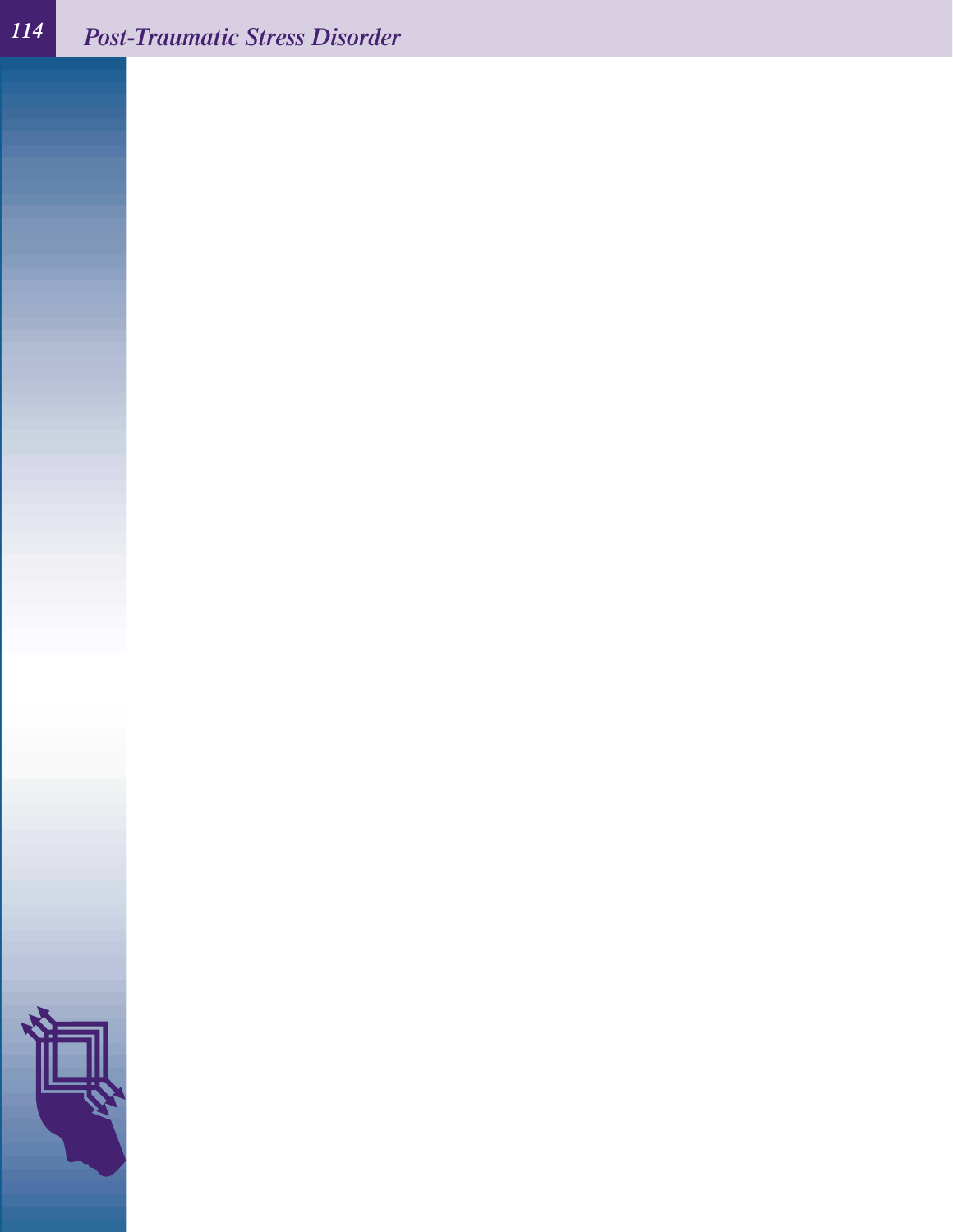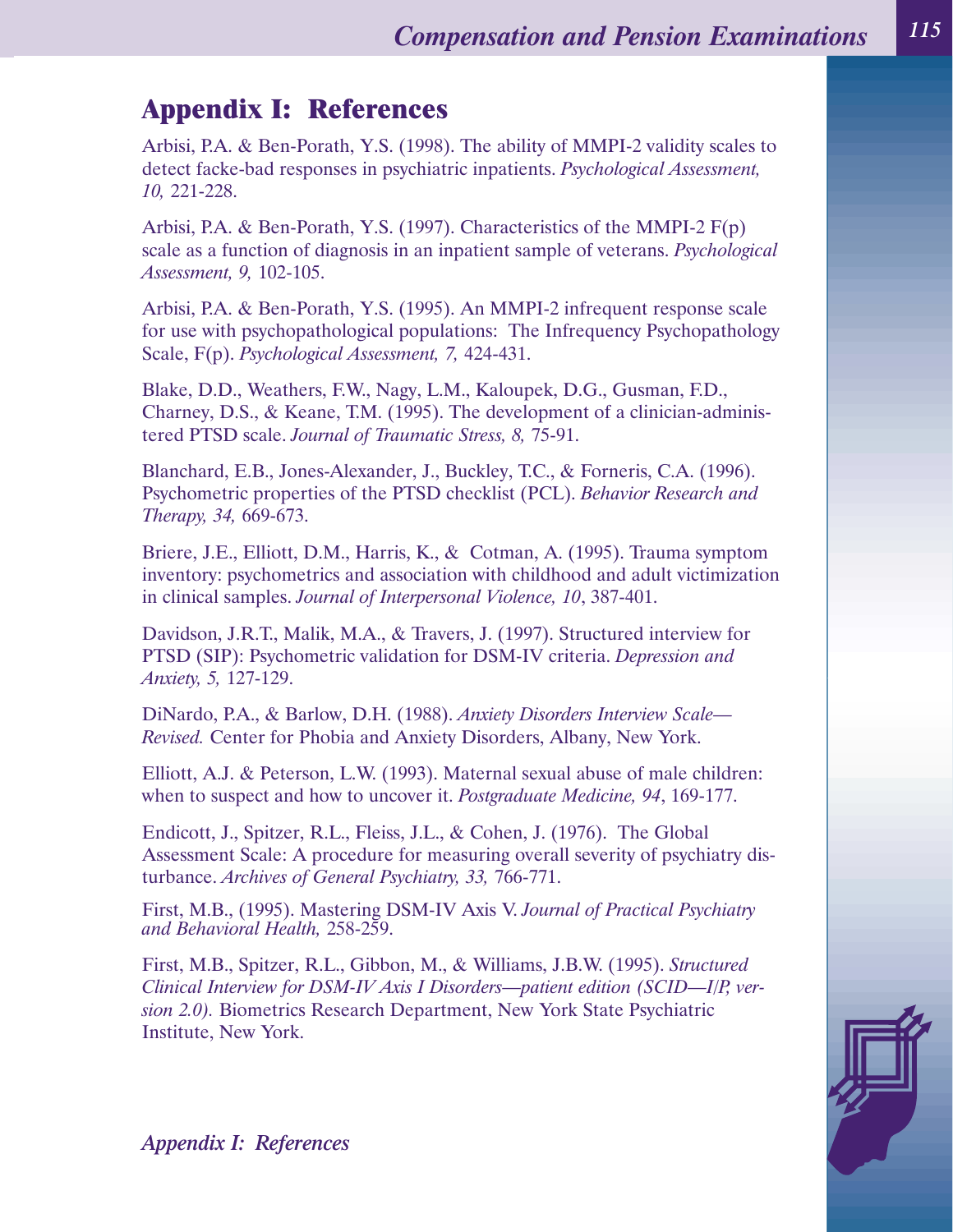## **Appendix I: References**

Arbisi, P.A. & Ben-Porath, Y.S. (1998). The ability of MMPI-2 validity scales to detect facke-bad responses in psychiatric inpatients. *Psychological Assessment, 10,* 221-228.

Arbisi, P.A. & Ben-Porath, Y.S. (1997). Characteristics of the MMPI-2 F(p) scale as a function of diagnosis in an inpatient sample of veterans. *Psychological Assessment, 9,* 102-105.

Arbisi, P.A. & Ben-Porath, Y.S. (1995). An MMPI-2 infrequent response scale for use with psychopathological populations: The Infrequency Psychopathology Scale, F(p). *Psychological Assessment, 7,* 424-431.

Blake, D.D., Weathers, F.W., Nagy, L.M., Kaloupek, D.G., Gusman, F.D., Charney, D.S., & Keane, T.M. (1995). The development of a clinician-administered PTSD scale. *Journal of Traumatic Stress, 8,* 75-91.

Blanchard, E.B., Jones-Alexander, J., Buckley, T.C., & Forneris, C.A. (1996). Psychometric properties of the PTSD checklist (PCL). *Behavior Research and Therapy, 34,* 669-673.

Briere, J.E., Elliott, D.M., Harris, K., & Cotman, A. (1995). Trauma symptom inventory: psychometrics and association with childhood and adult victimization in clinical samples. *Journal of Interpersonal Violence, 10*, 387-401.

Davidson, J.R.T., Malik, M.A., & Travers, J. (1997). Structured interview for PTSD (SIP): Psychometric validation for DSM-IV criteria. *Depression and Anxiety, 5,* 127-129.

DiNardo, P.A., & Barlow, D.H. (1988). *Anxiety Disorders Interview Scale— Revised.* Center for Phobia and Anxiety Disorders, Albany, New York.

Elliott, A.J. & Peterson, L.W. (1993). Maternal sexual abuse of male children: when to suspect and how to uncover it. *Postgraduate Medicine, 94*, 169-177.

Endicott, J., Spitzer, R.L., Fleiss, J.L., & Cohen, J. (1976). The Global Assessment Scale: A procedure for measuring overall severity of psychiatry disturbance. *Archives of General Psychiatry, 33,* 766-771.

First, M.B., (1995). Mastering DSM-IV Axis V. *Journal of Practical Psychiatry and Behavioral Health,* 258-259.

First, M.B., Spitzer, R.L., Gibbon, M., & Williams, J.B.W. (1995). *Structured Clinical Interview for DSM-IV Axis I Disorders—patient edition (SCID—I/P, version 2.0).* Biometrics Research Department, New York State Psychiatric Institute, New York.



*Appendix I: References*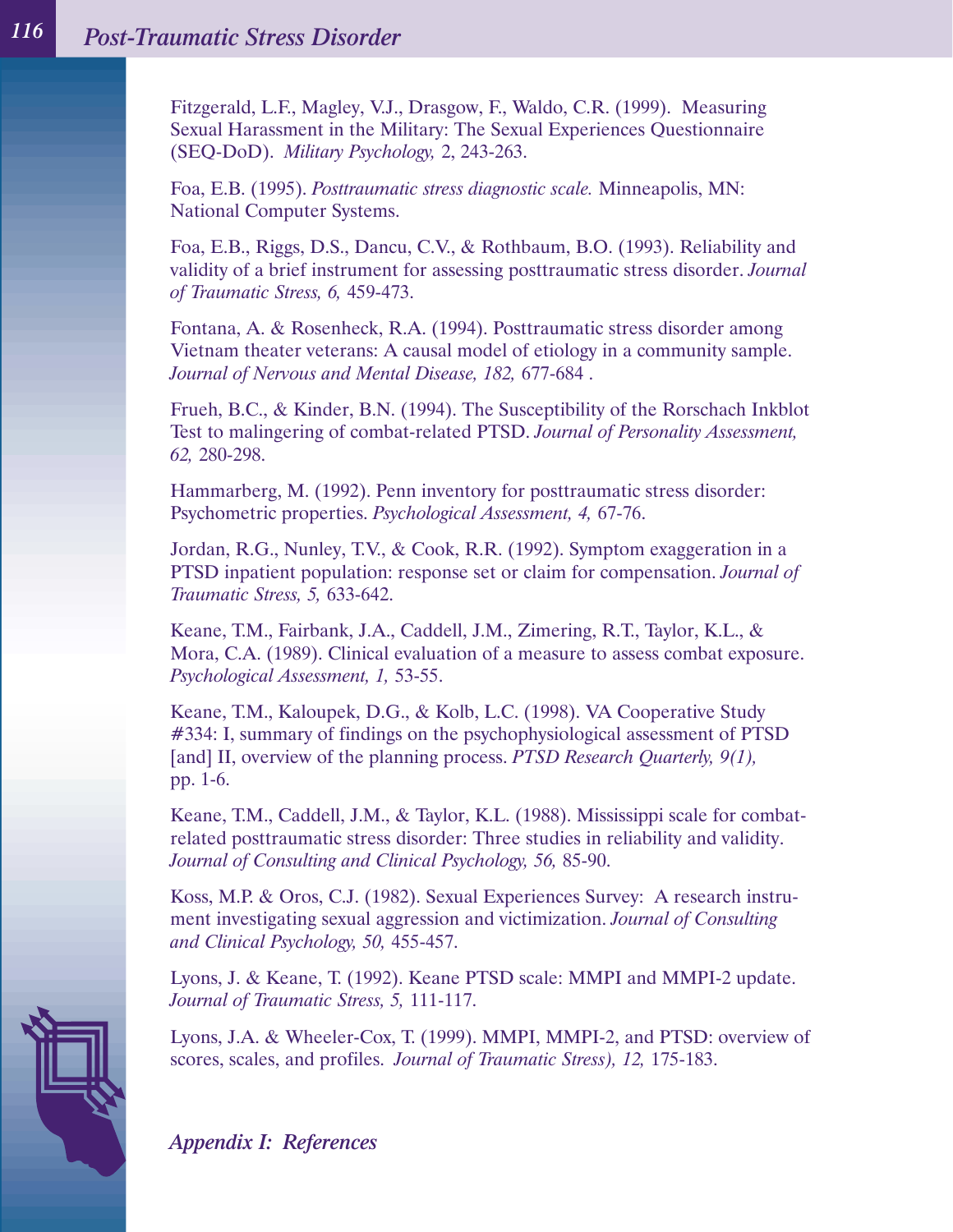Fitzgerald, L.F., Magley, V.J., Drasgow, F., Waldo, C.R. (1999). Measuring Sexual Harassment in the Military: The Sexual Experiences Questionnaire (SEQ-DoD). *Military Psychology,* 2, 243-263.

Foa, E.B. (1995). *Posttraumatic stress diagnostic scale.* Minneapolis, MN: National Computer Systems.

Foa, E.B., Riggs, D.S., Dancu, C.V., & Rothbaum, B.O. (1993). Reliability and validity of a brief instrument for assessing posttraumatic stress disorder. *Journal of Traumatic Stress, 6,* 459-473.

Fontana, A. & Rosenheck, R.A. (1994). Posttraumatic stress disorder among Vietnam theater veterans: A causal model of etiology in a community sample. *Journal of Nervous and Mental Disease, 182,* 677-684 .

Frueh, B.C., & Kinder, B.N. (1994). The Susceptibility of the Rorschach Inkblot Test to malingering of combat-related PTSD. *Journal of Personality Assessment, 62,* 280-298.

Hammarberg, M. (1992). Penn inventory for posttraumatic stress disorder: Psychometric properties. *Psychological Assessment, 4,* 67-76.

Jordan, R.G., Nunley, T.V., & Cook, R.R. (1992). Symptom exaggeration in a PTSD inpatient population: response set or claim for compensation. *Journal of Traumatic Stress, 5,* 633-642.

Keane, T.M., Fairbank, J.A., Caddell, J.M., Zimering, R.T., Taylor, K.L., & Mora, C.A. (1989). Clinical evaluation of a measure to assess combat exposure. *Psychological Assessment, 1,* 53-55.

Keane, T.M., Kaloupek, D.G., & Kolb, L.C. (1998). VA Cooperative Study #334: I, summary of findings on the psychophysiological assessment of PTSD [and] II, overview of the planning process. *PTSD Research Quarterly, 9(1),* pp. 1-6.

Keane, T.M., Caddell, J.M., & Taylor, K.L. (1988). Mississippi scale for combatrelated posttraumatic stress disorder: Three studies in reliability and validity. *Journal of Consulting and Clinical Psychology, 56,* 85-90.

Koss, M.P. & Oros, C.J. (1982). Sexual Experiences Survey: A research instrument investigating sexual aggression and victimization. *Journal of Consulting and Clinical Psychology, 50,* 455-457.

Lyons, J. & Keane, T. (1992). Keane PTSD scale: MMPI and MMPI-2 update. *Journal of Traumatic Stress, 5,* 111-117.

Lyons, J.A. & Wheeler-Cox, T. (1999). MMPI, MMPI-2, and PTSD: overview of scores, scales, and profiles. *Journal of Traumatic Stress), 12,* 175-183.



*Appendix I: References*